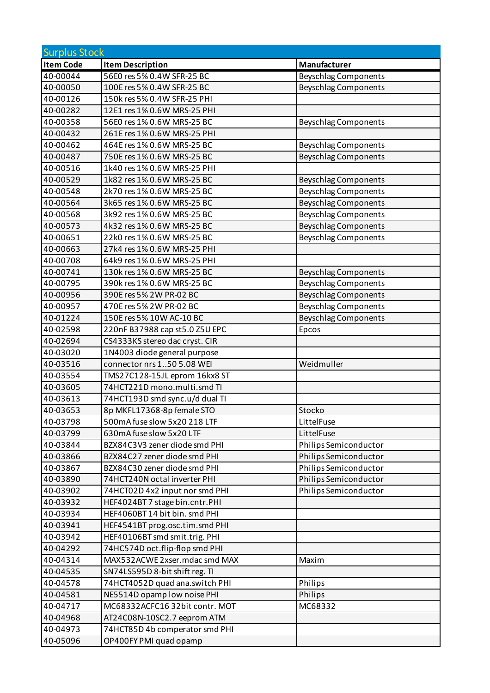| <b>Surplus Stock</b> |                                |                             |
|----------------------|--------------------------------|-----------------------------|
| <b>Item Code</b>     | <b>Item Description</b>        | Manufacturer                |
| 40-00044             | 56E0 res 5% 0.4W SFR-25 BC     | <b>Beyschlag Components</b> |
| 40-00050             | 100E res 5% 0.4W SFR-25 BC     | <b>Beyschlag Components</b> |
| 40-00126             | 150k res 5% 0.4W SFR-25 PHI    |                             |
| 40-00282             | 12E1 res 1% 0.6W MRS-25 PHI    |                             |
| 40-00358             | 56E0 res 1% 0.6W MRS-25 BC     | <b>Beyschlag Components</b> |
| 40-00432             | 261E res 1% 0.6W MRS-25 PHI    |                             |
| 40-00462             | 464E res 1% 0.6W MRS-25 BC     | <b>Beyschlag Components</b> |
| 40-00487             | 750E res 1% 0.6W MRS-25 BC     | <b>Beyschlag Components</b> |
| 40-00516             | 1k40 res 1% 0.6W MRS-25 PHI    |                             |
| 40-00529             | 1k82 res 1% 0.6W MRS-25 BC     | <b>Beyschlag Components</b> |
| 40-00548             | 2k70 res 1% 0.6W MRS-25 BC     | <b>Beyschlag Components</b> |
| 40-00564             | 3k65 res 1% 0.6W MRS-25 BC     | <b>Beyschlag Components</b> |
| 40-00568             | 3k92 res 1% 0.6W MRS-25 BC     | <b>Beyschlag Components</b> |
| 40-00573             | 4k32 res 1% 0.6W MRS-25 BC     | <b>Beyschlag Components</b> |
| 40-00651             | 22k0 res 1% 0.6W MRS-25 BC     | <b>Beyschlag Components</b> |
| 40-00663             | 27k4 res 1% 0.6W MRS-25 PHI    |                             |
| 40-00708             | 64k9 res 1% 0.6W MRS-25 PHI    |                             |
| 40-00741             | 130k res 1% 0.6W MRS-25 BC     | <b>Beyschlag Components</b> |
| 40-00795             | 390k res 1% 0.6W MRS-25 BC     | <b>Beyschlag Components</b> |
| 40-00956             | 390E res 5% 2W PR-02 BC        | <b>Beyschlag Components</b> |
| 40-00957             | 470E res 5% 2W PR-02 BC        | <b>Beyschlag Components</b> |
| 40-01224             | 150E res 5% 10W AC-10 BC       | <b>Beyschlag Components</b> |
| 40-02598             | 220nF B37988 cap st5.0 Z5U EPC | Epcos                       |
| 40-02694             | CS4333KS stereo dac cryst. CIR |                             |
| 40-03020             | 1N4003 diode general purpose   |                             |
| 40-03516             | connector nrs 150 5.08 WEI     | Weidmuller                  |
| 40-03554             | TMS27C128-15JL eprom 16kx8 ST  |                             |
| 40-03605             | 74HCT221D mono.multi.smd TI    |                             |
| 40-03613             | 74HCT193D smd sync.u/d dual TI |                             |
| 40-03653             | 8p MKFL17368-8p female STO     | Stocko                      |
| 40-03798             | 500mA fuse slow 5x20 218 LTF   | LittelFuse                  |
| 40-03799             | 630mA fuse slow 5x20 LTF       | LittelFuse                  |
| 40-03844             | BZX84C3V3 zener diode smd PHI  | Philips Semiconductor       |
| 40-03866             | BZX84C27 zener diode smd PHI   | Philips Semiconductor       |
| 40-03867             | BZX84C30 zener diode smd PHI   | Philips Semiconductor       |
| 40-03890             | 74HCT240N octal inverter PHI   | Philips Semiconductor       |
| 40-03902             | 74HCT02D 4x2 input nor smd PHI | Philips Semiconductor       |
| 40-03932             | HEF4024BT7 stage bin.cntr.PHI  |                             |
| 40-03934             | HEF4060BT14 bit bin. smd PHI   |                             |
| 40-03941             | HEF4541BT prog.osc.tim.smd PHI |                             |
| 40-03942             | HEF40106BT smd smit.trig. PHI  |                             |
| 40-04292             | 74HC574D oct.flip-flop smd PHI |                             |
| 40-04314             | MAX532ACWE 2xser.mdac smd MAX  | Maxim                       |
| 40-04535             | SN74LS595D 8-bit shift reg. TI |                             |
| 40-04578             | 74HCT4052D quad ana.switch PHI | Philips                     |
| 40-04581             | NE5514D opamp low noise PHI    | Philips                     |
| 40-04717             | MC68332ACFC16 32bit contr. MOT | MC68332                     |
| 40-04968             | AT24C08N-10SC2.7 eeprom ATM    |                             |
| 40-04973             | 74HCT85D 4b comperator smd PHI |                             |
| 40-05096             | OP400FY PMI quad opamp         |                             |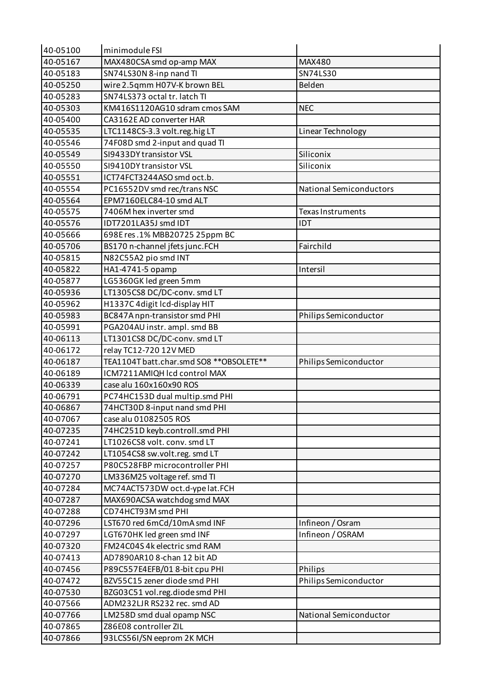| 40-05100 | minimodule FSI                                     |                                |
|----------|----------------------------------------------------|--------------------------------|
| 40-05167 | MAX480CSA smd op-amp MAX                           | MAX480                         |
| 40-05183 | SN74LS30N 8-inp nand TI                            | SN74LS30                       |
| 40-05250 | wire 2.5qmm H07V-K brown BEL                       | Belden                         |
| 40-05283 | SN74LS373 octal tr. latch TI                       |                                |
| 40-05303 | KM416S1120AG10 sdram cmos SAM                      | <b>NEC</b>                     |
| 40-05400 | CA3162E AD converter HAR                           |                                |
| 40-05535 | LTC1148CS-3.3 volt.reg.hig LT                      | Linear Technology              |
| 40-05546 | 74F08D smd 2-input and quad TI                     |                                |
| 40-05549 | SI9433DY transistor VSL                            | Siliconix                      |
| 40-05550 | SI9410DY transistor VSL                            | Siliconix                      |
| 40-05551 | ICT74FCT3244ASO smd oct.b.                         |                                |
| 40-05554 | PC16552DV smd rec/trans NSC                        | <b>National Semiconductors</b> |
| 40-05564 | EPM7160ELC84-10 smd ALT                            |                                |
| 40-05575 | 7406M hex inverter smd                             | <b>Texas Instruments</b>       |
| 40-05576 | IDT7201LA35J smd IDT                               | IDT                            |
| 40-05666 | 698E res.1% MBB20725 25ppm BC                      |                                |
| 40-05706 | BS170 n-channel jfets junc.FCH                     | Fairchild                      |
| 40-05815 | N82C55A2 pio smd INT                               |                                |
| 40-05822 | HA1-4741-5 opamp                                   | Intersil                       |
| 40-05877 | LG5360GK led green 5mm                             |                                |
| 40-05936 | LT1305CS8 DC/DC-conv. smd LT                       |                                |
| 40-05962 | H1337C 4digit lcd-display HIT                      |                                |
| 40-05983 | BC847A npn-transistor smd PHI                      | Philips Semiconductor          |
| 40-05991 | PGA204AU instr. ampl. smd BB                       |                                |
| 40-06113 | LT1301CS8 DC/DC-conv. smd LT                       |                                |
| 40-06172 | relay TC12-720 12V MED                             |                                |
| 40-06187 | TEA1104T batt.char.smd SO8 ** OBSOLETE**           | Philips Semiconductor          |
| 40-06189 | ICM7211AMIQH Icd control MAX                       |                                |
| 40-06339 | case alu 160x160x90 ROS                            |                                |
| 40-06791 | PC74HC153D dual multip.smd PHI                     |                                |
| 40-06867 | 74HCT30D 8-input nand smd PHI                      |                                |
| 40-07067 | case alu 01082505 ROS                              |                                |
| 40-07235 | 74HC251D keyb.controll.smd PHI                     |                                |
| 40-07241 | LT1026CS8 volt. conv. smd LT                       |                                |
| 40-07242 | LT1054CS8 sw.volt.reg. smd LT                      |                                |
| 40-07257 | P80C528FBP microcontroller PHI                     |                                |
| 40-07270 | LM336M25 voltage ref. smd TI                       |                                |
| 40-07284 | MC74ACT573DW oct.d-ype lat.FCH                     |                                |
| 40-07287 | MAX690ACSA watchdog smd MAX                        |                                |
| 40-07288 | CD74HCT93M smd PHI                                 |                                |
| 40-07296 | LST670 red 6mCd/10mA smd INF                       | Infineon / Osram               |
| 40-07297 | LGT670HK led green smd INF                         | Infineon / OSRAM               |
| 40-07320 | FM24C04S4k electric smd RAM                        |                                |
| 40-07413 | AD7890AR10 8-chan 12 bit AD                        |                                |
| 40-07456 | P89C557E4EFB/018-bit cpu PHI                       | Philips                        |
| 40-07472 | BZV55C15 zener diode smd PHI                       | Philips Semiconductor          |
| 40-07530 | BZG03C51 vol.reg.diode smd PHI                     |                                |
| 40-07566 | ADM232LJR RS232 rec. smd AD                        |                                |
| 40-07766 | LM258D smd dual opamp NSC                          | National Semiconductor         |
| 40-07865 |                                                    |                                |
| 40-07866 | Z86E08 controller ZIL<br>93LCS56I/SN eeprom 2K MCH |                                |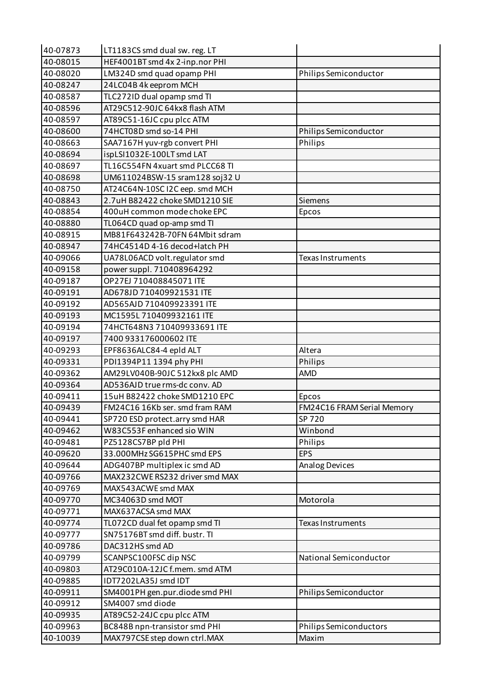| 40-07873 | LT1183CS smd dual sw. reg. LT   |                            |
|----------|---------------------------------|----------------------------|
| 40-08015 | HEF4001BT smd 4x 2-inp.nor PHI  |                            |
| 40-08020 | LM324D smd quad opamp PHI       | Philips Semiconductor      |
| 40-08247 | 24LC04B 4k eeprom MCH           |                            |
| 40-08587 | TLC272ID dual opamp smd TI      |                            |
| 40-08596 | AT29C512-90JC 64kx8 flash ATM   |                            |
| 40-08597 | AT89C51-16JC cpu plcc ATM       |                            |
| 40-08600 | 74HCT08D smd so-14 PHI          | Philips Semiconductor      |
| 40-08663 | SAA7167H yuv-rgb convert PHI    | Philips                    |
| 40-08694 | ispLSI1032E-100LT smd LAT       |                            |
| 40-08697 | TL16C554FN 4xuart smd PLCC68 TI |                            |
| 40-08698 | UM611024BSW-15 sram128 soj32 U  |                            |
| 40-08750 | AT24C64N-10SC I2C eep. smd MCH  |                            |
| 40-08843 | 2.7uH B82422 choke SMD1210 SIE  | Siemens                    |
| 40-08854 | 400uH common mode choke EPC     | Epcos                      |
| 40-08880 | TL064CD quad op-amp smd TI      |                            |
| 40-08915 | MB81F643242B-70FN 64Mbit sdram  |                            |
| 40-08947 | 74HC4514D 4-16 decod+latch PH   |                            |
| 40-09066 | UA78L06ACD volt.regulator smd   | <b>Texas Instruments</b>   |
| 40-09158 | power suppl. 710408964292       |                            |
| 40-09187 | OP27EJ 710408845071 ITE         |                            |
| 40-09191 | AD678JD 710409921531 ITE        |                            |
| 40-09192 | AD565AJD 710409923391 ITE       |                            |
| 40-09193 | MC1595L710409932161 ITE         |                            |
| 40-09194 | 74HCT648N3 710409933691 ITE     |                            |
| 40-09197 | 7400 933176000602 ITE           |                            |
| 40-09293 | EPF8636ALC84-4 epld ALT         | Altera                     |
| 40-09331 | PDI1394P11 1394 phy PHI         | Philips                    |
| 40-09362 | AM29LV040B-90JC 512kx8 plc AMD  | AMD                        |
| 40-09364 | AD536AJD true rms-dc conv. AD   |                            |
| 40-09411 | 15uH B82422 choke SMD1210 EPC   | Epcos                      |
| 40-09439 | FM24C16 16Kb ser. smd fram RAM  | FM24C16 FRAM Serial Memory |
| 40-09441 | SP720 ESD protect.arry smd HAR  | SP 720                     |
| 40-09462 | W83C553F enhanced sio WIN       | Winbond                    |
| 40-09481 | PZ5128CS7BP pld PHI             | Philips                    |
| 40-09620 | 33.000MHz SG615PHC smd EPS      | <b>EPS</b>                 |
| 40-09644 | ADG407BP multiplex ic smd AD    | <b>Analog Devices</b>      |
| 40-09766 | MAX232CWE RS232 driver smd MAX  |                            |
| 40-09769 | MAX543ACWE smd MAX              |                            |
| 40-09770 | MC34063D smd MOT                | Motorola                   |
| 40-09771 | MAX637ACSA smd MAX              |                            |
| 40-09774 | TL072CD dual fet opamp smd TI   | Texas Instruments          |
| 40-09777 | SN75176BT smd diff. bustr. TI   |                            |
| 40-09786 | DAC312HS smd AD                 |                            |
| 40-09799 | SCANPSC100FSC dip NSC           | National Semiconductor     |
| 40-09803 | AT29C010A-12JC f.mem. smd ATM   |                            |
| 40-09885 | IDT7202LA35J smd IDT            |                            |
| 40-09911 | SM4001PH gen.pur.diode smd PHI  | Philips Semiconductor      |
| 40-09912 | SM4007 smd diode                |                            |
| 40-09935 | AT89C52-24JC cpu plcc ATM       |                            |
| 40-09963 | BC848B npn-transistor smd PHI   | Philips Semiconductors     |
| 40-10039 | MAX797CSE step down ctrl.MAX    | Maxim                      |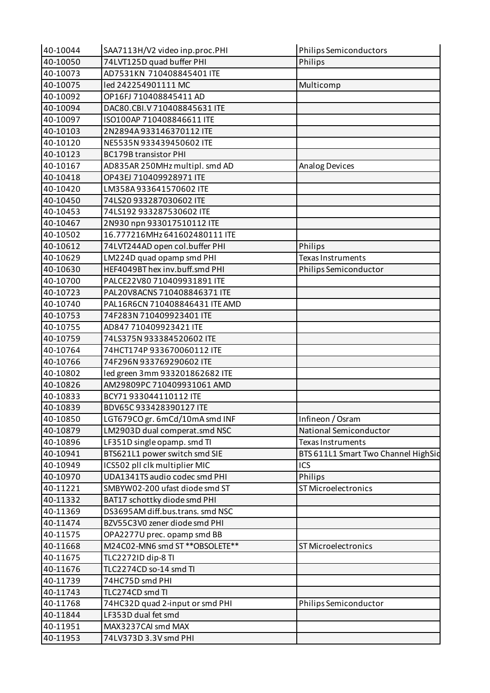| 40-10044 | SAA7113H/V2 video inp.proc.PHI                         | <b>Philips Semiconductors</b>       |
|----------|--------------------------------------------------------|-------------------------------------|
| 40-10050 | 74LVT125D quad buffer PHI                              | Philips                             |
| 40-10073 | AD7531KN 710408845401 ITE                              |                                     |
| 40-10075 | led 242254901111 MC                                    | Multicomp                           |
| 40-10092 | OP16FJ 710408845411 AD                                 |                                     |
| 40-10094 | DAC80.CBI.V710408845631 ITE                            |                                     |
| 40-10097 | ISO100AP 710408846611 ITE                              |                                     |
| 40-10103 | 2N2894A933146370112 ITE                                |                                     |
| 40-10120 | NE5535N933439450602 ITE                                |                                     |
| 40-10123 | <b>BC179B transistor PHI</b>                           |                                     |
| 40-10167 | AD835AR 250MHz multipl. smd AD                         | Analog Devices                      |
| 40-10418 | OP43EJ 710409928971 ITE                                |                                     |
| 40-10420 | LM358A933641570602 ITE                                 |                                     |
| 40-10450 | 74LS20 933287030602 ITE                                |                                     |
| 40-10453 | 74LS192 933287530602 ITE                               |                                     |
| 40-10467 | 2N930 npn 933017510112 ITE                             |                                     |
| 40-10502 | 16.777216MHz 641602480111 ITE                          |                                     |
| 40-10612 | 74LVT244AD open col.buffer PHI                         | Philips                             |
| 40-10629 | LM224D quad opamp smd PHI                              | Texas Instruments                   |
| 40-10630 | HEF4049BT hex inv.buff.smd PHI                         | Philips Semiconductor               |
| 40-10700 | PALCE22V80 710409931891 ITE                            |                                     |
| 40-10723 | PAL20V8ACNS 710408846371 ITE                           |                                     |
| 40-10740 | PAL16R6CN 710408846431 ITE AMD                         |                                     |
| 40-10753 | 74F283N 710409923401 ITE                               |                                     |
| 40-10755 | AD847 710409923421 ITE                                 |                                     |
| 40-10759 | 74LS375N933384520602 ITE                               |                                     |
| 40-10764 | 74HCT174P 933670060112 ITE                             |                                     |
| 40-10766 | 74F296N 933769290602 ITE                               |                                     |
| 40-10802 | led green 3mm 933201862682 ITE                         |                                     |
| 40-10826 | AM29809PC 710409931061 AMD                             |                                     |
| 40-10833 | BCY71 933044110112 ITE                                 |                                     |
| 40-10839 | BDV65C933428390127 ITE                                 |                                     |
| 40-10850 | LGT679CO gr. 6mCd/10mA smd INF                         | Infineon / Osram                    |
| 40-10879 | LM2903D dual comperat.smd NSC                          | National Semiconductor              |
| 40-10896 | LF351D single opamp. smd TI                            | Texas Instruments                   |
| 40-10941 | BTS621L1 power switch smd SIE                          | BTS 611L1 Smart Two Channel HighSid |
| 40-10949 | ICS502 pll clk multiplier MIC                          | ICS                                 |
| 40-10970 | UDA1341TS audio codec smd PHI                          | Philips                             |
| 40-11221 | SMBYW02-200 ufast diode smd ST                         | ST Microelectronics                 |
| 40-11332 | BAT17 schottky diode smd PHI                           |                                     |
| 40-11369 | DS3695AM diff.bus.trans. smd NSC                       |                                     |
| 40-11474 | BZV55C3V0 zener diode smd PHI                          |                                     |
| 40-11575 | OPA2277U prec. opamp smd BB                            |                                     |
| 40-11668 | M24C02-MN6 smd ST ** OBSOLETE **                       | ST Microelectronics                 |
| 40-11675 | TLC2272ID dip-8 TI                                     |                                     |
| 40-11676 | TLC2274CD so-14 smd TI                                 |                                     |
| 40-11739 | 74HC75D smd PHI                                        |                                     |
|          | TLC274CD smd TI                                        |                                     |
| 40-11743 |                                                        |                                     |
| 40-11768 | 74HC32D quad 2-input or smd PHI<br>LF353D dual fet smd | Philips Semiconductor               |
| 40-11844 |                                                        |                                     |
| 40-11951 | MAX3237CAI smd MAX                                     |                                     |
| 40-11953 | 74LV373D 3.3V smd PHI                                  |                                     |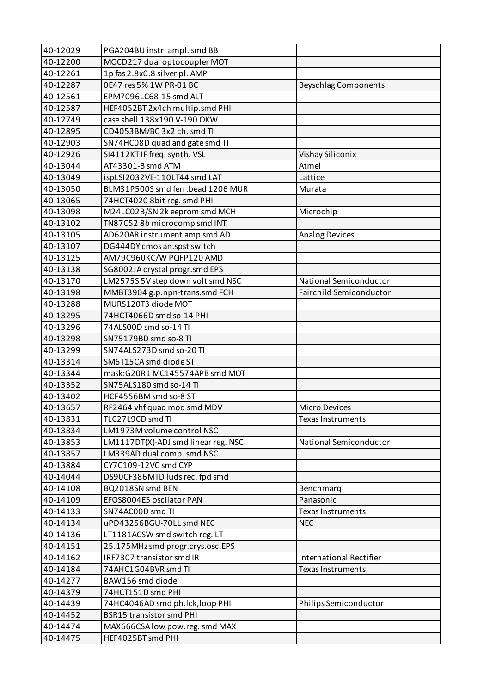| 40-12029 | PGA204BU instr. ampl. smd BB        |                                |
|----------|-------------------------------------|--------------------------------|
| 40-12200 | MOCD217 dual optocoupler MOT        |                                |
| 40-12261 | 1p fas 2.8x0.8 silver pl. AMP       |                                |
| 40-12287 | 0E47 res 5% 1W PR-01 BC             | <b>Beyschlag Components</b>    |
| 40-12561 | EPM7096LC68-15 smd ALT              |                                |
| 40-12587 | HEF4052BT 2x4ch multip.smd PHI      |                                |
| 40-12749 | case shell 138x190 V-190 OKW        |                                |
| 40-12895 | CD4053BM/BC 3x2 ch. smd TI          |                                |
| 40-12903 | SN74HC08D quad and gate smd TI      |                                |
| 40-12926 | SI4112KTIF freq. synth. VSL         | Vishay Siliconix               |
| 40-13044 | AT43301-B smd ATM                   | Atmel                          |
| 40-13049 | ispLSI2032VE-110LT44 smd LAT        | Lattice                        |
| 40-13050 | BLM31P500S smd ferr.bead 1206 MUR   | Murata                         |
| 40-13065 | 74HCT4020 8bit reg. smd PHI         |                                |
| 40-13098 | M24LC02B/SN 2k eeprom smd MCH       | Microchip                      |
| 40-13102 | TN87C52 8b microcomp smd INT        |                                |
| 40-13105 | AD620AR instrument amp smd AD       | <b>Analog Devices</b>          |
| 40-13107 | DG444DY cmos an.spst switch         |                                |
| 40-13125 | AM79C960KC/W PQFP120 AMD            |                                |
| 40-13138 | SG8002JA crystal progr.smd EPS      |                                |
| 40-13170 | LM2575S 5V step down volt smd NSC   | National Semiconductor         |
| 40-13198 | MMBT3904 g.p.npn-trans.smd FCH      | <b>Fairchild Semiconductor</b> |
| 40-13288 | MURS120T3 diode MOT                 |                                |
| 40-13295 | 74HCT4066D smd so-14 PHI            |                                |
| 40-13296 | 74ALS00D smd so-14 TI               |                                |
| 40-13298 | SN75179BD smd so-8 TI               |                                |
| 40-13299 | SN74ALS273D smd so-20 TI            |                                |
| 40-13314 | SM6T15CA smd diode ST               |                                |
| 40-13344 | mask:G20R1 MC145574APB smd MOT      |                                |
| 40-13352 | SN75ALS180 smd so-14 TI             |                                |
| 40-13402 | HCF4556BM smd so-8 ST               |                                |
| 40-13657 | RF2464 vhf quad mod smd MDV         | <b>Micro Devices</b>           |
| 40-13831 | TLC27L9CD smd TI                    | Texas Instruments              |
| 40-13834 | LM1973M volume control NSC          |                                |
| 40-13853 | LM1117DT(X)-ADJ smd linear reg. NSC | National Semiconductor         |
| 40-13857 | LM339AD dual comp. smd NSC          |                                |
| 40-13884 | CY7C109-12VC smd CYP                |                                |
| 40-14044 | DS90CF386MTD luds rec. fpd smd      |                                |
| 40-14108 | BQ2018SN smd BEN                    | Benchmarq                      |
| 40-14109 | EFOS8004E5 oscilator PAN            | Panasonic                      |
| 40-14133 | SN74AC00D smd TI                    | Texas Instruments              |
| 40-14134 | uPD43256BGU-70LL smd NEC            | <b>NEC</b>                     |
| 40-14136 | LT1181ACSW smd switch reg. LT       |                                |
| 40-14151 | 25.175MHz smd progr.crys.osc.EPS    |                                |
| 40-14162 | IRF7307 transistor smd IR           | <b>International Rectifier</b> |
| 40-14184 | 74AHC1G04BVR smd TI                 | <b>Texas Instruments</b>       |
| 40-14277 | BAW156 smd diode                    |                                |
| 40-14379 | 74HCT151D smd PHI                   |                                |
| 40-14439 | 74HC4046AD smd ph.lck, loop PHI     | Philips Semiconductor          |
| 40-14452 | <b>BSR15 transistor smd PHI</b>     |                                |
| 40-14474 | MAX666CSA low pow.reg. smd MAX      |                                |
| 40-14475 | HEF4025BT smd PHI                   |                                |
|          |                                     |                                |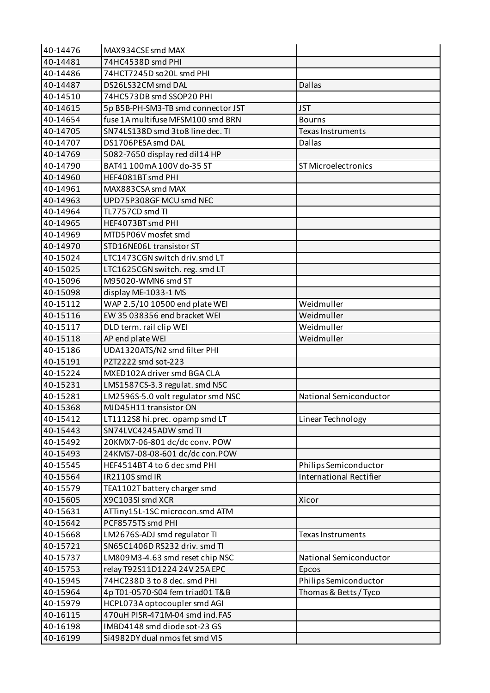| 40-14476 | MAX934CSE smd MAX                  |                                |
|----------|------------------------------------|--------------------------------|
| 40-14481 | 74HC4538D smd PHI                  |                                |
| 40-14486 | 74HCT7245D so20L smd PHI           |                                |
| 40-14487 | DS26LS32CM smd DAL                 | <b>Dallas</b>                  |
| 40-14510 | 74HC573DB smd SSOP20 PHI           |                                |
| 40-14615 | 5p B5B-PH-SM3-TB smd connector JST | <b>JST</b>                     |
| 40-14654 | fuse 1A multifuse MFSM100 smd BRN  | <b>Bourns</b>                  |
| 40-14705 | SN74LS138D smd 3to8 line dec. TI   | <b>Texas Instruments</b>       |
| 40-14707 | DS1706PESA smd DAL                 | <b>Dallas</b>                  |
| 40-14769 | 5082-7650 display red dil14 HP     |                                |
| 40-14790 | BAT41 100mA 100V do-35 ST          | <b>ST Microelectronics</b>     |
| 40-14960 | HEF4081BT smd PHI                  |                                |
| 40-14961 | MAX883CSA smd MAX                  |                                |
| 40-14963 | UPD75P308GF MCU smd NEC            |                                |
| 40-14964 | TL7757CD smd TI                    |                                |
| 40-14965 | HEF4073BT smd PHI                  |                                |
| 40-14969 | MTD5P06V mosfet smd                |                                |
| 40-14970 | STD16NE06L transistor ST           |                                |
| 40-15024 | LTC1473CGN switch driv.smd LT      |                                |
| 40-15025 | LTC1625CGN switch. reg. smd LT     |                                |
| 40-15096 | M95020-WMN6 smd ST                 |                                |
| 40-15098 | display ME-1033-1 MS               |                                |
| 40-15112 | WAP 2.5/10 10500 end plate WEI     | Weidmuller                     |
| 40-15116 | EW 35 038356 end bracket WEI       | Weidmuller                     |
| 40-15117 | DLD term. rail clip WEI            | Weidmuller                     |
| 40-15118 | AP end plate WEI                   | Weidmuller                     |
| 40-15186 | UDA1320ATS/N2 smd filter PHI       |                                |
| 40-15191 | PZT2222 smd sot-223                |                                |
| 40-15224 | MXED102A driver smd BGA CLA        |                                |
| 40-15231 | LMS1587CS-3.3 regulat. smd NSC     |                                |
| 40-15281 | LM2596S-5.0 volt regulator smd NSC | National Semiconductor         |
| 40-15368 | MJD45H11 transistor ON             |                                |
| 40-15412 | LT1112S8 hi.prec. opamp smd LT     | Linear Technology              |
| 40-15443 | SN74LVC4245ADW smd TI              |                                |
| 40-15492 | 20KMX7-06-801 dc/dc conv. POW      |                                |
| 40-15493 | 24KMS7-08-08-601 dc/dc con.POW     |                                |
| 40-15545 | HEF4514BT4 to 6 dec smd PHI        | Philips Semiconductor          |
| 40-15564 | IR2110S smd IR                     | <b>International Rectifier</b> |
| 40-15579 | TEA1102T battery charger smd       |                                |
| 40-15605 | X9C103SI smd XCR                   | Xicor                          |
| 40-15631 | ATTiny15L-1SC microcon.smd ATM     |                                |
| 40-15642 | PCF8575TS smd PHI                  |                                |
| 40-15668 | LM2676S-ADJ smd regulator TI       | <b>Texas Instruments</b>       |
| 40-15721 | SN65C1406D RS232 driv. smd TI      |                                |
| 40-15737 | LM809M3-4.63 smd reset chip NSC    | National Semiconductor         |
| 40-15753 | relay T92S11D1224 24V 25A EPC      | Epcos                          |
| 40-15945 | 74HC238D 3 to 8 dec. smd PHI       | Philips Semiconductor          |
| 40-15964 | 4p T01-0570-S04 fem triad01 T&B    | Thomas & Betts / Tyco          |
| 40-15979 | HCPL073A optocoupler smd AGI       |                                |
| 40-16115 | 470uH PISR-471M-04 smd ind.FAS     |                                |
| 40-16198 | IMBD4148 smd diode sot-23 GS       |                                |
| 40-16199 | Si4982DY dual nmos fet smd VIS     |                                |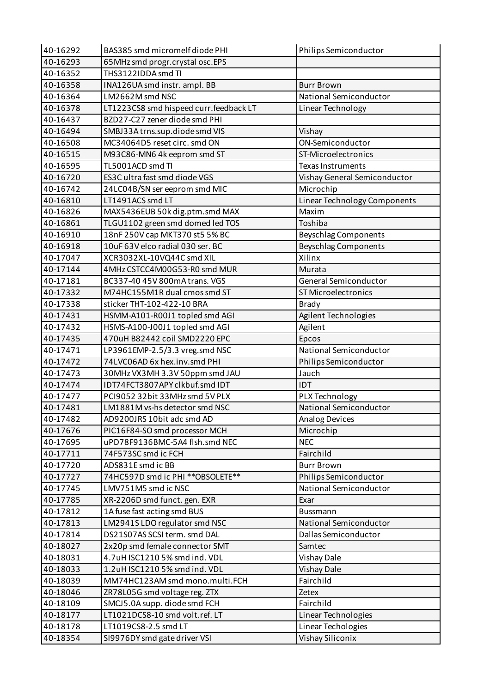| 40-16292 | BAS385 smd micromelf diode PHI         | Philips Semiconductor         |
|----------|----------------------------------------|-------------------------------|
| 40-16293 | 65MHz smd progr.crystal osc.EPS        |                               |
| 40-16352 | THS3122IDDA smd TI                     |                               |
| 40-16358 | INA126UA smd instr. ampl. BB           | <b>Burr Brown</b>             |
| 40-16364 | LM2662M smd NSC                        | <b>National Semiconductor</b> |
| 40-16378 | LT1223CS8 smd hispeed curr.feedback LT | Linear Technology             |
| 40-16437 | BZD27-C27 zener diode smd PHI          |                               |
| 40-16494 | SMBJ33A trns.sup.diode smd VIS         | Vishay                        |
| 40-16508 | MC34064D5 reset circ. smd ON           | ON-Semiconductor              |
| 40-16515 | M93C86-MN6 4k eeprom smd ST            | ST-Microelectronics           |
| 40-16595 | TL5001ACD smd TI                       | <b>Texas Instruments</b>      |
| 40-16720 | ES3C ultra fast smd diode VGS          | Vishay General Semiconductor  |
| 40-16742 | 24LC04B/SN ser eeprom smd MIC          | Microchip                     |
| 40-16810 | LT1491ACS smd LT                       | Linear Technology Components  |
| 40-16826 | MAX5436EUB 50k dig.ptm.smd MAX         | Maxim                         |
| 40-16861 | TLGU1102 green smd domed led TOS       | Toshiba                       |
| 40-16910 | 18nF 250V cap MKT370 st5 5% BC         | <b>Beyschlag Components</b>   |
| 40-16918 | 10uF 63V elco radial 030 ser. BC       | <b>Beyschlag Components</b>   |
| 40-17047 | XCR3032XL-10VQ44C smd XIL              | Xilinx                        |
| 40-17144 | 4MHz CSTCC4M00G53-R0 smd MUR           | Murata                        |
| 40-17181 | BC337-40 45V 800mA trans. VGS          | General Semiconductor         |
| 40-17332 | M74HC155M1R dual cmos smd ST           | ST Microelectronics           |
| 40-17338 | sticker THT-102-422-10 BRA             | <b>Brady</b>                  |
| 40-17431 | HSMM-A101-R00J1 topled smd AGI         | Agilent Technologies          |
| 40-17432 | HSMS-A100-J00J1 topled smd AGI         | Agilent                       |
| 40-17435 | 470uH B82442 coil SMD2220 EPC          | Epcos                         |
| 40-17471 | LP3961EMP-2.5/3.3 vreg.smd NSC         | National Semiconductor        |
| 40-17472 | 74LVC06AD 6x hex.inv.smd PHI           | Philips Semiconductor         |
| 40-17473 | 30MHz VX3MH 3.3V 50ppm smd JAU         | Jauch                         |
| 40-17474 | IDT74FCT3807APY clkbuf.smd IDT         | <b>IDT</b>                    |
| 40-17477 | PCI9052 32bit 33MHz smd 5V PLX         | PLX Technology                |
| 40-17481 | LM1881M vs-hs detector smd NSC         | National Semiconductor        |
| 40-17482 | AD9200JRS 10bit adc smd AD             | Analog Devices                |
| 40-17676 | PIC16F84-SO smd processor MCH          | Microchip                     |
| 40-17695 | uPD78F9136BMC-5A4 flsh.smd NEC         | <b>NEC</b>                    |
| 40-17711 | 74F573SC smd ic FCH                    | Fairchild                     |
| 40-17720 | ADS831E smd ic BB                      | <b>Burr Brown</b>             |
| 40-17727 | 74HC597D smd ic PHI ** OBSOLETE**      | Philips Semiconductor         |
| 40-17745 | LMV751M5 smd ic NSC                    | National Semiconductor        |
| 40-17785 | XR-2206D smd funct. gen. EXR           | Exar                          |
| 40-17812 |                                        |                               |
|          | 1A fuse fast acting smd BUS            | Bussmann                      |
| 40-17813 | LM2941S LDO regulator smd NSC          | National Semiconductor        |
| 40-17814 | DS21S07AS SCSI term. smd DAL           | Dallas Semiconductor          |
| 40-18027 | 2x20p smd female connector SMT         | Samtec                        |
| 40-18031 | 4.7uH ISC1210 5% smd ind. VDL          | <b>Vishay Dale</b>            |
| 40-18033 | 1.2uH ISC1210 5% smd ind. VDL          | <b>Vishay Dale</b>            |
| 40-18039 | MM74HC123AM smd mono.multi.FCH         | Fairchild                     |
| 40-18046 | ZR78L05G smd voltage reg. ZTX          | Zetex                         |
| 40-18109 | SMCJ5.0A supp. diode smd FCH           | Fairchild                     |
| 40-18177 | LT1021DCS8-10 smd volt.ref. LT         | Linear Technologies           |
| 40-18178 | LT1019CS8-2.5 smd LT                   | Linear Techologies            |
| 40-18354 | SI9976DY smd gate driver VSI           | Vishay Siliconix              |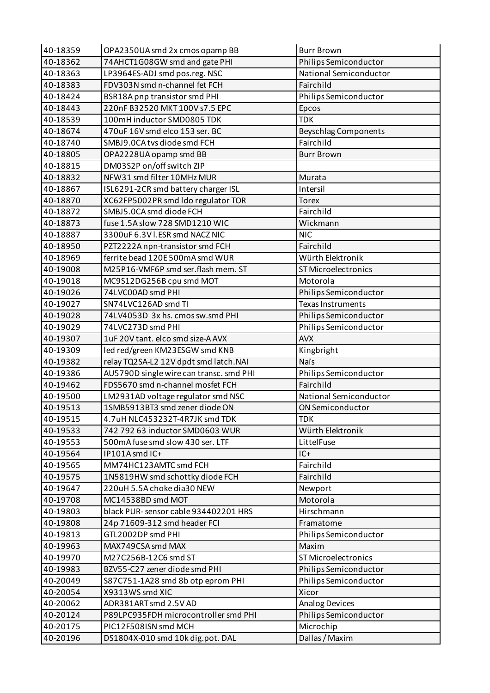| 40-18359 | OPA2350UA smd 2x cmos opamp BB                    | <b>Burr Brown</b>              |
|----------|---------------------------------------------------|--------------------------------|
| 40-18362 | 74AHCT1G08GW smd and gate PHI                     | Philips Semiconductor          |
| 40-18363 | LP3964ES-ADJ smd pos.reg. NSC                     | National Semiconductor         |
| 40-18383 | FDV303N smd n-channel fet FCH                     | Fairchild                      |
| 40-18424 | BSR18A pnp transistor smd PHI                     | Philips Semiconductor          |
| 40-18443 | 220nF B32520 MKT 100V s7.5 EPC                    | Epcos                          |
| 40-18539 | 100mH inductor SMD0805 TDK                        | <b>TDK</b>                     |
| 40-18674 | 470uF 16V smd elco 153 ser. BC                    | <b>Beyschlag Components</b>    |
| 40-18740 | SMBJ9.0CA tvs diode smd FCH                       | Fairchild                      |
| 40-18805 | OPA2228UA opamp smd BB                            | <b>Burr Brown</b>              |
| 40-18815 | DM03S2P on/off switch ZIP                         |                                |
| 40-18832 | NFW31 smd filter 10MHz MUR                        | Murata                         |
| 40-18867 | ISL6291-2CR smd battery charger ISL               | Intersil                       |
| 40-18870 | XC62FP5002PR smd Ido regulator TOR                | <b>Torex</b>                   |
| 40-18872 | SMBJ5.0CA smd diode FCH                           | Fairchild                      |
| 40-18873 | fuse 1.5A slow 728 SMD1210 WIC                    | Wickmann                       |
| 40-18887 | 3300uF 6.3V I.ESR smd NACZ NIC                    | <b>NIC</b>                     |
| 40-18950 | PZT2222A npn-transistor smd FCH                   | Fairchild                      |
| 40-18969 | ferrite bead 120E 500mA smd WUR                   | Würth Elektronik               |
| 40-19008 | M25P16-VMF6P smd ser.flash mem. ST                | <b>ST Microelectronics</b>     |
| 40-19018 | MC9S12DG256B cpu smd MOT                          | Motorola                       |
| 40-19026 | 74LVC00AD smd PHI                                 | Philips Semiconductor          |
| 40-19027 | SN74LVC126AD smd TI                               | <b>Texas Instruments</b>       |
| 40-19028 | 74LV4053D 3x hs. cmos sw.smd PHI                  | Philips Semiconductor          |
| 40-19029 | 74LVC273D smd PHI                                 | Philips Semiconductor          |
| 40-19307 | 1uF 20V tant. elco smd size-A AVX                 | <b>AVX</b>                     |
| 40-19309 | led red/green KM23ESGW smd KNB                    | Kingbright                     |
| 40-19382 | relay TQ2SA-L2 12V dpdt smd latch.NAI             | <b>Naïs</b>                    |
| 40-19386 | AU5790D single wire can transc. smd PHI           | Philips Semiconductor          |
| 40-19462 | FDS5670 smd n-channel mosfet FCH                  | Fairchild                      |
| 40-19500 | LM2931AD voltage regulator smd NSC                | National Semiconductor         |
| 40-19513 | 1SMB5913BT3 smd zener diode ON                    | ON Semiconductor               |
| 40-19515 | 4.7uH NLC453232T-4R7JK smd TDK                    | <b>TDK</b>                     |
| 40-19533 | 742 792 63 inductor SMD0603 WUR                   | Würth Elektronik               |
| 40-19553 | 500mA fuse smd slow 430 ser. LTF                  | LittelFuse                     |
| 40-19564 | IP101A smd IC+                                    | $IC+$                          |
| 40-19565 | MM74HC123AMTC smd FCH                             | Fairchild                      |
| 40-19575 | 1N5819HW smd schottky diode FCH                   | Fairchild                      |
| 40-19647 | 220uH 5.5A choke dia30 NEW                        | Newport                        |
| 40-19708 | MC14538BD smd MOT                                 | Motorola                       |
| 40-19803 | black PUR-sensor cable 934402201 HRS              | Hirschmann                     |
| 40-19808 |                                                   | Framatome                      |
| 40-19813 | 24p 71609-312 smd header FCI<br>GTL2002DP smd PHI |                                |
|          |                                                   | Philips Semiconductor<br>Maxim |
| 40-19963 | MAX749CSA smd MAX                                 |                                |
| 40-19970 | M27C256B-12C6 smd ST                              | <b>ST Microelectronics</b>     |
| 40-19983 | BZV55-C27 zener diode smd PHI                     | Philips Semiconductor          |
| 40-20049 | S87C751-1A28 smd 8b otp eprom PHI                 | Philips Semiconductor          |
| 40-20054 | X9313WS smd XIC                                   | Xicor                          |
| 40-20062 | ADR381ART smd 2.5V AD                             | <b>Analog Devices</b>          |
| 40-20124 | P89LPC935FDH microcontroller smd PHI              | Philips Semiconductor          |
| 40-20175 | PIC12F508ISN smd MCH                              | Microchip                      |
| 40-20196 | DS1804X-010 smd 10k dig.pot. DAL                  | Dallas / Maxim                 |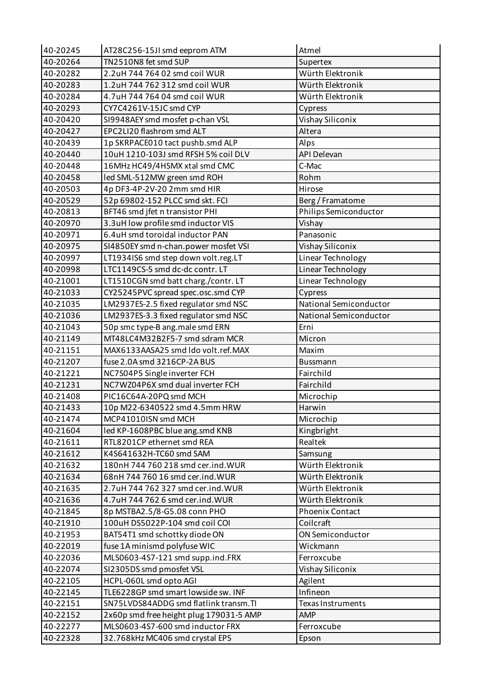| 40-20245 | AT28C256-15JI smd eeprom ATM                                        | Atmel                  |
|----------|---------------------------------------------------------------------|------------------------|
| 40-20264 | TN2510N8 fet smd SUP                                                | Supertex               |
| 40-20282 | 2.2uH 744 764 02 smd coil WUR                                       | Würth Elektronik       |
| 40-20283 | 1.2uH 744 762 312 smd coil WUR                                      | Würth Elektronik       |
| 40-20284 | 4.7uH 744 764 04 smd coil WUR                                       | Würth Elektronik       |
| 40-20293 | CY7C4261V-15JC smd CYP                                              | Cypress                |
| 40-20420 | SI9948AEY smd mosfet p-chan VSL                                     | Vishay Siliconix       |
| 40-20427 | EPC2LI20 flashrom smd ALT                                           | Altera                 |
| 40-20439 | 1p SKRPACE010 tact pushb.smd ALP                                    | Alps                   |
| 40-20440 | 10uH 1210-103J smd RFSH 5% coil DLV                                 | <b>API Delevan</b>     |
| 40-20448 | 16MHz HC49/4HSMX xtal smd CMC                                       | C-Mac                  |
| 40-20458 | led SML-512MW green smd ROH                                         | Rohm                   |
| 40-20503 | 4p DF3-4P-2V-20 2mm smd HIR                                         | Hirose                 |
| 40-20529 | 52p 69802-152 PLCC smd skt. FCI                                     | Berg / Framatome       |
| 40-20813 | BFT46 smd jfet n transistor PHI                                     | Philips Semiconductor  |
| 40-20970 | 3.3uH low profile smd inductor VIS                                  | Vishay                 |
| 40-20971 | 6.4uH smd toroidal inductor PAN                                     | Panasonic              |
| 40-20975 | SI4850EY smd n-chan.power mosfet VSI                                | Vishay Siliconix       |
| 40-20997 | LT1934IS6 smd step down volt.reg.LT                                 | Linear Technology      |
| 40-20998 | LTC1149CS-5 smd dc-dc contr. LT                                     | Linear Technology      |
| 40-21001 | LT1510CGN smd batt charg./contr. LT                                 | Linear Technology      |
| 40-21033 | CY25245PVC spread spec.osc.smd CYP                                  | Cypress                |
| 40-21035 | LM2937ES-2.5 fixed regulator smd NSC                                | National Semiconductor |
| 40-21036 | LM2937ES-3.3 fixed regulator smd NSC                                | National Semiconductor |
| 40-21043 | 50p smc type-B ang.male smd ERN                                     | Erni                   |
| 40-21149 | MT48LC4M32B2F5-7 smd sdram MCR                                      | Micron                 |
| 40-21151 | MAX6133AASA25 smd Ido volt.ref.MAX                                  | Maxim                  |
| 40-21207 | fuse 2.0A smd 3216CP-2A BUS                                         | <b>Bussmann</b>        |
| 40-21221 | NC7S04P5 Single inverter FCH                                        | Fairchild              |
| 40-21231 | NC7WZ04P6X smd dual inverter FCH                                    | Fairchild              |
| 40-21408 | PIC16C64A-20PQ smd MCH                                              | Microchip              |
| 40-21433 | 10p M22-6340522 smd 4.5mm HRW                                       | Harwin                 |
| 40-21474 | MCP41010ISN smd MCH                                                 | Microchip              |
| 40-21604 | led KP-1608PBC blue ang.smd KNB                                     | Kingbright             |
| 40-21611 | RTL8201CP ethernet smd REA                                          | Realtek                |
| 40-21612 | K4S641632H-TC60 smd SAM                                             | Samsung                |
| 40-21632 | 180nH 744 760 218 smd cer.ind. WUR                                  | Würth Elektronik       |
| 40-21634 | 68nH 744 760 16 smd cer.ind. WUR                                    | Würth Elektronik       |
| 40-21635 | 2.7uH 744 762 327 smd cer.ind. WUR                                  | Würth Elektronik       |
| 40-21636 | 4.7uH 744 762 6 smd cer.ind. WUR                                    | Würth Elektronik       |
| 40-21845 | 8p MSTBA2.5/8-G5.08 conn PHO                                        | <b>Phoenix Contact</b> |
| 40-21910 | 100uH DS5022P-104 smd coil COI                                      | Coilcraft              |
| 40-21953 | BAT54T1 smd schottky diode ON                                       | ON Semiconductor       |
| 40-22019 | fuse 1A minismd polyfuse WIC                                        | Wickmann               |
| 40-22036 | MLS0603-4S7-121 smd supp.ind.FRX                                    | Ferroxcube             |
| 40-22074 | SI2305DS smd pmosfet VSL                                            | Vishay Siliconix       |
| 40-22105 |                                                                     |                        |
|          | HCPL-060L smd opto AGI                                              | Agilent                |
| 40-22145 | TLE6228GP smd smart lowside sw. INF                                 | Infineon               |
| 40-22151 | SN75LVDS84ADDG smd flatlink transm.TI                               | Texas Instruments      |
| 40-22152 | 2x60p smd free height plug 179031-5 AMP                             | AMP                    |
| 40-22277 | MLS0603-4S7-600 smd inductor FRX<br>32.768kHz MC406 smd crystal EPS | Ferroxcube             |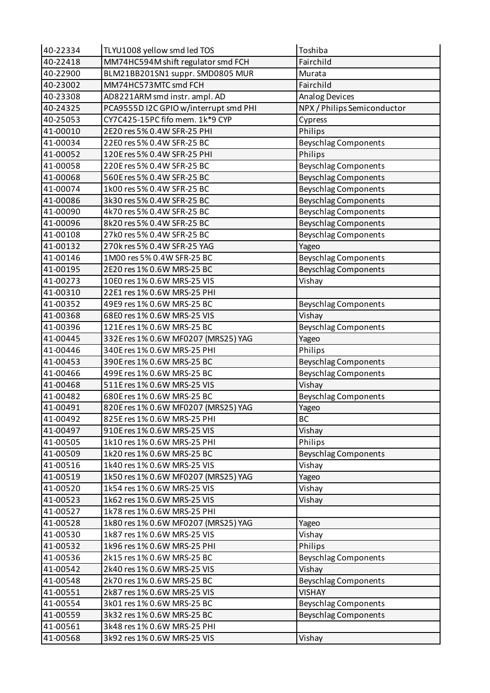| 40-22334 | TLYU1008 yellow smd led TOS           | Toshiba                     |
|----------|---------------------------------------|-----------------------------|
| 40-22418 | MM74HC594M shift regulator smd FCH    | Fairchild                   |
| 40-22900 | BLM21BB201SN1 suppr. SMD0805 MUR      | Murata                      |
| 40-23002 | MM74HC573MTC smd FCH                  | Fairchild                   |
| 40-23308 | AD8221ARM smd instr. ampl. AD         | <b>Analog Devices</b>       |
| 40-24325 | PCA9555D I2C GPIO w/interrupt smd PHI | NPX / Philips Semiconductor |
| 40-25053 | CY7C425-15PC fifo mem. 1k*9 CYP       | Cypress                     |
| 41-00010 | 2E20 res 5% 0.4W SFR-25 PHI           | Philips                     |
| 41-00034 | 22E0 res 5% 0.4W SFR-25 BC            | <b>Beyschlag Components</b> |
| 41-00052 | 120E res 5% 0.4W SFR-25 PHI           | Philips                     |
| 41-00058 | 220E res 5% 0.4W SFR-25 BC            | <b>Beyschlag Components</b> |
| 41-00068 | 560E res 5% 0.4W SFR-25 BC            | <b>Beyschlag Components</b> |
| 41-00074 | 1k00 res 5% 0.4W SFR-25 BC            | <b>Beyschlag Components</b> |
| 41-00086 | 3k30 res 5% 0.4W SFR-25 BC            | <b>Beyschlag Components</b> |
| 41-00090 | 4k70 res 5% 0.4W SFR-25 BC            | <b>Beyschlag Components</b> |
| 41-00096 | 8k20 res 5% 0.4W SFR-25 BC            | <b>Beyschlag Components</b> |
| 41-00108 | 27k0 res 5% 0.4W SFR-25 BC            | <b>Beyschlag Components</b> |
| 41-00132 | 270k res 5% 0.4W SFR-25 YAG           | Yageo                       |
| 41-00146 | 1M00 res 5% 0.4W SFR-25 BC            | <b>Beyschlag Components</b> |
| 41-00195 | 2E20 res 1% 0.6W MRS-25 BC            | <b>Beyschlag Components</b> |
| 41-00273 | 10E0 res 1% 0.6W MRS-25 VIS           | Vishay                      |
| 41-00310 | 22E1 res 1% 0.6W MRS-25 PHI           |                             |
| 41-00352 | 49E9 res 1% 0.6W MRS-25 BC            | <b>Beyschlag Components</b> |
| 41-00368 | 68E0 res 1% 0.6W MRS-25 VIS           | Vishay                      |
| 41-00396 | 121E res 1% 0.6W MRS-25 BC            | <b>Beyschlag Components</b> |
| 41-00445 | 332E res 1% 0.6W MF0207 (MRS25) YAG   | Yageo                       |
| 41-00446 | 340E res 1% 0.6W MRS-25 PHI           | Philips                     |
| 41-00453 | 390E res 1% 0.6W MRS-25 BC            | <b>Beyschlag Components</b> |
| 41-00466 | 499E res 1% 0.6W MRS-25 BC            | Beyschlag Components        |
| 41-00468 | 511E res 1% 0.6W MRS-25 VIS           | Vishay                      |
| 41-00482 | 680E res 1% 0.6W MRS-25 BC            | <b>Beyschlag Components</b> |
| 41-00491 | 820E res 1% 0.6W MF0207 (MRS25) YAG   | Yageo                       |
| 41-00492 | 825E res 1% 0.6W MRS-25 PHI           | <b>BC</b>                   |
| 41-00497 | 910E res 1% 0.6W MRS-25 VIS           | Vishay                      |
| 41-00505 | 1k10 res 1% 0.6W MRS-25 PHI           | Philips                     |
| 41-00509 | 1k20 res 1% 0.6W MRS-25 BC            | <b>Beyschlag Components</b> |
| 41-00516 | 1k40 res 1% 0.6W MRS-25 VIS           | Vishay                      |
| 41-00519 | 1k50 res 1% 0.6W MF0207 (MRS25) YAG   | Yageo                       |
| 41-00520 | 1k54 res 1% 0.6W MRS-25 VIS           | Vishay                      |
| 41-00523 | 1k62 res 1% 0.6W MRS-25 VIS           | Vishay                      |
| 41-00527 | 1k78 res 1% 0.6W MRS-25 PHI           |                             |
| 41-00528 | 1k80 res 1% 0.6W MF0207 (MRS25) YAG   | Yageo                       |
| 41-00530 | 1k87 res 1% 0.6W MRS-25 VIS           | Vishay                      |
| 41-00532 | 1k96 res 1% 0.6W MRS-25 PHI           | Philips                     |
| 41-00536 | 2k15 res 1% 0.6W MRS-25 BC            | <b>Beyschlag Components</b> |
| 41-00542 | 2k40 res 1% 0.6W MRS-25 VIS           | Vishay                      |
| 41-00548 | 2k70 res 1% 0.6W MRS-25 BC            | <b>Beyschlag Components</b> |
| 41-00551 | 2k87 res 1% 0.6W MRS-25 VIS           | <b>VISHAY</b>               |
| 41-00554 | 3k01 res 1% 0.6W MRS-25 BC            | <b>Beyschlag Components</b> |
| 41-00559 | 3k32 res 1% 0.6W MRS-25 BC            | <b>Beyschlag Components</b> |
| 41-00561 | 3k48 res 1% 0.6W MRS-25 PHI           |                             |
| 41-00568 | 3k92 res 1% 0.6W MRS-25 VIS           | Vishay                      |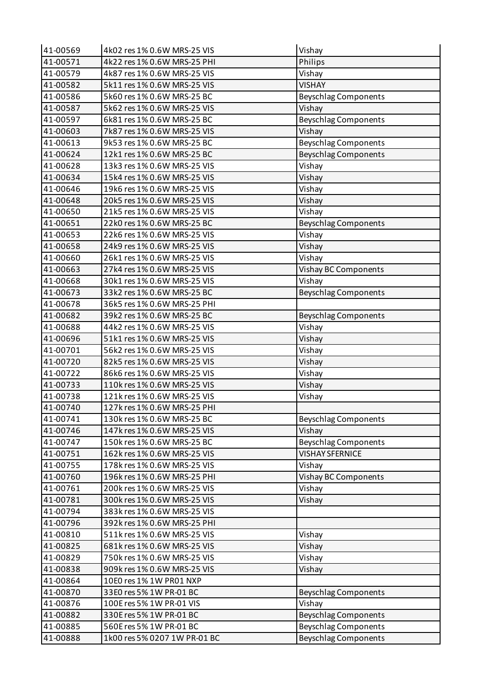| 41-00569 | 4k02 res 1% 0.6W MRS-25 VIS  | Vishay                      |
|----------|------------------------------|-----------------------------|
| 41-00571 | 4k22 res 1% 0.6W MRS-25 PHI  | Philips                     |
| 41-00579 | 4k87 res 1% 0.6W MRS-25 VIS  | Vishay                      |
| 41-00582 | 5k11 res 1% 0.6W MRS-25 VIS  | <b>VISHAY</b>               |
| 41-00586 | 5k60 res 1% 0.6W MRS-25 BC   | <b>Beyschlag Components</b> |
| 41-00587 | 5k62 res 1% 0.6W MRS-25 VIS  | Vishay                      |
| 41-00597 | 6k81 res 1% 0.6W MRS-25 BC   | <b>Beyschlag Components</b> |
| 41-00603 | 7k87 res 1% 0.6W MRS-25 VIS  | Vishay                      |
| 41-00613 | 9k53 res 1% 0.6W MRS-25 BC   | <b>Beyschlag Components</b> |
| 41-00624 | 12k1 res 1% 0.6W MRS-25 BC   | <b>Beyschlag Components</b> |
| 41-00628 | 13k3 res 1% 0.6W MRS-25 VIS  | Vishay                      |
| 41-00634 | 15k4 res 1% 0.6W MRS-25 VIS  | Vishay                      |
| 41-00646 | 19k6 res 1% 0.6W MRS-25 VIS  | Vishay                      |
| 41-00648 | 20k5 res 1% 0.6W MRS-25 VIS  | Vishay                      |
| 41-00650 | 21k5 res 1% 0.6W MRS-25 VIS  | Vishay                      |
| 41-00651 | 22k0 res 1% 0.6W MRS-25 BC   | <b>Beyschlag Components</b> |
| 41-00653 | 22k6 res 1% 0.6W MRS-25 VIS  | Vishay                      |
| 41-00658 | 24k9 res 1% 0.6W MRS-25 VIS  | Vishay                      |
| 41-00660 | 26k1 res 1% 0.6W MRS-25 VIS  | Vishay                      |
| 41-00663 | 27k4 res 1% 0.6W MRS-25 VIS  | Vishay BC Components        |
| 41-00668 | 30k1 res 1% 0.6W MRS-25 VIS  | Vishay                      |
| 41-00673 | 33k2 res 1% 0.6W MRS-25 BC   | <b>Beyschlag Components</b> |
| 41-00678 | 36k5 res 1% 0.6W MRS-25 PHI  |                             |
| 41-00682 | 39k2 res 1% 0.6W MRS-25 BC   | <b>Beyschlag Components</b> |
| 41-00688 | 44k2 res 1% 0.6W MRS-25 VIS  | Vishay                      |
| 41-00696 | 51k1 res 1% 0.6W MRS-25 VIS  | Vishay                      |
| 41-00701 | 56k2 res 1% 0.6W MRS-25 VIS  | Vishay                      |
| 41-00720 | 82k5 res 1% 0.6W MRS-25 VIS  | Vishay                      |
| 41-00722 | 86k6 res 1% 0.6W MRS-25 VIS  | Vishay                      |
| 41-00733 | 110k res 1% 0.6W MRS-25 VIS  | Vishay                      |
| 41-00738 | 121k res 1% 0.6W MRS-25 VIS  | Vishay                      |
| 41-00740 | 127k res 1% 0.6W MRS-25 PHI  |                             |
| 41-00741 | 130k res 1% 0.6W MRS-25 BC   | <b>Beyschlag Components</b> |
| 41-00746 | 147k res 1% 0.6W MRS-25 VIS  | Vishay                      |
| 41-00747 | 150k res 1% 0.6W MRS-25 BC   | <b>Beyschlag Components</b> |
| 41-00751 | 162k res 1% 0.6W MRS-25 VIS  | <b>VISHAY SFERNICE</b>      |
| 41-00755 | 178k res 1% 0.6W MRS-25 VIS  | Vishay                      |
| 41-00760 | 196k res 1% 0.6W MRS-25 PHI  | Vishay BC Components        |
| 41-00761 | 200k res 1% 0.6W MRS-25 VIS  | Vishay                      |
| 41-00781 | 300k res 1% 0.6W MRS-25 VIS  | Vishay                      |
| 41-00794 | 383k res 1% 0.6W MRS-25 VIS  |                             |
| 41-00796 | 392k res 1% 0.6W MRS-25 PHI  |                             |
| 41-00810 | 511k res 1% 0.6W MRS-25 VIS  | Vishay                      |
| 41-00825 | 681k res 1% 0.6W MRS-25 VIS  | Vishay                      |
| 41-00829 | 750k res 1% 0.6W MRS-25 VIS  | Vishay                      |
| 41-00838 | 909k res 1% 0.6W MRS-25 VIS  | Vishay                      |
| 41-00864 | 10E0 res 1% 1W PR01 NXP      |                             |
| 41-00870 | 33E0 res 5% 1W PR-01 BC      | <b>Beyschlag Components</b> |
| 41-00876 | 100E res 5% 1W PR-01 VIS     | Vishay                      |
| 41-00882 | 330E res 5% 1W PR-01 BC      | <b>Beyschlag Components</b> |
| 41-00885 | 560E res 5% 1W PR-01 BC      | <b>Beyschlag Components</b> |
| 41-00888 | 1k00 res 5% 0207 1W PR-01 BC | <b>Beyschlag Components</b> |
|          |                              |                             |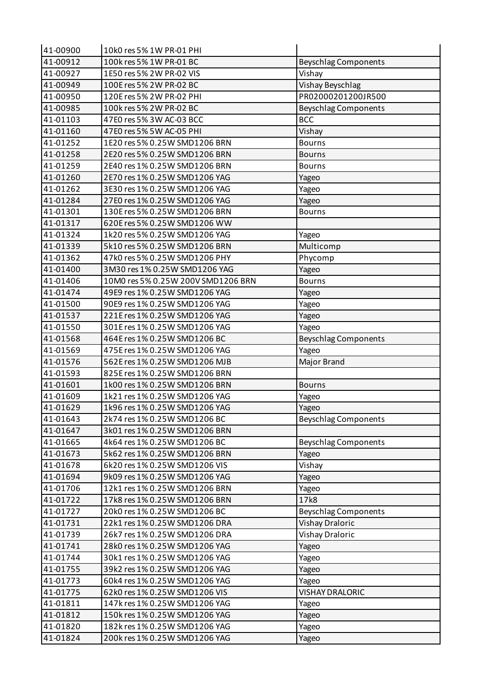| 41-00900 | 10k0 res 5% 1W PR-01 PHI           |                             |
|----------|------------------------------------|-----------------------------|
| 41-00912 | 100k res 5% 1W PR-01 BC            | <b>Beyschlag Components</b> |
| 41-00927 | 1E50 res 5% 2W PR-02 VIS           | Vishay                      |
| 41-00949 | 100E res 5% 2W PR-02 BC            | <b>Vishay Beyschlag</b>     |
| 41-00950 | 120E res 5% 2W PR-02 PHI           | PR02000201200JR500          |
| 41-00985 | 100k res 5% 2W PR-02 BC            | <b>Beyschlag Components</b> |
| 41-01103 | 47E0 res 5% 3W AC-03 BCC           | <b>BCC</b>                  |
| 41-01160 | 47E0 res 5% 5W AC-05 PHI           | Vishay                      |
| 41-01252 | 1E20 res 5% 0.25W SMD1206 BRN      | <b>Bourns</b>               |
| 41-01258 | 2E20 res 5% 0.25W SMD1206 BRN      | <b>Bourns</b>               |
| 41-01259 | 2E40 res 1% 0.25W SMD1206 BRN      | <b>Bourns</b>               |
| 41-01260 | 2E70 res 1% 0.25W SMD1206 YAG      | Yageo                       |
| 41-01262 | 3E30 res 1% 0.25W SMD1206 YAG      | Yageo                       |
| 41-01284 | 27E0 res 1% 0.25W SMD1206 YAG      | Yageo                       |
| 41-01301 | 130E res 5% 0.25W SMD1206 BRN      | <b>Bourns</b>               |
| 41-01317 | 620E res 5% 0.25W SMD1206 WW       |                             |
| 41-01324 | 1k20 res 5% 0.25W SMD1206 YAG      | Yageo                       |
| 41-01339 | 5k10 res 5% 0.25W SMD1206 BRN      | Multicomp                   |
| 41-01362 | 47k0 res 5% 0.25W SMD1206 PHY      | Phycomp                     |
| 41-01400 | 3M30 res 1% 0.25W SMD1206 YAG      | Yageo                       |
| 41-01406 | 10M0 res 5% 0.25W 200V SMD1206 BRN | <b>Bourns</b>               |
| 41-01474 | 49E9 res 1% 0.25W SMD1206 YAG      | Yageo                       |
| 41-01500 | 90E9 res 1% 0.25W SMD1206 YAG      | Yageo                       |
| 41-01537 | 221E res 1% 0.25W SMD1206 YAG      | Yageo                       |
| 41-01550 | 301E res 1% 0.25W SMD1206 YAG      | Yageo                       |
| 41-01568 | 464E res 1% 0.25W SMD1206 BC       | <b>Beyschlag Components</b> |
| 41-01569 | 475E res 1% 0.25W SMD1206 YAG      | Yageo                       |
| 41-01576 | 562E res 1% 0.25W SMD1206 MJB      | Major Brand                 |
| 41-01593 | 825E res 1% 0.25W SMD1206 BRN      |                             |
| 41-01601 | 1k00 res 1% 0.25W SMD1206 BRN      | <b>Bourns</b>               |
| 41-01609 | 1k21 res 1% 0.25W SMD1206 YAG      | Yageo                       |
| 41-01629 | 1k96 res 1% 0.25W SMD1206 YAG      | Yageo                       |
| 41-01643 | 2k74 res 1% 0.25W SMD1206 BC       | <b>Beyschlag Components</b> |
| 41-01647 | 3k01 res 1% 0.25W SMD1206 BRN      |                             |
| 41-01665 | 4k64 res 1% 0.25W SMD1206 BC       | <b>Beyschlag Components</b> |
| 41-01673 | 5k62 res 1% 0.25W SMD1206 BRN      | Yageo                       |
| 41-01678 | 6k20 res 1% 0.25W SMD1206 VIS      | Vishay                      |
| 41-01694 | 9k09 res 1% 0.25W SMD1206 YAG      | Yageo                       |
| 41-01706 | 12k1 res 1% 0.25W SMD1206 BRN      | Yageo                       |
| 41-01722 | 17k8 res 1% 0.25W SMD1206 BRN      | 17k8                        |
| 41-01727 | 20k0 res 1% 0.25W SMD1206 BC       | <b>Beyschlag Components</b> |
| 41-01731 | 22k1 res 1% 0.25W SMD1206 DRA      | <b>Vishay Draloric</b>      |
| 41-01739 | 26k7 res 1% 0.25W SMD1206 DRA      | Vishay Draloric             |
| 41-01741 | 28k0 res 1% 0.25W SMD1206 YAG      | Yageo                       |
| 41-01744 | 30k1 res 1% 0.25W SMD1206 YAG      | Yageo                       |
| 41-01755 | 39k2 res 1% 0.25W SMD1206 YAG      | Yageo                       |
| 41-01773 | 60k4 res 1% 0.25W SMD1206 YAG      | Yageo                       |
| 41-01775 | 62k0 res 1% 0.25W SMD1206 VIS      | <b>VISHAY DRALORIC</b>      |
| 41-01811 | 147k res 1% 0.25W SMD1206 YAG      | Yageo                       |
| 41-01812 | 150k res 1% 0.25W SMD1206 YAG      | Yageo                       |
| 41-01820 | 182k res 1% 0.25W SMD1206 YAG      | Yageo                       |
| 41-01824 | 200k res 1% 0.25W SMD1206 YAG      | Yageo                       |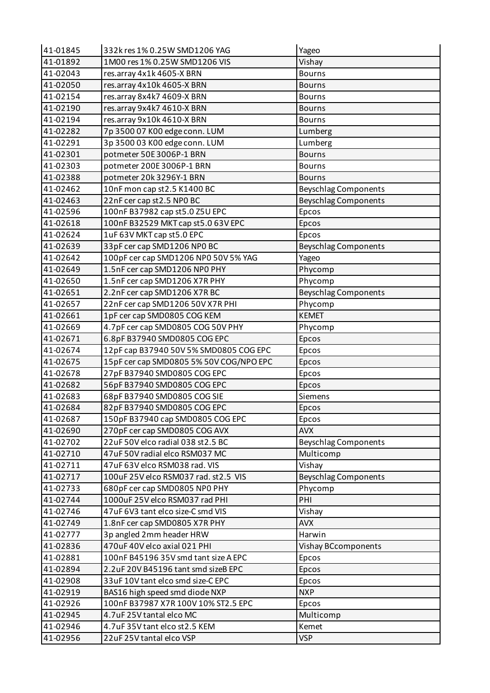| 41-01845             | 332k res 1% 0.25W SMD1206 YAG                             | Yageo                       |
|----------------------|-----------------------------------------------------------|-----------------------------|
| 41-01892             | 1M00 res 1% 0.25W SMD1206 VIS                             | Vishay                      |
| 41-02043             | res.array 4x1k 4605-X BRN                                 | <b>Bourns</b>               |
| 41-02050             | res.array 4x10k 4605-X BRN                                | <b>Bourns</b>               |
| 41-02154             | res.array 8x4k7 4609-X BRN                                | <b>Bourns</b>               |
| 41-02190             | res.array 9x4k7 4610-X BRN                                | <b>Bourns</b>               |
| 41-02194             | res.array 9x10k 4610-X BRN                                | <b>Bourns</b>               |
| 41-02282             | 7p 3500 07 K00 edge conn. LUM                             | Lumberg                     |
| 41-02291             | 3p 3500 03 K00 edge conn. LUM                             | Lumberg                     |
| 41-02301             | potmeter 50E 3006P-1 BRN                                  | <b>Bourns</b>               |
| 41-02303             | potmeter 200E 3006P-1 BRN                                 | <b>Bourns</b>               |
| 41-02388             | potmeter 20k 3296Y-1 BRN                                  | <b>Bourns</b>               |
| 41-02462             | 10nF mon cap st2.5 K1400 BC                               | <b>Beyschlag Components</b> |
| 41-02463             | 22nF cer cap st2.5 NPO BC                                 | <b>Beyschlag Components</b> |
| 41-02596             | 100nF B37982 cap st5.0 Z5U EPC                            | Epcos                       |
| 41-02618             | 100nF B32529 MKT cap st5.0 63V EPC                        | Epcos                       |
| 41-02624             | 1uF 63V MKT cap st 5.0 EPC                                | Epcos                       |
| 41-02639             | 33pF cer cap SMD1206 NP0 BC                               | <b>Beyschlag Components</b> |
| 41-02642             | 100pF cer cap SMD1206 NP0 50V 5% YAG                      | Yageo                       |
| 41-02649             | 1.5nF cer cap SMD1206 NP0 PHY                             | Phycomp                     |
| 41-02650             | 1.5nF cer cap SMD1206 X7R PHY                             | Phycomp                     |
| 41-02651             | 2.2nF cer cap SMD1206 X7R BC                              | <b>Beyschlag Components</b> |
| 41-02657             | 22nF cer cap SMD1206 50V X7R PHI                          | Phycomp                     |
| 41-02661             | 1pF cer cap SMD0805 COG KEM                               | <b>KEMET</b>                |
| 41-02669             | 4.7pF cer cap SMD0805 COG 50V PHY                         | Phycomp                     |
| 41-02671             | 6.8pF B37940 SMD0805 COG EPC                              | Epcos                       |
| 41-02674             | 12pF cap B37940 50V 5% SMD0805 COG EPC                    | Epcos                       |
| 41-02675             | 15pF cer cap SMD0805 5% 50V COG/NPO EPC                   | Epcos                       |
| 41-02678             | 27pF B37940 SMD0805 COG EPC                               | Epcos                       |
| 41-02682             | 56pF B37940 SMD0805 COG EPC                               | Epcos                       |
| 41-02683             | 68pF B37940 SMD0805 COG SIE                               | Siemens                     |
| 41-02684             | 82pF B37940 SMD0805 COG EPC                               | Epcos                       |
| 41-02687             | 150pF B37940 cap SMD0805 COG EPC                          | Epcos                       |
| 41-02690             | 270pF cer cap SMD0805 COG AVX                             | <b>AVX</b>                  |
| 41-02702             | 22uF 50V elco radial 038 st2.5 BC                         | <b>Beyschlag Components</b> |
| 41-02710             | 47uF 50V radial elco RSM037 MC                            | Multicomp                   |
| 41-02711             | 47uF 63V elco RSM038 rad. VIS                             | Vishay                      |
| 41-02717             | 100uF 25V elco RSM037 rad. st2.5 VIS                      | <b>Beyschlag Components</b> |
| 41-02733             | 680pF cer cap SMD0805 NP0 PHY                             | Phycomp                     |
| 41-02744             | 1000uF 25V elco RSM037 rad PHI                            | PHI                         |
| 41-02746             | 47uF 6V3 tant elco size-C smd VIS                         | Vishay                      |
| 41-02749             | 1.8nF cer cap SMD0805 X7R PHY                             | <b>AVX</b>                  |
| 41-02777             | 3p angled 2mm header HRW                                  | Harwin                      |
| 41-02836             | 470uF 40V elco axial 021 PHI                              | Vishay BCcomponents         |
| 41-02881             | 100nF B45196 35V smd tant size A EPC                      | Epcos                       |
| 41-02894             | 2.2uF 20V B45196 tant smd sizeB EPC                       | Epcos                       |
| 41-02908             | 33uF 10V tant elco smd size-C EPC                         | Epcos                       |
| 41-02919             | BAS16 high speed smd diode NXP                            | <b>NXP</b>                  |
| 41-02926             | 100nF B37987 X7R 100V 10% ST2.5 EPC                       | Epcos                       |
| 41-02945             |                                                           |                             |
|                      | 4.7uF 25V tantal elco MC                                  | Multicomp                   |
| 41-02946<br>41-02956 | 4.7uF 35V tant elco st2.5 KEM<br>22uF 25V tantal elco VSP | Kemet<br><b>VSP</b>         |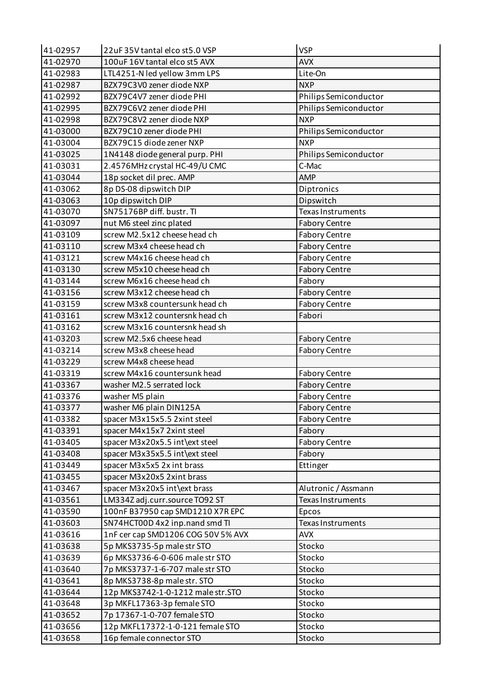| 41-02957 | 22uF 35V tantal elco st5.0 VSP     | <b>VSP</b>               |
|----------|------------------------------------|--------------------------|
| 41-02970 | 100uF 16V tantal elco st5 AVX      | <b>AVX</b>               |
| 41-02983 | LTL4251-N led yellow 3mm LPS       | Lite-On                  |
| 41-02987 | BZX79C3V0 zener diode NXP          | <b>NXP</b>               |
| 41-02992 | BZX79C4V7 zener diode PHI          | Philips Semiconductor    |
| 41-02995 | BZX79C6V2 zener diode PHI          | Philips Semiconductor    |
| 41-02998 | BZX79C8V2 zener diode NXP          | <b>NXP</b>               |
| 41-03000 | BZX79C10 zener diode PHI           | Philips Semiconductor    |
| 41-03004 | BZX79C15 diode zener NXP           | <b>NXP</b>               |
| 41-03025 | 1N4148 diode general purp. PHI     | Philips Semiconductor    |
| 41-03031 | 2.4576MHz crystal HC-49/U CMC      | C-Mac                    |
| 41-03044 | 18p socket dil prec. AMP           | <b>AMP</b>               |
| 41-03062 | 8p DS-08 dipswitch DIP             | Diptronics               |
| 41-03063 | 10p dipswitch DIP                  | Dipswitch                |
| 41-03070 | SN75176BP diff. bustr. TI          | Texas Instruments        |
| 41-03097 | nut M6 steel zinc plated           | <b>Fabory Centre</b>     |
| 41-03109 | screw M2.5x12 cheese head ch       | <b>Fabory Centre</b>     |
| 41-03110 | screw M3x4 cheese head ch          | <b>Fabory Centre</b>     |
| 41-03121 | screw M4x16 cheese head ch         | <b>Fabory Centre</b>     |
| 41-03130 | screw M5x10 cheese head ch         | <b>Fabory Centre</b>     |
| 41-03144 | screw M6x16 cheese head ch         | Fabory                   |
| 41-03156 | screw M3x12 cheese head ch         | <b>Fabory Centre</b>     |
| 41-03159 | screw M3x8 countersunk head ch     | <b>Fabory Centre</b>     |
| 41-03161 | screw M3x12 countersnk head ch     | Fabori                   |
| 41-03162 | screw M3x16 countersnk head sh     |                          |
| 41-03203 | screw M2.5x6 cheese head           | <b>Fabory Centre</b>     |
| 41-03214 | screw M3x8 cheese head             | <b>Fabory Centre</b>     |
| 41-03229 | screw M4x8 cheese head             |                          |
| 41-03319 | screw M4x16 countersunk head       | <b>Fabory Centre</b>     |
| 41-03367 | washer M2.5 serrated lock          | <b>Fabory Centre</b>     |
| 41-03376 | washer M5 plain                    | <b>Fabory Centre</b>     |
| 41-03377 | washer M6 plain DIN125A            | <b>Fabory Centre</b>     |
| 41-03382 | spacer M3x15x5.5 2xint steel       | <b>Fabory Centre</b>     |
| 41-03391 | spacer M4x15x7 2xint steel         | Fabory                   |
| 41-03405 | spacer M3x20x5.5 int\ext steel     | <b>Fabory Centre</b>     |
| 41-03408 | spacer M3x35x5.5 int\ext steel     | Fabory                   |
| 41-03449 | spacer M3x5x5 2x int brass         | Ettinger                 |
| 41-03455 | spacer M3x20x5 2xint brass         |                          |
| 41-03467 | spacer M3x20x5 int\ext brass       | Alutronic / Assmann      |
| 41-03561 | LM334Z adj.curr.source TO92 ST     | <b>Texas Instruments</b> |
| 41-03590 | 100nF B37950 cap SMD1210 X7R EPC   | Epcos                    |
| 41-03603 | SN74HCT00D 4x2 inp.nand smd TI     | Texas Instruments        |
| 41-03616 | 1nF cer cap SMD1206 COG 50V 5% AVX | <b>AVX</b>               |
| 41-03638 | 5p MKS3735-5p male str STO         | Stocko                   |
| 41-03639 | 6p MKS3736-6-0-606 male str STO    | Stocko                   |
| 41-03640 | 7p MKS3737-1-6-707 male str STO    | Stocko                   |
| 41-03641 | 8p MKS3738-8p male str. STO        | Stocko                   |
| 41-03644 | 12p MKS3742-1-0-1212 male str.STO  | Stocko                   |
| 41-03648 | 3p MKFL17363-3p female STO         | Stocko                   |
| 41-03652 | 7p 17367-1-0-707 female STO        | Stocko                   |
| 41-03656 | 12p MKFL17372-1-0-121 female STO   | Stocko                   |
| 41-03658 | 16p female connector STO           | Stocko                   |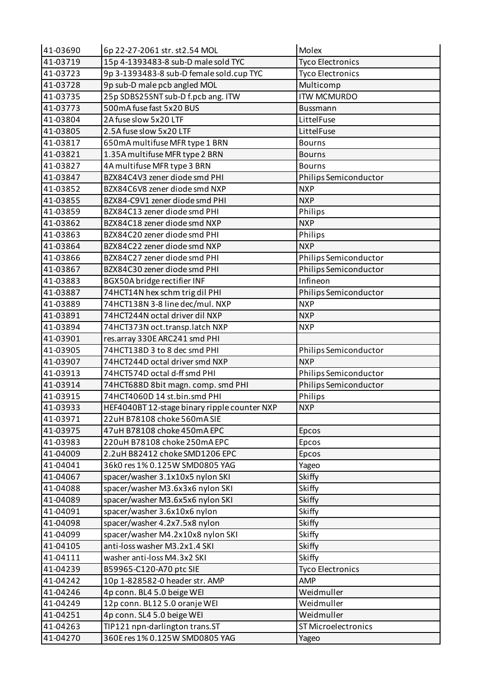| 41-03690 | 6p 22-27-2061 str. st2.54 MOL                | Molex                   |
|----------|----------------------------------------------|-------------------------|
| 41-03719 | 15p 4-1393483-8 sub-D male sold TYC          | <b>Tyco Electronics</b> |
| 41-03723 | 9p 3-1393483-8 sub-D female sold.cup TYC     | <b>Tyco Electronics</b> |
| 41-03728 | 9p sub-D male pcb angled MOL                 | Multicomp               |
| 41-03735 | 25p SDBS25SNT sub-D f.pcb ang. ITW           | <b>ITW MCMURDO</b>      |
| 41-03773 | 500mA fuse fast 5x20 BUS                     | Bussmann                |
| 41-03804 | 2A fuse slow 5x20 LTF                        | LittelFuse              |
| 41-03805 | 2.5A fuse slow 5x20 LTF                      | LittelFuse              |
| 41-03817 | 650mA multifuse MFR type 1 BRN               | <b>Bourns</b>           |
| 41-03821 | 1.35A multifuse MFR type 2 BRN               | <b>Bourns</b>           |
| 41-03827 | 4A multifuse MFR type 3 BRN                  | <b>Bourns</b>           |
| 41-03847 | BZX84C4V3 zener diode smd PHI                | Philips Semiconductor   |
| 41-03852 | BZX84C6V8 zener diode smd NXP                | <b>NXP</b>              |
| 41-03855 | BZX84-C9V1 zener diode smd PHI               | <b>NXP</b>              |
| 41-03859 | BZX84C13 zener diode smd PHI                 | Philips                 |
| 41-03862 | BZX84C18 zener diode smd NXP                 | <b>NXP</b>              |
| 41-03863 | BZX84C20 zener diode smd PHI                 | Philips                 |
| 41-03864 | BZX84C22 zener diode smd NXP                 | <b>NXP</b>              |
| 41-03866 | BZX84C27 zener diode smd PHI                 | Philips Semiconductor   |
| 41-03867 | BZX84C30 zener diode smd PHI                 | Philips Semiconductor   |
| 41-03883 | BGX50A bridge rectifier INF                  | Infineon                |
| 41-03887 | 74HCT14N hex schm trig dil PHI               | Philips Semiconductor   |
| 41-03889 | 74HCT138N 3-8 line dec/mul. NXP              | <b>NXP</b>              |
| 41-03891 | 74HCT244N octal driver dil NXP               | <b>NXP</b>              |
| 41-03894 | 74HCT373N oct.transp.latch NXP               | <b>NXP</b>              |
| 41-03901 | res.array 330E ARC241 smd PHI                |                         |
| 41-03905 | 74HCT138D3 to 8 dec smd PHI                  | Philips Semiconductor   |
| 41-03907 | 74HCT244D octal driver smd NXP               | <b>NXP</b>              |
| 41-03913 | 74HCT574D octal d-ff smd PHI                 | Philips Semiconductor   |
| 41-03914 | 74HCT688D 8bit magn. comp. smd PHI           | Philips Semiconductor   |
| 41-03915 | 74HCT4060D 14 st.bin.smd PHI                 | Philips                 |
| 41-03933 | HEF4040BT 12-stage binary ripple counter NXP | <b>NXP</b>              |
| 41-03971 | 22uH B78108 choke 560mA SIE                  |                         |
| 41-03975 | 47uH B78108 choke 450mA EPC                  | Epcos                   |
| 41-03983 | 220uH B78108 choke 250mA EPC                 | Epcos                   |
| 41-04009 | 2.2uH B82412 choke SMD1206 EPC               | Epcos                   |
| 41-04041 | 36k0 res 1% 0.125W SMD0805 YAG               | Yageo                   |
| 41-04067 | spacer/washer 3.1x10x5 nylon SKI             | Skiffy                  |
| 41-04088 | spacer/washer M3.6x3x6 nylon SKI             | Skiffy                  |
| 41-04089 | spacer/washer M3.6x5x6 nylon SKI             | Skiffy                  |
| 41-04091 | spacer/washer 3.6x10x6 nylon                 | Skiffy                  |
| 41-04098 | spacer/washer 4.2x7.5x8 nylon                | Skiffy                  |
| 41-04099 | spacer/washer M4.2x10x8 nylon SKI            | Skiffy                  |
| 41-04105 | anti-loss washer M3.2x1.4 SKI                | Skiffy                  |
| 41-04111 | washer anti-loss M4.3x2 SKI                  | Skiffy                  |
| 41-04239 | B59965-C120-A70 ptc SIE                      | <b>Tyco Electronics</b> |
| 41-04242 | 10p 1-828582-0 header str. AMP               | AMP                     |
| 41-04246 | 4p conn. BL4 5.0 beige WEI                   | Weidmuller              |
| 41-04249 | 12p conn. BL12 5.0 oranje WEI                | Weidmuller              |
| 41-04251 | 4p conn. SL4 5.0 beige WEI                   | Weidmuller              |
| 41-04263 | TIP121 npn-darlington trans.ST               | ST Microelectronics     |
| 41-04270 | 360E res 1% 0.125W SMD0805 YAG               | Yageo                   |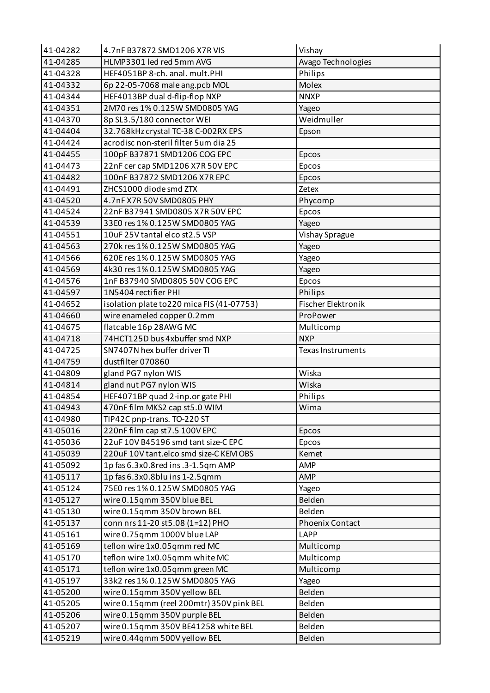| 41-04282 | 4.7nF B37872 SMD1206 X7R VIS               | Vishay             |
|----------|--------------------------------------------|--------------------|
| 41-04285 | HLMP3301 led red 5mm AVG                   | Avago Technologies |
| 41-04328 | HEF4051BP 8-ch. anal. mult.PHI             | Philips            |
| 41-04332 | 6p 22-05-7068 male ang.pcb MOL             | Molex              |
| 41-04344 | HEF4013BP dual d-flip-flop NXP             | <b>NNXP</b>        |
| 41-04351 | 2M70 res 1% 0.125W SMD0805 YAG             | Yageo              |
| 41-04370 | 8p SL3.5/180 connector WEI                 | Weidmuller         |
| 41-04404 | 32.768kHz crystal TC-38 C-002RX EPS        | Epson              |
| 41-04424 | acrodisc non-steril filter 5um dia 25      |                    |
| 41-04455 | 100pF B37871 SMD1206 COG EPC               | Epcos              |
| 41-04473 | 22nF cer cap SMD1206 X7R 50V EPC           | Epcos              |
| 41-04482 | 100nF B37872 SMD1206 X7R EPC               | Epcos              |
| 41-04491 | ZHCS1000 diode smd ZTX                     | Zetex              |
| 41-04520 | 4.7nF X7R 50V SMD0805 PHY                  | Phycomp            |
| 41-04524 | 22nF B37941 SMD0805 X7R 50V EPC            | Epcos              |
| 41-04539 | 33E0 res 1% 0.125W SMD0805 YAG             | Yageo              |
| 41-04551 | 10uF 25V tantal elco st2.5 VSP             | Vishay Sprague     |
| 41-04563 | 270k res 1% 0.125W SMD0805 YAG             | Yageo              |
| 41-04566 | 620E res 1% 0.125W SMD0805 YAG             | Yageo              |
| 41-04569 | 4k30 res 1% 0.125W SMD0805 YAG             | Yageo              |
| 41-04576 | 1nF B37940 SMD0805 50V COG EPC             | Epcos              |
| 41-04597 | 1N5404 rectifier PHI                       | Philips            |
| 41-04652 | isolation plate to 220 mica FIS (41-07753) | Fischer Elektronik |
| 41-04660 | wire enameled copper 0.2mm                 | ProPower           |
| 41-04675 | flatcable 16p 28AWG MC                     | Multicomp          |
| 41-04718 | 74HCT125D bus 4xbuffer smd NXP             | <b>NXP</b>         |
| 41-04725 | SN7407N hex buffer driver TI               | Texas Instruments  |
| 41-04759 | dustfilter 070860                          |                    |
| 41-04809 | gland PG7 nylon WIS                        | Wiska              |
| 41-04814 | gland nut PG7 nylon WIS                    | Wiska              |
| 41-04854 | HEF4071BP quad 2-inp.or gate PHI           | Philips            |
| 41-04943 | 470nF film MKS2 cap st5.0 WIM              | Wima               |
| 41-04980 | TIP42C pnp-trans. TO-220 ST                |                    |
| 41-05016 | 220nF film cap st7.5 100V EPC              | Epcos              |
| 41-05036 | 22uF 10V B45196 smd tant size-C EPC        | Epcos              |
| 41-05039 | 220uF 10V tant.elco smd size-C KEM OBS     | Kemet              |
| 41-05092 | 1p fas 6.3x0.8red ins.3-1.5qm AMP          | <b>AMP</b>         |
| 41-05117 | 1p fas 6.3x0.8blu ins 1-2.5qmm             | <b>AMP</b>         |
| 41-05124 | 75E0 res 1% 0.125W SMD0805 YAG             | Yageo              |
| 41-05127 | wire 0.15qmm 350V blue BEL                 | Belden             |
| 41-05130 | wire 0.15qmm 350V brown BEL                | Belden             |
| 41-05137 | conn nrs 11-20 st5.08 (1=12) PHO           | Phoenix Contact    |
| 41-05161 | wire 0.75qmm 1000V blue LAP                | <b>LAPP</b>        |
| 41-05169 | teflon wire 1x0.05qmm red MC               | Multicomp          |
| 41-05170 | teflon wire 1x0.05qmm white MC             | Multicomp          |
| 41-05171 | teflon wire 1x0.05qmm green MC             | Multicomp          |
| 41-05197 | 33k2 res 1% 0.125W SMD0805 YAG             | Yageo              |
| 41-05200 | wire 0.15qmm 350V yellow BEL               | Belden             |
| 41-05205 | wire 0.15qmm (reel 200mtr) 350V pink BEL   | Belden             |
| 41-05206 | wire 0.15qmm 350V purple BEL               | Belden             |
| 41-05207 | wire 0.15qmm 350V BE41258 white BEL        | Belden             |
| 41-05219 | wire 0.44qmm 500V yellow BEL               | Belden             |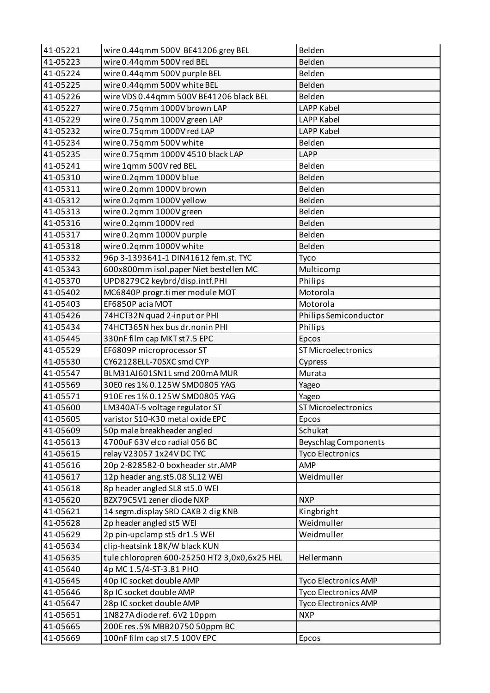| 41-05221 | wire 0.44qmm 500V BE41206 grey BEL           | Belden                      |
|----------|----------------------------------------------|-----------------------------|
| 41-05223 | wire 0.44qmm 500V red BEL                    | Belden                      |
| 41-05224 | wire 0.44qmm 500V purple BEL                 | Belden                      |
| 41-05225 | wire 0.44qmm 500V white BEL                  | Belden                      |
| 41-05226 | wire VDS 0.44qmm 500V BE41206 black BEL      | Belden                      |
| 41-05227 | wire 0.75qmm 1000V brown LAP                 | <b>LAPP Kabel</b>           |
| 41-05229 | wire 0.75qmm 1000V green LAP                 | <b>LAPP Kabel</b>           |
| 41-05232 | wire 0.75qmm 1000V red LAP                   | <b>LAPP Kabel</b>           |
| 41-05234 | wire 0.75qmm 500V white                      | Belden                      |
| 41-05235 | wire 0.75qmm 1000V 4510 black LAP            | <b>LAPP</b>                 |
| 41-05241 | wire 1qmm 500V red BEL                       | Belden                      |
| 41-05310 | wire 0.2qmm 1000V blue                       | Belden                      |
| 41-05311 | wire 0.2qmm 1000V brown                      | Belden                      |
| 41-05312 | wire 0.2qmm 1000V yellow                     | Belden                      |
| 41-05313 | wire 0.2qmm 1000V green                      | Belden                      |
| 41-05316 | wire 0.2qmm 1000V red                        | Belden                      |
| 41-05317 | wire 0.2qmm 1000V purple                     | Belden                      |
| 41-05318 | wire 0.2qmm 1000V white                      | Belden                      |
| 41-05332 | 96p 3-1393641-1 DIN41612 fem.st. TYC         | Tyco                        |
| 41-05343 | 600x800mm isol.paper Niet bestellen MC       | Multicomp                   |
| 41-05370 | UPD8279C2 keybrd/disp.intf.PHI               | Philips                     |
| 41-05402 | MC6840P progr.timer module MOT               | Motorola                    |
| 41-05403 | EF6850P acia MOT                             | Motorola                    |
| 41-05426 | 74HCT32N quad 2-input or PHI                 | Philips Semiconductor       |
| 41-05434 | 74HCT365N hex bus dr.nonin PHI               | Philips                     |
| 41-05445 | 330nF film cap MKT st7.5 EPC                 | Epcos                       |
| 41-05529 | EF6809P microprocessor ST                    | <b>ST Microelectronics</b>  |
| 41-05530 | CY62128ELL-70SXC smd CYP                     | Cypress                     |
| 41-05547 | BLM31AJ601SN1L smd 200mA MUR                 | Murata                      |
| 41-05569 | 30E0 res 1% 0.125W SMD0805 YAG               | Yageo                       |
| 41-05571 | 910E res 1% 0.125W SMD0805 YAG               | Yageo                       |
| 41-05600 | LM340AT-5 voltage regulator ST               | ST Microelectronics         |
| 41-05605 | varistor S10-K30 metal oxide EPC             | Epcos                       |
| 41-05609 | 50p male breakheader angled                  | Schukat                     |
| 41-05613 | 4700uF 63V elco radial 056 BC                | <b>Beyschlag Components</b> |
| 41-05615 | relay V23057 1x24V DC TYC                    | <b>Tyco Electronics</b>     |
| 41-05616 | 20p 2-828582-0 boxheader str.AMP             | <b>AMP</b>                  |
| 41-05617 | 12p header ang.st5.08 SL12 WEI               | Weidmuller                  |
| 41-05618 | 8p header angled SL8 st5.0 WEI               |                             |
| 41-05620 | BZX79C5V1 zener diode NXP                    | <b>NXP</b>                  |
| 41-05621 | 14 segm.display SRD CAKB 2 dig KNB           | Kingbright                  |
| 41-05628 | 2p header angled st5 WEI                     | Weidmuller                  |
| 41-05629 | 2p pin-upclamp st5 dr1.5 WEI                 | Weidmuller                  |
| 41-05634 | clip-heatsink 18K/W black KUN                |                             |
| 41-05635 | tule chloropren 600-25250 HT2 3,0x0,6x25 HEL | Hellermann                  |
| 41-05640 | 4p MC 1.5/4-ST-3.81 PHO                      |                             |
| 41-05645 | 40p IC socket double AMP                     | <b>Tyco Electronics AMP</b> |
| 41-05646 | 8p IC socket double AMP                      | <b>Tyco Electronics AMP</b> |
| 41-05647 | 28p IC socket double AMP                     | <b>Tyco Electronics AMP</b> |
| 41-05651 | 1N827A diode ref. 6V2 10ppm                  | <b>NXP</b>                  |
| 41-05665 | 200E res.5% MBB20750 50ppm BC                |                             |
| 41-05669 | 100nF film cap st7.5 100V EPC                | Epcos                       |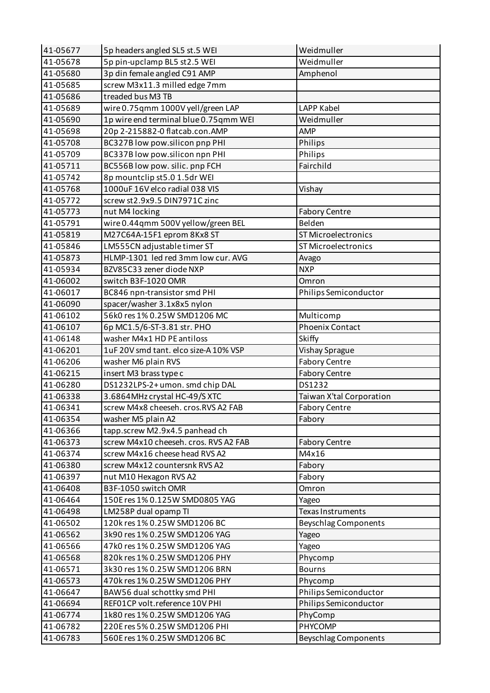| 41-05677 | 5p headers angled SL5 st.5 WEI        | Weidmuller                  |
|----------|---------------------------------------|-----------------------------|
| 41-05678 | 5p pin-upclamp BL5 st2.5 WEI          | Weidmuller                  |
| 41-05680 | 3p din female angled C91 AMP          | Amphenol                    |
| 41-05685 | screw M3x11.3 milled edge 7mm         |                             |
| 41-05686 | treaded bus M3 TB                     |                             |
| 41-05689 | wire 0.75qmm 1000V yell/green LAP     | <b>LAPP Kabel</b>           |
| 41-05690 | 1p wire end terminal blue 0.75qmm WEI | Weidmuller                  |
| 41-05698 | 20p 2-215882-0 flatcab.con.AMP        | <b>AMP</b>                  |
| 41-05708 | BC327B low pow.silicon pnp PHI        | Philips                     |
| 41-05709 | BC337B low pow.silicon npn PHI        | Philips                     |
| 41-05711 | BC556B low pow. silic. pnp FCH        | Fairchild                   |
| 41-05742 | 8p mountclip st5.0 1.5dr WEI          |                             |
| 41-05768 | 1000uF16V elco radial 038 VIS         | Vishay                      |
| 41-05772 | screw st2.9x9.5 DIN7971C zinc         |                             |
| 41-05773 | nut M4 locking                        | <b>Fabory Centre</b>        |
| 41-05791 | wire 0.44qmm 500V yellow/green BEL    | Belden                      |
| 41-05819 | M27C64A-15F1 eprom 8Kx8 ST            | <b>ST Microelectronics</b>  |
| 41-05846 | LM555CN adjustable timer ST           | <b>ST Microelectronics</b>  |
| 41-05873 | HLMP-1301 led red 3mm low cur. AVG    | Avago                       |
| 41-05934 | BZV85C33 zener diode NXP              | <b>NXP</b>                  |
| 41-06002 | switch B3F-1020 OMR                   | Omron                       |
| 41-06017 | BC846 npn-transistor smd PHI          | Philips Semiconductor       |
| 41-06090 | spacer/washer 3.1x8x5 nylon           |                             |
| 41-06102 | 56k0 res 1% 0.25W SMD1206 MC          | Multicomp                   |
| 41-06107 | 6p MC1.5/6-ST-3.81 str. PHO           | <b>Phoenix Contact</b>      |
| 41-06148 | washer M4x1 HD PE antiloss            | Skiffy                      |
| 41-06201 | 1uF 20V smd tant. elco size-A 10% VSP | <b>Vishay Sprague</b>       |
| 41-06206 | washer M6 plain RVS                   | <b>Fabory Centre</b>        |
| 41-06215 | insert M3 brass type c                | <b>Fabory Centre</b>        |
| 41-06280 | DS1232LPS-2+umon. smd chip DAL        | DS1232                      |
| 41-06338 | 3.6864MHz crystal HC-49/S XTC         | Taiwan X'tal Corporation    |
| 41-06341 | screw M4x8 cheeseh. cros.RVS A2 FAB   | Fabory Centre               |
| 41-06354 | washer M5 plain A2                    | Fabory                      |
| 41-06366 | tapp.screw M2.9x4.5 panhead ch        |                             |
| 41-06373 | screw M4x10 cheeseh. cros. RVS A2 FAB | <b>Fabory Centre</b>        |
| 41-06374 | screw M4x16 cheese head RVS A2        | M4x16                       |
| 41-06380 | screw M4x12 countersnk RVS A2         | Fabory                      |
| 41-06397 | nut M10 Hexagon RVS A2                | Fabory                      |
| 41-06408 | B3F-1050 switch OMR                   | Omron                       |
| 41-06464 | 150E res 1% 0.125W SMD0805 YAG        | Yageo                       |
| 41-06498 | LM258P dual opamp TI                  | <b>Texas Instruments</b>    |
| 41-06502 | 120k res 1% 0.25W SMD1206 BC          |                             |
|          |                                       | <b>Beyschlag Components</b> |
| 41-06562 | 3k90 res 1% 0.25W SMD1206 YAG         | Yageo                       |
| 41-06566 | 47k0 res 1% 0.25W SMD1206 YAG         | Yageo                       |
| 41-06568 | 820k res 1% 0.25W SMD1206 PHY         | Phycomp                     |
| 41-06571 | 3k30 res 1% 0.25W SMD1206 BRN         | <b>Bourns</b>               |
| 41-06573 | 470k res 1% 0.25W SMD1206 PHY         | Phycomp                     |
| 41-06647 | BAW56 dual schottky smd PHI           | Philips Semiconductor       |
| 41-06694 | REF01CP volt.reference 10V PHI        | Philips Semiconductor       |
| 41-06774 | 1k80 res 1% 0.25W SMD1206 YAG         | PhyComp                     |
| 41-06782 | 220E res 5% 0.25W SMD1206 PHI         | PHYCOMP                     |
| 41-06783 | 560E res 1% 0.25W SMD1206 BC          | <b>Beyschlag Components</b> |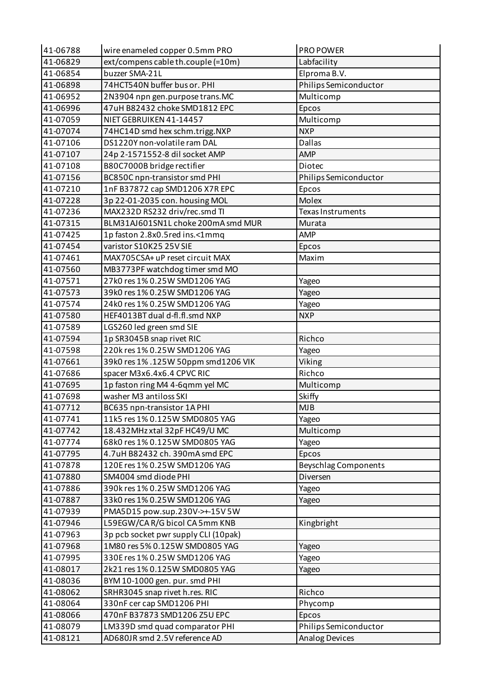| 41-06788 | wire enameled copper 0.5mm PRO       | PRO POWER                   |
|----------|--------------------------------------|-----------------------------|
| 41-06829 | ext/compens cable th.couple (=10m)   | Labfacility                 |
| 41-06854 | buzzer SMA-21L                       | Elproma B.V.                |
| 41-06898 | 74HCT540N buffer bus or. PHI         | Philips Semiconductor       |
| 41-06952 | 2N3904 npn gen.purpose trans.MC      | Multicomp                   |
| 41-06996 | 47uH B82432 choke SMD1812 EPC        | Epcos                       |
| 41-07059 | NIET GEBRUIKEN 41-14457              | Multicomp                   |
| 41-07074 | 74HC14D smd hex schm.trigg.NXP       | <b>NXP</b>                  |
| 41-07106 | DS1220Y non-volatile ram DAL         | <b>Dallas</b>               |
| 41-07107 | 24p 2-1571552-8 dil socket AMP       | AMP                         |
| 41-07108 | B80C7000B bridge rectifier           | Diotec                      |
| 41-07156 | BC850C npn-transistor smd PHI        | Philips Semiconductor       |
| 41-07210 | 1nF B37872 cap SMD1206 X7R EPC       | Epcos                       |
| 41-07228 | 3p 22-01-2035 con. housing MOL       | Molex                       |
| 41-07236 | MAX232D RS232 driv/rec.smd TI        | Texas Instruments           |
| 41-07315 | BLM31AJ601SN1L choke 200mA smd MUR   | Murata                      |
| 41-07425 | 1p faston 2.8x0.5red ins.<1mmq       | AMP                         |
| 41-07454 | varistor S10K25 25V SIE              | Epcos                       |
| 41-07461 | MAX705CSA+ uP reset circuit MAX      | Maxim                       |
| 41-07560 | MB3773PF watchdog timer smd MO       |                             |
| 41-07571 | 27k0 res 1% 0.25W SMD1206 YAG        | Yageo                       |
| 41-07573 | 39k0 res 1% 0.25W SMD1206 YAG        | Yageo                       |
| 41-07574 | 24k0 res 1% 0.25W SMD1206 YAG        | Yageo                       |
| 41-07580 | HEF4013BT dual d-fl.fl.smd NXP       | <b>NXP</b>                  |
| 41-07589 | LGS260 led green smd SIE             |                             |
| 41-07594 | 1p SR3045B snap rivet RIC            | Richco                      |
| 41-07598 | 220k res 1% 0.25W SMD1206 YAG        | Yageo                       |
| 41-07661 | 39k0 res 1% .125W 50ppm smd1206 VIK  | Viking                      |
| 41-07686 | spacer M3x6.4x6.4 CPVC RIC           | Richco                      |
| 41-07695 | 1p faston ring M4 4-6qmm yel MC      | Multicomp                   |
| 41-07698 | washer M3 antiloss SKI               | Skiffy                      |
| 41-07712 | BC635 npn-transistor 1A PHI          | MJB                         |
| 41-07741 | 11k5 res 1% 0.125W SMD0805 YAG       | Yageo                       |
| 41-07742 | 18.432MHz xtal 32pF HC49/U MC        | Multicomp                   |
| 41-07774 | 68k0 res 1% 0.125W SMD0805 YAG       | Yageo                       |
| 41-07795 | 4.7uH B82432 ch. 390mA smd EPC       | Epcos                       |
| 41-07878 | 120E res 1% 0.25W SMD1206 YAG        | <b>Beyschlag Components</b> |
| 41-07880 | SM4004 smd diode PHI                 | Diversen                    |
| 41-07886 | 390k res 1% 0.25W SMD1206 YAG        | Yageo                       |
| 41-07887 | 33k0 res 1% 0.25W SMD1206 YAG        | Yageo                       |
| 41-07939 | PMA5D15 pow.sup.230V->+-15V 5W       |                             |
| 41-07946 | L59EGW/CAR/G bicol CA5mm KNB         | Kingbright                  |
| 41-07963 | 3p pcb socket pwr supply CLI (10pak) |                             |
| 41-07968 | 1M80 res 5% 0.125W SMD0805 YAG       | Yageo                       |
| 41-07995 | 330E res 1% 0.25W SMD1206 YAG        | Yageo                       |
| 41-08017 | 2k21 res 1% 0.125W SMD0805 YAG       | Yageo                       |
| 41-08036 | BYM 10-1000 gen. pur. smd PHI        |                             |
| 41-08062 | SRHR3045 snap rivet h.res. RIC       | Richco                      |
| 41-08064 | 330nF cer cap SMD1206 PHI            | Phycomp                     |
| 41-08066 | 470nF B37873 SMD1206 Z5U EPC         | Epcos                       |
| 41-08079 | LM339D smd quad comparator PHI       | Philips Semiconductor       |
| 41-08121 | AD680JR smd 2.5V reference AD        | <b>Analog Devices</b>       |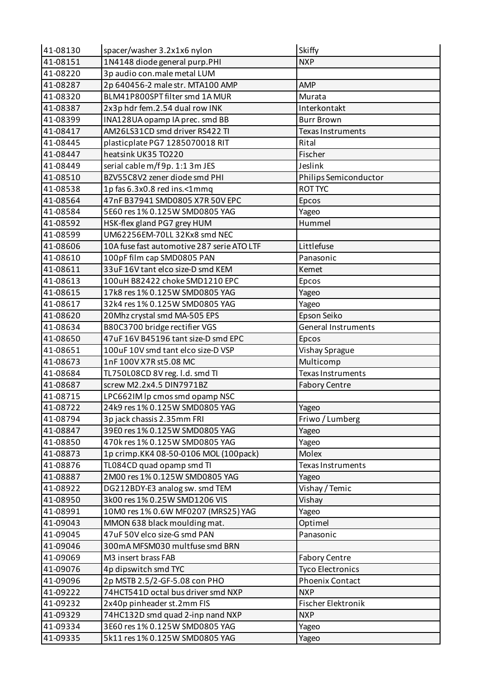| 41-08130 | spacer/washer 3.2x1x6 nylon                | Skiffy                  |
|----------|--------------------------------------------|-------------------------|
| 41-08151 | 1N4148 diode general purp.PHI              | <b>NXP</b>              |
| 41-08220 | 3p audio con.male metal LUM                |                         |
| 41-08287 | 2p 640456-2 male str. MTA100 AMP           | AMP                     |
| 41-08320 | BLM41P800SPT filter smd 1A MUR             | Murata                  |
| 41-08387 | 2x3p hdr fem.2.54 dual row INK             | Interkontakt            |
| 41-08399 | INA128UA opamp IA prec. smd BB             | <b>Burr Brown</b>       |
| 41-08417 | AM26LS31CD smd driver RS422 TI             | Texas Instruments       |
| 41-08445 | plasticplate PG7 1285070018 RIT            | Rital                   |
| 41-08447 | heatsink UK35 TO220                        | Fischer                 |
| 41-08449 | serial cable m/f 9p. 1:1 3m JES            | Jeslink                 |
| 41-08510 | BZV55C8V2 zener diode smd PHI              | Philips Semiconductor   |
| 41-08538 | 1p fas 6.3x0.8 red ins.<1mmq               | <b>ROT TYC</b>          |
| 41-08564 | 47nF B37941 SMD0805 X7R 50V EPC            | Epcos                   |
| 41-08584 | 5E60 res 1% 0.125W SMD0805 YAG             | Yageo                   |
| 41-08592 | HSK-flex gland PG7 grey HUM                | Hummel                  |
| 41-08599 | UM62256EM-70LL 32Kx8 smd NEC               |                         |
| 41-08606 | 10A fuse fast automotive 287 serie ATO LTF | Littlefuse              |
| 41-08610 | 100pF film cap SMD0805 PAN                 | Panasonic               |
| 41-08611 | 33uF 16V tant elco size-D smd KEM          | Kemet                   |
| 41-08613 | 100uH B82422 choke SMD1210 EPC             | Epcos                   |
| 41-08615 | 17k8 res 1% 0.125W SMD0805 YAG             | Yageo                   |
| 41-08617 | 32k4 res 1% 0.125W SMD0805 YAG             | Yageo                   |
| 41-08620 | 20Mhz crystal smd MA-505 EPS               | Epson Seiko             |
| 41-08634 | B80C3700 bridge rectifier VGS              | General Instruments     |
| 41-08650 | 47uF 16V B45196 tant size-D smd EPC        | Epcos                   |
| 41-08651 | 100uF 10V smd tant elco size-D VSP         | Vishay Sprague          |
| 41-08673 | 1nF 100V X7R st5.08 MC                     | Multicomp               |
| 41-08684 | TL750L08CD 8V reg. I.d. smd TI             | Texas Instruments       |
| 41-08687 | screw M2.2x4.5 DIN7971BZ                   | <b>Fabory Centre</b>    |
| 41-08715 | LPC662IM lp cmos smd opamp NSC             |                         |
| 41-08722 | 24k9 res 1% 0.125W SMD0805 YAG             | Yageo                   |
| 41-08794 | 3p jack chassis 2.35mm FRI                 | Friwo / Lumberg         |
| 41-08847 | 39E0 res 1% 0.125W SMD0805 YAG             | Yageo                   |
| 41-08850 | 470k res 1% 0.125W SMD0805 YAG             | Yageo                   |
| 41-08873 | 1p crimp.KK4 08-50-0106 MOL (100pack)      | <b>Molex</b>            |
| 41-08876 | TL084CD quad opamp smd TI                  | Texas Instruments       |
| 41-08887 | 2M00 res 1% 0.125W SMD0805 YAG             | Yageo                   |
| 41-08922 | DG212BDY-E3 analog sw. smd TEM             | Vishay / Temic          |
| 41-08950 | 3k00 res 1% 0.25W SMD1206 VIS              | Vishay                  |
| 41-08991 | 10M0 res 1% 0.6W MF0207 (MRS25) YAG        | Yageo                   |
| 41-09043 | MMON 638 black moulding mat.               | Optimel                 |
| 41-09045 | 47uF 50V elco size-G smd PAN               | Panasonic               |
| 41-09046 | 300mA MFSM030 multfuse smd BRN             |                         |
| 41-09069 | M3 insert brass FAB                        | <b>Fabory Centre</b>    |
| 41-09076 | 4p dipswitch smd TYC                       | <b>Tyco Electronics</b> |
| 41-09096 | 2p MSTB 2.5/2-GF-5.08 con PHO              | <b>Phoenix Contact</b>  |
| 41-09222 | 74HCT541D octal bus driver smd NXP         | <b>NXP</b>              |
| 41-09232 | 2x40p pinheader st.2mm FIS                 | Fischer Elektronik      |
| 41-09329 | 74HC132D smd quad 2-inp nand NXP           | <b>NXP</b>              |
| 41-09334 | 3E60 res 1% 0.125W SMD0805 YAG             | Yageo                   |
| 41-09335 | 5k11 res 1% 0.125W SMD0805 YAG             | Yageo                   |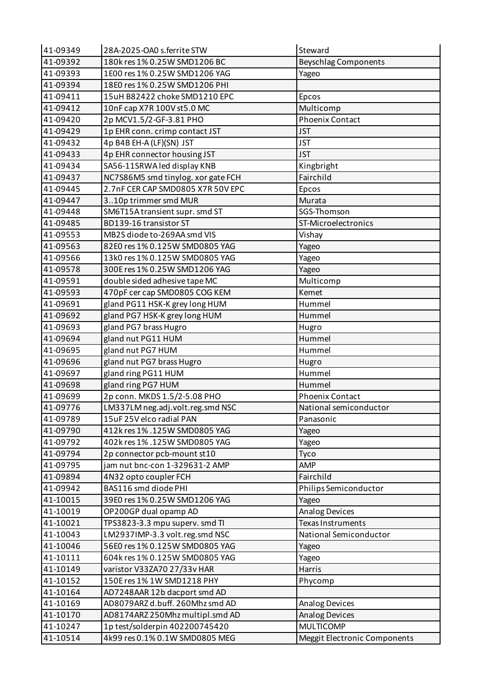| 41-09349 | 28A-2025-OA0 s.ferrite STW         | Steward                      |
|----------|------------------------------------|------------------------------|
| 41-09392 | 180k res 1% 0.25W SMD1206 BC       | <b>Beyschlag Components</b>  |
| 41-09393 | 1E00 res 1% 0.25W SMD1206 YAG      | Yageo                        |
| 41-09394 | 18E0 res 1% 0.25W SMD1206 PHI      |                              |
| 41-09411 | 15uH B82422 choke SMD1210 EPC      | Epcos                        |
| 41-09412 | 10nF cap X7R 100V st5.0 MC         | Multicomp                    |
| 41-09420 | 2p MCV1.5/2-GF-3.81 PHO            | <b>Phoenix Contact</b>       |
| 41-09429 | 1p EHR conn. crimp contact JST     | <b>JST</b>                   |
| 41-09432 | 4p B4B EH-A (LF)(SN) JST           | <b>JST</b>                   |
| 41-09433 | 4p EHR connector housing JST       | <b>JST</b>                   |
| 41-09434 | SA56-11SRWA led display KNB        | Kingbright                   |
| 41-09437 | NC7S86M5 smd tinylog. xor gate FCH | Fairchild                    |
| 41-09445 | 2.7nF CER CAP SMD0805 X7R 50V EPC  | Epcos                        |
| 41-09447 | 310p trimmer smd MUR               | Murata                       |
| 41-09448 | SM6T15A transient supr. smd ST     | SGS-Thomson                  |
| 41-09485 | BD139-16 transistor ST             | ST-Microelectronics          |
| 41-09553 | MB2S diode to-269AA smd VIS        | Vishay                       |
| 41-09563 | 82E0 res 1% 0.125W SMD0805 YAG     | Yageo                        |
| 41-09566 | 13k0 res 1% 0.125W SMD0805 YAG     | Yageo                        |
| 41-09578 | 300E res 1% 0.25W SMD1206 YAG      | Yageo                        |
| 41-09591 | double sided adhesive tape MC      | Multicomp                    |
| 41-09593 | 470pF cer cap SMD0805 COG KEM      | Kemet                        |
| 41-09691 | gland PG11 HSK-K grey long HUM     | Hummel                       |
| 41-09692 | gland PG7 HSK-K grey long HUM      | Hummel                       |
| 41-09693 | gland PG7 brass Hugro              | Hugro                        |
| 41-09694 | gland nut PG11 HUM                 | Hummel                       |
| 41-09695 | gland nut PG7 HUM                  | Hummel                       |
| 41-09696 | gland nut PG7 brass Hugro          | Hugro                        |
| 41-09697 | gland ring PG11 HUM                | Hummel                       |
| 41-09698 | gland ring PG7 HUM                 | Hummel                       |
| 41-09699 | 2p conn. MKDS 1.5/2-5.08 PHO       | <b>Phoenix Contact</b>       |
| 41-09776 | LM337LM neg.adj.volt.reg.smd NSC   | National semiconductor       |
| 41-09789 | 15uF 25V elco radial PAN           | Panasonic                    |
| 41-09790 | 412k res 1% .125W SMD0805 YAG      | Yageo                        |
| 41-09792 | 402k res 1% .125W SMD0805 YAG      | Yageo                        |
| 41-09794 | 2p connector pcb-mount st10        | Tyco                         |
| 41-09795 | jam nut bnc-con 1-329631-2 AMP     | <b>AMP</b>                   |
| 41-09894 | 4N32 opto coupler FCH              | Fairchild                    |
| 41-09942 | BAS116 smd diode PHI               | Philips Semiconductor        |
| 41-10015 | 39E0 res 1% 0.25W SMD1206 YAG      | Yageo                        |
| 41-10019 | OP200GP dual opamp AD              | <b>Analog Devices</b>        |
| 41-10021 | TPS3823-3.3 mpu superv. smd TI     | Texas Instruments            |
| 41-10043 | LM2937IMP-3.3 volt.reg.smd NSC     | National Semiconductor       |
| 41-10046 | 56E0 res 1% 0.125W SMD0805 YAG     | Yageo                        |
| 41-10111 | 604k res 1% 0.125W SMD0805 YAG     | Yageo                        |
| 41-10149 | varistor V33ZA70 27/33v HAR        | Harris                       |
| 41-10152 | 150E res 1% 1W SMD1218 PHY         | Phycomp                      |
| 41-10164 | AD7248AAR 12b dacport smd AD       |                              |
| 41-10169 | AD8079ARZ d.buff. 260Mhz smd AD    | <b>Analog Devices</b>        |
| 41-10170 | AD8174ARZ 250Mhz multipl.smd AD    | <b>Analog Devices</b>        |
| 41-10247 | 1p test/solderpin 402200745420     | <b>MULTICOMP</b>             |
| 41-10514 | 4k99 res 0.1% 0.1W SMD0805 MEG     | Meggit Electronic Components |
|          |                                    |                              |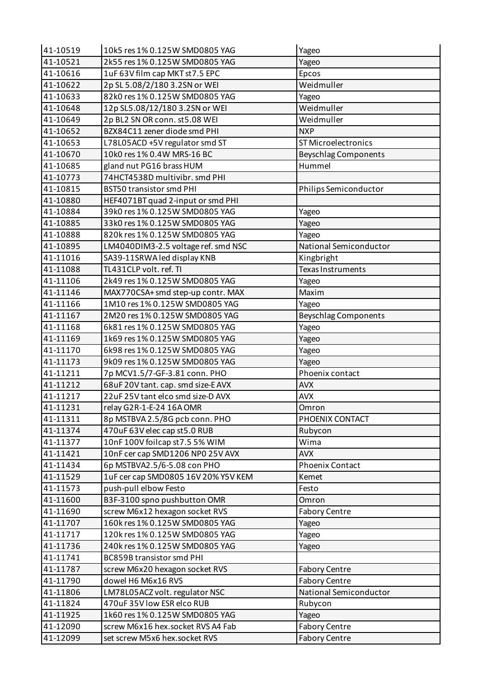| 41-10519 | 10k5 res 1% 0.125W SMD0805 YAG      | Yageo                       |
|----------|-------------------------------------|-----------------------------|
| 41-10521 | 2k55 res 1% 0.125W SMD0805 YAG      | Yageo                       |
| 41-10616 | 1uF 63V film cap MKT st7.5 EPC      | Epcos                       |
| 41-10622 | 2p SL 5.08/2/180 3.2SN or WEI       | Weidmuller                  |
| 41-10633 | 82k0 res 1% 0.125W SMD0805 YAG      | Yageo                       |
| 41-10648 | 12p SL5.08/12/180 3.2SN or WEI      | Weidmuller                  |
| 41-10649 | 2p BL2 SN OR conn. st5.08 WEI       | Weidmuller                  |
| 41-10652 | BZX84C11 zener diode smd PHI        | <b>NXP</b>                  |
| 41-10653 | L78L05ACD +5V regulator smd ST      | <b>ST Microelectronics</b>  |
| 41-10670 | 10k0 res 1% 0.4W MRS-16 BC          | <b>Beyschlag Components</b> |
| 41-10685 | gland nut PG16 brass HUM            | Hummel                      |
| 41-10773 | 74HCT4538D multivibr. smd PHI       |                             |
| 41-10815 | <b>BST50 transistor smd PHI</b>     | Philips Semiconductor       |
| 41-10880 | HEF4071BT quad 2-input or smd PHI   |                             |
| 41-10884 | 39k0 res 1% 0.125W SMD0805 YAG      | Yageo                       |
| 41-10885 | 33k0 res 1% 0.125W SMD0805 YAG      | Yageo                       |
| 41-10888 | 820k res 1% 0.125W SMD0805 YAG      | Yageo                       |
| 41-10895 | LM4040DIM3-2.5 voltage ref. smd NSC | National Semiconductor      |
| 41-11016 | SA39-11SRWA led display KNB         | Kingbright                  |
| 41-11088 | TL431CLP volt. ref. TI              | Texas Instruments           |
| 41-11106 | 2k49 res 1% 0.125W SMD0805 YAG      | Yageo                       |
| 41-11146 | MAX770CSA+ smd step-up contr. MAX   | Maxim                       |
| 41-11166 | 1M10 res 1% 0.125W SMD0805 YAG      | Yageo                       |
| 41-11167 | 2M20 res 1% 0.125W SMD0805 YAG      | <b>Beyschlag Components</b> |
| 41-11168 | 6k81 res 1% 0.125W SMD0805 YAG      | Yageo                       |
| 41-11169 | 1k69 res 1% 0.125W SMD0805 YAG      | Yageo                       |
| 41-11170 | 6k98 res 1% 0.125W SMD0805 YAG      | Yageo                       |
| 41-11173 | 9k09 res 1% 0.125W SMD0805 YAG      | Yageo                       |
| 41-11211 | 7p MCV1.5/7-GF-3.81 conn. PHO       | Phoenix contact             |
| 41-11212 | 68uF 20V tant. cap. smd size-E AVX  | <b>AVX</b>                  |
| 41-11217 | 22uF 25V tant elco smd size-D AVX   | <b>AVX</b>                  |
| 41-11231 | relay G2R-1-E-24 16A OMR            | Omron                       |
| 41-11311 | 8p MSTBVA 2.5/8G pcb conn. PHO      | PHOENIX CONTACT             |
| 41-11374 | 470uF 63V elec cap st5.0 RUB        | Rubycon                     |
| 41-11377 | 10nF 100V foilcap st7.5 5% WIM      | Wima                        |
| 41-11421 | 10nF cer cap SMD1206 NP0 25V AVX    | <b>AVX</b>                  |
| 41-11434 | 6p MSTBVA2.5/6-5.08 con PHO         | Phoenix Contact             |
| 41-11529 | 1uF cer cap SMD0805 16V 20% Y5V KEM | Kemet                       |
| 41-11573 | push-pull elbow Festo               | Festo                       |
| 41-11600 | B3F-3100 spno pushbutton OMR        | Omron                       |
| 41-11690 | screw M6x12 hexagon socket RVS      | <b>Fabory Centre</b>        |
| 41-11707 | 160k res 1% 0.125W SMD0805 YAG      | Yageo                       |
| 41-11717 | 120k res 1% 0.125W SMD0805 YAG      | Yageo                       |
| 41-11736 | 240k res 1% 0.125W SMD0805 YAG      | Yageo                       |
| 41-11741 | BC859B transistor smd PHI           |                             |
| 41-11787 | screw M6x20 hexagon socket RVS      | <b>Fabory Centre</b>        |
| 41-11790 | dowel H6 M6x16 RVS                  | <b>Fabory Centre</b>        |
| 41-11806 | LM78L05ACZ volt. regulator NSC      | National Semiconductor      |
| 41-11824 | 470uF 35V low ESR elco RUB          | Rubycon                     |
| 41-11925 | 1k60 res 1% 0.125W SMD0805 YAG      | Yageo                       |
| 41-12090 | screw M6x16 hex.socket RVS A4 Fab   | <b>Fabory Centre</b>        |
| 41-12099 | set screw M5x6 hex.socket RVS       | <b>Fabory Centre</b>        |
|          |                                     |                             |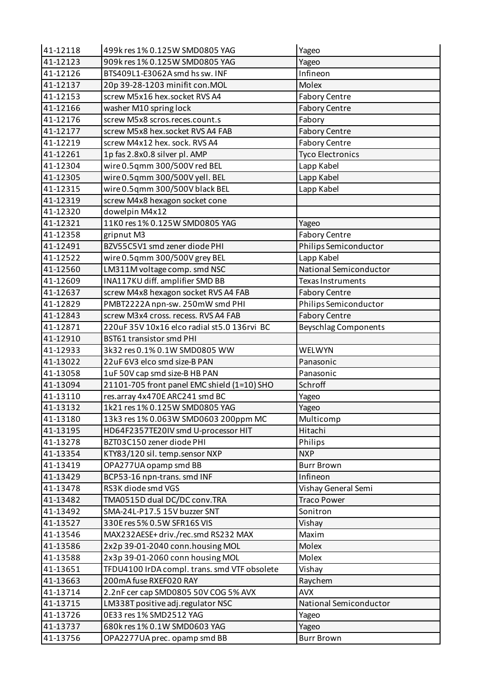| 41-12118 | 499k res 1% 0.125W SMD0805 YAG               | Yageo                       |
|----------|----------------------------------------------|-----------------------------|
| 41-12123 | 909k res 1% 0.125W SMD0805 YAG               | Yageo                       |
| 41-12126 | BTS409L1-E3062A smd hs sw. INF               | Infineon                    |
| 41-12137 | 20p 39-28-1203 minifit con. MOL              | Molex                       |
| 41-12153 | screw M5x16 hex.socket RVS A4                | <b>Fabory Centre</b>        |
| 41-12166 | washer M10 spring lock                       | <b>Fabory Centre</b>        |
| 41-12176 | screw M5x8 scros.reces.count.s               | Fabory                      |
| 41-12177 | screw M5x8 hex.socket RVS A4 FAB             | <b>Fabory Centre</b>        |
| 41-12219 | screw M4x12 hex. sock. RVS A4                | <b>Fabory Centre</b>        |
| 41-12261 | 1p fas 2.8x0.8 silver pl. AMP                | <b>Tyco Electronics</b>     |
| 41-12304 | wire 0.5qmm 300/500V red BEL                 | Lapp Kabel                  |
| 41-12305 | wire 0.5qmm 300/500V yell. BEL               | Lapp Kabel                  |
| 41-12315 | wire 0.5qmm 300/500V black BEL               | Lapp Kabel                  |
| 41-12319 | screw M4x8 hexagon socket cone               |                             |
| 41-12320 | dowelpin M4x12                               |                             |
| 41-12321 | 11K0 res 1% 0.125W SMD0805 YAG               | Yageo                       |
| 41-12358 | gripnut M3                                   | <b>Fabory Centre</b>        |
| 41-12491 | BZV55C5V1 smd zener diode PHI                | Philips Semiconductor       |
| 41-12522 | wire 0.5qmm 300/500V grey BEL                | Lapp Kabel                  |
| 41-12560 | LM311M voltage comp. smd NSC                 | National Semiconductor      |
| 41-12609 | INA117KU diff. amplifier SMD BB              | <b>Texas Instruments</b>    |
| 41-12637 | screw M4x8 hexagon socket RVS A4 FAB         | <b>Fabory Centre</b>        |
| 41-12829 | PMBT2222A npn-sw. 250mW smd PHI              | Philips Semiconductor       |
| 41-12843 | screw M3x4 cross. recess. RVS A4 FAB         | <b>Fabory Centre</b>        |
| 41-12871 | 220uF 35V 10x16 elco radial st5.0 136rvi BC  | <b>Beyschlag Components</b> |
| 41-12910 | <b>BST61 transistor smd PHI</b>              |                             |
| 41-12933 | 3k32 res 0.1% 0.1W SMD0805 WW                | WELWYN                      |
| 41-13022 | 22uF 6V3 elco smd size-B PAN                 | Panasonic                   |
| 41-13058 | 1uF 50V cap smd size-B HB PAN                | Panasonic                   |
| 41-13094 | 21101-705 front panel EMC shield (1=10) SHO  | Schroff                     |
| 41-13110 | res.array 4x470E ARC241 smd BC               | Yageo                       |
| 41-13132 | 1k21 res 1% 0.125W SMD0805 YAG               | Yageo                       |
| 41-13180 | 13k3 res 1% 0.063W SMD0603 200ppm MC         | Multicomp                   |
| 41-13195 | HD64F2357TE20IV smd U-processor HIT          | Hitachi                     |
| 41-13278 | BZT03C150 zener diode PHI                    | Philips                     |
| 41-13354 | KTY83/120 sil. temp.sensor NXP               | <b>NXP</b>                  |
| 41-13419 | OPA277UA opamp smd BB                        | <b>Burr Brown</b>           |
| 41-13429 | BCP53-16 npn-trans. smd INF                  | Infineon                    |
| 41-13478 | RS3K diode smd VGS                           | Vishay General Semi         |
| 41-13482 | TMA0515D dual DC/DC conv.TRA                 | <b>Traco Power</b>          |
| 41-13492 | SMA-24L-P17.5 15V buzzer SNT                 | Sonitron                    |
| 41-13527 | 330E res 5% 0.5W SFR16S VIS                  | Vishay                      |
| 41-13546 | MAX232AESE+driv./rec.smd RS232 MAX           | Maxim                       |
| 41-13586 | 2x2p 39-01-2040 conn.housing MOL             | Molex                       |
| 41-13588 | 2x3p 39-01-2060 conn housing MOL             | Molex                       |
| 41-13651 | TFDU4100 IrDA compl. trans. smd VTF obsolete | Vishay                      |
| 41-13663 | 200mA fuse RXEF020 RAY                       | Raychem                     |
| 41-13714 | 2.2nF cer cap SMD0805 50V COG 5% AVX         | <b>AVX</b>                  |
| 41-13715 | LM338T positive adj.regulator NSC            | National Semiconductor      |
| 41-13726 | 0E33 res 1% SMD2512 YAG                      | Yageo                       |
| 41-13737 | 680k res 1% 0.1W SMD0603 YAG                 | Yageo                       |
| 41-13756 | OPA2277UA prec. opamp smd BB                 | <b>Burr Brown</b>           |
|          |                                              |                             |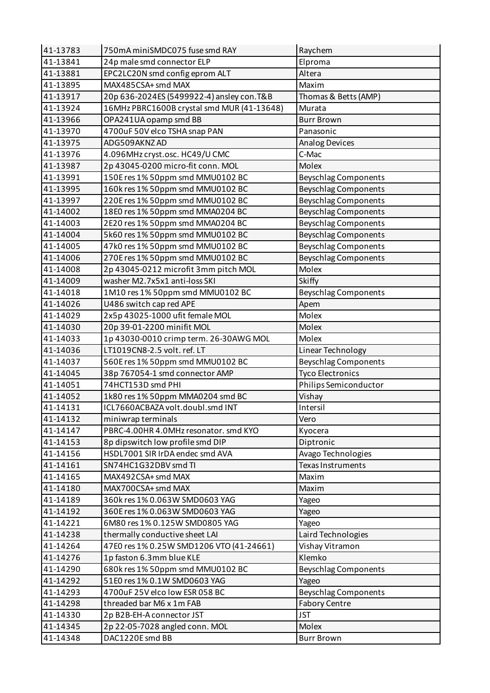| 41-13783 | 750mA miniSMDC075 fuse smd RAY             | Raychem                     |
|----------|--------------------------------------------|-----------------------------|
| 41-13841 | 24p male smd connector ELP                 | Elproma                     |
| 41-13881 | EPC2LC20N smd config eprom ALT             | Altera                      |
| 41-13895 | MAX485CSA+ smd MAX                         | Maxim                       |
| 41-13917 | 20p 636-2024ES (5499922-4) ansley con. T&B | Thomas & Betts (AMP)        |
| 41-13924 | 16MHz PBRC1600B crystal smd MUR (41-13648) | Murata                      |
| 41-13966 | OPA241UA opamp smd BB                      | <b>Burr Brown</b>           |
| 41-13970 | 4700uF 50V elco TSHA snap PAN              | Panasonic                   |
| 41-13975 | ADG509AKNZAD                               | Analog Devices              |
| 41-13976 | 4.096MHz cryst.osc. HC49/U CMC             | C-Mac                       |
| 41-13987 | 2p 43045-0200 micro-fit conn. MOL          | Molex                       |
| 41-13991 | 150E res 1% 50ppm smd MMU0102 BC           | <b>Beyschlag Components</b> |
| 41-13995 | 160k res 1% 50ppm smd MMU0102 BC           | <b>Beyschlag Components</b> |
| 41-13997 | 220E res 1% 50ppm smd MMU0102 BC           | <b>Beyschlag Components</b> |
| 41-14002 | 18E0 res 1% 50ppm smd MMA0204 BC           | <b>Beyschlag Components</b> |
| 41-14003 | 2E20 res 1% 50ppm smd MMA0204 BC           | <b>Beyschlag Components</b> |
| 41-14004 | 5k60 res 1% 50ppm smd MMU0102 BC           | <b>Beyschlag Components</b> |
| 41-14005 | 47k0 res 1% 50ppm smd MMU0102 BC           | <b>Beyschlag Components</b> |
| 41-14006 | 270E res 1% 50ppm smd MMU0102 BC           | <b>Beyschlag Components</b> |
| 41-14008 | 2p 43045-0212 microfit 3mm pitch MOL       | Molex                       |
| 41-14009 | washer M2.7x5x1 anti-loss SKI              | Skiffy                      |
| 41-14018 | 1M10 res 1% 50ppm smd MMU0102 BC           | <b>Beyschlag Components</b> |
| 41-14026 | U486 switch cap red APE                    | Apem                        |
| 41-14029 | 2x5p 43025-1000 ufit female MOL            | Molex                       |
| 41-14030 | 20p 39-01-2200 minifit MOL                 | Molex                       |
| 41-14033 | 1p 43030-0010 crimp term. 26-30AWG MOL     | Molex                       |
| 41-14036 | LT1019CN8-2.5 volt. ref. LT                | Linear Technology           |
| 41-14037 | 560E res 1% 50ppm smd MMU0102 BC           | <b>Beyschlag Components</b> |
| 41-14045 | 38p 767054-1 smd connector AMP             | <b>Tyco Electronics</b>     |
| 41-14051 | 74HCT153D smd PHI                          | Philips Semiconductor       |
| 41-14052 | 1k80 res 1% 50ppm MMA0204 smd BC           | Vishay                      |
| 41-14131 | ICL7660ACBAZA volt.doubl.smd INT           | Intersil                    |
| 41-14132 | miniwrap terminals                         | Vero                        |
| 41-14147 | PBRC-4.00HR 4.0MHz resonator. smd KYO      | Kyocera                     |
| 41-14153 | 8p dipswitch low profile smd DIP           | Diptronic                   |
| 41-14156 | HSDL7001 SIR IrDA endec smd AVA            | Avago Technologies          |
| 41-14161 | SN74HC1G32DBV smd TI                       | Texas Instruments           |
| 41-14165 | MAX492CSA+ smd MAX                         | Maxim                       |
| 41-14180 | MAX700CSA+ smd MAX                         | Maxim                       |
| 41-14189 | 360k res 1% 0.063W SMD0603 YAG             | Yageo                       |
| 41-14192 | 360E res 1% 0.063W SMD0603 YAG             | Yageo                       |
| 41-14221 | 6M80 res 1% 0.125W SMD0805 YAG             | Yageo                       |
| 41-14238 | thermally conductive sheet LAI             | Laird Technologies          |
| 41-14264 | 47E0 res 1% 0.25W SMD1206 VTO (41-24661)   | Vishay Vitramon             |
| 41-14276 | 1p faston 6.3mm blue KLE                   | Klemko                      |
| 41-14290 | 680k res 1% 50ppm smd MMU0102 BC           | <b>Beyschlag Components</b> |
| 41-14292 | 51E0 res 1% 0.1W SMD0603 YAG               | Yageo                       |
| 41-14293 | 4700uF 25V elco low ESR 058 BC             | <b>Beyschlag Components</b> |
| 41-14298 | threaded bar M6 x 1m FAB                   | <b>Fabory Centre</b>        |
| 41-14330 | 2p B2B-EH-A connector JST                  | <b>JST</b>                  |
| 41-14345 | 2p 22-05-7028 angled conn. MOL             | Molex                       |
| 41-14348 | DAC1220E smd BB                            | <b>Burr Brown</b>           |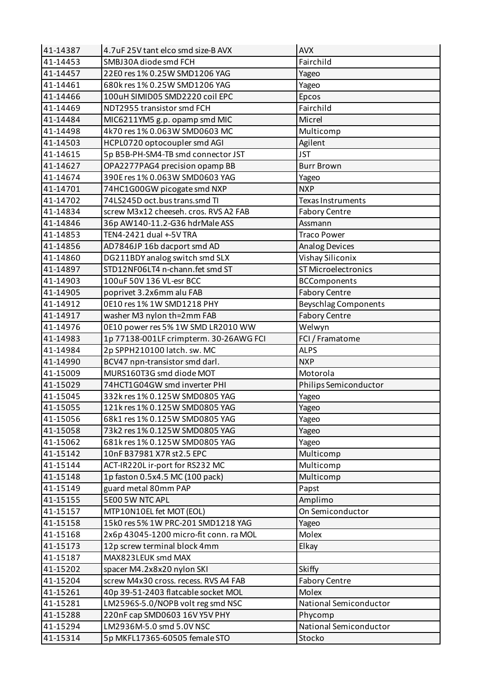| 41-14387 | 4.7uF 25V tant elco smd size-B AVX     | <b>AVX</b>                  |
|----------|----------------------------------------|-----------------------------|
| 41-14453 | SMBJ30A diode smd FCH                  | Fairchild                   |
| 41-14457 | 22E0 res 1% 0.25W SMD1206 YAG          | Yageo                       |
| 41-14461 | 680k res 1% 0.25W SMD1206 YAG          | Yageo                       |
| 41-14466 | 100uH SIMID05 SMD2220 coil EPC         | Epcos                       |
| 41-14469 | NDT2955 transistor smd FCH             | Fairchild                   |
| 41-14484 | MIC6211YM5 g.p. opamp smd MIC          | Micrel                      |
| 41-14498 | 4k70 res 1% 0.063W SMD0603 MC          | Multicomp                   |
| 41-14503 | HCPL0720 optocoupler smd AGI           | Agilent                     |
| 41-14615 | 5p B5B-PH-SM4-TB smd connector JST     | <b>JST</b>                  |
| 41-14627 | OPA2277PAG4 precision opamp BB         | <b>Burr Brown</b>           |
| 41-14674 | 390E res 1% 0.063W SMD0603 YAG         | Yageo                       |
| 41-14701 | 74HC1G00GW picogate smd NXP            | <b>NXP</b>                  |
| 41-14702 | 74LS245D oct.bus trans.smd TI          | Texas Instruments           |
| 41-14834 | screw M3x12 cheeseh. cros. RVS A2 FAB  | <b>Fabory Centre</b>        |
| 41-14846 | 36p AW140-11.2-G36 hdrMale ASS         | Assmann                     |
| 41-14853 | TEN4-2421 dual +-5V TRA                | <b>Traco Power</b>          |
| 41-14856 | AD7846JP 16b dacport smd AD            | <b>Analog Devices</b>       |
| 41-14860 | DG211BDY analog switch smd SLX         | Vishay Siliconix            |
| 41-14897 | STD12NF06LT4 n-chann.fet smd ST        | <b>ST Microelectronics</b>  |
| 41-14903 | 100uF 50V 136 VL-esr BCC               | <b>BCComponents</b>         |
| 41-14905 | poprivet 3.2x6mm alu FAB               | <b>Fabory Centre</b>        |
| 41-14912 | 0E10 res 1% 1W SMD1218 PHY             | <b>Beyschlag Components</b> |
| 41-14917 | washer M3 nylon th=2mm FAB             | <b>Fabory Centre</b>        |
| 41-14976 | 0E10 power res 5% 1W SMD LR2010 WW     | Welwyn                      |
| 41-14983 | 1p 77138-001LF crimpterm. 30-26AWG FCI | FCI / Framatome             |
| 41-14984 | 2p SPPH210100 latch. sw. MC            | <b>ALPS</b>                 |
| 41-14990 | BCV47 npn-transistor smd darl.         | <b>NXP</b>                  |
| 41-15009 | MURS160T3G smd diode MOT               | Motorola                    |
| 41-15029 | 74HCT1G04GW smd inverter PHI           | Philips Semiconductor       |
| 41-15045 | 332k res 1% 0.125W SMD0805 YAG         | Yageo                       |
| 41-15055 | 121k res 1% 0.125W SMD0805 YAG         | Yageo                       |
| 41-15056 | 68k1 res 1% 0.125W SMD0805 YAG         | Yageo                       |
| 41-15058 | 73k2 res 1% 0.125W SMD0805 YAG         | Yageo                       |
| 41-15062 | 681k res 1% 0.125W SMD0805 YAG         | Yageo                       |
| 41-15142 |                                        |                             |
|          | 10nF B37981 X7R st2.5 EPC              | Multicomp                   |
| 41-15144 | ACT-IR220L ir-port for RS232 MC        | Multicomp                   |
| 41-15148 | 1p faston 0.5x4.5 MC (100 pack)        | Multicomp                   |
| 41-15149 | guard metal 80mm PAP                   | Papst                       |
| 41-15155 | 5E00 5W NTC APL                        | Amplimo                     |
| 41-15157 | MTP10N10EL fet MOT (EOL)               | On Semiconductor            |
| 41-15158 | 15k0 res 5% 1W PRC-201 SMD1218 YAG     | Yageo                       |
| 41-15168 | 2x6p 43045-1200 micro-fit conn. ra MOL | Molex                       |
| 41-15173 | 12p screw terminal block 4mm           | Elkay                       |
| 41-15187 | MAX823LEUK smd MAX                     |                             |
| 41-15202 | spacer M4.2x8x20 nylon SKI             | Skiffy                      |
| 41-15204 | screw M4x30 cross. recess. RVS A4 FAB  | <b>Fabory Centre</b>        |
| 41-15261 | 40p 39-51-2403 flatcable socket MOL    | Molex                       |
| 41-15281 | LM2596S-5.0/NOPB volt reg smd NSC      | National Semiconductor      |
| 41-15288 | 220nF cap SMD0603 16V Y5V PHY          | Phycomp                     |
| 41-15294 | LM2936M-5.0 smd 5.0V NSC               | National Semiconductor      |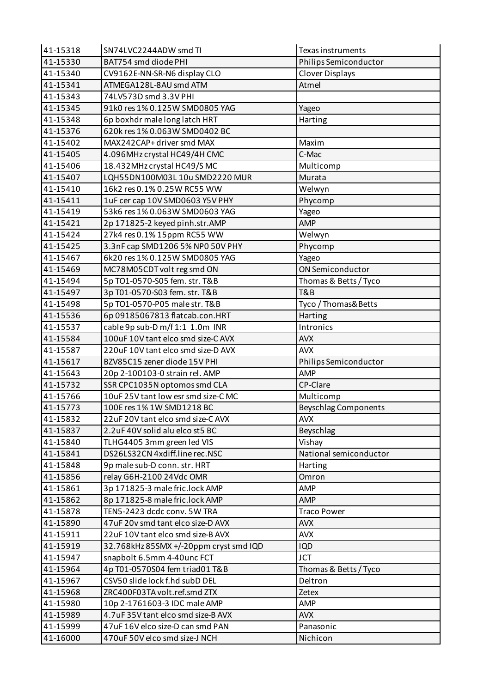| 41-15318 | SN74LVC2244ADW smd TI                  | Texas instruments           |
|----------|----------------------------------------|-----------------------------|
| 41-15330 | BAT754 smd diode PHI                   | Philips Semiconductor       |
| 41-15340 | CV9162E-NN-SR-N6 display CLO           | <b>Clover Displays</b>      |
| 41-15341 | ATMEGA128L-8AU smd ATM                 | Atmel                       |
| 41-15343 | 74LV573D smd 3.3V PHI                  |                             |
| 41-15345 | 91k0 res 1% 0.125W SMD0805 YAG         | Yageo                       |
| 41-15348 | 6p boxhdr male long latch HRT          | Harting                     |
| 41-15376 | 620k res 1% 0.063W SMD0402 BC          |                             |
| 41-15402 | MAX242CAP+driver smd MAX               | Maxim                       |
| 41-15405 | 4.096MHz crystal HC49/4H CMC           | C-Mac                       |
| 41-15406 | 18.432MHz crystal HC49/S MC            | Multicomp                   |
| 41-15407 | LQH55DN100M03L10u SMD2220 MUR          | Murata                      |
| 41-15410 | 16k2 res 0.1% 0.25W RC55 WW            | Welwyn                      |
| 41-15411 | 1uF cer cap 10V SMD0603 Y5V PHY        | Phycomp                     |
| 41-15419 | 53k6 res 1% 0.063W SMD0603 YAG         | Yageo                       |
| 41-15421 | 2p 171825-2 keyed pinh.str.AMP         | <b>AMP</b>                  |
| 41-15424 | 27k4 res 0.1% 15ppm RC55 WW            | Welwyn                      |
| 41-15425 | 3.3nF cap SMD1206 5% NP0 50V PHY       | Phycomp                     |
| 41-15467 | 6k20 res 1% 0.125W SMD0805 YAG         | Yageo                       |
| 41-15469 | MC78M05CDT volt reg smd ON             | ON Semiconductor            |
| 41-15494 | 5p TO1-0570-S05 fem. str. T&B          | Thomas & Betts / Tyco       |
| 41-15497 | 3p T01-0570-S03 fem. str. T&B          | T&B                         |
| 41-15498 | 5p TO1-0570-P05 male str. T&B          | Tyco / Thomas& Betts        |
| 41-15536 | 6p 09185067813 flatcab.con.HRT         | Harting                     |
| 41-15537 | cable 9p sub-D m/f 1:1 1.0m INR        | Intronics                   |
| 41-15584 | 100uF 10V tant elco smd size-C AVX     | <b>AVX</b>                  |
| 41-15587 | 220uF 10V tant elco smd size-D AVX     | <b>AVX</b>                  |
| 41-15617 | BZV85C15 zener diode 15V PHI           | Philips Semiconductor       |
| 41-15643 | 20p 2-100103-0 strain rel. AMP         | <b>AMP</b>                  |
| 41-15732 | SSR CPC1035N optomos smd CLA           | CP-Clare                    |
| 41-15766 | 10uF 25V tant low esr smd size-C MC    | Multicomp                   |
| 41-15773 | 100E res 1% 1W SMD1218 BC              | <b>Beyschlag Components</b> |
| 41-15832 | 22uF 20V tant elco smd size-C AVX      | <b>AVX</b>                  |
| 41-15837 | 2.2uF 40V solid alu elco st5 BC        | Beyschlag                   |
| 41-15840 | TLHG4405 3mm green led VIS             | Vishay                      |
| 41-15841 | DS26LS32CN 4xdiff.line rec.NSC         | National semiconductor      |
| 41-15848 | 9p male sub-D conn. str. HRT           | Harting                     |
| 41-15856 | relay G6H-2100 24Vdc OMR               | Omron                       |
| 41-15861 | 3p 171825-3 male fric.lock AMP         | <b>AMP</b>                  |
| 41-15862 | 8p 171825-8 male fric.lock AMP         | <b>AMP</b>                  |
| 41-15878 | TEN5-2423 dcdc conv. 5W TRA            | <b>Traco Power</b>          |
| 41-15890 | 47uF 20v smd tant elco size-D AVX      | <b>AVX</b>                  |
| 41-15911 | 22uF 10V tant elco smd size-B AVX      | <b>AVX</b>                  |
| 41-15919 | 32.768kHz 85SMX +/-20ppm cryst smd IQD | <b>IQD</b>                  |
| 41-15947 | snapbolt 6.5mm 4-40unc FCT             | <b>JCT</b>                  |
| 41-15964 | 4p T01-0570S04 fem triad01 T&B         | Thomas & Betts / Tyco       |
| 41-15967 | CSV50 slide lock f.hd subD DEL         | Deltron                     |
| 41-15968 | ZRC400F03TA volt.ref.smd ZTX           | Zetex                       |
| 41-15980 | 10p 2-1761603-3 IDC male AMP           | AMP                         |
| 41-15989 | 4.7uF 35V tant elco smd size-B AVX     | <b>AVX</b>                  |
| 41-15999 | 47uF 16V elco size-D can smd PAN       | Panasonic                   |
| 41-16000 | 470uF 50V elco smd size-J NCH          | Nichicon                    |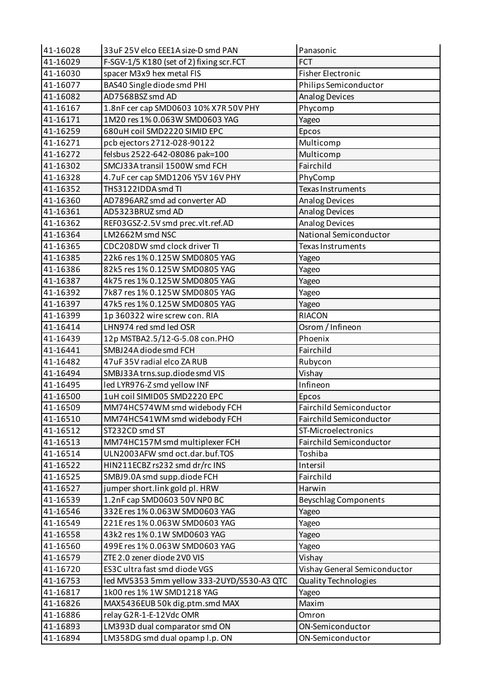| 41-16028 | 33uF 25V elco EEE1A size-D smd PAN         | Panasonic                    |
|----------|--------------------------------------------|------------------------------|
| 41-16029 | F-SGV-1/5 K180 (set of 2) fixing scr.FCT   | <b>FCT</b>                   |
| 41-16030 | spacer M3x9 hex metal FIS                  | <b>Fisher Electronic</b>     |
| 41-16077 | BAS40 Single diode smd PHI                 | Philips Semiconductor        |
| 41-16082 | AD7568BSZ smd AD                           | <b>Analog Devices</b>        |
| 41-16167 | 1.8nF cer cap SMD0603 10% X7R 50V PHY      | Phycomp                      |
| 41-16171 | 1M20 res 1% 0.063W SMD0603 YAG             | Yageo                        |
| 41-16259 | 680uH coil SMD2220 SIMID EPC               | Epcos                        |
| 41-16271 | pcb ejectors 2712-028-90122                | Multicomp                    |
| 41-16272 | felsbus 2522-642-08086 pak=100             | Multicomp                    |
| 41-16302 | SMCJ33A transil 1500W smd FCH              | Fairchild                    |
| 41-16328 | 4.7uF cer cap SMD1206 Y5V 16V PHY          | PhyComp                      |
| 41-16352 | THS3122IDDA smd TI                         | Texas Instruments            |
| 41-16360 | AD7896ARZ smd ad converter AD              | <b>Analog Devices</b>        |
| 41-16361 | AD5323BRUZ smd AD                          | <b>Analog Devices</b>        |
| 41-16362 | REF03GSZ-2.5V smd prec.vlt.ref.AD          | <b>Analog Devices</b>        |
| 41-16364 | LM2662M smd NSC                            | National Semiconductor       |
| 41-16365 | CDC208DW smd clock driver TI               | <b>Texas Instruments</b>     |
| 41-16385 | 22k6 res 1% 0.125W SMD0805 YAG             | Yageo                        |
| 41-16386 | 82k5 res 1% 0.125W SMD0805 YAG             | Yageo                        |
| 41-16387 | 4k75 res 1% 0.125W SMD0805 YAG             | Yageo                        |
| 41-16392 | 7k87 res 1% 0.125W SMD0805 YAG             | Yageo                        |
| 41-16397 | 47k5 res 1% 0.125W SMD0805 YAG             | Yageo                        |
| 41-16399 | 1p 360322 wire screw con. RIA              | <b>RIACON</b>                |
| 41-16414 | LHN974 red smd led OSR                     | Osrom / Infineon             |
| 41-16439 | 12p MSTBA2.5/12-G-5.08 con.PHO             | Phoenix                      |
| 41-16441 | SMBJ24A diode smd FCH                      | Fairchild                    |
| 41-16482 | 47uF 35V radial elco ZA RUB                | Rubycon                      |
| 41-16494 | SMBJ33A trns.sup.diode smd VIS             | Vishay                       |
| 41-16495 | led LYR976-Z smd yellow INF                | Infineon                     |
| 41-16500 | 1uH coil SIMID05 SMD2220 EPC               | Epcos                        |
| 41-16509 | MM74HC574WM smd widebody FCH               | Fairchild Semiconductor      |
| 41-16510 | MM74HC541WM smd widebody FCH               | Fairchild Semiconductor      |
| 41-16512 | ST232CD smd ST                             | ST-Microelectronics          |
| 41-16513 | MM74HC157M smd multiplexer FCH             | Fairchild Semiconductor      |
| 41-16514 | ULN2003AFW smd oct.dar.buf.TOS             | Toshiba                      |
| 41-16522 | HIN211ECBZ rs232 smd dr/rc INS             | Intersil                     |
| 41-16525 | SMBJ9.0A smd supp.diode FCH                | Fairchild                    |
| 41-16527 | jumper short.link gold pl. HRW             | Harwin                       |
| 41-16539 | 1.2nF cap SMD0603 50V NP0 BC               | <b>Beyschlag Components</b>  |
| 41-16546 | 332E res 1% 0.063W SMD0603 YAG             | Yageo                        |
| 41-16549 | 221E res 1% 0.063W SMD0603 YAG             | Yageo                        |
| 41-16558 | 43k2 res 1% 0.1W SMD0603 YAG               | Yageo                        |
| 41-16560 | 499E res 1% 0.063W SMD0603 YAG             | Yageo                        |
| 41-16579 | ZTE 2.0 zener diode 2V0 VIS                | Vishay                       |
| 41-16720 | ES3C ultra fast smd diode VGS              | Vishay General Semiconductor |
| 41-16753 | led MV5353 5mm yellow 333-2UYD/S530-A3 QTC | <b>Quality Technologies</b>  |
| 41-16817 | 1k00 res 1% 1W SMD1218 YAG                 | Yageo                        |
| 41-16826 | MAX5436EUB 50k dig.ptm.smd MAX             | Maxim                        |
| 41-16886 | relay G2R-1-E-12Vdc OMR                    | Omron                        |
| 41-16893 | LM393D dual comparator smd ON              | ON-Semiconductor             |
| 41-16894 | LM358DG smd dual opamp l.p. ON             | ON-Semiconductor             |
|          |                                            |                              |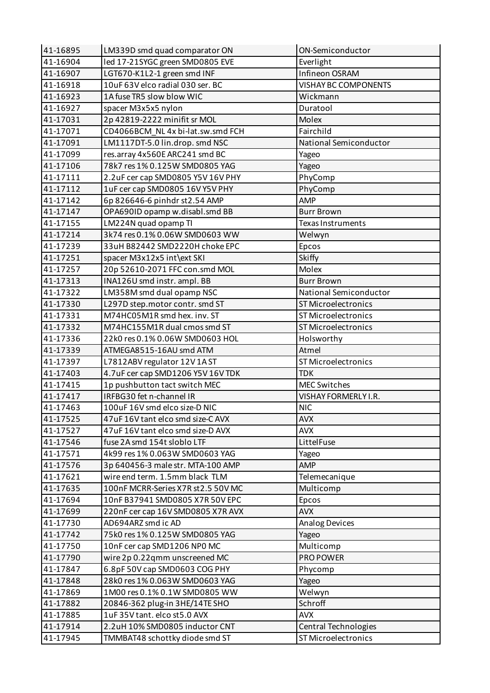| 41-16895 | LM339D smd quad comparator ON      | ON-Semiconductor            |
|----------|------------------------------------|-----------------------------|
| 41-16904 | led 17-21SYGC green SMD0805 EVE    | Everlight                   |
| 41-16907 | LGT670-K1L2-1 green smd INF        | Infineon OSRAM              |
| 41-16918 | 10uF 63V elco radial 030 ser. BC   | <b>VISHAY BC COMPONENTS</b> |
| 41-16923 | 1A fuse TR5 slow blow WIC          | Wickmann                    |
| 41-16927 | spacer M3x5x5 nylon                | Duratool                    |
| 41-17031 | 2p 42819-2222 minifit sr MOL       | Molex                       |
| 41-17071 | CD4066BCM NL 4x bi-lat.sw.smd FCH  | Fairchild                   |
| 41-17091 | LM1117DT-5.0 lin.drop. smd NSC     | National Semiconductor      |
| 41-17099 | res.array 4x560E ARC241 smd BC     | Yageo                       |
| 41-17106 | 78k7 res 1% 0.125W SMD0805 YAG     | Yageo                       |
| 41-17111 | 2.2uF cer cap SMD0805 Y5V 16V PHY  | PhyComp                     |
| 41-17112 | 1uF cer cap SMD0805 16V Y5V PHY    | PhyComp                     |
| 41-17142 | 6p 826646-6 pinhdr st2.54 AMP      | <b>AMP</b>                  |
| 41-17147 | OPA690ID opamp w.disabl.smd BB     | <b>Burr Brown</b>           |
| 41-17155 | LM224N quad opamp TI               | Texas Instruments           |
| 41-17214 | 3k74 res 0.1% 0.06W SMD0603 WW     | Welwyn                      |
| 41-17239 | 33uH B82442 SMD2220H choke EPC     | Epcos                       |
| 41-17251 | spacer M3x12x5 int\ext SKI         | <b>Skiffy</b>               |
| 41-17257 | 20p 52610-2071 FFC con.smd MOL     | Molex                       |
| 41-17313 | INA126U smd instr. ampl. BB        | <b>Burr Brown</b>           |
| 41-17322 | LM358M smd dual opamp NSC          | National Semiconductor      |
| 41-17330 | L297D step.motor contr. smd ST     | ST Microelectronics         |
| 41-17331 | M74HC05M1R smd hex. inv. ST        | <b>ST Microelectronics</b>  |
| 41-17332 | M74HC155M1R dual cmos smd ST       | <b>ST Microelectronics</b>  |
| 41-17336 | 22k0 res 0.1% 0.06W SMD0603 HOL    | Holsworthy                  |
| 41-17339 | ATMEGA8515-16AU smd ATM            | Atmel                       |
| 41-17397 | L7812ABV regulator 12V 1AST        | <b>ST Microelectronics</b>  |
| 41-17403 | 4.7uF cer cap SMD1206 Y5V 16V TDK  | <b>TDK</b>                  |
| 41-17415 | 1p pushbutton tact switch MEC      | <b>MEC Switches</b>         |
| 41-17417 | IRFBG30 fet n-channel IR           | VISHAY FORMERLY I.R.        |
| 41-17463 | 100uF 16V smd elco size-D NIC      | <b>NIC</b>                  |
| 41-17525 | 47uF 16V tant elco smd size-C AVX  | <b>AVX</b>                  |
| 41-17527 | 47uF 16V tant elco smd size-D AVX  | <b>AVX</b>                  |
| 41-17546 | fuse 2A smd 154t sloblo LTF        | LittelFuse                  |
| 41-17571 | 4k99 res 1% 0.063W SMD0603 YAG     | Yageo                       |
| 41-17576 | 3p 640456-3 male str. MTA-100 AMP  | <b>AMP</b>                  |
| 41-17621 | wire end term. 1.5mm black TLM     | Telemecanique               |
| 41-17635 | 100nF MCRR-Series X7R st2.5 50V MC | Multicomp                   |
| 41-17694 | 10nF B37941 SMD0805 X7R 50V EPC    | Epcos                       |
| 41-17699 | 220nF cer cap 16V SMD0805 X7R AVX  | <b>AVX</b>                  |
| 41-17730 | AD694ARZ smd ic AD                 | Analog Devices              |
| 41-17742 | 75k0 res 1% 0.125W SMD0805 YAG     |                             |
| 41-17750 | 10nF cer cap SMD1206 NP0 MC        | Yageo<br>Multicomp          |
| 41-17790 |                                    | PRO POWER                   |
|          | wire 2p 0.22qmm unscreened MC      |                             |
| 41-17847 | 6.8pF 50V cap SMD0603 COG PHY      | Phycomp                     |
| 41-17848 | 28k0 res 1% 0.063W SMD0603 YAG     | Yageo                       |
| 41-17869 | 1M00 res 0.1% 0.1W SMD0805 WW      | Welwyn                      |
| 41-17882 | 20846-362 plug-in 3HE/14TE SHO     | Schroff                     |
| 41-17885 | 1uF 35V tant. elco st5.0 AVX       | <b>AVX</b>                  |
| 41-17914 | 2.2uH 10% SMD0805 inductor CNT     | Central Technologies        |
| 41-17945 | TMMBAT48 schottky diode smd ST     | ST Microelectronics         |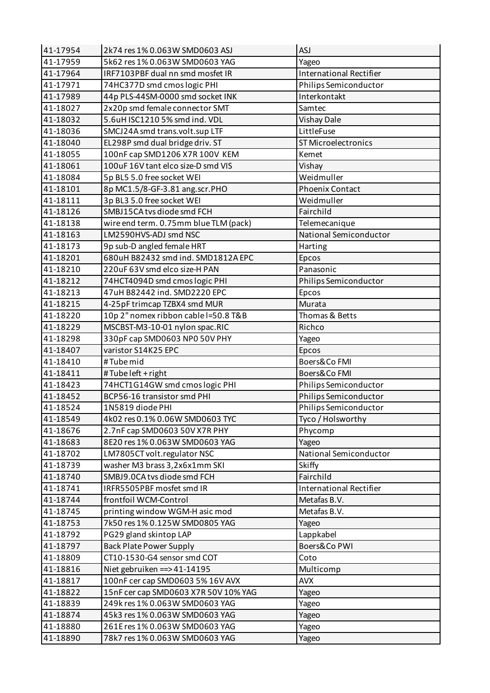| 41-17954 | 2k74 res 1% 0.063W SMD0603 ASJ        | <b>ASJ</b>                     |
|----------|---------------------------------------|--------------------------------|
| 41-17959 | 5k62 res 1% 0.063W SMD0603 YAG        | Yageo                          |
| 41-17964 | IRF7103PBF dual nn smd mosfet IR      | <b>International Rectifier</b> |
| 41-17971 | 74HC377D smd cmos logic PHI           | Philips Semiconductor          |
| 41-17989 | 44p PLS-44SM-0000 smd socket INK      | Interkontakt                   |
| 41-18027 | 2x20p smd female connector SMT        | Samtec                         |
| 41-18032 | 5.6uH ISC1210 5% smd ind. VDL         | Vishay Dale                    |
| 41-18036 | SMCJ24A smd trans.volt.sup LTF        | LittleFuse                     |
| 41-18040 | EL298P smd dual bridge driv. ST       | <b>ST Microelectronics</b>     |
| 41-18055 | 100nF cap SMD1206 X7R 100V KEM        | Kemet                          |
| 41-18061 | 100uF 16V tant elco size-D smd VIS    | Vishay                         |
| 41-18084 | 5p BL5 5.0 free socket WEI            | Weidmuller                     |
| 41-18101 | 8p MC1.5/8-GF-3.81 ang.scr.PHO        | <b>Phoenix Contact</b>         |
| 41-18111 | 3p BL3 5.0 free socket WEI            | Weidmuller                     |
| 41-18126 | SMBJ15CA tvs diode smd FCH            | Fairchild                      |
| 41-18138 | wire end term. 0.75mm blue TLM (pack) | Telemecanique                  |
| 41-18163 | LM2590HVS-ADJ smd NSC                 | National Semiconductor         |
| 41-18173 | 9p sub-D angled female HRT            | Harting                        |
| 41-18201 | 680uH B82432 smd ind. SMD1812A EPC    | Epcos                          |
| 41-18210 | 220uF 63V smd elco size-H PAN         | Panasonic                      |
| 41-18212 | 74HCT4094D smd cmos logic PHI         | Philips Semiconductor          |
| 41-18213 | 47uH B82442 ind. SMD2220 EPC          | Epcos                          |
| 41-18215 | 4-25pF trimcap TZBX4 smd MUR          | Murata                         |
| 41-18220 | 10p 2" nomex ribbon cable l=50.8 T&B  | Thomas & Betts                 |
| 41-18229 | MSCBST-M3-10-01 nylon spac.RIC        | Richco                         |
| 41-18298 | 330pF cap SMD0603 NP0 50V PHY         | Yageo                          |
| 41-18407 | varistor S14K25 EPC                   | Epcos                          |
| 41-18410 | #Tube mid                             | Boers&Co FMI                   |
| 41-18411 | #Tubeleft + right                     | Boers&Co FMI                   |
|          |                                       |                                |
| 41-18423 | 74HCT1G14GW smd cmos logic PHI        | Philips Semiconductor          |
| 41-18452 | BCP56-16 transistor smd PHI           | Philips Semiconductor          |
| 41-18524 | 1N5819 diode PHI                      | Philips Semiconductor          |
| 41-18549 | 4k02 res 0.1% 0.06W SMD0603 TYC       | Tyco / Holsworthy              |
| 41-18676 | 2.7nF cap SMD0603 50V X7R PHY         | Phycomp                        |
| 41-18683 | 8E20 res 1% 0.063W SMD0603 YAG        | Yageo                          |
| 41-18702 | LM7805CT volt.regulator NSC           | National Semiconductor         |
| 41-18739 | washer M3 brass 3,2x6x1mm SKI         | Skiffy                         |
| 41-18740 | SMBJ9.0CA tvs diode smd FCH           | Fairchild                      |
| 41-18741 | IRFR5505PBF mosfet smd IR             | <b>International Rectifier</b> |
| 41-18744 | frontfoil WCM-Control                 | Metafas B.V.                   |
| 41-18745 | printing window WGM-H asic mod        | Metafas B.V.                   |
| 41-18753 | 7k50 res 1% 0.125W SMD0805 YAG        | Yageo                          |
| 41-18792 | PG29 gland skintop LAP                | Lappkabel                      |
| 41-18797 | <b>Back Plate Power Supply</b>        | Boers&Co PWI                   |
| 41-18809 | CT10-1530-G4 sensor smd COT           | Coto                           |
| 41-18816 | Niet gebruiken = $>41-14195$          | Multicomp                      |
| 41-18817 | 100nF cer cap SMD0603 5% 16V AVX      | <b>AVX</b>                     |
| 41-18822 | 15nF cer cap SMD0603 X7R 50V 10% YAG  | Yageo                          |
| 41-18839 | 249k res 1% 0.063W SMD0603 YAG        | Yageo                          |
| 41-18874 | 45k3 res 1% 0.063W SMD0603 YAG        | Yageo                          |
| 41-18880 | 261E res 1% 0.063W SMD0603 YAG        | Yageo                          |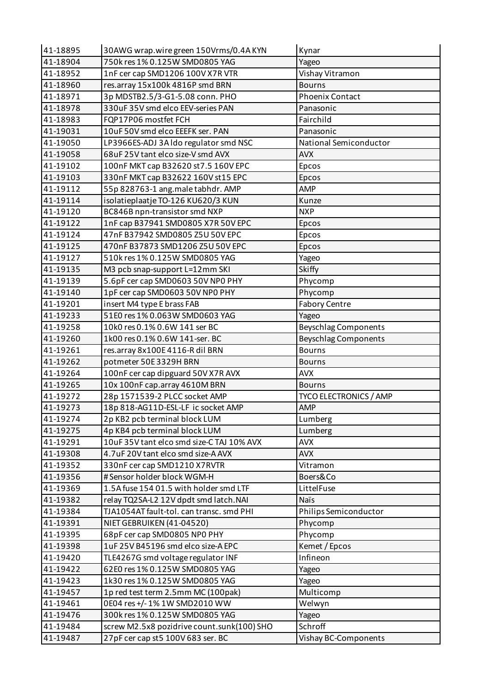| 41-18895 | 30AWG wrap.wire green 150Vrms/0.4A KYN     | Kynar                         |
|----------|--------------------------------------------|-------------------------------|
| 41-18904 | 750k res 1% 0.125W SMD0805 YAG             | Yageo                         |
| 41-18952 | 1nF cer cap SMD1206 100V X7R VTR           | Vishay Vitramon               |
| 41-18960 | res.array 15x100k 4816P smd BRN            | <b>Bourns</b>                 |
| 41-18971 | 3p MDSTB2.5/3-G1-5.08 conn. PHO            | <b>Phoenix Contact</b>        |
| 41-18978 | 330uF 35V smd elco EEV-series PAN          | Panasonic                     |
| 41-18983 | FQP17P06 mostfet FCH                       | Fairchild                     |
| 41-19031 | 10uF 50V smd elco EEEFK ser. PAN           | Panasonic                     |
| 41-19050 | LP3966ES-ADJ 3A Ido regulator smd NSC      | National Semiconductor        |
| 41-19058 | 68uF 25V tant elco size-V smd AVX          | <b>AVX</b>                    |
| 41-19102 | 100nF MKT cap B32620 st 7.5 160V EPC       | Epcos                         |
| 41-19103 | 330nF MKT cap B32622 160V st15 EPC         | Epcos                         |
| 41-19112 | 55p 828763-1 ang.maletabhdr. AMP           | AMP                           |
| 41-19114 | isolatieplaatje TO-126 KU620/3 KUN         | Kunze                         |
| 41-19120 | BC846B npn-transistor smd NXP              | <b>NXP</b>                    |
| 41-19122 | 1nF cap B37941 SMD0805 X7R 50V EPC         | <b>Epcos</b>                  |
| 41-19124 | 47nF B37942 SMD0805 Z5U 50V EPC            | Epcos                         |
| 41-19125 | 470nF B37873 SMD1206 Z5U 50V EPC           | Epcos                         |
| 41-19127 | 510k res 1% 0.125W SMD0805 YAG             | Yageo                         |
| 41-19135 | M3 pcb snap-support L=12mm SKI             | Skiffy                        |
| 41-19139 | 5.6pF cer cap SMD0603 50V NP0 PHY          | Phycomp                       |
| 41-19140 | 1pF cer cap SMD0603 50V NP0 PHY            | Phycomp                       |
| 41-19201 | insert M4 type E brass FAB                 | <b>Fabory Centre</b>          |
| 41-19233 | 51E0 res 1% 0.063W SMD0603 YAG             | Yageo                         |
| 41-19258 | 10k0 res 0.1% 0.6W 141 ser BC              | <b>Beyschlag Components</b>   |
| 41-19260 | 1k00 res 0.1% 0.6W 141-ser. BC             | <b>Beyschlag Components</b>   |
| 41-19261 | res.array 8x100E 4116-R dil BRN            | <b>Bourns</b>                 |
| 41-19262 | potmeter 50E 3329H BRN                     | <b>Bourns</b>                 |
| 41-19264 | 100nF cer cap dipguard 50V X7R AVX         | <b>AVX</b>                    |
| 41-19265 | 10x 100nF cap.array 4610M BRN              | <b>Bourns</b>                 |
| 41-19272 | 28p 1571539-2 PLCC socket AMP              | <b>TYCO ELECTRONICS / AMP</b> |
| 41-19273 | 18p 818-AG11D-ESL-LF ic socket AMP         | AMP                           |
| 41-19274 | 2p KB2 pcb terminal block LUM              | Lumberg                       |
| 41-19275 | 4p KB4 pcb terminal block LUM              | Lumberg                       |
| 41-19291 | 10uF 35V tant elco smd size-C TAJ 10% AVX  | <b>AVX</b>                    |
| 41-19308 | 4.7uF 20V tant elco smd size-A AVX         | <b>AVX</b>                    |
| 41-19352 | 330nF cer cap SMD1210 X7RVTR               | Vitramon                      |
| 41-19356 | #Sensor holder block WGM-H                 | Boers&Co                      |
| 41-19369 | 1.5A fuse 154 01.5 with holder smd LTF     | LittelFuse                    |
| 41-19382 | relay TQ2SA-L2 12V dpdt smd latch.NAI      | Naïs                          |
| 41-19384 | TJA1054AT fault-tol. can transc. smd PHI   | Philips Semiconductor         |
| 41-19391 | NIET GEBRUIKEN (41-04520)                  | Phycomp                       |
| 41-19395 | 68pF cer cap SMD0805 NP0 PHY               | Phycomp                       |
| 41-19398 | 1uF 25V B45196 smd elco size-A EPC         | Kemet / Epcos                 |
| 41-19420 | TLE4267G smd voltage regulator INF         | Infineon                      |
| 41-19422 | 62E0 res 1% 0.125W SMD0805 YAG             | Yageo                         |
| 41-19423 | 1k30 res 1% 0.125W SMD0805 YAG             | Yageo                         |
| 41-19457 | 1p red test term 2.5mm MC (100pak)         | Multicomp                     |
| 41-19461 | 0E04 res +/-1% 1W SMD2010 WW               | Welwyn                        |
| 41-19476 | 300k res 1% 0.125W SMD0805 YAG             | Yageo                         |
| 41-19484 | screw M2.5x8 pozidrive count.sunk(100) SHO | Schroff                       |
| 41-19487 | 27pF cer cap st5 100V 683 ser. BC          | Vishay BC-Components          |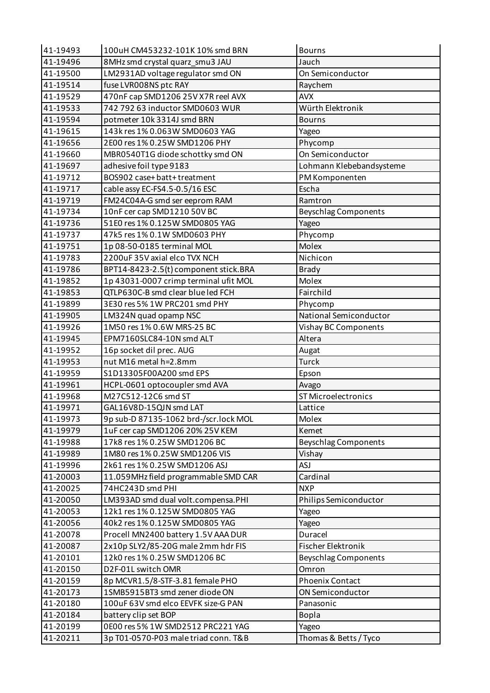| 41-19496<br>8MHz smd crystal quarz_smu3 JAU<br>Jauch<br>LM2931AD voltage regulator smd ON<br>On Semiconductor<br>41-19500<br>fuse LVR008NS ptc RAY<br>41-19514<br>Raychem<br><b>AVX</b><br>41-19529<br>470nF cap SMD1206 25V X7R reel AVX<br>742 792 63 inductor SMD0603 WUR<br>Würth Elektronik<br>41-19533<br>41-19594<br>potmeter 10k 3314J smd BRN<br><b>Bourns</b><br>41-19615<br>143k res 1% 0.063W SMD0603 YAG<br>Yageo<br>41-19656<br>2E00 res 1% 0.25W SMD1206 PHY<br>Phycomp<br>On Semiconductor<br>41-19660<br>MBR0540T1G diode schottky smd ON<br>41-19697<br>adhesive foil type 9183<br>Lohmann Klebebandsysteme<br>BOS902 case+ batt+ treatment<br>41-19712<br>PM Komponenten<br>41-19717<br>cable assy EC-FS4.5-0.5/16 ESC<br>Escha<br>FM24C04A-G smd ser eeprom RAM<br>41-19719<br>Ramtron<br>10nF cer cap SMD1210 50V BC<br>41-19734<br><b>Beyschlag Components</b><br>51E0 res 1% 0.125W SMD0805 YAG<br>41-19736<br>Yageo<br>41-19737<br>47k5 res 1% 0.1W SMD0603 PHY<br>Phycomp<br><b>Molex</b><br>41-19751<br>1p 08-50-0185 terminal MOL<br>2200uF35V axial elco TVX NCH<br>Nichicon<br>41-19783<br>41-19786<br>BPT14-8423-2.5(t) component stick.BRA<br><b>Brady</b><br>1p 43031-0007 crimp terminal ufit MOL<br>Molex<br>41-19852<br>QTLP630C-B smd clear blue led FCH<br>41-19853<br>Fairchild<br>3E30 res 5% 1W PRC201 smd PHY<br>41-19899<br>Phycomp<br>National Semiconductor<br>LM324N quad opamp NSC<br>41-19905<br>41-19926<br>1M50 res 1% 0.6W MRS-25 BC<br>Vishay BC Components<br>41-19945<br>EPM7160SLC84-10N smd ALT<br>Altera<br>41-19952<br>16p socket dil prec. AUG<br>Augat<br>nut M16 metal h=2.8mm<br>41-19953<br><b>Turck</b><br>Epson<br>41-19959<br>S1D13305F00A200 smd EPS<br>41-19961<br>HCPL-0601 optocoupler smd AVA<br>Avago<br>M27C512-12C6 smd ST<br><b>ST Microelectronics</b><br>41-19968<br>41-19971<br>GAL16V8D-15QJN smd LAT<br>Lattice<br>9p sub-D 87135-1062 brd-/scr.lock MOL<br>Molex<br>41-19973<br>41-19979<br>1uF cer cap SMD1206 20% 25V KEM<br>Kemet<br>41-19988<br>17k8 res 1% 0.25W SMD1206 BC<br><b>Beyschlag Components</b><br>1M80 res 1% 0.25W SMD1206 VIS<br>Vishay<br>41-19989<br><b>ASJ</b><br>41-19996<br>2k61 res 1% 0.25W SMD1206 ASJ<br>41-20003<br>Cardinal<br>11.059MHz field programmable SMD CAR<br>74HC243D smd PHI<br><b>NXP</b><br>41-20025<br>41-20050<br>LM393AD smd dual volt.compensa.PHI<br>Philips Semiconductor<br>41-20053<br>12k1 res 1% 0.125W SMD0805 YAG<br>Yageo<br>41-20056<br>40k2 res 1% 0.125W SMD0805 YAG<br>Yageo<br>41-20078<br>Procell MN2400 battery 1.5V AAA DUR<br>Duracel<br>41-20087<br>2x10p SLY2/85-20G male 2mm hdr FIS<br>Fischer Elektronik<br>41-20101<br>12k0 res 1% 0.25W SMD1206 BC<br><b>Beyschlag Components</b><br>Omron<br>41-20150<br>D2F-01L switch OMR<br>41-20159<br>8p MCVR1.5/8-STF-3.81 female PHO<br><b>Phoenix Contact</b><br>41-20173<br>1SMB5915BT3 smd zener diode ON<br>ON Semiconductor<br>41-20180<br>100uF 63V smd elco EEVFK size-G PAN<br>Panasonic<br>41-20184<br>battery clip set BOP<br><b>Bopla</b><br>0E00 res 5% 1W SMD2512 PRC221 YAG<br>41-20199<br>Yageo<br>41-20211<br>Thomas & Betts / Tyco<br>3p T01-0570-P03 male triad conn. T&B | 41-19493 | 100uH CM453232-101K 10% smd BRN | <b>Bourns</b> |
|---------------------------------------------------------------------------------------------------------------------------------------------------------------------------------------------------------------------------------------------------------------------------------------------------------------------------------------------------------------------------------------------------------------------------------------------------------------------------------------------------------------------------------------------------------------------------------------------------------------------------------------------------------------------------------------------------------------------------------------------------------------------------------------------------------------------------------------------------------------------------------------------------------------------------------------------------------------------------------------------------------------------------------------------------------------------------------------------------------------------------------------------------------------------------------------------------------------------------------------------------------------------------------------------------------------------------------------------------------------------------------------------------------------------------------------------------------------------------------------------------------------------------------------------------------------------------------------------------------------------------------------------------------------------------------------------------------------------------------------------------------------------------------------------------------------------------------------------------------------------------------------------------------------------------------------------------------------------------------------------------------------------------------------------------------------------------------------------------------------------------------------------------------------------------------------------------------------------------------------------------------------------------------------------------------------------------------------------------------------------------------------------------------------------------------------------------------------------------------------------------------------------------------------------------------------------------------------------------------------------------------------------------------------------------------------------------------------------------------------------------------------------------------------------------------------------------------------------------------------------------------------------------------------------------------------------------------------------------------------------------------------------------------------------------------------------------------------------------------------------------------------------------------------------------------------------|----------|---------------------------------|---------------|
|                                                                                                                                                                                                                                                                                                                                                                                                                                                                                                                                                                                                                                                                                                                                                                                                                                                                                                                                                                                                                                                                                                                                                                                                                                                                                                                                                                                                                                                                                                                                                                                                                                                                                                                                                                                                                                                                                                                                                                                                                                                                                                                                                                                                                                                                                                                                                                                                                                                                                                                                                                                                                                                                                                                                                                                                                                                                                                                                                                                                                                                                                                                                                                                             |          |                                 |               |
|                                                                                                                                                                                                                                                                                                                                                                                                                                                                                                                                                                                                                                                                                                                                                                                                                                                                                                                                                                                                                                                                                                                                                                                                                                                                                                                                                                                                                                                                                                                                                                                                                                                                                                                                                                                                                                                                                                                                                                                                                                                                                                                                                                                                                                                                                                                                                                                                                                                                                                                                                                                                                                                                                                                                                                                                                                                                                                                                                                                                                                                                                                                                                                                             |          |                                 |               |
|                                                                                                                                                                                                                                                                                                                                                                                                                                                                                                                                                                                                                                                                                                                                                                                                                                                                                                                                                                                                                                                                                                                                                                                                                                                                                                                                                                                                                                                                                                                                                                                                                                                                                                                                                                                                                                                                                                                                                                                                                                                                                                                                                                                                                                                                                                                                                                                                                                                                                                                                                                                                                                                                                                                                                                                                                                                                                                                                                                                                                                                                                                                                                                                             |          |                                 |               |
|                                                                                                                                                                                                                                                                                                                                                                                                                                                                                                                                                                                                                                                                                                                                                                                                                                                                                                                                                                                                                                                                                                                                                                                                                                                                                                                                                                                                                                                                                                                                                                                                                                                                                                                                                                                                                                                                                                                                                                                                                                                                                                                                                                                                                                                                                                                                                                                                                                                                                                                                                                                                                                                                                                                                                                                                                                                                                                                                                                                                                                                                                                                                                                                             |          |                                 |               |
|                                                                                                                                                                                                                                                                                                                                                                                                                                                                                                                                                                                                                                                                                                                                                                                                                                                                                                                                                                                                                                                                                                                                                                                                                                                                                                                                                                                                                                                                                                                                                                                                                                                                                                                                                                                                                                                                                                                                                                                                                                                                                                                                                                                                                                                                                                                                                                                                                                                                                                                                                                                                                                                                                                                                                                                                                                                                                                                                                                                                                                                                                                                                                                                             |          |                                 |               |
|                                                                                                                                                                                                                                                                                                                                                                                                                                                                                                                                                                                                                                                                                                                                                                                                                                                                                                                                                                                                                                                                                                                                                                                                                                                                                                                                                                                                                                                                                                                                                                                                                                                                                                                                                                                                                                                                                                                                                                                                                                                                                                                                                                                                                                                                                                                                                                                                                                                                                                                                                                                                                                                                                                                                                                                                                                                                                                                                                                                                                                                                                                                                                                                             |          |                                 |               |
|                                                                                                                                                                                                                                                                                                                                                                                                                                                                                                                                                                                                                                                                                                                                                                                                                                                                                                                                                                                                                                                                                                                                                                                                                                                                                                                                                                                                                                                                                                                                                                                                                                                                                                                                                                                                                                                                                                                                                                                                                                                                                                                                                                                                                                                                                                                                                                                                                                                                                                                                                                                                                                                                                                                                                                                                                                                                                                                                                                                                                                                                                                                                                                                             |          |                                 |               |
|                                                                                                                                                                                                                                                                                                                                                                                                                                                                                                                                                                                                                                                                                                                                                                                                                                                                                                                                                                                                                                                                                                                                                                                                                                                                                                                                                                                                                                                                                                                                                                                                                                                                                                                                                                                                                                                                                                                                                                                                                                                                                                                                                                                                                                                                                                                                                                                                                                                                                                                                                                                                                                                                                                                                                                                                                                                                                                                                                                                                                                                                                                                                                                                             |          |                                 |               |
|                                                                                                                                                                                                                                                                                                                                                                                                                                                                                                                                                                                                                                                                                                                                                                                                                                                                                                                                                                                                                                                                                                                                                                                                                                                                                                                                                                                                                                                                                                                                                                                                                                                                                                                                                                                                                                                                                                                                                                                                                                                                                                                                                                                                                                                                                                                                                                                                                                                                                                                                                                                                                                                                                                                                                                                                                                                                                                                                                                                                                                                                                                                                                                                             |          |                                 |               |
|                                                                                                                                                                                                                                                                                                                                                                                                                                                                                                                                                                                                                                                                                                                                                                                                                                                                                                                                                                                                                                                                                                                                                                                                                                                                                                                                                                                                                                                                                                                                                                                                                                                                                                                                                                                                                                                                                                                                                                                                                                                                                                                                                                                                                                                                                                                                                                                                                                                                                                                                                                                                                                                                                                                                                                                                                                                                                                                                                                                                                                                                                                                                                                                             |          |                                 |               |
|                                                                                                                                                                                                                                                                                                                                                                                                                                                                                                                                                                                                                                                                                                                                                                                                                                                                                                                                                                                                                                                                                                                                                                                                                                                                                                                                                                                                                                                                                                                                                                                                                                                                                                                                                                                                                                                                                                                                                                                                                                                                                                                                                                                                                                                                                                                                                                                                                                                                                                                                                                                                                                                                                                                                                                                                                                                                                                                                                                                                                                                                                                                                                                                             |          |                                 |               |
|                                                                                                                                                                                                                                                                                                                                                                                                                                                                                                                                                                                                                                                                                                                                                                                                                                                                                                                                                                                                                                                                                                                                                                                                                                                                                                                                                                                                                                                                                                                                                                                                                                                                                                                                                                                                                                                                                                                                                                                                                                                                                                                                                                                                                                                                                                                                                                                                                                                                                                                                                                                                                                                                                                                                                                                                                                                                                                                                                                                                                                                                                                                                                                                             |          |                                 |               |
|                                                                                                                                                                                                                                                                                                                                                                                                                                                                                                                                                                                                                                                                                                                                                                                                                                                                                                                                                                                                                                                                                                                                                                                                                                                                                                                                                                                                                                                                                                                                                                                                                                                                                                                                                                                                                                                                                                                                                                                                                                                                                                                                                                                                                                                                                                                                                                                                                                                                                                                                                                                                                                                                                                                                                                                                                                                                                                                                                                                                                                                                                                                                                                                             |          |                                 |               |
|                                                                                                                                                                                                                                                                                                                                                                                                                                                                                                                                                                                                                                                                                                                                                                                                                                                                                                                                                                                                                                                                                                                                                                                                                                                                                                                                                                                                                                                                                                                                                                                                                                                                                                                                                                                                                                                                                                                                                                                                                                                                                                                                                                                                                                                                                                                                                                                                                                                                                                                                                                                                                                                                                                                                                                                                                                                                                                                                                                                                                                                                                                                                                                                             |          |                                 |               |
|                                                                                                                                                                                                                                                                                                                                                                                                                                                                                                                                                                                                                                                                                                                                                                                                                                                                                                                                                                                                                                                                                                                                                                                                                                                                                                                                                                                                                                                                                                                                                                                                                                                                                                                                                                                                                                                                                                                                                                                                                                                                                                                                                                                                                                                                                                                                                                                                                                                                                                                                                                                                                                                                                                                                                                                                                                                                                                                                                                                                                                                                                                                                                                                             |          |                                 |               |
|                                                                                                                                                                                                                                                                                                                                                                                                                                                                                                                                                                                                                                                                                                                                                                                                                                                                                                                                                                                                                                                                                                                                                                                                                                                                                                                                                                                                                                                                                                                                                                                                                                                                                                                                                                                                                                                                                                                                                                                                                                                                                                                                                                                                                                                                                                                                                                                                                                                                                                                                                                                                                                                                                                                                                                                                                                                                                                                                                                                                                                                                                                                                                                                             |          |                                 |               |
|                                                                                                                                                                                                                                                                                                                                                                                                                                                                                                                                                                                                                                                                                                                                                                                                                                                                                                                                                                                                                                                                                                                                                                                                                                                                                                                                                                                                                                                                                                                                                                                                                                                                                                                                                                                                                                                                                                                                                                                                                                                                                                                                                                                                                                                                                                                                                                                                                                                                                                                                                                                                                                                                                                                                                                                                                                                                                                                                                                                                                                                                                                                                                                                             |          |                                 |               |
|                                                                                                                                                                                                                                                                                                                                                                                                                                                                                                                                                                                                                                                                                                                                                                                                                                                                                                                                                                                                                                                                                                                                                                                                                                                                                                                                                                                                                                                                                                                                                                                                                                                                                                                                                                                                                                                                                                                                                                                                                                                                                                                                                                                                                                                                                                                                                                                                                                                                                                                                                                                                                                                                                                                                                                                                                                                                                                                                                                                                                                                                                                                                                                                             |          |                                 |               |
|                                                                                                                                                                                                                                                                                                                                                                                                                                                                                                                                                                                                                                                                                                                                                                                                                                                                                                                                                                                                                                                                                                                                                                                                                                                                                                                                                                                                                                                                                                                                                                                                                                                                                                                                                                                                                                                                                                                                                                                                                                                                                                                                                                                                                                                                                                                                                                                                                                                                                                                                                                                                                                                                                                                                                                                                                                                                                                                                                                                                                                                                                                                                                                                             |          |                                 |               |
|                                                                                                                                                                                                                                                                                                                                                                                                                                                                                                                                                                                                                                                                                                                                                                                                                                                                                                                                                                                                                                                                                                                                                                                                                                                                                                                                                                                                                                                                                                                                                                                                                                                                                                                                                                                                                                                                                                                                                                                                                                                                                                                                                                                                                                                                                                                                                                                                                                                                                                                                                                                                                                                                                                                                                                                                                                                                                                                                                                                                                                                                                                                                                                                             |          |                                 |               |
|                                                                                                                                                                                                                                                                                                                                                                                                                                                                                                                                                                                                                                                                                                                                                                                                                                                                                                                                                                                                                                                                                                                                                                                                                                                                                                                                                                                                                                                                                                                                                                                                                                                                                                                                                                                                                                                                                                                                                                                                                                                                                                                                                                                                                                                                                                                                                                                                                                                                                                                                                                                                                                                                                                                                                                                                                                                                                                                                                                                                                                                                                                                                                                                             |          |                                 |               |
|                                                                                                                                                                                                                                                                                                                                                                                                                                                                                                                                                                                                                                                                                                                                                                                                                                                                                                                                                                                                                                                                                                                                                                                                                                                                                                                                                                                                                                                                                                                                                                                                                                                                                                                                                                                                                                                                                                                                                                                                                                                                                                                                                                                                                                                                                                                                                                                                                                                                                                                                                                                                                                                                                                                                                                                                                                                                                                                                                                                                                                                                                                                                                                                             |          |                                 |               |
|                                                                                                                                                                                                                                                                                                                                                                                                                                                                                                                                                                                                                                                                                                                                                                                                                                                                                                                                                                                                                                                                                                                                                                                                                                                                                                                                                                                                                                                                                                                                                                                                                                                                                                                                                                                                                                                                                                                                                                                                                                                                                                                                                                                                                                                                                                                                                                                                                                                                                                                                                                                                                                                                                                                                                                                                                                                                                                                                                                                                                                                                                                                                                                                             |          |                                 |               |
|                                                                                                                                                                                                                                                                                                                                                                                                                                                                                                                                                                                                                                                                                                                                                                                                                                                                                                                                                                                                                                                                                                                                                                                                                                                                                                                                                                                                                                                                                                                                                                                                                                                                                                                                                                                                                                                                                                                                                                                                                                                                                                                                                                                                                                                                                                                                                                                                                                                                                                                                                                                                                                                                                                                                                                                                                                                                                                                                                                                                                                                                                                                                                                                             |          |                                 |               |
|                                                                                                                                                                                                                                                                                                                                                                                                                                                                                                                                                                                                                                                                                                                                                                                                                                                                                                                                                                                                                                                                                                                                                                                                                                                                                                                                                                                                                                                                                                                                                                                                                                                                                                                                                                                                                                                                                                                                                                                                                                                                                                                                                                                                                                                                                                                                                                                                                                                                                                                                                                                                                                                                                                                                                                                                                                                                                                                                                                                                                                                                                                                                                                                             |          |                                 |               |
|                                                                                                                                                                                                                                                                                                                                                                                                                                                                                                                                                                                                                                                                                                                                                                                                                                                                                                                                                                                                                                                                                                                                                                                                                                                                                                                                                                                                                                                                                                                                                                                                                                                                                                                                                                                                                                                                                                                                                                                                                                                                                                                                                                                                                                                                                                                                                                                                                                                                                                                                                                                                                                                                                                                                                                                                                                                                                                                                                                                                                                                                                                                                                                                             |          |                                 |               |
|                                                                                                                                                                                                                                                                                                                                                                                                                                                                                                                                                                                                                                                                                                                                                                                                                                                                                                                                                                                                                                                                                                                                                                                                                                                                                                                                                                                                                                                                                                                                                                                                                                                                                                                                                                                                                                                                                                                                                                                                                                                                                                                                                                                                                                                                                                                                                                                                                                                                                                                                                                                                                                                                                                                                                                                                                                                                                                                                                                                                                                                                                                                                                                                             |          |                                 |               |
|                                                                                                                                                                                                                                                                                                                                                                                                                                                                                                                                                                                                                                                                                                                                                                                                                                                                                                                                                                                                                                                                                                                                                                                                                                                                                                                                                                                                                                                                                                                                                                                                                                                                                                                                                                                                                                                                                                                                                                                                                                                                                                                                                                                                                                                                                                                                                                                                                                                                                                                                                                                                                                                                                                                                                                                                                                                                                                                                                                                                                                                                                                                                                                                             |          |                                 |               |
|                                                                                                                                                                                                                                                                                                                                                                                                                                                                                                                                                                                                                                                                                                                                                                                                                                                                                                                                                                                                                                                                                                                                                                                                                                                                                                                                                                                                                                                                                                                                                                                                                                                                                                                                                                                                                                                                                                                                                                                                                                                                                                                                                                                                                                                                                                                                                                                                                                                                                                                                                                                                                                                                                                                                                                                                                                                                                                                                                                                                                                                                                                                                                                                             |          |                                 |               |
|                                                                                                                                                                                                                                                                                                                                                                                                                                                                                                                                                                                                                                                                                                                                                                                                                                                                                                                                                                                                                                                                                                                                                                                                                                                                                                                                                                                                                                                                                                                                                                                                                                                                                                                                                                                                                                                                                                                                                                                                                                                                                                                                                                                                                                                                                                                                                                                                                                                                                                                                                                                                                                                                                                                                                                                                                                                                                                                                                                                                                                                                                                                                                                                             |          |                                 |               |
|                                                                                                                                                                                                                                                                                                                                                                                                                                                                                                                                                                                                                                                                                                                                                                                                                                                                                                                                                                                                                                                                                                                                                                                                                                                                                                                                                                                                                                                                                                                                                                                                                                                                                                                                                                                                                                                                                                                                                                                                                                                                                                                                                                                                                                                                                                                                                                                                                                                                                                                                                                                                                                                                                                                                                                                                                                                                                                                                                                                                                                                                                                                                                                                             |          |                                 |               |
|                                                                                                                                                                                                                                                                                                                                                                                                                                                                                                                                                                                                                                                                                                                                                                                                                                                                                                                                                                                                                                                                                                                                                                                                                                                                                                                                                                                                                                                                                                                                                                                                                                                                                                                                                                                                                                                                                                                                                                                                                                                                                                                                                                                                                                                                                                                                                                                                                                                                                                                                                                                                                                                                                                                                                                                                                                                                                                                                                                                                                                                                                                                                                                                             |          |                                 |               |
|                                                                                                                                                                                                                                                                                                                                                                                                                                                                                                                                                                                                                                                                                                                                                                                                                                                                                                                                                                                                                                                                                                                                                                                                                                                                                                                                                                                                                                                                                                                                                                                                                                                                                                                                                                                                                                                                                                                                                                                                                                                                                                                                                                                                                                                                                                                                                                                                                                                                                                                                                                                                                                                                                                                                                                                                                                                                                                                                                                                                                                                                                                                                                                                             |          |                                 |               |
|                                                                                                                                                                                                                                                                                                                                                                                                                                                                                                                                                                                                                                                                                                                                                                                                                                                                                                                                                                                                                                                                                                                                                                                                                                                                                                                                                                                                                                                                                                                                                                                                                                                                                                                                                                                                                                                                                                                                                                                                                                                                                                                                                                                                                                                                                                                                                                                                                                                                                                                                                                                                                                                                                                                                                                                                                                                                                                                                                                                                                                                                                                                                                                                             |          |                                 |               |
|                                                                                                                                                                                                                                                                                                                                                                                                                                                                                                                                                                                                                                                                                                                                                                                                                                                                                                                                                                                                                                                                                                                                                                                                                                                                                                                                                                                                                                                                                                                                                                                                                                                                                                                                                                                                                                                                                                                                                                                                                                                                                                                                                                                                                                                                                                                                                                                                                                                                                                                                                                                                                                                                                                                                                                                                                                                                                                                                                                                                                                                                                                                                                                                             |          |                                 |               |
|                                                                                                                                                                                                                                                                                                                                                                                                                                                                                                                                                                                                                                                                                                                                                                                                                                                                                                                                                                                                                                                                                                                                                                                                                                                                                                                                                                                                                                                                                                                                                                                                                                                                                                                                                                                                                                                                                                                                                                                                                                                                                                                                                                                                                                                                                                                                                                                                                                                                                                                                                                                                                                                                                                                                                                                                                                                                                                                                                                                                                                                                                                                                                                                             |          |                                 |               |
|                                                                                                                                                                                                                                                                                                                                                                                                                                                                                                                                                                                                                                                                                                                                                                                                                                                                                                                                                                                                                                                                                                                                                                                                                                                                                                                                                                                                                                                                                                                                                                                                                                                                                                                                                                                                                                                                                                                                                                                                                                                                                                                                                                                                                                                                                                                                                                                                                                                                                                                                                                                                                                                                                                                                                                                                                                                                                                                                                                                                                                                                                                                                                                                             |          |                                 |               |
|                                                                                                                                                                                                                                                                                                                                                                                                                                                                                                                                                                                                                                                                                                                                                                                                                                                                                                                                                                                                                                                                                                                                                                                                                                                                                                                                                                                                                                                                                                                                                                                                                                                                                                                                                                                                                                                                                                                                                                                                                                                                                                                                                                                                                                                                                                                                                                                                                                                                                                                                                                                                                                                                                                                                                                                                                                                                                                                                                                                                                                                                                                                                                                                             |          |                                 |               |
|                                                                                                                                                                                                                                                                                                                                                                                                                                                                                                                                                                                                                                                                                                                                                                                                                                                                                                                                                                                                                                                                                                                                                                                                                                                                                                                                                                                                                                                                                                                                                                                                                                                                                                                                                                                                                                                                                                                                                                                                                                                                                                                                                                                                                                                                                                                                                                                                                                                                                                                                                                                                                                                                                                                                                                                                                                                                                                                                                                                                                                                                                                                                                                                             |          |                                 |               |
|                                                                                                                                                                                                                                                                                                                                                                                                                                                                                                                                                                                                                                                                                                                                                                                                                                                                                                                                                                                                                                                                                                                                                                                                                                                                                                                                                                                                                                                                                                                                                                                                                                                                                                                                                                                                                                                                                                                                                                                                                                                                                                                                                                                                                                                                                                                                                                                                                                                                                                                                                                                                                                                                                                                                                                                                                                                                                                                                                                                                                                                                                                                                                                                             |          |                                 |               |
|                                                                                                                                                                                                                                                                                                                                                                                                                                                                                                                                                                                                                                                                                                                                                                                                                                                                                                                                                                                                                                                                                                                                                                                                                                                                                                                                                                                                                                                                                                                                                                                                                                                                                                                                                                                                                                                                                                                                                                                                                                                                                                                                                                                                                                                                                                                                                                                                                                                                                                                                                                                                                                                                                                                                                                                                                                                                                                                                                                                                                                                                                                                                                                                             |          |                                 |               |
|                                                                                                                                                                                                                                                                                                                                                                                                                                                                                                                                                                                                                                                                                                                                                                                                                                                                                                                                                                                                                                                                                                                                                                                                                                                                                                                                                                                                                                                                                                                                                                                                                                                                                                                                                                                                                                                                                                                                                                                                                                                                                                                                                                                                                                                                                                                                                                                                                                                                                                                                                                                                                                                                                                                                                                                                                                                                                                                                                                                                                                                                                                                                                                                             |          |                                 |               |
|                                                                                                                                                                                                                                                                                                                                                                                                                                                                                                                                                                                                                                                                                                                                                                                                                                                                                                                                                                                                                                                                                                                                                                                                                                                                                                                                                                                                                                                                                                                                                                                                                                                                                                                                                                                                                                                                                                                                                                                                                                                                                                                                                                                                                                                                                                                                                                                                                                                                                                                                                                                                                                                                                                                                                                                                                                                                                                                                                                                                                                                                                                                                                                                             |          |                                 |               |
|                                                                                                                                                                                                                                                                                                                                                                                                                                                                                                                                                                                                                                                                                                                                                                                                                                                                                                                                                                                                                                                                                                                                                                                                                                                                                                                                                                                                                                                                                                                                                                                                                                                                                                                                                                                                                                                                                                                                                                                                                                                                                                                                                                                                                                                                                                                                                                                                                                                                                                                                                                                                                                                                                                                                                                                                                                                                                                                                                                                                                                                                                                                                                                                             |          |                                 |               |
|                                                                                                                                                                                                                                                                                                                                                                                                                                                                                                                                                                                                                                                                                                                                                                                                                                                                                                                                                                                                                                                                                                                                                                                                                                                                                                                                                                                                                                                                                                                                                                                                                                                                                                                                                                                                                                                                                                                                                                                                                                                                                                                                                                                                                                                                                                                                                                                                                                                                                                                                                                                                                                                                                                                                                                                                                                                                                                                                                                                                                                                                                                                                                                                             |          |                                 |               |
|                                                                                                                                                                                                                                                                                                                                                                                                                                                                                                                                                                                                                                                                                                                                                                                                                                                                                                                                                                                                                                                                                                                                                                                                                                                                                                                                                                                                                                                                                                                                                                                                                                                                                                                                                                                                                                                                                                                                                                                                                                                                                                                                                                                                                                                                                                                                                                                                                                                                                                                                                                                                                                                                                                                                                                                                                                                                                                                                                                                                                                                                                                                                                                                             |          |                                 |               |
|                                                                                                                                                                                                                                                                                                                                                                                                                                                                                                                                                                                                                                                                                                                                                                                                                                                                                                                                                                                                                                                                                                                                                                                                                                                                                                                                                                                                                                                                                                                                                                                                                                                                                                                                                                                                                                                                                                                                                                                                                                                                                                                                                                                                                                                                                                                                                                                                                                                                                                                                                                                                                                                                                                                                                                                                                                                                                                                                                                                                                                                                                                                                                                                             |          |                                 |               |
|                                                                                                                                                                                                                                                                                                                                                                                                                                                                                                                                                                                                                                                                                                                                                                                                                                                                                                                                                                                                                                                                                                                                                                                                                                                                                                                                                                                                                                                                                                                                                                                                                                                                                                                                                                                                                                                                                                                                                                                                                                                                                                                                                                                                                                                                                                                                                                                                                                                                                                                                                                                                                                                                                                                                                                                                                                                                                                                                                                                                                                                                                                                                                                                             |          |                                 |               |
|                                                                                                                                                                                                                                                                                                                                                                                                                                                                                                                                                                                                                                                                                                                                                                                                                                                                                                                                                                                                                                                                                                                                                                                                                                                                                                                                                                                                                                                                                                                                                                                                                                                                                                                                                                                                                                                                                                                                                                                                                                                                                                                                                                                                                                                                                                                                                                                                                                                                                                                                                                                                                                                                                                                                                                                                                                                                                                                                                                                                                                                                                                                                                                                             |          |                                 |               |
|                                                                                                                                                                                                                                                                                                                                                                                                                                                                                                                                                                                                                                                                                                                                                                                                                                                                                                                                                                                                                                                                                                                                                                                                                                                                                                                                                                                                                                                                                                                                                                                                                                                                                                                                                                                                                                                                                                                                                                                                                                                                                                                                                                                                                                                                                                                                                                                                                                                                                                                                                                                                                                                                                                                                                                                                                                                                                                                                                                                                                                                                                                                                                                                             |          |                                 |               |
|                                                                                                                                                                                                                                                                                                                                                                                                                                                                                                                                                                                                                                                                                                                                                                                                                                                                                                                                                                                                                                                                                                                                                                                                                                                                                                                                                                                                                                                                                                                                                                                                                                                                                                                                                                                                                                                                                                                                                                                                                                                                                                                                                                                                                                                                                                                                                                                                                                                                                                                                                                                                                                                                                                                                                                                                                                                                                                                                                                                                                                                                                                                                                                                             |          |                                 |               |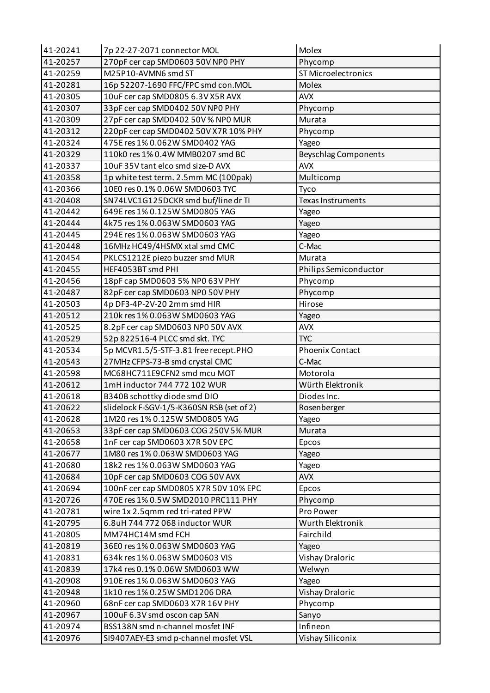| 41-20241 | 7p 22-27-2071 connector MOL               | Molex                       |
|----------|-------------------------------------------|-----------------------------|
| 41-20257 | 270pF cer cap SMD0603 50V NP0 PHY         | Phycomp                     |
| 41-20259 | M25P10-AVMN6 smd ST                       | ST Microelectronics         |
| 41-20281 | 16p 52207-1690 FFC/FPC smd con.MOL        | Molex                       |
| 41-20305 | 10uF cer cap SMD0805 6.3V X5R AVX         | <b>AVX</b>                  |
| 41-20307 | 33pF cer cap SMD0402 50V NP0 PHY          | Phycomp                     |
| 41-20309 | 27pF cer cap SMD0402 50V % NP0 MUR        | Murata                      |
| 41-20312 | 220pF cer cap SMD0402 50V X7R 10% PHY     | Phycomp                     |
| 41-20324 | 475E res 1% 0.062W SMD0402 YAG            | Yageo                       |
| 41-20329 | 110k0 res 1% 0.4W MMB0207 smd BC          | <b>Beyschlag Components</b> |
| 41-20337 | 10uF 35V tant elco smd size-D AVX         | <b>AVX</b>                  |
| 41-20358 | 1p white test term. 2.5mm MC (100pak)     | Multicomp                   |
| 41-20366 | 10E0 res 0.1% 0.06W SMD0603 TYC           | Tyco                        |
| 41-20408 | SN74LVC1G125DCKR smd buf/line dr TI       | <b>Texas Instruments</b>    |
| 41-20442 | 649E res 1% 0.125W SMD0805 YAG            | Yageo                       |
| 41-20444 | 4k75 res 1% 0.063W SMD0603 YAG            | Yageo                       |
| 41-20445 | 294E res 1% 0.063W SMD0603 YAG            | Yageo                       |
| 41-20448 | 16MHz HC49/4HSMX xtal smd CMC             | C-Mac                       |
| 41-20454 | PKLCS1212E piezo buzzer smd MUR           | Murata                      |
| 41-20455 | HEF4053BT smd PHI                         | Philips Semiconductor       |
| 41-20456 | 18pF cap SMD0603 5% NP0 63V PHY           | Phycomp                     |
| 41-20487 | 82pF cer cap SMD0603 NP0 50V PHY          | Phycomp                     |
| 41-20503 | 4p DF3-4P-2V-20 2mm smd HIR               | Hirose                      |
| 41-20512 | 210k res 1% 0.063W SMD0603 YAG            | Yageo                       |
| 41-20525 | 8.2pF cer cap SMD0603 NP0 50V AVX         | <b>AVX</b>                  |
| 41-20529 | 52p 822516-4 PLCC smd skt. TYC            | <b>TYC</b>                  |
| 41-20534 | 5p MCVR1.5/5-STF-3.81 free recept.PHO     | <b>Phoenix Contact</b>      |
| 41-20543 | 27MHz CFPS-73-B smd crystal CMC           | C-Mac                       |
| 41-20598 | MC68HC711E9CFN2 smd mcu MOT               | Motorola                    |
| 41-20612 | 1mH inductor 744 772 102 WUR              | Würth Elektronik            |
| 41-20618 | B340B schottky diode smd DIO              | Diodes Inc.                 |
| 41-20622 | slidelock F-SGV-1/5-K360SN RSB (set of 2) | Rosenberger                 |
| 41-20628 | 1M20 res 1% 0.125W SMD0805 YAG            | Yageo                       |
| 41-20653 | 33pF cer cap SMD0603 COG 250V 5% MUR      | Murata                      |
| 41-20658 | 1nF cer cap SMD0603 X7R 50V EPC           | Epcos                       |
| 41-20677 | 1M80 res 1% 0.063W SMD0603 YAG            | Yageo                       |
| 41-20680 | 18k2 res 1% 0.063W SMD0603 YAG            | Yageo                       |
| 41-20684 | 10pF cer cap SMD0603 COG 50V AVX          | <b>AVX</b>                  |
| 41-20694 | 100nF cer cap SMD0805 X7R 50V 10% EPC     | Epcos                       |
| 41-20726 | 470E res 1% 0.5W SMD2010 PRC111 PHY       | Phycomp                     |
| 41-20781 | wire 1x 2.5qmm red tri-rated PPW          | Pro Power                   |
| 41-20795 | 6.8uH 744 772 068 inductor WUR            | Wurth Elektronik            |
| 41-20805 | MM74HC14M smd FCH                         | Fairchild                   |
| 41-20819 | 36E0 res 1% 0.063W SMD0603 YAG            | Yageo                       |
| 41-20831 | 634k res 1% 0.063W SMD0603 VIS            | Vishay Draloric             |
| 41-20839 | 17k4 res 0.1% 0.06W SMD0603 WW            | Welwyn                      |
| 41-20908 | 910E res 1% 0.063W SMD0603 YAG            | Yageo                       |
| 41-20948 | 1k10 res 1% 0.25W SMD1206 DRA             | <b>Vishay Draloric</b>      |
| 41-20960 | 68nF cer cap SMD0603 X7R 16V PHY          | Phycomp                     |
| 41-20967 | 100uF 6.3V smd oscon cap SAN              | Sanyo                       |
| 41-20974 | BSS138N smd n-channel mosfet INF          | Infineon                    |
| 41-20976 | SI9407AEY-E3 smd p-channel mosfet VSL     | Vishay Siliconix            |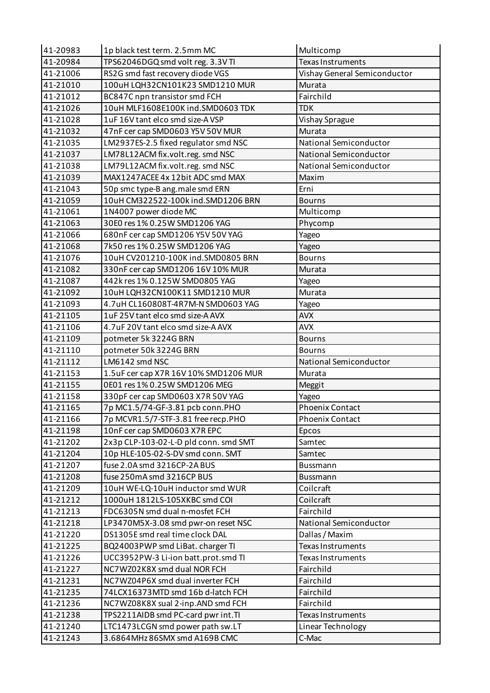| 41-20983 | 1p black test term. 2.5mm MC          | Multicomp                    |
|----------|---------------------------------------|------------------------------|
| 41-20984 | TPS62046DGQ smd volt reg. 3.3V TI     | <b>Texas Instruments</b>     |
| 41-21006 | RS2G smd fast recovery diode VGS      | Vishay General Semiconductor |
| 41-21010 | 100uH LQH32CN101K23 SMD1210 MUR       | Murata                       |
| 41-21012 | BC847C npn transistor smd FCH         | Fairchild                    |
| 41-21026 | 10uH MLF1608E100K ind.SMD0603 TDK     | <b>TDK</b>                   |
| 41-21028 | 1uF16V tant elco smd size-AVSP        | Vishay Sprague               |
| 41-21032 | 47nF cer cap SMD0603 Y5V 50V MUR      | Murata                       |
| 41-21035 | LM2937ES-2.5 fixed regulator smd NSC  | National Semiconductor       |
| 41-21037 | LM78L12ACM fix.volt.reg. smd NSC      | National Semiconductor       |
| 41-21038 | LM79L12ACM fix.volt.reg. smd NSC      | National Semiconductor       |
| 41-21039 | MAX1247ACEE 4x 12bit ADC smd MAX      | Maxim                        |
| 41-21043 | 50p smc type-B ang.male smd ERN       | Erni                         |
| 41-21059 | 10uH CM322522-100k ind.SMD1206 BRN    | <b>Bourns</b>                |
| 41-21061 | 1N4007 power diode MC                 | Multicomp                    |
| 41-21063 | 30E0 res 1% 0.25W SMD1206 YAG         | Phycomp                      |
| 41-21066 | 680nF cer cap SMD1206 Y5V 50V YAG     | Yageo                        |
| 41-21068 | 7k50 res 1% 0.25W SMD1206 YAG         | Yageo                        |
| 41-21076 | 10uH CV201210-100K ind.SMD0805 BRN    | <b>Bourns</b>                |
| 41-21082 | 330nF cer cap SMD1206 16V 10% MUR     | Murata                       |
| 41-21087 | 442k res 1% 0.125W SMD0805 YAG        | Yageo                        |
| 41-21092 | 10uH LQH32CN100K11 SMD1210 MUR        | Murata                       |
| 41-21093 | 4.7uH CL160808T-4R7M-N SMD0603 YAG    | Yageo                        |
| 41-21105 | 1uF 25V tant elco smd size-A AVX      | <b>AVX</b>                   |
| 41-21106 | 4.7uF 20V tant elco smd size-A AVX    | <b>AVX</b>                   |
| 41-21109 | potmeter 5k 3224G BRN                 | <b>Bourns</b>                |
| 41-21110 | potmeter 50k 3224G BRN                | <b>Bourns</b>                |
| 41-21112 | LM6142 smd NSC                        | National Semiconductor       |
| 41-21153 | 1.5uF cer cap X7R 16V 10% SMD1206 MUR | Murata                       |
| 41-21155 | 0E01 res 1% 0.25W SMD1206 MEG         | Meggit                       |
| 41-21158 | 330pF cer cap SMD0603 X7R 50V YAG     | Yageo                        |
| 41-21165 | 7p MC1.5/74-GF-3.81 pcb conn.PHO      | <b>Phoenix Contact</b>       |
| 41-21166 | 7p MCVR1.5/7-STF-3.81 free recp.PHO   | <b>Phoenix Contact</b>       |
| 41-21198 | 10nF cer cap SMD0603 X7R EPC          | Epcos                        |
| 41-21202 | 2x3p CLP-103-02-L-D pld conn. smd SMT | Samtec                       |
| 41-21204 | 10p HLE-105-02-S-DV smd conn. SMT     | Samtec                       |
| 41-21207 | fuse 2.0A smd 3216CP-2A BUS           | Bussmann                     |
| 41-21208 | fuse 250mA smd 3216CP BUS             | <b>Bussmann</b>              |
| 41-21209 | 10uH WE-LQ-10uH inductor smd WUR      | Coilcraft                    |
| 41-21212 | 1000uH 1812LS-105XKBC smd COI         | Coilcraft                    |
| 41-21213 | FDC6305N smd dual n-mosfet FCH        | Fairchild                    |
|          |                                       |                              |
| 41-21218 | LP3470M5X-3.08 smd pwr-on reset NSC   | National Semiconductor       |
| 41-21220 | DS1305E smd real time clock DAL       | Dallas / Maxim               |
| 41-21225 | BQ24003PWP smd LiBat. charger TI      | <b>Texas Instruments</b>     |
| 41-21226 | UCC3952PW-3 Li-ion batt.prot.smd TI   | <b>Texas Instruments</b>     |
| 41-21227 | NC7WZ02K8X smd dual NOR FCH           | Fairchild                    |
| 41-21231 | NC7WZ04P6X smd dual inverter FCH      | Fairchild                    |
| 41-21235 | 74LCX16373MTD smd 16b d-latch FCH     | Fairchild                    |
| 41-21236 | NC7WZ08K8X sual 2-inp.AND smd FCH     | Fairchild                    |
| 41-21238 | TPS2211AIDB smd PC-card pwr int.TI    | Texas Instruments            |
| 41-21240 | LTC1473LCGN smd power path sw.LT      | Linear Technology            |
| 41-21243 | 3.6864MHz 86SMX smd A169B CMC         | C-Mac                        |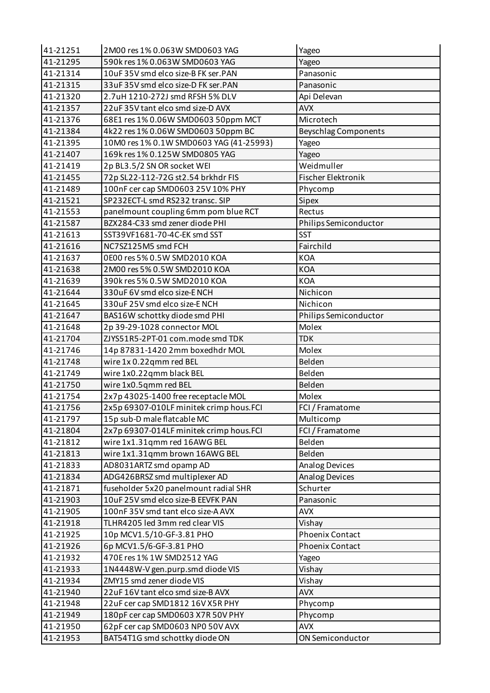| 41-21251 | 2M00 res 1% 0.063W SMD0603 YAG          | Yageo                       |
|----------|-----------------------------------------|-----------------------------|
| 41-21295 | 590k res 1% 0.063W SMD0603 YAG          | Yageo                       |
| 41-21314 | 10uF 35V smd elco size-B FK ser.PAN     | Panasonic                   |
| 41-21315 | 33uF 35V smd elco size-D FK ser.PAN     | Panasonic                   |
| 41-21320 | 2.7uH 1210-272J smd RFSH 5% DLV         | Api Delevan                 |
| 41-21357 | 22uF 35V tant elco smd size-D AVX       | <b>AVX</b>                  |
| 41-21376 | 68E1 res 1% 0.06W SMD0603 50ppm MCT     | Microtech                   |
| 41-21384 | 4k22 res 1% 0.06W SMD0603 50ppm BC      | <b>Beyschlag Components</b> |
| 41-21395 | 10M0 res 1% 0.1W SMD0603 YAG (41-25993) | Yageo                       |
| 41-21407 | 169k res 1% 0.125W SMD0805 YAG          | Yageo                       |
| 41-21419 | 2p BL3.5/2 SN OR socket WEI             | Weidmuller                  |
| 41-21455 | 72p SL22-112-72G st2.54 brkhdr FIS      | Fischer Elektronik          |
| 41-21489 | 100nF cer cap SMD0603 25V 10% PHY       | Phycomp                     |
| 41-21521 | SP232ECT-L smd RS232 transc. SIP        | Sipex                       |
| 41-21553 | panelmount coupling 6mm pom blue RCT    | Rectus                      |
| 41-21587 | BZX284-C33 smd zener diode PHI          | Philips Semiconductor       |
| 41-21613 | SST39VF1681-70-4C-EK smd SST            | <b>SST</b>                  |
| 41-21616 | NC7SZ125M5 smd FCH                      | Fairchild                   |
| 41-21637 | 0E00 res 5% 0.5W SMD2010 KOA            | KOA                         |
| 41-21638 | 2M00 res 5% 0.5W SMD2010 KOA            | <b>KOA</b>                  |
| 41-21639 | 390k res 5% 0.5W SMD2010 KOA            | <b>KOA</b>                  |
| 41-21644 | 330uF 6V smd elco size-E NCH            | Nichicon                    |
| 41-21645 | 330uF 25V smd elco size-E NCH           | Nichicon                    |
| 41-21647 | BAS16W schottky diode smd PHI           | Philips Semiconductor       |
| 41-21648 | 2p 39-29-1028 connector MOL             | Molex                       |
| 41-21704 | ZJYS51R5-2PT-01 com.mode smd TDK        | <b>TDK</b>                  |
| 41-21746 | 14p 87831-1420 2mm boxedhdr MOL         | Molex                       |
| 41-21748 | wire 1x 0.22qmm red BEL                 | Belden                      |
| 41-21749 | wire 1x0.22qmm black BEL                | Belden                      |
| 41-21750 | wire 1x0.5qmm red BEL                   | Belden                      |
| 41-21754 | 2x7p 43025-1400 free receptacle MOL     | Molex                       |
| 41-21756 | 2x5p 69307-010LF minitek crimp hous.FCI | FCI / Framatome             |
| 41-21797 | 15p sub-D male flatcable MC             | Multicomp                   |
| 41-21804 | 2x7p 69307-014LF minitek crimp hous.FCI | FCI / Framatome             |
| 41-21812 | wire 1x1.31qmm red 16AWG BEL            | Belden                      |
| 41-21813 | wire 1x1.31qmm brown 16AWG BEL          | Belden                      |
| 41-21833 | AD8031ARTZ smd opamp AD                 | <b>Analog Devices</b>       |
| 41-21834 | ADG426BRSZ smd multiplexer AD           | <b>Analog Devices</b>       |
| 41-21871 | fuseholder 5x20 panelmount radial SHR   | Schurter                    |
| 41-21903 | 10uF 25V smd elco size-B EEVFK PAN      | Panasonic                   |
| 41-21905 | 100nF 35V smd tant elco size-A AVX      | <b>AVX</b>                  |
| 41-21918 | TLHR4205 led 3mm red clear VIS          | Vishay                      |
| 41-21925 | 10p MCV1.5/10-GF-3.81 PHO               | Phoenix Contact             |
| 41-21926 | 6p MCV1.5/6-GF-3.81 PHO                 | Phoenix Contact             |
| 41-21932 | 470E res 1% 1W SMD2512 YAG              | Yageo                       |
| 41-21933 | 1N4448W-V gen.purp.smd diode VIS        | Vishay                      |
| 41-21934 | ZMY15 smd zener diode VIS               | Vishay                      |
| 41-21940 | 22uF 16V tant elco smd size-B AVX       | <b>AVX</b>                  |
| 41-21948 | 22uF cer cap SMD1812 16V X5R PHY        | Phycomp                     |
| 41-21949 | 180pF cer cap SMD0603 X7R 50V PHY       | Phycomp                     |
| 41-21950 | 62pF cer cap SMD0603 NP0 50V AVX        | <b>AVX</b>                  |
| 41-21953 | BAT54T1G smd schottky diode ON          | ON Semiconductor            |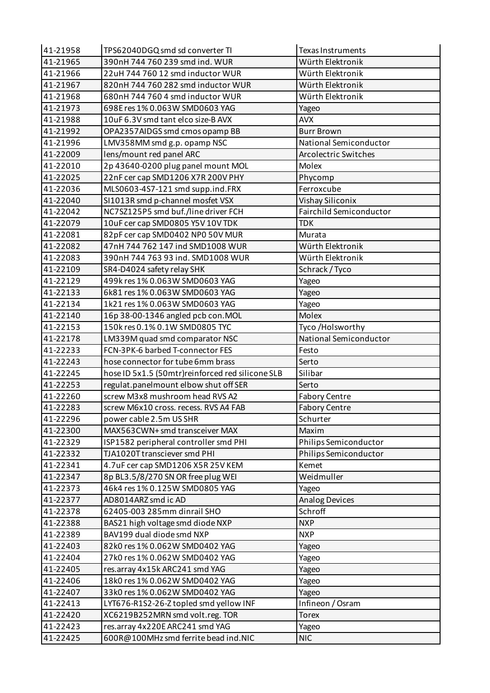| 41-21958 | TPS62040DGQ smd sd converter TI                   | <b>Texas Instruments</b>       |
|----------|---------------------------------------------------|--------------------------------|
| 41-21965 | 390nH 744 760 239 smd ind. WUR                    | Würth Elektronik               |
| 41-21966 | 22uH 744 760 12 smd inductor WUR                  | Würth Elektronik               |
| 41-21967 | 820nH 744 760 282 smd inductor WUR                | Würth Elektronik               |
| 41-21968 | 680nH 744 760 4 smd inductor WUR                  | Würth Elektronik               |
| 41-21973 | 698E res 1% 0.063W SMD0603 YAG                    | Yageo                          |
| 41-21988 | 10uF 6.3V smd tant elco size-B AVX                | <b>AVX</b>                     |
| 41-21992 | OPA2357AIDGS smd cmos opamp BB                    | <b>Burr Brown</b>              |
| 41-21996 | LMV358MM smd g.p. opamp NSC                       | National Semiconductor         |
| 41-22009 | lens/mount red panel ARC                          | <b>Arcolectric Switches</b>    |
| 41-22010 | 2p 43640-0200 plug panel mount MOL                | Molex                          |
| 41-22025 | 22nF cer cap SMD1206 X7R 200V PHY                 | Phycomp                        |
| 41-22036 | MLS0603-4S7-121 smd supp.ind.FRX                  | Ferroxcube                     |
| 41-22040 | SI1013R smd p-channel mosfet VSX                  | Vishay Siliconix               |
| 41-22042 | NC7SZ125P5 smd buf./line driver FCH               | <b>Fairchild Semiconductor</b> |
| 41-22079 | 10uF cer cap SMD0805 Y5V 10V TDK                  | <b>TDK</b>                     |
| 41-22081 | 82pF cer cap SMD0402 NP0 50V MUR                  | Murata                         |
| 41-22082 | 47nH 744 762 147 ind SMD1008 WUR                  | Würth Elektronik               |
| 41-22083 | 390nH 744 763 93 ind. SMD1008 WUR                 | Würth Elektronik               |
| 41-22109 | SR4-D4024 safety relay SHK                        | Schrack / Tyco                 |
| 41-22129 | 499k res 1% 0.063W SMD0603 YAG                    | Yageo                          |
| 41-22133 | 6k81 res 1% 0.063W SMD0603 YAG                    | Yageo                          |
| 41-22134 | 1k21 res 1% 0.063W SMD0603 YAG                    | Yageo                          |
| 41-22140 | 16p 38-00-1346 angled pcb con.MOL                 | Molex                          |
| 41-22153 | 150k res 0.1% 0.1W SMD0805 TYC                    | Tyco /Holsworthy               |
| 41-22178 | LM339M quad smd comparator NSC                    | National Semiconductor         |
| 41-22233 | FCN-3PK-6 barbed T-connector FES                  | Festo                          |
| 41-22243 | hose connector for tube 6mm brass                 | Serto                          |
| 41-22245 | hose ID 5x1.5 (50mtr) reinforced red silicone SLB | Silibar                        |
| 41-22253 | regulat.panelmount elbow shut off SER             | Serto                          |
| 41-22260 | screw M3x8 mushroom head RVS A2                   | <b>Fabory Centre</b>           |
| 41-22283 | screw M6x10 cross. recess. RVS A4 FAB             | Fabory Centre                  |
| 41-22296 | power cable 2.5m US SHR                           | Schurter                       |
| 41-22300 | MAX563CWN+ smd transceiver MAX                    | Maxim                          |
| 41-22329 | ISP1582 peripheral controller smd PHI             | Philips Semiconductor          |
| 41-22332 | TJA1020T transciever smd PHI                      | Philips Semiconductor          |
| 41-22341 | 4.7uF cer cap SMD1206 X5R 25V KEM                 | Kemet                          |
| 41-22347 | 8p BL3.5/8/270 SN OR free plug WEI                | Weidmuller                     |
| 41-22373 | 46k4 res 1% 0.125W SMD0805 YAG                    |                                |
| 41-22377 | AD8014ARZ smd ic AD                               | Yageo                          |
|          | 62405-003 285mm dinrail SHO                       | Analog Devices<br>Schroff      |
| 41-22378 |                                                   |                                |
| 41-22388 | BAS21 high voltage smd diode NXP                  | <b>NXP</b>                     |
| 41-22389 | BAV199 dual diode smd NXP                         | <b>NXP</b>                     |
| 41-22403 | 82k0 res 1% 0.062W SMD0402 YAG                    | Yageo                          |
| 41-22404 | 27k0 res 1% 0.062W SMD0402 YAG                    | Yageo                          |
| 41-22405 | res.array 4x15k ARC241 smd YAG                    | Yageo                          |
| 41-22406 | 18k0 res 1% 0.062W SMD0402 YAG                    | Yageo                          |
| 41-22407 | 33k0 res 1% 0.062W SMD0402 YAG                    | Yageo                          |
| 41-22413 | LYT676-R1S2-26-Z topled smd yellow INF            | Infineon / Osram               |
| 41-22420 | XC6219B252MRN smd volt.reg. TOR                   | <b>Torex</b>                   |
| 41-22423 | res.array 4x220E ARC241 smd YAG                   | Yageo                          |
| 41-22425 | 600R@100MHz smd ferrite bead ind.NIC              | <b>NIC</b>                     |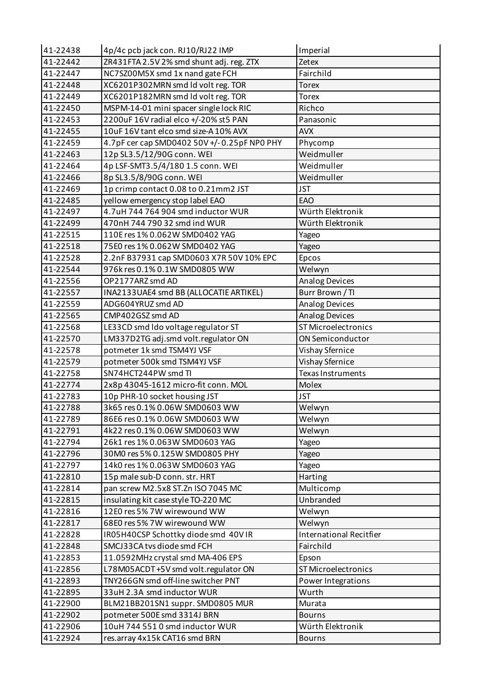| 41-22438 | 4p/4c pcb jack con. RJ10/RJ22 IMP           | Imperial                       |
|----------|---------------------------------------------|--------------------------------|
| 41-22442 | ZR431FTA 2.5V 2% smd shunt adj. reg. ZTX    | Zetex                          |
| 41-22447 | NC7SZ00M5X smd 1x nand gate FCH             | Fairchild                      |
| 41-22448 | XC6201P302MRN smd Id volt reg. TOR          | <b>Torex</b>                   |
| 41-22449 | XC6201P182MRN smd ld volt reg. TOR          | <b>Torex</b>                   |
| 41-22450 | MSPM-14-01 mini spacer single lock RIC      | Richco                         |
| 41-22453 | 2200uF 16V radial elco +/-20% st5 PAN       | Panasonic                      |
| 41-22455 | 10uF 16V tant elco smd size-A 10% AVX       | <b>AVX</b>                     |
| 41-22459 | 4.7pF cer cap SMD0402 50V +/-0.25pF NP0 PHY | Phycomp                        |
| 41-22463 | 12p SL3.5/12/90G conn. WEI                  | Weidmuller                     |
| 41-22464 | 4p LSF-SMT3.5/4/180 1.5 conn. WEI           | Weidmuller                     |
| 41-22466 | 8p SL3.5/8/90G conn. WEI                    | Weidmuller                     |
| 41-22469 | 1p crimp contact 0.08 to 0.21mm2 JST        | <b>JST</b>                     |
| 41-22485 | yellow emergency stop label EAO             | EAO                            |
| 41-22497 | 4.7uH 744 764 904 smd inductor WUR          | Würth Elektronik               |
| 41-22499 | 470nH 744 790 32 smd ind WUR                | Würth Elektronik               |
| 41-22515 | 110E res 1% 0.062W SMD0402 YAG              | Yageo                          |
| 41-22518 | 75E0 res 1% 0.062W SMD0402 YAG              | Yageo                          |
| 41-22528 | 2.2nF B37931 cap SMD0603 X7R 50V 10% EPC    | Epcos                          |
| 41-22544 | 976k res 0.1% 0.1W SMD0805 WW               | Welwyn                         |
| 41-22556 | OP2177ARZ smd AD                            | <b>Analog Devices</b>          |
| 41-22557 | INA2133UAE4 smd BB (ALLOCATIE ARTIKEL)      | Burr Brown / TI                |
| 41-22559 | ADG604YRUZ smd AD                           | Analog Devices                 |
| 41-22565 | CMP402GSZ smd AD                            | <b>Analog Devices</b>          |
| 41-22568 | LE33CD smd Ido voltage regulator ST         | <b>ST Microelectronics</b>     |
| 41-22570 | LM337D2TG adj.smd volt.regulator ON         | ON Semiconductor               |
| 41-22578 | potmeter 1k smd TSM4YJ VSF                  | Vishay Sfernice                |
| 41-22579 | potmeter 500k smd TSM4YJ VSF                | Vishay Sfernice                |
| 41-22758 | SN74HCT244PW smd TI                         | Texas Instruments              |
| 41-22774 | 2x8p 43045-1612 micro-fit conn. MOL         | <b>Molex</b>                   |
| 41-22783 | 10p PHR-10 socket housing JST               | <b>JST</b>                     |
| 41-22788 | 3k65 res 0.1% 0.06W SMD0603 WW              | Welwyn                         |
| 41-22789 | 86E6 res 0.1% 0.06W SMD0603 WW              | Welwyn                         |
| 41-22791 | 4k22 res 0.1% 0.06W SMD0603 WW              | Welwyn                         |
| 41-22794 | 26k1 res 1% 0.063W SMD0603 YAG              | Yageo                          |
| 41-22796 | 30M0 res 5% 0.125W SMD0805 PHY              | Yageo                          |
| 41-22797 | 14k0 res 1% 0.063W SMD0603 YAG              | Yageo                          |
| 41-22810 | 15p male sub-D conn. str. HRT               | Harting                        |
| 41-22814 | pan screw M2.5x8 ST.Zn ISO 7045 MC          | Multicomp                      |
| 41-22815 | insulating kit case style TO-220 MC         | Unbranded                      |
| 41-22816 | 12E0 res 5% 7W wirewound WW                 | Welwyn                         |
| 41-22817 | 68E0 res 5% 7W wirewound WW                 | Welwyn                         |
| 41-22828 | IR05H40CSP Schottky diode smd 40VIR         | <b>International Recitfier</b> |
| 41-22848 | SMCJ33CA tvs diode smd FCH                  | Fairchild                      |
| 41-22853 | 11.0592MHz crystal smd MA-406 EPS           | Epson                          |
| 41-22856 | L78M05ACDT+5V smd volt.regulator ON         | ST Microelectronics            |
| 41-22893 | TNY266GN smd off-line switcher PNT          | Power Integrations             |
| 41-22895 | 33uH 2.3A smd inductor WUR                  | Wurth                          |
| 41-22900 | BLM21BB201SN1 suppr. SMD0805 MUR            | Murata                         |
| 41-22902 | potmeter 500E smd 3314J BRN                 | <b>Bourns</b>                  |
| 41-22906 | 10uH 744 551 0 smd inductor WUR             | Würth Elektronik               |
| 41-22924 | res.array 4x15k CAT16 smd BRN               | <b>Bourns</b>                  |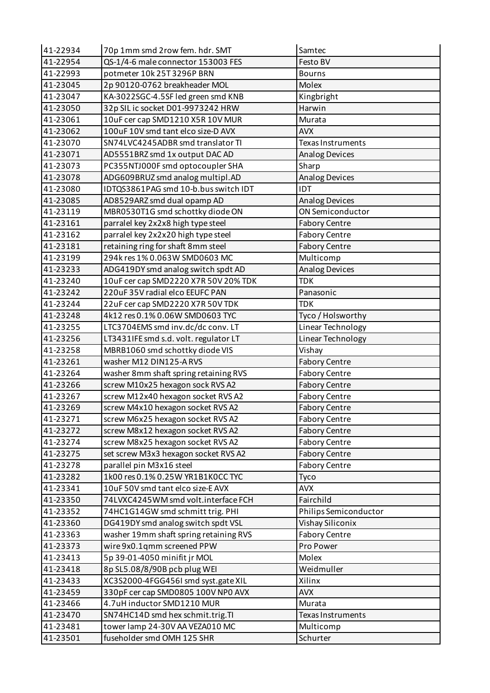| 41-22934 | 70p 1mm smd 2row fem. hdr. SMT         | Samtec                   |
|----------|----------------------------------------|--------------------------|
| 41-22954 | QS-1/4-6 male connector 153003 FES     | Festo BV                 |
| 41-22993 | potmeter 10k 25T 3296P BRN             | <b>Bourns</b>            |
| 41-23045 | 2p 90120-0762 breakheader MOL          | Molex                    |
| 41-23047 | KA-3022SGC-4.5SF led green smd KNB     | Kingbright               |
| 41-23050 | 32p SIL ic socket D01-9973242 HRW      | Harwin                   |
| 41-23061 | 10uF cer cap SMD1210 X5R 10V MUR       | Murata                   |
| 41-23062 | 100uF 10V smd tant elco size-D AVX     | <b>AVX</b>               |
| 41-23070 | SN74LVC4245ADBR smd translator TI      | <b>Texas Instruments</b> |
| 41-23071 | AD5551BRZ smd 1x output DAC AD         | <b>Analog Devices</b>    |
| 41-23073 | PC355NTJ000F smd optocoupler SHA       | Sharp                    |
| 41-23078 | ADG609BRUZ smd analog multipl.AD       | <b>Analog Devices</b>    |
| 41-23080 | IDTQS3861PAG smd 10-b.bus switch IDT   | IDT                      |
| 41-23085 | AD8529ARZ smd dual opamp AD            | Analog Devices           |
| 41-23119 | MBR0530T1G smd schottky diode ON       | ON Semiconductor         |
| 41-23161 | parralel key 2x2x8 high type steel     | <b>Fabory Centre</b>     |
| 41-23162 | parralel key 2x2x20 high type steel    | <b>Fabory Centre</b>     |
| 41-23181 | retaining ring for shaft 8mm steel     | <b>Fabory Centre</b>     |
| 41-23199 | 294k res 1% 0.063W SMD0603 MC          | Multicomp                |
| 41-23233 | ADG419DY smd analog switch spdt AD     | <b>Analog Devices</b>    |
| 41-23240 | 10uF cer cap SMD2220 X7R 50V 20% TDK   | <b>TDK</b>               |
| 41-23242 | 220uF 35V radial elco EEUFC PAN        | Panasonic                |
| 41-23244 | 22uF cer cap SMD2220 X7R 50V TDK       | <b>TDK</b>               |
| 41-23248 | 4k12 res 0.1% 0.06W SMD0603 TYC        | Tyco / Holsworthy        |
| 41-23255 | LTC3704EMS smd inv.dc/dc conv. LT      | Linear Technology        |
| 41-23256 | LT3431IFE smd s.d. volt. regulator LT  | Linear Technology        |
| 41-23258 | MBRB1060 smd schottky diode VIS        | Vishay                   |
| 41-23261 | washer M12 DIN125-A RVS                | <b>Fabory Centre</b>     |
| 41-23264 | washer 8mm shaft spring retaining RVS  | <b>Fabory Centre</b>     |
| 41-23266 | screw M10x25 hexagon sock RVS A2       | <b>Fabory Centre</b>     |
| 41-23267 | screw M12x40 hexagon socket RVS A2     | <b>Fabory Centre</b>     |
| 41-23269 | screw M4x10 hexagon socket RVS A2      | <b>Fabory Centre</b>     |
| 41-23271 | screw M6x25 hexagon socket RVS A2      | <b>Fabory Centre</b>     |
| 41-23272 | screw M8x12 hexagon socket RVS A2      | <b>Fabory Centre</b>     |
| 41-23274 | screw M8x25 hexagon socket RVS A2      | <b>Fabory Centre</b>     |
| 41-23275 | set screw M3x3 hexagon socket RVS A2   | <b>Fabory Centre</b>     |
| 41-23278 | parallel pin M3x16 steel               | <b>Fabory Centre</b>     |
| 41-23282 | 1k00 res 0.1% 0.25W YR1B1K0CC TYC      | Tyco                     |
| 41-23341 | 10uF 50V smd tant elco size-E AVX      | <b>AVX</b>               |
| 41-23350 | 74LVXC4245WM smd volt.interface FCH    | Fairchild                |
| 41-23352 | 74HC1G14GW smd schmitt trig. PHI       | Philips Semiconductor    |
| 41-23360 | DG419DY smd analog switch spdt VSL     | Vishay Siliconix         |
| 41-23363 | washer 19mm shaft spring retaining RVS | <b>Fabory Centre</b>     |
| 41-23373 | wire 9x0.1qmm screened PPW             | Pro Power                |
| 41-23413 | 5p 39-01-4050 minifit jr MOL           | Molex                    |
| 41-23418 | 8p SL5.08/8/90B pcb plug WEI           | Weidmuller               |
| 41-23433 | XC3S2000-4FGG456I smd syst.gate XIL    | Xilinx                   |
| 41-23459 | 330pF cer cap SMD0805 100V NP0 AVX     | <b>AVX</b>               |
| 41-23466 | 4.7uH inductor SMD1210 MUR             | Murata                   |
| 41-23470 | SN74HC14D smd hex schmit.trig.TI       | Texas Instruments        |
| 41-23481 | tower lamp 24-30V AA VEZA010 MC        | Multicomp                |
| 41-23501 | fuseholder smd OMH 125 SHR             | Schurter                 |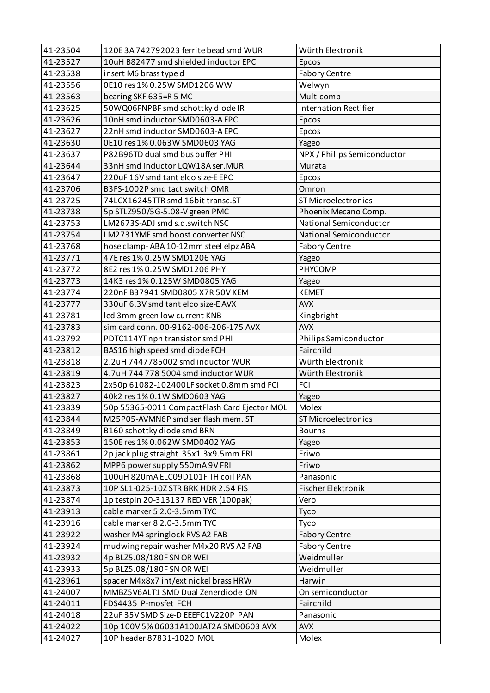| 41-23504 | 120E3A742792023 ferrite bead smd WUR         | Würth Elektronik             |
|----------|----------------------------------------------|------------------------------|
| 41-23527 | 10uH B82477 smd shielded inductor EPC        | Epcos                        |
| 41-23538 | insert M6 brass type d                       | <b>Fabory Centre</b>         |
| 41-23556 | 0E10 res 1% 0.25W SMD1206 WW                 | Welwyn                       |
| 41-23563 | bearing SKF 635=R 5 MC                       | Multicomp                    |
| 41-23625 | 50WQ06FNPBF smd schottky diode IR            | <b>Internation Rectifier</b> |
| 41-23626 | 10nH smd inductor SMD0603-A EPC              | Epcos                        |
| 41-23627 | 22nH smd inductor SMD0603-A EPC              | Epcos                        |
| 41-23630 | 0E10 res 1% 0.063W SMD0603 YAG               | Yageo                        |
| 41-23637 | P82B96TD dual smd bus buffer PHI             | NPX / Philips Semiconductor  |
| 41-23644 | 33nH smd inductor LQW18A ser.MUR             | Murata                       |
| 41-23647 | 220uF 16V smd tant elco size-E EPC           | Epcos                        |
| 41-23706 | B3FS-1002P smd tact switch OMR               | Omron                        |
| 41-23725 | 74LCX16245TTR smd 16bit transc.ST            | <b>ST Microelectronics</b>   |
| 41-23738 | 5p STLZ950/5G-5.08-V green PMC               | Phoenix Mecano Comp.         |
| 41-23753 | LM2673S-ADJ smd s.d.switch NSC               | National Semiconductor       |
| 41-23754 | LM2731YMF smd boost converter NSC            | National Semiconductor       |
| 41-23768 | hose clamp-ABA 10-12mm steel elpz ABA        | <b>Fabory Centre</b>         |
| 41-23771 | 47E res 1% 0.25W SMD1206 YAG                 | Yageo                        |
| 41-23772 | 8E2 res 1% 0.25W SMD1206 PHY                 | PHYCOMP                      |
| 41-23773 | 14K3 res 1% 0.125W SMD0805 YAG               | Yageo                        |
| 41-23774 | 220nF B37941 SMD0805 X7R 50V KEM             | <b>KEMET</b>                 |
| 41-23777 | 330uF 6.3V smd tant elco size-E AVX          | <b>AVX</b>                   |
| 41-23781 | led 3mm green low current KNB                | Kingbright                   |
| 41-23783 | sim card conn. 00-9162-006-206-175 AVX       | <b>AVX</b>                   |
| 41-23792 | PDTC114YT npn transistor smd PHI             | Philips Semiconductor        |
| 41-23812 | BAS16 high speed smd diode FCH               | Fairchild                    |
| 41-23818 | 2.2uH 7447785002 smd inductor WUR            | Würth Elektronik             |
| 41-23819 | 4.7uH 744 778 5004 smd inductor WUR          | Würth Elektronik             |
| 41-23823 | 2x50p 61082-102400LF socket 0.8mm smd FCI    | <b>FCI</b>                   |
| 41-23827 | 40k2 res 1% 0.1W SMD0603 YAG                 | Yageo                        |
| 41-23839 | 50p 55365-0011 CompactFlash Card Ejector MOL | Molex                        |
| 41-23844 | M25P05-AVMN6P smd ser.flash mem. ST          | ST Microelectronics          |
| 41-23849 | B160 schottky diode smd BRN                  | <b>Bourns</b>                |
| 41-23853 | 150E res 1% 0.062W SMD0402 YAG               | Yageo                        |
| 41-23861 | 2p jack plug straight 35x1.3x9.5mm FRI       | Friwo                        |
| 41-23862 | MPP6 power supply 550mA 9V FRI               | Friwo                        |
| 41-23868 | 100uH 820mA ELC09D101F TH coil PAN           | Panasonic                    |
| 41-23873 | 10P SL1-025-10Z STR BRK HDR 2.54 FIS         | Fischer Elektronik           |
| 41-23874 | 1p testpin 20-313137 RED VER (100pak)        | Vero                         |
| 41-23913 | cable marker 5 2.0-3.5mm TYC                 | Tyco                         |
| 41-23916 | cable marker 8 2.0-3.5mm TYC                 | Tyco                         |
| 41-23922 | washer M4 springlock RVS A2 FAB              | <b>Fabory Centre</b>         |
| 41-23924 | mudwing repair washer M4x20 RVS A2 FAB       | <b>Fabory Centre</b>         |
| 41-23932 | 4p BLZ5.08/180F SN OR WEI                    | Weidmuller                   |
| 41-23933 | 5p BLZ5.08/180F SN OR WEI                    | Weidmuller                   |
| 41-23961 | spacer M4x8x7 int/ext nickel brass HRW       | Harwin                       |
| 41-24007 | MMBZ5V6ALT1 SMD Dual Zenerdiode ON           | On semiconductor             |
| 41-24011 | FDS4435 P-mosfet FCH                         | Fairchild                    |
| 41-24018 | 22uF 35V SMD Size-D EEEFC1V220P PAN          | Panasonic                    |
| 41-24022 | 10p 100V 5% 06031A100JAT2A SMD0603 AVX       | <b>AVX</b>                   |
| 41-24027 | 10P header 87831-1020 MOL                    | Molex                        |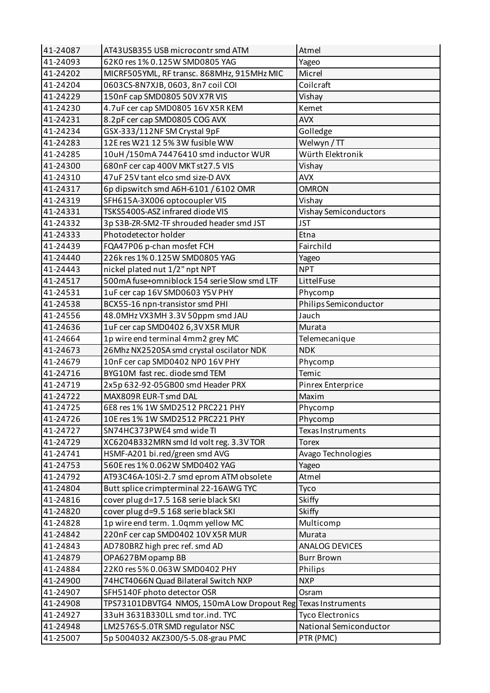| 41-24087             | AT43USB355 USB microcontr smd ATM                                    | Atmel                               |
|----------------------|----------------------------------------------------------------------|-------------------------------------|
| 41-24093             | 62K0 res 1% 0.125W SMD0805 YAG                                       | Yageo                               |
| 41-24202             | MICRF505YML, RF transc. 868MHz, 915MHz MIC                           | Micrel                              |
| 41-24204             | 0603CS-8N7XJB, 0603, 8n7 coil COI                                    | Coilcraft                           |
| 41-24229             | 150nF cap SMD0805 50V X7R VIS                                        | Vishay                              |
| 41-24230             | 4.7uF cer cap SMD0805 16V X5R KEM                                    | Kemet                               |
| 41-24231             | 8.2pF cer cap SMD0805 COG AVX                                        | <b>AVX</b>                          |
| 41-24234             | GSX-333/112NF SM Crystal 9pF                                         | Golledge                            |
| 41-24283             | 12E res W21 12 5% 3W fusible WW                                      | Welwyn / TT                         |
| 41-24285             | 10uH /150mA 74476410 smd inductor WUR                                | Würth Elektronik                    |
| 41-24300             | 680nF cer cap 400V MKT st27.5 VIS                                    | Vishay                              |
| 41-24310             | 47uF 25V tant elco smd size-D AVX                                    | <b>AVX</b>                          |
| 41-24317             | 6p dipswitch smd A6H-6101 / 6102 OMR                                 | <b>OMRON</b>                        |
| 41-24319             | SFH615A-3X006 optocoupler VIS                                        | Vishay                              |
| 41-24331             | TSKS5400S-ASZ infrared diode VIS                                     | <b>Vishay Semiconductors</b>        |
| 41-24332             | 3p S3B-ZR-SM2-TF shrouded header smd JST                             | <b>JST</b>                          |
| 41-24333             | Photodetector holder                                                 | Etna                                |
| 41-24439             | FQA47P06 p-chan mosfet FCH                                           | Fairchild                           |
| 41-24440             | 226k res 1% 0.125W SMD0805 YAG                                       | Yageo                               |
| 41-24443             | nickel plated nut 1/2" npt NPT                                       | <b>NPT</b>                          |
| 41-24517             | 500mA fuse+omniblock 154 serie Slow smd LTF                          | LittelFuse                          |
| 41-24531             | 1uF cer cap 16V SMD0603 Y5V PHY                                      | Phycomp                             |
| 41-24538             | BCX55-16 npn-transistor smd PHI                                      | Philips Semiconductor               |
| 41-24556             | 48.0MHz VX3MH 3.3V 50ppm smd JAU                                     | Jauch                               |
| 41-24636             | 1uF cer cap SMD0402 6,3V X5R MUR                                     | Murata                              |
| 41-24664             | 1p wire end terminal 4mm2 grey MC                                    | Telemecanique                       |
| 41-24673             | 26Mhz NX2520SA smd crystal oscilator NDK                             | <b>NDK</b>                          |
|                      |                                                                      |                                     |
| 41-24679             | 10nF cer cap SMD0402 NP0 16V PHY                                     | Phycomp                             |
| 41-24716             | BYG10M fast rec. diode smd TEM                                       | Temic                               |
| 41-24719             | 2x5p 632-92-05GB00 smd Header PRX                                    | Pinrex Enterprice                   |
| 41-24722             | MAX809R EUR-T smd DAL                                                | Maxim                               |
| 41-24725             | 6E8 res 1% 1W SMD2512 PRC221 PHY                                     | Phycomp                             |
| 41-24726             | 10E res 1% 1W SMD2512 PRC221 PHY                                     | Phycomp                             |
| 41-24727             | SN74HC373PWE4 smd wide TI                                            | Texas Instruments                   |
| 41-24729             | XC6204B332MRN smd ld volt reg. 3.3V TOR                              | <b>Torex</b>                        |
| 41-24741             | HSMF-A201 bi.red/green smd AVG                                       | Avago Technologies                  |
| 41-24753             | 560E res 1% 0.062W SMD0402 YAG                                       | Yageo                               |
| 41-24792             | AT93C46A-10SI-2.7 smd eprom ATM obsolete                             | Atmel                               |
| 41-24804             | Butt splice crimpterminal 22-16AWG TYC                               | Tyco                                |
| 41-24816             | cover plug d=17.5 168 serie black SKI                                | Skiffy                              |
| 41-24820             | cover plug d=9.5 168 serie black SKI                                 | Skiffy                              |
| 41-24828             | 1p wire end term. 1.0qmm yellow MC                                   | Multicomp                           |
| 41-24842             | 220nF cer cap SMD0402 10V X5R MUR                                    | Murata                              |
| 41-24843             | AD780BRZ high prec ref. smd AD                                       | ANALOG DEVICES                      |
| 41-24879             | OPA627BM opamp BB                                                    | <b>Burr Brown</b>                   |
| 41-24884             | 22K0 res 5% 0.063W SMD0402 PHY                                       | Philips                             |
| 41-24900             | 74HCT4066N Quad Bilateral Switch NXP                                 | <b>NXP</b>                          |
| 41-24907             | SFH5140F photo detector OSR                                          | Osram                               |
| 41-24908             | TPS73101DBVTG4 NMOS, 150mA Low Dropout Reg                           | Texas Instruments                   |
| 41-24927             | 33uH 3631B330LL smd tor.ind. TYC                                     | <b>Tyco Electronics</b>             |
| 41-24948<br>41-25007 | LM2576S-5.0TR SMD regulator NSC<br>5p 5004032 AKZ300/5-5.08-grau PMC | National Semiconductor<br>PTR (PMC) |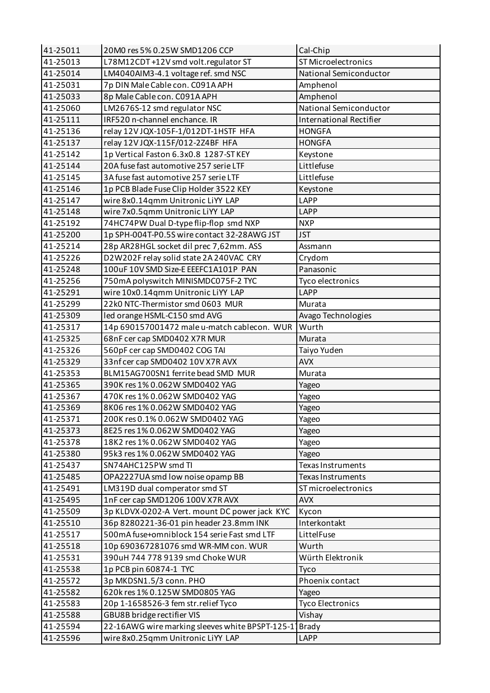| 41-25011 | 20M0 res 5% 0.25W SMD1206 CCP                   | Cal-Chip                          |
|----------|-------------------------------------------------|-----------------------------------|
| 41-25013 | L78M12CDT+12V smd volt.regulator ST             | <b>ST Microelectronics</b>        |
| 41-25014 | LM4040AIM3-4.1 voltage ref. smd NSC             | National Semiconductor            |
| 41-25031 | 7p DIN Male Cable con. C091A APH                | Amphenol                          |
| 41-25033 | 8p Male Cable con. C091A APH                    | Amphenol                          |
| 41-25060 | LM2676S-12 smd regulator NSC                    | National Semiconductor            |
| 41-25111 | IRF520 n-channel enchance. IR                   | <b>International Rectifier</b>    |
| 41-25136 | relay 12V JQX-105F-1/012DT-1HSTF HFA            | <b>HONGFA</b>                     |
| 41-25137 | relay 12V JQX-115F/012-2Z4BF HFA                | <b>HONGFA</b>                     |
| 41-25142 | 1p Vertical Faston 6.3x0.8 1287-STKEY           | Keystone                          |
| 41-25144 | 20A fuse fast automotive 257 serie LTF          | Littlefuse                        |
| 41-25145 | 3A fuse fast automotive 257 serie LTF           | Littlefuse                        |
| 41-25146 | 1p PCB Blade Fuse Clip Holder 3522 KEY          | Keystone                          |
| 41-25147 | wire 8x0.14qmm Unitronic LiYY LAP               | <b>LAPP</b>                       |
| 41-25148 | wire 7x0.5qmm Unitronic LiYY LAP                | <b>LAPP</b>                       |
| 41-25192 | 74HC74PW Dual D-type flip-flop smd NXP          | <b>NXP</b>                        |
| 41-25200 | 1p SPH-004T-P0.5S wire contact 32-28AWG JST     | <b>JST</b>                        |
| 41-25214 | 28p AR28HGL socket dil prec 7,62mm. ASS         | Assmann                           |
| 41-25226 | D2W202F relay solid state 2A 240VAC CRY         | Crydom                            |
| 41-25248 | 100uF 10V SMD Size-E EEEFC1A101P PAN            | Panasonic                         |
| 41-25256 | 750mA polyswitch MINISMDC075F-2 TYC             | Tyco electronics                  |
| 41-25291 | wire 10x0.14qmm Unitronic LiYY LAP              | <b>LAPP</b>                       |
| 41-25299 | 22k0 NTC-Thermistor smd 0603 MUR                | Murata                            |
| 41-25309 | led orange HSML-C150 smd AVG                    | Avago Technologies                |
| 41-25317 | 14p 690157001472 male u-match cablecon. WUR     | Wurth                             |
| 41-25325 | 68nF cer cap SMD0402 X7R MUR                    | Murata                            |
| 41-25326 | 560pF cer cap SMD0402 COG TAI                   | Taiyo Yuden                       |
| 41-25329 | 33nf cer cap SMD0402 10V X7R AVX                | <b>AVX</b>                        |
| 41-25353 | BLM15AG700SN1 ferrite bead SMD MUR              | Murata                            |
| 41-25365 | 390K res 1% 0.062W SMD0402 YAG                  | Yageo                             |
| 41-25367 | 470K res 1% 0.062W SMD0402 YAG                  | Yageo                             |
| 41-25369 | 8K06 res 1% 0.062W SMD0402 YAG                  |                                   |
| 41-25371 | 200K res 0.1% 0.062W SMD0402 YAG                | Yageo<br>Yageo                    |
| 41-25373 | 8E25 res 1% 0.062W SMD0402 YAG                  | Yageo                             |
| 41-25378 | 18K2 res 1% 0.062W SMD0402 YAG                  | Yageo                             |
| 41-25380 | 95k3 res 1% 0.062W SMD0402 YAG                  |                                   |
| 41-25437 | SN74AHC125PW smd TI                             | Yageo<br><b>Texas Instruments</b> |
| 41-25485 | OPA2227UA smd low noise opamp BB                | <b>Texas Instruments</b>          |
| 41-25491 | LM319D dual comperator smd ST                   | ST microelectronics               |
| 41-25495 |                                                 | <b>AVX</b>                        |
|          | 1nF cer cap SMD1206 100V X7R AVX                |                                   |
| 41-25509 | 3p KLDVX-0202-A Vert. mount DC power jack KYC   | Kycon                             |
| 41-25510 | 36p 8280221-36-01 pin header 23.8mm INK         | Interkontakt                      |
| 41-25517 | 500mA fuse+omniblock 154 serie Fast smd LTF     | LittelFuse                        |
| 41-25518 | 10p 690367281076 smd WR-MM con. WUR             | Wurth                             |
| 41-25531 | 390uH 744 778 9139 smd Choke WUR                | Würth Elektronik                  |
| 41-25538 | 1p PCB pin 60874-1 TYC                          | Tyco                              |
| 41-25572 | 3p MKDSN1.5/3 conn. PHO                         | Phoenix contact                   |
| 41-25582 | 620k res 1% 0.125W SMD0805 YAG                  | Yageo                             |
| 41-25583 | 20p 1-1658526-3 fem str.relief Tyco             | <b>Tyco Electronics</b>           |
| 41-25588 | GBU8B bridge rectifier VIS                      | Vishay                            |
| 41-25594 | 22-16AWG wire marking sleeves white BPSPT-125-1 | <b>Brady</b>                      |
| 41-25596 | wire 8x0.25qmm Unitronic LiYY LAP               | LAPP                              |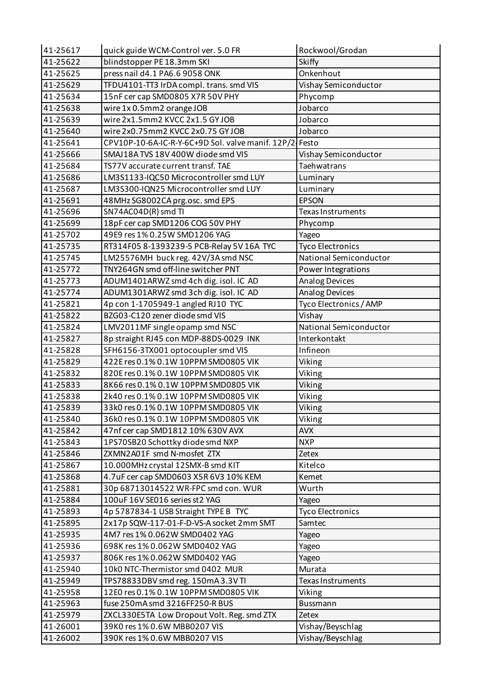| 41-25617 | quick guide WCM-Control ver. 5.0 FR                     | Rockwool/Grodan          |
|----------|---------------------------------------------------------|--------------------------|
| 41-25622 | blindstopper PE 18.3mm SKI                              | Skiffy                   |
| 41-25625 | press nail d4.1 PA6.6 9058 ONK                          | Onkenhout                |
| 41-25629 | TFDU4101-TT3 IrDA compl. trans. smd VIS                 | Vishay Semiconductor     |
| 41-25634 | 15nF cer cap SMD0805 X7R 50V PHY                        | Phycomp                  |
| 41-25638 | wire 1x 0.5mm2 orange JOB                               | Jobarco                  |
| 41-25639 | wire 2x1.5mm2 KVCC 2x1.5 GYJOB                          | Jobarco                  |
| 41-25640 | wire 2x0.75mm2 KVCC 2x0.75 GYJOB                        | Jobarco                  |
| 41-25641 | CPV10P-10-6A-IC-R-Y-6C+9D Sol. valve manif. 12P/2 Festo |                          |
| 41-25666 | SMAJ18A TVS 18V 400W diode smd VIS                      | Vishay Semiconductor     |
| 41-25684 | TS77V accurate current transf. TAE                      | Taehwatrans              |
| 41-25686 | LM3S1133-IQC50 Microcontroller smd LUY                  | Luminary                 |
| 41-25687 | LM3S300-IQN25 Microcontroller smd LUY                   | Luminary                 |
| 41-25691 | 48MHz SG8002CA prg.osc. smd EPS                         | <b>EPSON</b>             |
| 41-25696 | SN74AC04D(R) smd TI                                     | <b>Texas Instruments</b> |
| 41-25699 | 18pF cer cap SMD1206 COG 50V PHY                        | Phycomp                  |
| 41-25702 | 49E9 res 1% 0.25W SMD1206 YAG                           | Yageo                    |
| 41-25735 | RT314F05 8-1393239-5 PCB-Relay 5V 16A TYC               | <b>Tyco Electronics</b>  |
| 41-25745 | LM25576MH buck reg. 42V/3A smd NSC                      | National Semiconductor   |
| 41-25772 | TNY264GN smd off-line switcher PNT                      | Power Integrations       |
| 41-25773 | ADUM1401ARWZ smd 4ch dig. isol. IC AD                   | Analog Devices           |
| 41-25774 | ADUM1301ARWZ smd 3ch dig. isol. IC AD                   | <b>Analog Devices</b>    |
| 41-25821 | 4p con 1-1705949-1 angled RJ10 TYC                      | Tyco Electronics / AMP   |
| 41-25822 | BZG03-C120 zener diode smd VIS                          | Vishay                   |
| 41-25824 | LMV2011MF single opamp smd NSC                          | National Semiconductor   |
| 41-25827 | 8p straight RJ45 con MDP-88DS-0029 INK                  | Interkontakt             |
| 41-25828 | SFH6156-3TX001 optocoupler smd VIS                      | Infineon                 |
| 41-25829 | 422E res 0.1% 0.1W 10PPM SMD0805 VIK                    | Viking                   |
| 41-25832 | 820E res 0.1% 0.1W 10PPM SMD0805 VIK                    | Viking                   |
| 41-25833 | 8K66 res 0.1% 0.1W 10PPM SMD0805 VIK                    | Viking                   |
| 41-25838 | 2k40 res 0.1% 0.1W 10PPM SMD0805 VIK                    | Viking                   |
| 41-25839 | 33k0 res 0.1% 0.1W 10PPM SMD0805 VIK                    | Viking                   |
| 41-25840 | 36k0 res 0.1% 0.1W 10PPM SMD0805 VIK                    | Viking                   |
| 41-25842 | 47nf cer cap SMD1812 10% 630V AVX                       | <b>AVX</b>               |
| 41-25843 | 1PS70SB20 Schottky diode smd NXP                        | <b>NXP</b>               |
| 41-25846 | ZXMN2A01F smd N-mosfet ZTX                              | Zetex                    |
| 41-25867 | 10.000MHz crystal 12SMX-B smd KIT                       | Kitelco                  |
| 41-25868 | 4.7uF cer cap SMD0603 X5R 6V3 10% KEM                   | Kemet                    |
| 41-25881 | 30p 68713014522 WR-FPC smd con. WUR                     | Wurth                    |
| 41-25884 | 100uF 16V SE016 series st2 YAG                          | Yageo                    |
| 41-25893 | 4p 5787834-1 USB Straight TYPE B TYC                    | <b>Tyco Electronics</b>  |
| 41-25895 | 2x17p SQW-117-01-F-D-VS-A socket 2mm SMT                | Samtec                   |
| 41-25935 | 4M7 res 1% 0.062W SMD0402 YAG                           | Yageo                    |
| 41-25936 | 698K res 1% 0.062W SMD0402 YAG                          | Yageo                    |
| 41-25937 | 806K res 1% 0.062W SMD0402 YAG                          | Yageo                    |
| 41-25940 | 10k0 NTC-Thermistor smd 0402 MUR                        | Murata                   |
| 41-25949 | TPS78833DBV smd reg. 150mA3.3VTI                        | Texas Instruments        |
| 41-25958 | 12E0 res 0.1% 0.1W 10PPM SMD0805 VIK                    | Viking                   |
| 41-25963 | fuse 250mA smd 3216FF250-R BUS                          | Bussmann                 |
| 41-25979 | ZXCL330E5TA Low Dropout Volt. Reg. smd ZTX              | Zetex                    |
| 41-26001 | 39K0 res 1% 0.6W MBB0207 VIS                            | Vishay/Beyschlag         |
| 41-26002 | 390K res 1% 0.6W MBB0207 VIS                            | Vishay/Beyschlag         |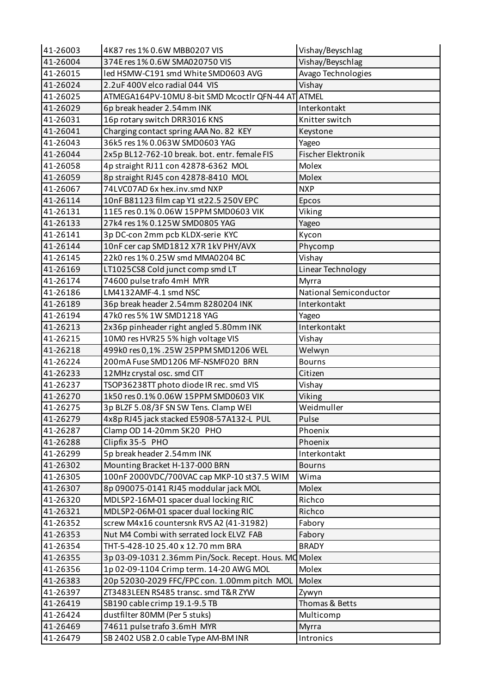| 41-26003 | 4K87 res 1% 0.6W MBB0207 VIS                          | Vishay/Beyschlag       |
|----------|-------------------------------------------------------|------------------------|
| 41-26004 | 374E res 1% 0.6W SMA020750 VIS                        | Vishay/Beyschlag       |
| 41-26015 | led HSMW-C191 smd White SMD0603 AVG                   | Avago Technologies     |
| 41-26024 | 2.2uF 400V elco radial 044 VIS                        | Vishay                 |
| 41-26025 | ATMEGA164PV-10MU 8-bit SMD Mcoctlr QFN-44 AT ATMEL    |                        |
| 41-26029 | 6p break header 2.54mm INK                            | Interkontakt           |
| 41-26031 | 16p rotary switch DRR3016 KNS                         | Knitter switch         |
| 41-26041 | Charging contact spring AAA No. 82 KEY                | Keystone               |
| 41-26043 | 36k5 res 1% 0.063W SMD0603 YAG                        | Yageo                  |
| 41-26044 | 2x5p BL12-762-10 break. bot. entr. female FIS         | Fischer Elektronik     |
| 41-26058 | 4p straight RJ11 con 42878-6362 MOL                   | Molex                  |
| 41-26059 | 8p straight RJ45 con 42878-8410 MOL                   | Molex                  |
| 41-26067 | 74LVC07AD 6x hex.inv.smd NXP                          | <b>NXP</b>             |
| 41-26114 | 10nF B81123 film cap Y1 st22.5 250V EPC               | Epcos                  |
| 41-26131 | 11E5 res 0.1% 0.06W 15PPM SMD0603 VIK                 | Viking                 |
| 41-26133 | 27k4 res 1% 0.125W SMD0805 YAG                        | Yageo                  |
| 41-26141 | 3p DC-con 2mm pcb KLDX-serie KYC                      | Kycon                  |
| 41-26144 | 10nF cer cap SMD1812 X7R 1kV PHY/AVX                  | Phycomp                |
| 41-26145 | 22k0 res 1% 0.25W smd MMA0204 BC                      | Vishay                 |
| 41-26169 | LT1025CS8 Cold junct comp smd LT                      | Linear Technology      |
| 41-26174 | 74600 pulse trafo 4mH MYR                             | Myrra                  |
| 41-26186 | LM4132AMF-4.1 smd NSC                                 | National Semiconductor |
| 41-26189 | 36p break header 2.54mm 8280204 INK                   | Interkontakt           |
| 41-26194 | 47k0 res 5% 1W SMD1218 YAG                            | Yageo                  |
| 41-26213 | 2x36p pinheader right angled 5.80mm INK               | Interkontakt           |
| 41-26215 | 10M0 res HVR25 5% high voltage VIS                    | Vishay                 |
| 41-26218 | 499k0 res 0,1% .25W 25PPM SMD1206 WEL                 | Welwyn                 |
| 41-26224 | 200mA Fuse SMD1206 MF-NSMF020 BRN                     | <b>Bourns</b>          |
| 41-26233 | 12MHz crystal osc. smd CIT                            | Citizen                |
| 41-26237 | TSOP36238TT photo diode IR rec. smd VIS               | Vishay                 |
| 41-26270 | 1k50 res 0.1% 0.06W 15PPM SMD0603 VIK                 | Viking                 |
| 41-26275 | 3p BLZF 5.08/3F SN SW Tens. Clamp WEI                 | Weidmuller             |
| 41-26279 | 4x8p RJ45 jack stacked E5908-57A132-L PUL             | Pulse                  |
| 41-26287 | Clamp OD 14-20mm SK20 PHO                             | Phoenix                |
| 41-26288 | Clipfix 35-5 PHO                                      | Phoenix                |
| 41-26299 | 5p break header 2.54mm INK                            | Interkontakt           |
| 41-26302 | Mounting Bracket H-137-000 BRN                        | <b>Bourns</b>          |
| 41-26305 | 100nF 2000VDC/700VAC cap MKP-10 st37.5 WIM            | Wima                   |
| 41-26307 | 8p 090075-0141 RJ45 moddular jack MOL                 | Molex                  |
| 41-26320 | MDLSP2-16M-01 spacer dual locking RIC                 | Richco                 |
| 41-26321 | MDLSP2-06M-01 spacer dual locking RIC                 | Richco                 |
|          |                                                       |                        |
| 41-26352 | screw M4x16 countersnk RVS A2 (41-31982)              | Fabory                 |
| 41-26353 | Nut M4 Combi with serrated lock ELVZ FAB              | Fabory                 |
| 41-26354 | THT-5-428-10 25.40 x 12.70 mm BRA                     | <b>BRADY</b>           |
| 41-26355 | 3p 03-09-1031 2.36mm Pin/Sock. Recept. Hous. MC Molex |                        |
| 41-26356 | 1p 02-09-1104 Crimp term. 14-20 AWG MOL               | Molex                  |
| 41-26383 | 20p 52030-2029 FFC/FPC con. 1.00mm pitch MOL          | Molex                  |
| 41-26397 | ZT3483LEEN RS485 transc. smd T&R ZYW                  | Zywyn                  |
| 41-26419 | SB190 cable crimp 19.1-9.5 TB                         | Thomas & Betts         |
| 41-26424 | dustfilter 80MM (Per 5 stuks)                         | Multicomp              |
| 41-26469 | 74611 pulse trafo 3.6mH MYR                           | Myrra                  |
| 41-26479 | SB 2402 USB 2.0 cable Type AM-BM INR                  | Intronics              |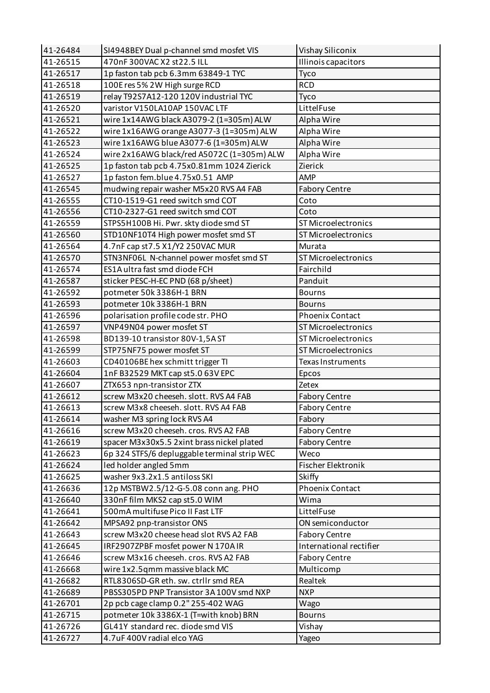| 41-26484 | SI4948BEY Dual p-channel smd mosfet VIS      | Vishay Siliconix          |
|----------|----------------------------------------------|---------------------------|
| 41-26515 | 470nF 300VAC X2 st22.5 ILL                   | Illinois capacitors       |
| 41-26517 | 1p faston tab pcb 6.3mm 63849-1 TYC          | Tyco                      |
| 41-26518 | 100E res 5% 2W High surge RCD                | <b>RCD</b>                |
| 41-26519 | relay T92S7A12-120 120V industrial TYC       | Tyco                      |
| 41-26520 | varistor V150LA10AP 150VAC LTF               | LittelFuse                |
| 41-26521 | wire 1x14AWG black A3079-2 (1=305m) ALW      | Alpha Wire                |
| 41-26522 | wire 1x16AWG orange A3077-3 (1=305m) ALW     | Alpha Wire                |
| 41-26523 | wire 1x16AWG blue A3077-6 (1=305m) ALW       | Alpha Wire                |
| 41-26524 | wire 2x16AWG black/red A5072C (1=305m) ALW   | Alpha Wire                |
| 41-26525 | 1p faston tab pcb 4.75x0.81mm 1024 Zierick   | Zierick                   |
| 41-26527 | 1p faston fem.blue 4.75x0.51 AMP             | AMP                       |
| 41-26545 | mudwing repair washer M5x20 RVS A4 FAB       | <b>Fabory Centre</b>      |
| 41-26555 | CT10-1519-G1 reed switch smd COT             | Coto                      |
| 41-26556 | CT10-2327-G1 reed switch smd COT             | Coto                      |
| 41-26559 | STPS5H100B Hi. Pwr. skty diode smd ST        | ST Microelectronics       |
| 41-26560 | STD10NF10T4 High power mosfet smd ST         | ST Microelectronics       |
| 41-26564 | 4.7nF cap st7.5 X1/Y2 250VAC MUR             | Murata                    |
| 41-26570 | STN3NF06L N-channel power mosfet smd ST      | ST Microelectronics       |
| 41-26574 | ES1A ultra fast smd diode FCH                | Fairchild                 |
| 41-26587 | sticker PESC-H-EC PND (68 p/sheet)           | Panduit                   |
| 41-26592 | potmeter 50k 3386H-1 BRN                     | <b>Bourns</b>             |
| 41-26593 | potmeter 10k 3386H-1 BRN                     | <b>Bourns</b>             |
| 41-26596 | polarisation profile code str. PHO           | <b>Phoenix Contact</b>    |
| 41-26597 | VNP49N04 power mosfet ST                     | ST Microelectronics       |
| 41-26598 | BD139-10 transistor 80V-1,5AST               | ST Microelectronics       |
| 41-26599 | STP75NF75 power mosfet ST                    | ST Microelectronics       |
| 41-26603 | CD40106BE hex schmitt trigger TI             | <b>Texas Instruments</b>  |
| 41-26604 | 1nF B32529 MKT cap st5.0 63V EPC             | Epcos                     |
| 41-26607 | ZTX653 npn-transistor ZTX                    | Zetex                     |
| 41-26612 | screw M3x20 cheeseh. slott. RVS A4 FAB       | <b>Fabory Centre</b>      |
| 41-26613 | screw M3x8 cheeseh. slott. RVS A4 FAB        | <b>Fabory Centre</b>      |
| 41-26614 | washer M3 spring lock RVS A4                 | Fabory                    |
| 41-26616 | screw M3x20 cheeseh. cros. RVS A2 FAB        | <b>Fabory Centre</b>      |
| 41-26619 | spacer M3x30x5.5 2xint brass nickel plated   | <b>Fabory Centre</b>      |
| 41-26623 | 6p 324 STFS/6 depluggable terminal strip WEC | Weco                      |
| 41-26624 | led holder angled 5mm                        | <b>Fischer Elektronik</b> |
| 41-26625 | washer 9x3.2x1.5 antiloss SKI                | Skiffy                    |
| 41-26636 | 12p MSTBW2.5/12-G-5.08 conn ang. PHO         | Phoenix Contact           |
| 41-26640 | 330nF film MKS2 cap st5.0 WIM                | Wima                      |
| 41-26641 | 500mA multifuse Pico II Fast LTF             | LittelFuse                |
| 41-26642 | MPSA92 pnp-transistor ONS                    | ON semiconductor          |
| 41-26643 | screw M3x20 cheese head slot RVS A2 FAB      | <b>Fabory Centre</b>      |
| 41-26645 | IRF2907ZPBF mosfet power N 170AIR            | International rectifier   |
| 41-26646 | screw M3x16 cheeseh. cros. RVS A2 FAB        | <b>Fabory Centre</b>      |
| 41-26668 | wire 1x2.5qmm massive black MC               | Multicomp                 |
| 41-26682 | RTL8306SD-GR eth. sw. ctrllr smd REA         | Realtek                   |
| 41-26689 | PBSS305PD PNP Transistor 3A 100V smd NXP     | <b>NXP</b>                |
| 41-26701 | 2p pcb cage clamp 0.2" 255-402 WAG           | Wago                      |
| 41-26715 | potmeter 10k 3386X-1 (T=with knob) BRN       | <b>Bourns</b>             |
| 41-26726 | GL41Y standard rec. diode smd VIS            | Vishay                    |
| 41-26727 | 4.7uF 400V radial elco YAG                   | Yageo                     |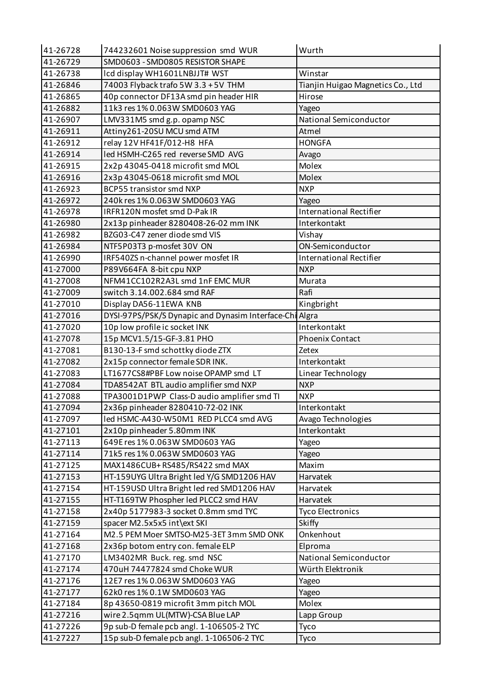| 41-26728 | 744232601 Noise suppression smd WUR                     | Wurth                             |
|----------|---------------------------------------------------------|-----------------------------------|
| 41-26729 | SMD0603 - SMD0805 RESISTOR SHAPE                        |                                   |
| 41-26738 | Icd display WH1601LNBJJT# WST                           | Winstar                           |
| 41-26846 | 74003 Flyback trafo 5W 3.3 + 5V THM                     | Tianjin Huigao Magnetics Co., Ltd |
| 41-26865 | 40p connector DF13A smd pin header HIR                  | Hirose                            |
| 41-26882 | 11k3 res 1% 0.063W SMD0603 YAG                          | Yageo                             |
| 41-26907 | LMV331M5 smd g.p. opamp NSC                             | National Semiconductor            |
| 41-26911 | Attiny261-20SU MCU smd ATM                              | Atmel                             |
| 41-26912 | relay 12V HF41F/012-H8 HFA                              | <b>HONGFA</b>                     |
| 41-26914 | led HSMH-C265 red reverse SMD AVG                       | Avago                             |
| 41-26915 | 2x2p 43045-0418 microfit smd MOL                        | Molex                             |
| 41-26916 | 2x3p 43045-0618 microfit smd MOL                        | <b>Molex</b>                      |
| 41-26923 | BCP55 transistor smd NXP                                | <b>NXP</b>                        |
| 41-26972 | 240k res 1% 0.063W SMD0603 YAG                          | Yageo                             |
| 41-26978 | IRFR120N mosfet smd D-Pak IR                            | <b>International Rectifier</b>    |
| 41-26980 | 2x13p pinheader 8280408-26-02 mm INK                    | Interkontakt                      |
| 41-26982 | BZG03-C47 zener diode smd VIS                           | Vishay                            |
| 41-26984 | NTF5P03T3 p-mosfet 30V ON                               | ON-Semiconductor                  |
| 41-26990 | IRF540ZS n-channel power mosfet IR                      | <b>International Rectifier</b>    |
| 41-27000 | P89V664FA 8-bit cpu NXP                                 | <b>NXP</b>                        |
| 41-27008 | NFM41CC102R2A3L smd 1nF EMC MUR                         | Murata                            |
| 41-27009 | switch 3.14.002.684 smd RAF                             | Rafi                              |
| 41-27010 | Display DA56-11EWA KNB                                  | Kingbright                        |
| 41-27016 | DYSI-97PS/PSK/S Dynapic and Dynasim Interface-Chi Algra |                                   |
| 41-27020 | 10p low profile ic socket INK                           | Interkontakt                      |
| 41-27078 | 15p MCV1.5/15-GF-3.81 PHO                               | <b>Phoenix Contact</b>            |
| 41-27081 | B130-13-F smd schottky diode ZTX                        | Zetex                             |
| 41-27082 | 2x15p connector female SDR INK.                         | Interkontakt                      |
| 41-27083 | LT1677CS8#PBF Low noise OPAMP smd LT                    | Linear Technology                 |
| 41-27084 | TDA8542AT BTL audio amplifier smd NXP                   | <b>NXP</b>                        |
| 41-27088 | TPA3001D1PWP Class-D audio amplifier smd TI             | <b>NXP</b>                        |
| 41-27094 | 2x36p pinheader 8280410-72-02 INK                       | Interkontakt                      |
| 41-27097 | led HSMC-A430-W50M1 RED PLCC4 smd AVG                   | Avago Technologies                |
| 41-27101 | 2x10p pinheader 5.80mm INK                              | Interkontakt                      |
| 41-27113 | 649E res 1% 0.063W SMD0603 YAG                          | Yageo                             |
| 41-27114 | 71k5 res 1% 0.063W SMD0603 YAG                          | Yageo                             |
| 41-27125 | MAX1486CUB+RS485/RS422 smd MAX                          | Maxim                             |
| 41-27153 | HT-159UYG Ultra Bright led Y/G SMD1206 HAV              | Harvatek                          |
| 41-27154 | HT-159USD Ultra Bright led red SMD1206 HAV              | Harvatek                          |
| 41-27155 | HT-T169TW Phospher led PLCC2 smd HAV                    | Harvatek                          |
| 41-27158 | 2x40p 5177983-3 socket 0.8mm smd TYC                    | <b>Tyco Electronics</b>           |
| 41-27159 | spacer M2.5x5x5 int\ext SKI                             | <b>Skiffy</b>                     |
| 41-27164 | M2.5 PEM Moer SMTSO-M25-3ET 3mm SMD ONK                 | Onkenhout                         |
| 41-27168 | 2x36p botom entry con. female ELP                       | Elproma                           |
| 41-27170 | LM3402MR Buck. reg. smd NSC                             | National Semiconductor            |
| 41-27174 | 470uH 74477824 smd Choke WUR                            | Würth Elektronik                  |
| 41-27176 | 12E7 res 1% 0.063W SMD0603 YAG                          | Yageo                             |
| 41-27177 | 62k0 res 1% 0.1W SMD0603 YAG                            | Yageo                             |
| 41-27184 | 8p 43650-0819 microfit 3mm pitch MOL                    | Molex                             |
| 41-27216 | wire 2.5qmm UL(MTW)-CSA Blue LAP                        | Lapp Group                        |
| 41-27226 | 9p sub-D female pcb angl. 1-106505-2 TYC                | Tyco                              |
| 41-27227 | 15p sub-D female pcb angl. 1-106506-2 TYC               | Tyco                              |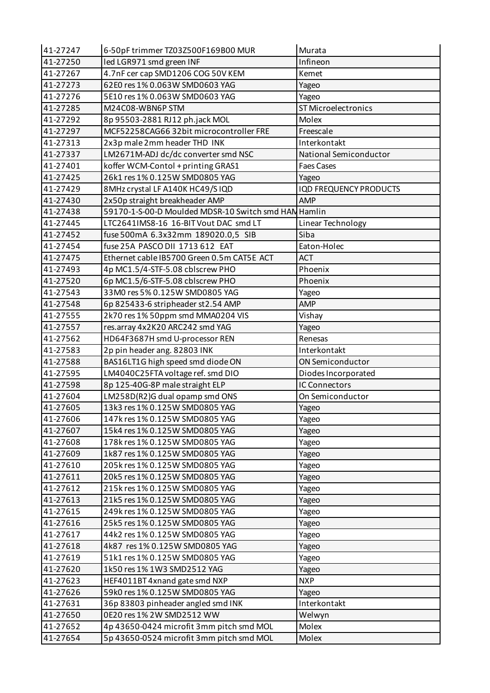| 41-27247 | 6-50pF trimmer TZ03Z500F169B00 MUR                   | Murata                        |
|----------|------------------------------------------------------|-------------------------------|
| 41-27250 | led LGR971 smd green INF                             | Infineon                      |
| 41-27267 | 4.7nF cer cap SMD1206 COG 50V KEM                    | Kemet                         |
| 41-27273 | 62E0 res 1% 0.063W SMD0603 YAG                       | Yageo                         |
| 41-27276 | 5E10 res 1% 0.063W SMD0603 YAG                       | Yageo                         |
| 41-27285 | M24C08-WBN6P STM                                     | <b>ST Microelectronics</b>    |
| 41-27292 | 8p 95503-2881 RJ12 ph.jack MOL                       | Molex                         |
| 41-27297 | MCF52258CAG66 32bit microcontroller FRE              | Freescale                     |
| 41-27313 | 2x3p male 2mm header THD INK                         | Interkontakt                  |
| 41-27337 | LM2671M-ADJ dc/dc converter smd NSC                  | National Semiconductor        |
| 41-27401 | koffer WCM-Contol + printing GRAS1                   | <b>Faes Cases</b>             |
| 41-27425 | 26k1 res 1% 0.125W SMD0805 YAG                       | Yageo                         |
| 41-27429 | 8MHz crystal LF A140K HC49/S IQD                     | <b>IQD FREQUENCY PRODUCTS</b> |
| 41-27430 | 2x50p straight breakheader AMP                       | AMP                           |
| 41-27438 | 59170-1-S-00-D Moulded MDSR-10 Switch smd HAN Hamlin |                               |
| 41-27445 | LTC2641IMS8-16 16-BIT Vout DAC smd LT                | Linear Technology             |
| 41-27452 | fuse 500mA 6.3x32mm 189020.0,5 SIB                   | Siba                          |
| 41-27454 | fuse 25A PASCO DII 1713 612 EAT                      | Eaton-Holec                   |
| 41-27475 | Ethernet cable IB5700 Green 0.5m CAT5E ACT           | <b>ACT</b>                    |
| 41-27493 | 4p MC1.5/4-STF-5.08 cblscrew PHO                     | Phoenix                       |
| 41-27520 | 6p MC1.5/6-STF-5.08 cblscrew PHO                     | Phoenix                       |
| 41-27543 | 33M0 res 5% 0.125W SMD0805 YAG                       | Yageo                         |
| 41-27548 | 6p 825433-6 stripheader st2.54 AMP                   | <b>AMP</b>                    |
| 41-27555 | 2k70 res 1% 50ppm smd MMA0204 VIS                    | Vishay                        |
| 41-27557 | res.array 4x2K20 ARC242 smd YAG                      | Yageo                         |
| 41-27562 | HD64F3687H smd U-processor REN                       | Renesas                       |
| 41-27583 | 2p pin header ang. 82803 INK                         | Interkontakt                  |
| 41-27588 | BAS16LT1G high speed smd diode ON                    | ON Semiconductor              |
| 41-27595 | LM4040C25FTA voltage ref. smd DIO                    | Diodes Incorporated           |
| 41-27598 | 8p 125-40G-8P male straight ELP                      | IC Connectors                 |
| 41-27604 | LM258D(R2)G dual opamp smd ONS                       | On Semiconductor              |
| 41-27605 | 13k3 res 1% 0.125W SMD0805 YAG                       | Yageo                         |
| 41-27606 | 147k res 1% 0.125W SMD0805 YAG                       | Yageo                         |
| 41-27607 | 15k4 res 1% 0.125W SMD0805 YAG                       | Yageo                         |
| 41-27608 | 178k res 1% 0.125W SMD0805 YAG                       | Yageo                         |
| 41-27609 | 1k87 res 1% 0.125W SMD0805 YAG                       | Yageo                         |
| 41-27610 | 205k res 1% 0.125W SMD0805 YAG                       | Yageo                         |
| 41-27611 | 20k5 res 1% 0.125W SMD0805 YAG                       | Yageo                         |
| 41-27612 | 215k res 1% 0.125W SMD0805 YAG                       | Yageo                         |
| 41-27613 | 21k5 res 1% 0.125W SMD0805 YAG                       | Yageo                         |
| 41-27615 | 249k res 1% 0.125W SMD0805 YAG                       | Yageo                         |
| 41-27616 | 25k5 res 1% 0.125W SMD0805 YAG                       | Yageo                         |
| 41-27617 | 44k2 res 1% 0.125W SMD0805 YAG                       | Yageo                         |
| 41-27618 | 4k87 res 1% 0.125W SMD0805 YAG                       | Yageo                         |
| 41-27619 | 51k1 res 1% 0.125W SMD0805 YAG                       | Yageo                         |
| 41-27620 | 1k50 res 1% 1W3 SMD2512 YAG                          | Yageo                         |
| 41-27623 | HEF4011BT 4xnand gate smd NXP                        | <b>NXP</b>                    |
| 41-27626 | 59k0 res 1% 0.125W SMD0805 YAG                       | Yageo                         |
| 41-27631 | 36p 83803 pinheader angled smd INK                   | Interkontakt                  |
| 41-27650 | 0E20 res 1% 2W SMD2512 WW                            | Welwyn                        |
| 41-27652 | 4p 43650-0424 microfit 3mm pitch smd MOL             | Molex                         |
| 41-27654 | 5p 43650-0524 microfit 3mm pitch smd MOL             | Molex                         |
|          |                                                      |                               |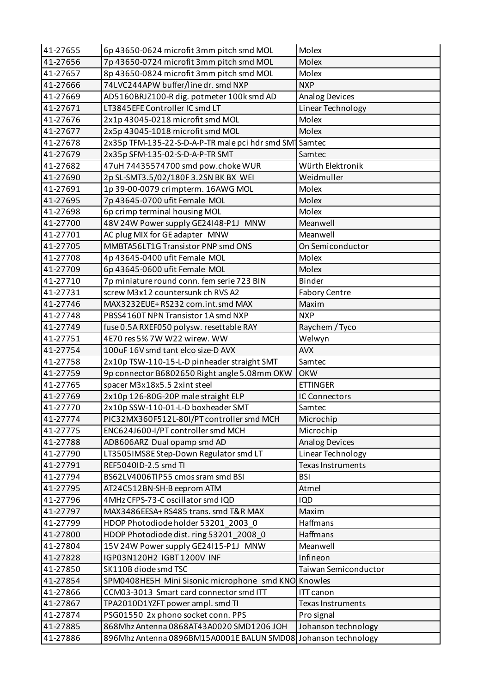| 41-27655 | 6p 43650-0624 microfit 3mm pitch smd MOL                      | Molex                    |
|----------|---------------------------------------------------------------|--------------------------|
| 41-27656 | 7p 43650-0724 microfit 3mm pitch smd MOL                      | Molex                    |
| 41-27657 | 8p 43650-0824 microfit 3mm pitch smd MOL                      | Molex                    |
| 41-27666 | 74LVC244APW buffer/line dr. smd NXP                           | <b>NXP</b>               |
| 41-27669 | AD5160BRJZ100-R dig. potmeter 100k smd AD                     | <b>Analog Devices</b>    |
| 41-27671 | LT3845EFE Controller IC smd LT                                | Linear Technology        |
| 41-27676 | 2x1p 43045-0218 microfit smd MOL                              | Molex                    |
| 41-27677 | 2x5p 43045-1018 microfit smd MOL                              | Molex                    |
| 41-27678 | 2x35p TFM-135-22-S-D-A-P-TR male pci hdr smd SMT Samtec       |                          |
| 41-27679 | 2x35p SFM-135-02-S-D-A-P-TR SMT                               | Samtec                   |
| 41-27682 | 47uH 74435574700 smd pow.choke WUR                            | Würth Elektronik         |
| 41-27690 | 2p SL-SMT3.5/02/180F 3.2SN BK BX WEI                          | Weidmuller               |
| 41-27691 | 1p 39-00-0079 crimpterm. 16AWG MOL                            | Molex                    |
| 41-27695 | 7p 43645-0700 ufit Female MOL                                 | Molex                    |
| 41-27698 | 6p crimp terminal housing MOL                                 | Molex                    |
| 41-27700 | 48V 24W Power supply GE24148-P1J MNW                          | Meanwell                 |
| 41-27701 | AC plug MIX for GE adapter MNW                                | Meanwell                 |
| 41-27705 | MMBTA56LT1G Transistor PNP smd ONS                            | On Semiconductor         |
| 41-27708 | 4p 43645-0400 ufit Female MOL                                 | Molex                    |
| 41-27709 | 6p 43645-0600 ufit Female MOL                                 | <b>Molex</b>             |
| 41-27710 | 7p miniature round conn. fem serie 723 BIN                    | Binder                   |
| 41-27731 | screw M3x12 countersunk ch RVS A2                             | <b>Fabory Centre</b>     |
| 41-27746 | MAX3232EUE+RS232 com.int.smd MAX                              | Maxim                    |
| 41-27748 | PBSS4160T NPN Transistor 1A smd NXP                           | <b>NXP</b>               |
| 41-27749 | fuse 0.5A RXEF050 polysw. resettable RAY                      | Raychem / Tyco           |
| 41-27751 | 4E70 res 5% 7W W22 wirew. WW                                  | Welwyn                   |
| 41-27754 | 100uF 16V smd tant elco size-D AVX                            | <b>AVX</b>               |
| 41-27758 | 2x10p TSW-110-15-L-D pinheader straight SMT                   | Samtec                   |
| 41-27759 | 9p connector B6802650 Right angle 5.08mm OKW                  | <b>OKW</b>               |
| 41-27765 | spacer M3x18x5.5 2xint steel                                  | <b>ETTINGER</b>          |
| 41-27769 | 2x10p 126-80G-20P male straight ELP                           | IC Connectors            |
| 41-27770 | 2x10p SSW-110-01-L-D boxheader SMT                            | Samtec                   |
| 41-27774 | PIC32MX360F512L-80I/PT controller smd MCH                     | Microchip                |
| 41-27775 | ENC624J600-I/PT controller smd MCH                            | Microchip                |
| 41-27788 | AD8606ARZ Dual opamp smd AD                                   | <b>Analog Devices</b>    |
| 41-27790 | LT3505IMS8E Step-Down Regulator smd LT                        | Linear Technology        |
| 41-27791 | REF5040ID-2.5 smd TI                                          | Texas Instruments        |
| 41-27794 | BS62LV4006TIP55 cmos sram smd BSI                             | <b>BSI</b>               |
| 41-27795 | AT24C512BN-SH-B eeprom ATM                                    | Atmel                    |
| 41-27796 | 4MHz CFPS-73-C oscillator smd IQD                             | <b>IQD</b>               |
| 41-27797 | MAX3486EESA+RS485 trans. smd T&R MAX                          | Maxim                    |
| 41-27799 | HDOP Photodiode holder 53201_2003_0                           | Haffmans                 |
| 41-27800 | HDOP Photodiode dist. ring 53201_2008_0                       | Haffmans                 |
| 41-27804 | 15V 24W Power supply GE24I15-P1J MNW                          | Meanwell                 |
| 41-27828 | IGP03N120H2 IGBT1200V INF                                     | Infineon                 |
| 41-27850 | SK110B diode smd TSC                                          | Taiwan Semiconductor     |
| 41-27854 | SPM0408HE5H Mini Sisonic microphone smd KNO Knowles           |                          |
| 41-27866 | CCM03-3013 Smart card connector smd ITT                       | ITT canon                |
| 41-27867 | TPA2010D1YZFT power ampl. smd TI                              | <b>Texas Instruments</b> |
| 41-27874 | PSG01550 2x phono socket conn. PPS                            | Pro signal               |
| 41-27885 | 868Mhz Antenna 0868AT43A0020 SMD1206 JOH                      | Johanson technology      |
| 41-27886 | 896Mhz Antenna 0896BM15A0001E BALUN SMD08 Johanson technology |                          |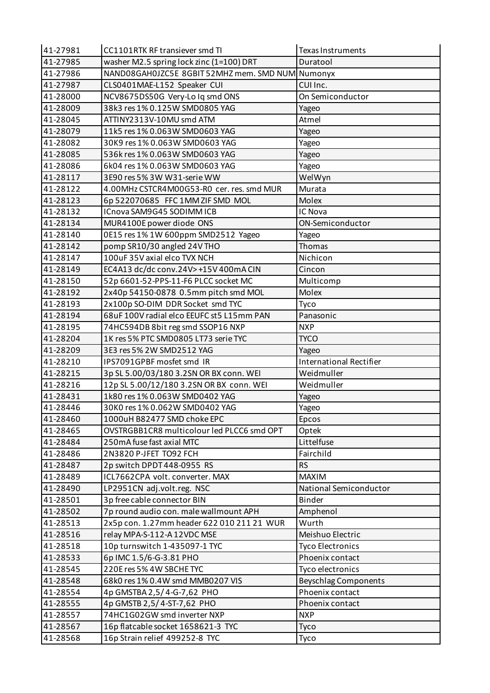| 41-27981 | CC1101RTK RF transiever smd TI                  | <b>Texas Instruments</b>       |
|----------|-------------------------------------------------|--------------------------------|
| 41-27985 | washer M2.5 spring lock zinc (1=100) DRT        | Duratool                       |
| 41-27986 | NAND08GAH0JZC5E 8GBIT52MHZ mem. SMD NUM Numonyx |                                |
| 41-27987 | CLS0401MAE-L152 Speaker CUI                     | CUI Inc.                       |
| 41-28000 | NCV8675DS50G Very-Lo Iq smd ONS                 | On Semiconductor               |
| 41-28009 | 38k3 res 1% 0.125W SMD0805 YAG                  | Yageo                          |
| 41-28045 | ATTINY2313V-10MU smd ATM                        | Atmel                          |
| 41-28079 | 11k5 res 1% 0.063W SMD0603 YAG                  | Yageo                          |
| 41-28082 | 30K9 res 1% 0.063W SMD0603 YAG                  | Yageo                          |
| 41-28085 | 536k res 1% 0.063W SMD0603 YAG                  | Yageo                          |
| 41-28086 | 6k04 res 1% 0.063W SMD0603 YAG                  | Yageo                          |
| 41-28117 | 3E90 res 5% 3W W31-serie WW                     | WelWyn                         |
| 41-28122 | 4.00MHz CSTCR4M00G53-R0 cer. res. smd MUR       | Murata                         |
| 41-28123 | 6p 522070685 FFC 1MM ZIF SMD MOL                | Molex                          |
| 41-28132 | ICnova SAM9G45 SODIMM ICB                       | IC Nova                        |
| 41-28134 | MUR4100E power diode ONS                        | ON-Semiconductor               |
| 41-28140 | 0E15 res 1% 1W 600ppm SMD2512 Yageo             | Yageo                          |
| 41-28142 | pomp SR10/30 angled 24V THO                     | Thomas                         |
| 41-28147 | 100uF 35V axial elco TVX NCH                    | Nichicon                       |
| 41-28149 | EC4A13 dc/dc conv.24V>+15V 400mA CIN            | Cincon                         |
| 41-28150 | 52p 6601-52-PPS-11-F6 PLCC socket MC            | Multicomp                      |
| 41-28192 | 2x40p 54150-0878 0.5mm pitch smd MOL            | Molex                          |
| 41-28193 | 2x100p SO-DIM DDR Socket smd TYC                | Tyco                           |
| 41-28194 | 68uF 100V radial elco EEUFC st5 L15mm PAN       | Panasonic                      |
| 41-28195 | 74HC594DB 8bit reg smd SSOP16 NXP               | <b>NXP</b>                     |
| 41-28204 | 1K res 5% PTC SMD0805 LT73 serie TYC            | <b>TYCO</b>                    |
| 41-28209 | 3E3 res 5% 2W SMD2512 YAG                       | Yageo                          |
| 41-28210 | IPS7091GPBF mosfet smd IR                       | <b>International Rectifier</b> |
| 41-28215 | 3p SL 5.00/03/180 3.2SN OR BX conn. WEI         | Weidmuller                     |
| 41-28216 | 12p SL 5.00/12/180 3.2SN OR BX conn. WEI        | Weidmuller                     |
| 41-28431 | 1k80 res 1% 0.063W SMD0402 YAG                  | Yageo                          |
| 41-28446 | 30K0 res 1% 0.062W SMD0402 YAG                  | Yageo                          |
| 41-28460 | 1000uH B82477 SMD choke EPC                     | Epcos                          |
| 41-28465 | OVSTRGBB1CR8 multicolour led PLCC6 smd OPT      | Optek                          |
| 41-28484 | 250mA fuse fast axial MTC                       | Littelfuse                     |
| 41-28486 | 2N3820 P-JFET TO92 FCH                          | Fairchild                      |
| 41-28487 | 2p switch DPDT 448-0955 RS                      | <b>RS</b>                      |
| 41-28489 | ICL7662CPA volt. converter. MAX                 | <b>MAXIM</b>                   |
| 41-28490 | LP2951CN adj.volt.reg. NSC                      | National Semiconductor         |
| 41-28501 | 3p free cable connector BIN                     | <b>Binder</b>                  |
| 41-28502 | 7p round audio con. male wallmount APH          | Amphenol                       |
| 41-28513 | 2x5p con. 1.27mm header 622 010 211 21 WUR      | Wurth                          |
| 41-28516 | relay MPA-S-112-A 12VDC MSE                     | Meishuo Electric               |
| 41-28518 | 10p turnswitch 1-435097-1 TYC                   | <b>Tyco Electronics</b>        |
| 41-28533 | 6p IMC 1.5/6-G-3.81 PHO                         | Phoenix contact                |
| 41-28545 | 220E res 5% 4W SBCHE TYC                        | Tyco electronics               |
| 41-28548 | 68k0 res 1% 0.4W smd MMB0207 VIS                | <b>Beyschlag Components</b>    |
| 41-28554 | 4p GMSTBA 2,5/4-G-7,62 PHO                      | Phoenix contact                |
| 41-28555 | 4p GMSTB 2,5/4-ST-7,62 PHO                      | Phoenix contact                |
| 41-28557 | 74HC1G02GW smd inverter NXP                     | <b>NXP</b>                     |
| 41-28567 | 16p flatcable socket 1658621-3 TYC              | Tyco                           |
| 41-28568 | 16p Strain relief 499252-8 TYC                  | Tyco                           |
|          |                                                 |                                |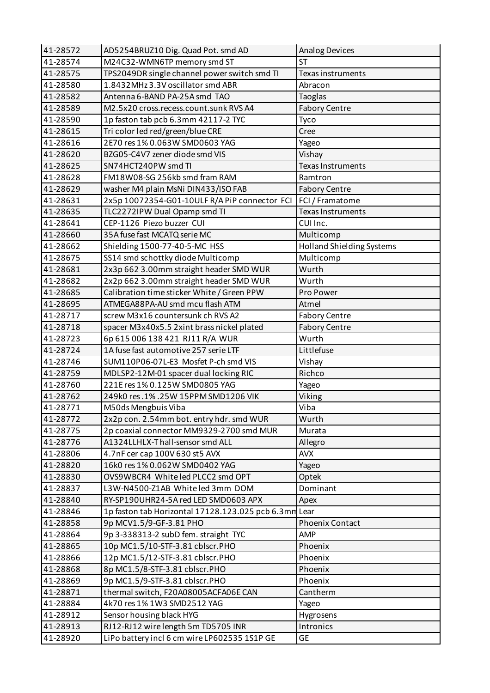| 41-28572 | AD5254BRUZ10 Dig. Quad Pot. smd AD                    | <b>Analog Devices</b>            |
|----------|-------------------------------------------------------|----------------------------------|
| 41-28574 | M24C32-WMN6TP memory smd ST                           | <b>ST</b>                        |
| 41-28575 | TPS2049DR single channel power switch smd TI          | Texas instruments                |
| 41-28580 | 1.8432MHz 3.3V oscillator smd ABR                     | Abracon                          |
| 41-28582 | Antenna 6-BAND PA-25A smd TAO                         | Taoglas                          |
| 41-28589 | M2.5x20 cross.recess.count.sunk RVS A4                | <b>Fabory Centre</b>             |
| 41-28590 | 1p faston tab pcb 6.3mm 42117-2 TYC                   | Tyco                             |
| 41-28615 | Tri color led red/green/blue CRE                      | Cree                             |
| 41-28616 | 2E70 res 1% 0.063W SMD0603 YAG                        | Yageo                            |
| 41-28620 | BZG05-C4V7 zener diode smd VIS                        | Vishay                           |
| 41-28625 | SN74HCT240PW smd TI                                   | Texas Instruments                |
| 41-28628 | FM18W08-SG 256kb smd fram RAM                         | Ramtron                          |
| 41-28629 | washer M4 plain MsNi DIN433/ISO FAB                   | <b>Fabory Centre</b>             |
| 41-28631 | 2x5p 10072354-G01-10ULF R/A PiP connector FCI         | FCI / Framatome                  |
| 41-28635 | TLC2272IPW Dual Opamp smd TI                          | <b>Texas Instruments</b>         |
| 41-28641 | CEP-1126 Piezo buzzer CUI                             | CUI Inc.                         |
| 41-28660 | 35A fuse fast MCATQ serie MC                          | Multicomp                        |
| 41-28662 | Shielding 1500-77-40-5-MC HSS                         | <b>Holland Shielding Systems</b> |
| 41-28675 | SS14 smd schottky diode Multicomp                     | Multicomp                        |
| 41-28681 | 2x3p 662 3.00mm straight header SMD WUR               | Wurth                            |
| 41-28682 | 2x2p 662 3.00mm straight header SMD WUR               | Wurth                            |
| 41-28685 | Calibration time sticker White / Green PPW            | Pro Power                        |
| 41-28695 | ATMEGA88PA-AU smd mcu flash ATM                       | Atmel                            |
| 41-28717 | screw M3x16 countersunk ch RVS A2                     | <b>Fabory Centre</b>             |
| 41-28718 | spacer M3x40x5.5 2xint brass nickel plated            | <b>Fabory Centre</b>             |
| 41-28723 | 6p 615 006 138 421 RJ11 R/A WUR                       | Wurth                            |
| 41-28724 | 1A fuse fast automotive 257 serie LTF                 | Littlefuse                       |
| 41-28746 | SUM110P06-07L-E3 Mosfet P-ch smd VIS                  | Vishay                           |
| 41-28759 | MDLSP2-12M-01 spacer dual locking RIC                 | Richco                           |
| 41-28760 | 221E res 1% 0.125W SMD0805 YAG                        | Yageo                            |
| 41-28762 | 249k0 res.1%.25W 15PPM SMD1206 VIK                    | Viking                           |
| 41-28771 | M50ds Mengbuis Viba                                   | Viba                             |
| 41-28772 | 2x2p con. 2.54mm bot. entry hdr. smd WUR              | Wurth                            |
| 41-28775 | 2p coaxial connector MM9329-2700 smd MUR              | Murata                           |
| 41-28776 | A1324LLHLX-Thall-sensor smd ALL                       | Allegro                          |
| 41-28806 | 4.7nF cer cap 100V 630 st5 AVX                        | <b>AVX</b>                       |
| 41-28820 | 16k0 res 1% 0.062W SMD0402 YAG                        | Yageo                            |
| 41-28830 | OVS9WBCR4 White led PLCC2 smd OPT                     | Optek                            |
| 41-28837 | L3W-N4500-Z1AB Whiteled 3mm DOM                       | Dominant                         |
| 41-28840 | RY-SP190UHR24-5A red LED SMD0603 APX                  | Apex                             |
| 41-28846 | 1p faston tab Horizontal 17128.123.025 pcb 6.3mm Lear |                                  |
| 41-28858 | 9p MCV1.5/9-GF-3.81 PHO                               | <b>Phoenix Contact</b>           |
| 41-28864 | 9p 3-338313-2 subD fem. straight TYC                  | <b>AMP</b>                       |
| 41-28865 | 10p MC1.5/10-STF-3.81 cblscr.PHO                      | Phoenix                          |
| 41-28866 | 12p MC1.5/12-STF-3.81 cblscr.PHO                      | Phoenix                          |
| 41-28868 | 8p MC1.5/8-STF-3.81 cblscr.PHO                        | Phoenix                          |
| 41-28869 | 9p MC1.5/9-STF-3.81 cblscr.PHO                        | Phoenix                          |
| 41-28871 | thermal switch, F20A08005ACFA06E CAN                  | Cantherm                         |
| 41-28884 | 4k70 res 1% 1W3 SMD2512 YAG                           | Yageo                            |
| 41-28912 | Sensor housing black HYG                              |                                  |
|          |                                                       | Hygrosens                        |
| 41-28913 | RJ12-RJ12 wire length 5m TD5705 INR                   | Intronics                        |
| 41-28920 | LiPo battery incl 6 cm wire LP602535 1S1P GE          | <b>GE</b>                        |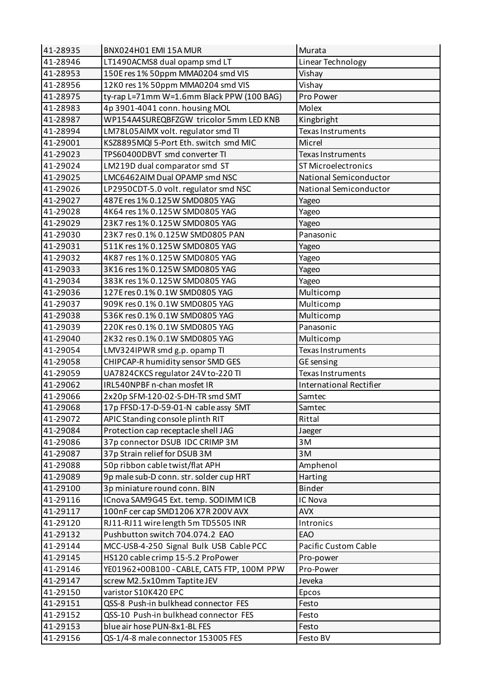| 41-28935 | BNX024H01 EMI 15A MUR                      | Murata                         |
|----------|--------------------------------------------|--------------------------------|
| 41-28946 | LT1490ACMS8 dual opamp smd LT              | Linear Technology              |
| 41-28953 | 150E res 1% 50ppm MMA0204 smd VIS          | Vishay                         |
| 41-28956 | 12K0 res 1% 50ppm MMA0204 smd VIS          | Vishay                         |
| 41-28975 | ty-rap L=71mm W=1.6mm Black PPW (100 BAG)  | Pro Power                      |
| 41-28983 | 4p 3901-4041 conn. housing MOL             | Molex                          |
| 41-28987 | WP154A4SUREQBFZGW tricolor 5mm LED KNB     | Kingbright                     |
| 41-28994 | LM78L05AIMX volt. regulator smd TI         | Texas Instruments              |
| 41-29001 | KSZ8895MQI 5-Port Eth. switch smd MIC      | Micrel                         |
| 41-29023 | TPS60400DBVT smd converter TI              | Texas Instruments              |
| 41-29024 | LM219D dual comparator smd ST              | <b>ST Microelectronics</b>     |
| 41-29025 | LMC6462AIM Dual OPAMP smd NSC              | National Semiconductor         |
| 41-29026 | LP2950CDT-5.0 volt. regulator smd NSC      | National Semiconductor         |
| 41-29027 | 487E res 1% 0.125W SMD0805 YAG             | Yageo                          |
| 41-29028 | 4K64 res 1% 0.125W SMD0805 YAG             | Yageo                          |
| 41-29029 | 23K7 res 1% 0.125W SMD0805 YAG             | Yageo                          |
| 41-29030 | 23K7 res 0.1% 0.125W SMD0805 PAN           | Panasonic                      |
| 41-29031 | 511K res 1% 0.125W SMD0805 YAG             | Yageo                          |
| 41-29032 | 4K87 res 1% 0.125W SMD0805 YAG             | Yageo                          |
| 41-29033 | 3K16 res 1% 0.125W SMD0805 YAG             | Yageo                          |
| 41-29034 | 383K res 1% 0.125W SMD0805 YAG             | Yageo                          |
| 41-29036 | 127E res 0.1% 0.1W SMD0805 YAG             | Multicomp                      |
| 41-29037 | 909K res 0.1% 0.1W SMD0805 YAG             | Multicomp                      |
| 41-29038 | 536K res 0.1% 0.1W SMD0805 YAG             | Multicomp                      |
| 41-29039 | 220K res 0.1% 0.1W SMD0805 YAG             | Panasonic                      |
| 41-29040 | 2K32 res 0.1% 0.1W SMD0805 YAG             | Multicomp                      |
| 41-29054 | LMV324IPWR smd g.p. opamp TI               | Texas Instruments              |
| 41-29058 | CHIPCAP-R humidity sensor SMD GES          | GE sensing                     |
| 41-29059 | UA7824CKCS regulator 24V to-220 TI         | <b>Texas Instruments</b>       |
| 41-29062 | IRL540NPBF n-chan mosfet IR                | <b>International Rectifier</b> |
| 41-29066 | 2x20p SFM-120-02-S-DH-TR smd SMT           | Samtec                         |
| 41-29068 | 17p FFSD-17-D-59-01-N cable assy SMT       | Samtec                         |
| 41-29072 | APIC Standing console plinth RIT           | Rittal                         |
| 41-29084 | Protection cap receptacle shell JAG        | Jaeger                         |
| 41-29086 | 37p connector DSUB IDC CRIMP 3M            | 3M                             |
| 41-29087 | 37p Strain relief for DSUB 3M              | 3M                             |
| 41-29088 | 50p ribbon cable twist/flat APH            | Amphenol                       |
| 41-29089 | 9p male sub-D conn. str. solder cup HRT    | Harting                        |
| 41-29100 | 3p miniature round conn. BIN               | Binder                         |
| 41-29116 | ICnova SAM9G45 Ext. temp. SODIMMICB        | IC Nova                        |
| 41-29117 | 100nF cer cap SMD1206 X7R 200V AVX         | <b>AVX</b>                     |
| 41-29120 | RJ11-RJ11 wire length 5m TD5505 INR        | Intronics                      |
| 41-29132 | Pushbutton switch 704.074.2 EAO            | EAO                            |
| 41-29144 | MCC-USB-4-250 Signal Bulk USB Cable PCC    | Pacific Custom Cable           |
| 41-29145 | HS120 cable crimp 15-5.2 ProPower          | Pro-power                      |
| 41-29146 | YE01962+00B100 - CABLE, CAT5 FTP, 100M PPW | Pro-Power                      |
| 41-29147 | screw M2.5x10mm Taptite JEV                | Jeveka                         |
| 41-29150 | varistor S10K420 EPC                       | Epcos                          |
| 41-29151 | QSS-8 Push-in bulkhead connector FES       | Festo                          |
| 41-29152 | QSS-10 Push-in bulkhead connector FES      | Festo                          |
| 41-29153 | blue air hose PUN-8x1-BL FES               | Festo                          |
| 41-29156 | QS-1/4-8 male connector 153005 FES         | Festo BV                       |
|          |                                            |                                |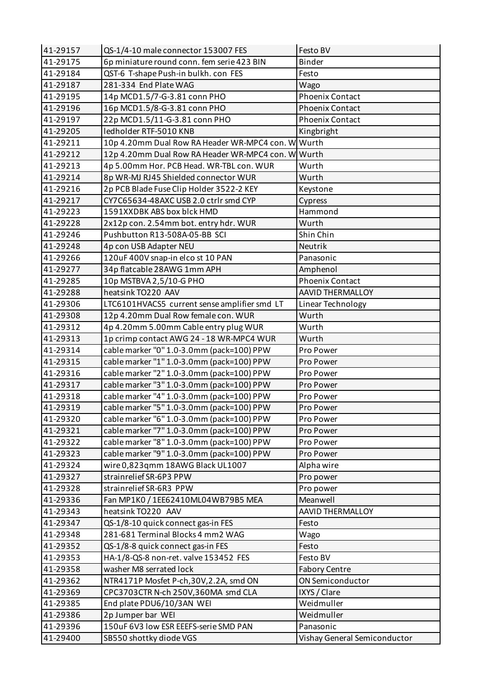| 41-29157 | QS-1/4-10 male connector 153007 FES                | Festo BV                     |
|----------|----------------------------------------------------|------------------------------|
| 41-29175 | 6p miniature round conn. fem serie 423 BIN         | Binder                       |
| 41-29184 | QST-6 T-shape Push-in bulkh. con FES               | Festo                        |
| 41-29187 | 281-334 End Plate WAG                              | Wago                         |
| 41-29195 | 14p MCD1.5/7-G-3.81 conn PHO                       | <b>Phoenix Contact</b>       |
| 41-29196 | 16p MCD1.5/8-G-3.81 conn PHO                       | <b>Phoenix Contact</b>       |
| 41-29197 | 22p MCD1.5/11-G-3.81 conn PHO                      | <b>Phoenix Contact</b>       |
| 41-29205 | ledholder RTF-5010 KNB                             | Kingbright                   |
| 41-29211 | 10p 4.20mm Dual Row RA Header WR-MPC4 con. W Wurth |                              |
| 41-29212 | 12p 4.20mm Dual Row RA Header WR-MPC4 con. W Wurth |                              |
| 41-29213 | 4p 5.00mm Hor. PCB Head. WR-TBL con. WUR           | Wurth                        |
| 41-29214 | 8p WR-MJ RJ45 Shielded connector WUR               | Wurth                        |
| 41-29216 | 2p PCB Blade Fuse Clip Holder 3522-2 KEY           | Keystone                     |
| 41-29217 | CY7C65634-48AXC USB 2.0 ctrlr smd CYP              | Cypress                      |
| 41-29223 | 1591XXDBK ABS box blck HMD                         | Hammond                      |
| 41-29228 | 2x12p con. 2.54mm bot. entry hdr. WUR              | Wurth                        |
| 41-29246 | Pushbutton R13-508A-05-BB SCI                      | Shin Chin                    |
| 41-29248 | 4p con USB Adapter NEU                             | Neutrik                      |
| 41-29266 | 120uF 400V snap-in elco st 10 PAN                  | Panasonic                    |
| 41-29277 | 34p flatcable 28AWG 1mm APH                        | Amphenol                     |
| 41-29285 | 10p MSTBVA 2,5/10-G PHO                            | <b>Phoenix Contact</b>       |
| 41-29288 | heatsink TO220 AAV                                 | <b>AAVID THERMALLOY</b>      |
| 41-29306 | LTC6101HVACS5 current sense amplifier smd LT       | Linear Technology            |
| 41-29308 | 12p 4.20mm Dual Row female con. WUR                | Wurth                        |
| 41-29312 | 4p 4.20mm 5.00mm Cable entry plug WUR              | Wurth                        |
| 41-29313 | 1p crimp contact AWG 24 - 18 WR-MPC4 WUR           | Wurth                        |
| 41-29314 | cable marker "0" 1.0-3.0mm (pack=100) PPW          | Pro Power                    |
| 41-29315 | cable marker "1" 1.0-3.0mm (pack=100) PPW          | Pro Power                    |
| 41-29316 | cable marker "2" 1.0-3.0mm (pack=100) PPW          | Pro Power                    |
| 41-29317 | cable marker "3" 1.0-3.0mm (pack=100) PPW          | Pro Power                    |
| 41-29318 | cable marker "4" 1.0-3.0mm (pack=100) PPW          | Pro Power                    |
| 41-29319 | cable marker "5" 1.0-3.0mm (pack=100) PPW          | Pro Power                    |
| 41-29320 | cable marker "6" 1.0-3.0mm (pack=100) PPW          | Pro Power                    |
| 41-29321 | cable marker "7" 1.0-3.0mm (pack=100) PPW          | Pro Power                    |
|          | cable marker "8" 1.0-3.0mm (pack=100) PPW          |                              |
| 41-29322 | cable marker "9" 1.0-3.0mm (pack=100) PPW          | Pro Power                    |
| 41-29323 |                                                    | Pro Power                    |
| 41-29324 | wire 0,823qmm 18AWG Black UL1007                   | Alpha wire                   |
| 41-29327 | strainrelief SR-6P3 PPW                            | Pro power                    |
| 41-29328 | strainrelief SR-6R3 PPW                            | Pro power                    |
| 41-29336 | Fan MP1K0 / 1EE62410ML04WB79B5 MEA                 | Meanwell                     |
| 41-29343 | heatsink TO220 AAV                                 | AAVID THERMALLOY             |
| 41-29347 | QS-1/8-10 quick connect gas-in FES                 | Festo                        |
| 41-29348 | 281-681 Terminal Blocks 4 mm2 WAG                  | Wago                         |
| 41-29352 | QS-1/8-8 quick connect gas-in FES                  | Festo                        |
| 41-29353 | HA-1/8-QS-8 non-ret. valve 153452 FES              | Festo BV                     |
| 41-29358 | washer M8 serrated lock                            | <b>Fabory Centre</b>         |
| 41-29362 | NTR4171P Mosfet P-ch, 30V, 2.2A, smd ON            | ON Semiconductor             |
| 41-29369 | CPC3703CTR N-ch 250V,360MA smd CLA                 | IXYS / Clare                 |
| 41-29385 | End plate PDU6/10/3AN WEI                          | Weidmuller                   |
| 41-29386 | 2p Jumper bar WEI                                  | Weidmuller                   |
| 41-29396 | 150uF 6V3 low ESR EEEFS-serie SMD PAN              | Panasonic                    |
| 41-29400 | SB550 shottky diode VGS                            | Vishay General Semiconductor |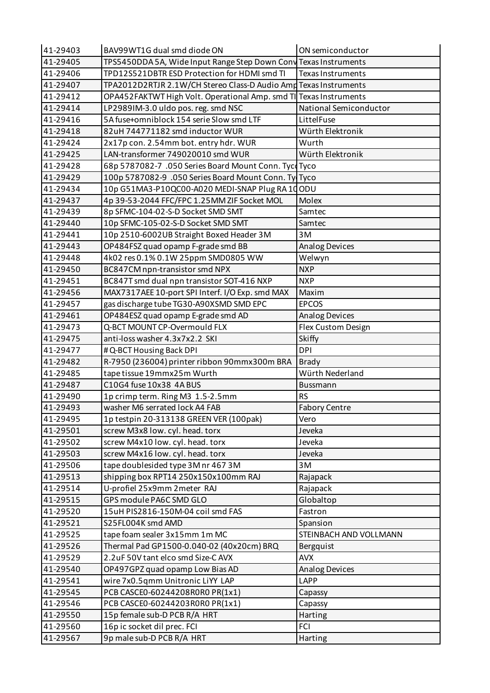| 41-29403 | BAV99WT1G dual smd diode ON                                       | ON semiconductor         |
|----------|-------------------------------------------------------------------|--------------------------|
| 41-29405 | TPS5450DDA 5A, Wide Input Range Step Down Cony Texas Instruments  |                          |
| 41-29406 | TPD12S521DBTR ESD Protection for HDMI smd TI                      | <b>Texas Instruments</b> |
| 41-29407 | TPA2012D2RTJR 2.1W/CH Stereo Class-D Audio Amd Texas Instruments  |                          |
| 41-29412 | OPA452FAKTWT High Volt. Operational Amp. smd TI Texas Instruments |                          |
| 41-29414 | LP2989IM-3.0 uldo pos. reg. smd NSC                               | National Semiconductor   |
| 41-29416 | 5A fuse+omniblock 154 serie Slow smd LTF                          | LittelFuse               |
| 41-29418 | 82uH 744771182 smd inductor WUR                                   | Würth Elektronik         |
| 41-29424 | 2x17p con. 2.54mm bot. entry hdr. WUR                             | Wurth                    |
| 41-29425 | LAN-transformer 749020010 smd WUR                                 | Würth Elektronik         |
| 41-29428 | 68p 5787082-7 .050 Series Board Mount Conn. Tyce Tyco             |                          |
| 41-29429 | 100p 5787082-9 .050 Series Board Mount Conn. Ty Tyco              |                          |
| 41-29434 | 10p G51MA3-P10QC00-A020 MEDI-SNAP Plug RA10ODU                    |                          |
| 41-29437 | 4p 39-53-2044 FFC/FPC 1.25MM ZIF Socket MOL                       | Molex                    |
| 41-29439 | 8p SFMC-104-02-S-D Socket SMD SMT                                 | Samtec                   |
| 41-29440 | 10p SFMC-105-02-S-D Socket SMD SMT                                | Samtec                   |
| 41-29441 | 10p 2510-6002UB Straight Boxed Header 3M                          | 3M                       |
| 41-29443 | OP484FSZ quad opamp F-grade smd BB                                | <b>Analog Devices</b>    |
| 41-29448 | 4k02 res 0.1% 0.1W 25ppm SMD0805 WW                               | Welwyn                   |
| 41-29450 | BC847CM npn-transistor smd NPX                                    | <b>NXP</b>               |
| 41-29451 | BC847T smd dual npn transistor SOT-416 NXP                        | <b>NXP</b>               |
| 41-29456 | MAX7317AEE 10-port SPI Interf. I/O Exp. smd MAX                   | Maxim                    |
| 41-29457 | gas discharge tube TG30-A90XSMD SMD EPC                           | <b>EPCOS</b>             |
| 41-29461 | OP484ESZ quad opamp E-grade smd AD                                | <b>Analog Devices</b>    |
| 41-29473 | Q-BCT MOUNT CP-Overmould FLX                                      | Flex Custom Design       |
| 41-29475 | anti-loss washer 4.3x7x2.2 SKI                                    | <b>Skiffy</b>            |
| 41-29477 | # Q-BCT Housing Back DPI                                          | <b>DPI</b>               |
| 41-29482 | R-7950 (236004) printer ribbon 90mmx300m BRA                      | <b>Brady</b>             |
| 41-29485 | tape tissue 19mmx25m Wurth                                        | Würth Nederland          |
| 41-29487 | C10G4 fuse 10x38 4A BUS                                           | Bussmann                 |
| 41-29490 | 1p crimp term. Ring M3 1.5-2.5mm                                  | <b>RS</b>                |
| 41-29493 | washer M6 serrated lock A4 FAB                                    | <b>Fabory Centre</b>     |
| 41-29495 | 1p testpin 20-313138 GREEN VER (100pak)                           | Vero                     |
| 41-29501 | screw M3x8 low. cyl. head. torx                                   | Jeveka                   |
| 41-29502 | screw M4x10 low. cyl. head. torx                                  | Jeveka                   |
| 41-29503 | screw M4x16 low. cyl. head. torx                                  | Jeveka                   |
| 41-29506 | tape doublesided type 3M nr 467 3M                                | 3M                       |
| 41-29513 | shipping box RPT14 250x150x100mm RAJ                              | Rajapack                 |
| 41-29514 | U-profiel 25x9mm 2meter RAJ                                       | Rajapack                 |
| 41-29515 | GPS module PA6C SMD GLO                                           | Globaltop                |
| 41-29520 | 15uH PIS2816-150M-04 coil smd FAS                                 | Fastron                  |
| 41-29521 | S25FL004K smd AMD                                                 | Spansion                 |
| 41-29525 | tape foam sealer 3x15mm 1m MC                                     | STEINBACH AND VOLLMANN   |
| 41-29526 | Thermal Pad GP1500-0.040-02 (40x20cm) BRQ                         | Bergquist                |
| 41-29529 | 2.2uF 50V tant elco smd Size-C AVX                                | <b>AVX</b>               |
| 41-29540 | OP497GPZ quad opamp Low Bias AD                                   | <b>Analog Devices</b>    |
| 41-29541 | wire 7x0.5qmm Unitronic LiYY LAP                                  | LAPP                     |
| 41-29545 | PCB CASCE0-60244208R0R0 PR(1x1)                                   | Capassy                  |
| 41-29546 | PCB CASCE0-60244203R0R0 PR(1x1)                                   | Capassy                  |
| 41-29550 | 15p female sub-D PCB R/A HRT                                      | Harting                  |
| 41-29560 | 16p ic socket dil prec. FCI                                       | <b>FCI</b>               |
| 41-29567 | 9p male sub-D PCB R/A HRT                                         | Harting                  |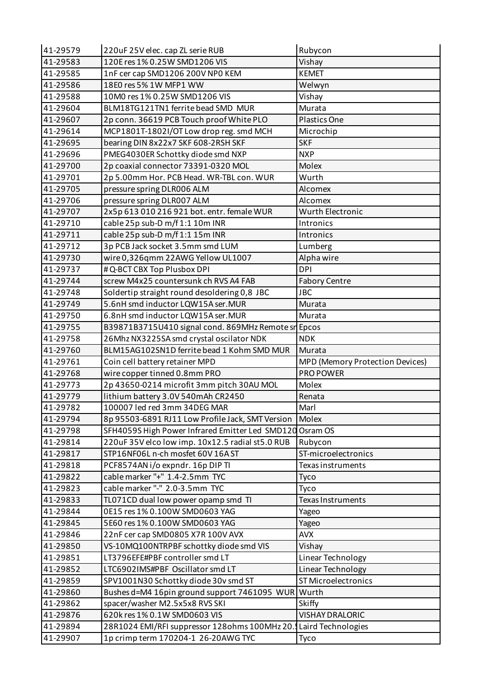| 41-29579             | 220uF 25V elec. cap ZL serie RUB                                                     | Rubycon                         |
|----------------------|--------------------------------------------------------------------------------------|---------------------------------|
| 41-29583             | 120E res 1% 0.25W SMD1206 VIS                                                        | Vishay                          |
| 41-29585             | 1nF cer cap SMD1206 200V NP0 KEM                                                     | <b>KEMET</b>                    |
| 41-29586             | 18E0 res 5% 1W MFP1 WW                                                               | Welwyn                          |
| 41-29588             | 10M0 res 1% 0.25W SMD1206 VIS                                                        | Vishay                          |
| 41-29604             | BLM18TG121TN1 ferrite bead SMD MUR                                                   | Murata                          |
| 41-29607             | 2p conn. 36619 PCB Touch proof White PLO                                             | Plastics One                    |
| 41-29614             | MCP1801T-1802I/OT Low drop reg. smd MCH                                              | Microchip                       |
| 41-29695             | bearing DIN 8x22x7 SKF 608-2RSH SKF                                                  | <b>SKF</b>                      |
| 41-29696             | PMEG4030ER Schottky diode smd NXP                                                    | <b>NXP</b>                      |
| 41-29700             | 2p coaxial connector 73391-0320 MOL                                                  | Molex                           |
| 41-29701             | 2p 5.00mm Hor. PCB Head. WR-TBL con. WUR                                             | Wurth                           |
| 41-29705             | pressure spring DLR006 ALM                                                           | Alcomex                         |
| 41-29706             | pressure spring DLR007 ALM                                                           | Alcomex                         |
| 41-29707             | 2x5p 613 010 216 921 bot. entr. female WUR                                           | Wurth Electronic                |
| 41-29710             | cable 25p sub-D m/f 1:1 10m INR                                                      | Intronics                       |
| 41-29711             | cable 25p sub-D m/f 1:1 15m INR                                                      | Intronics                       |
| 41-29712             | 3p PCB Jack socket 3.5mm smd LUM                                                     | Lumberg                         |
| 41-29730             | wire 0,326qmm 22AWG Yellow UL1007                                                    | Alpha wire                      |
| 41-29737             | # Q-BCT CBX Top Plusbox DPI                                                          | <b>DPI</b>                      |
| 41-29744             | screw M4x25 countersunk ch RVS A4 FAB                                                | <b>Fabory Centre</b>            |
| 41-29748             | Soldertip straight round desoldering 0,8 JBC                                         | <b>JBC</b>                      |
| 41-29749             | 5.6nH smd inductor LQW15A ser.MUR                                                    | Murata                          |
| 41-29750             | 6.8nH smd inductor LQW15A ser.MUR                                                    | Murata                          |
| 41-29755             | B39871B3715U410 signal cond. 869MHz Remote sn Epcos                                  |                                 |
| 41-29758             | 26Mhz NX3225SA smd crystal oscilator NDK                                             | <b>NDK</b>                      |
|                      |                                                                                      |                                 |
| 41-29760             | BLM15AG102SN1D ferrite bead 1 Kohm SMD MUR                                           | Murata                          |
| 41-29761             | Coin cell battery retainer MPD                                                       | MPD (Memory Protection Devices) |
| 41-29768             | wire copper tinned 0.8mm PRO                                                         | PRO POWER                       |
| 41-29773             | 2p 43650-0214 microfit 3mm pitch 30AU MOL                                            | Molex                           |
| 41-29779             | lithium battery 3.0V 540mAh CR2450                                                   | Renata                          |
| 41-29782             | 100007 led red 3mm 34DEG MAR                                                         | Marl                            |
| 41-29794             | 8p 95503-6891 RJ11 Low Profile Jack, SMT Version                                     | Molex                           |
| 41-29798             | SFH4059S High Power Infrared Emitter Led SMD120                                      | Osram OS                        |
| 41-29814             | 220uF 35V elco low imp. 10x12.5 radial st5.0 RUB                                     | Rubycon                         |
| 41-29817             | STP16NF06L n-ch mosfet 60V 16A ST                                                    | ST-microelectronics             |
| 41-29818             | PCF8574AN i/o expndr. 16p DIP TI                                                     | Texas instruments               |
| 41-29822             | cable marker "+" 1.4-2.5mm TYC                                                       | Tyco                            |
| 41-29823             | cable marker "-" 2.0-3.5mm TYC                                                       | Tyco                            |
| 41-29833             | TL071CD dual low power opamp smd TI                                                  | Texas Instruments               |
| 41-29844             | 0E15 res 1% 0.100W SMD0603 YAG                                                       | Yageo                           |
| 41-29845             | 5E60 res 1% 0.100W SMD0603 YAG                                                       | Yageo                           |
| 41-29846             | 22nF cer cap SMD0805 X7R 100V AVX                                                    | <b>AVX</b>                      |
| 41-29850             | VS-10MQ100NTRPBF schottky diode smd VIS                                              | Vishay                          |
| 41-29851             | LT3796EFE#PBF controller smd LT                                                      | Linear Technology               |
| 41-29852             | LTC6902IMS#PBF Oscillator smd LT                                                     | Linear Technology               |
| 41-29859             | SPV1001N30 Schottky diode 30v smd ST                                                 | ST Microelectronics             |
| 41-29860             | Bushes d=M4 16pin ground support 7461095 WUR                                         | Wurth                           |
| 41-29862             | spacer/washer M2.5x5x8 RVS SKI                                                       | Skiffy                          |
| 41-29876             | 620k res 1% 0.1W SMD0603 VIS                                                         | VISHAY DRALORIC                 |
| 41-29894<br>41-29907 | 28R1024 EMI/RFI suppressor 128ohms 100MHz 20.<br>1p crimp term 170204-1 26-20AWG TYC | Laird Technologies<br>Tyco      |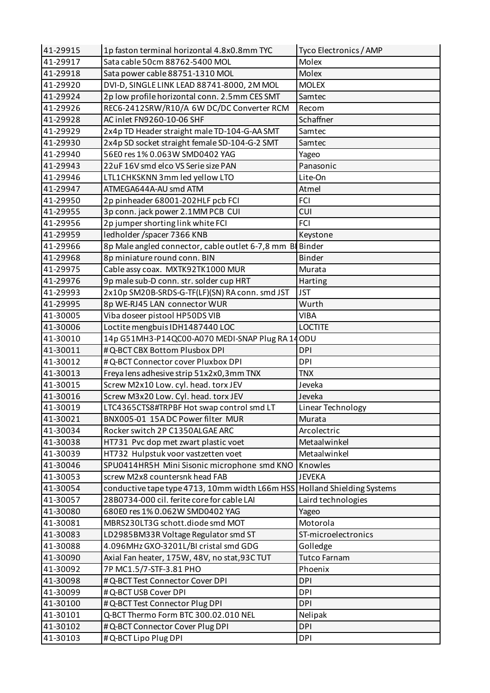| 41-29915 | 1p faston terminal horizontal 4.8x0.8mm TYC                              | Tyco Electronics / AMP |
|----------|--------------------------------------------------------------------------|------------------------|
| 41-29917 | Sata cable 50cm 88762-5400 MOL                                           | Molex                  |
| 41-29918 | Sata power cable 88751-1310 MOL                                          | Molex                  |
| 41-29920 | DVI-D, SINGLE LINK LEAD 88741-8000, 2M MOL                               | <b>MOLEX</b>           |
| 41-29924 | 2p low profile horizontal conn. 2.5mm CES SMT                            | Samtec                 |
| 41-29926 | REC6-2412SRW/R10/A 6W DC/DC Converter RCM                                | Recom                  |
| 41-29928 | AC inlet FN9260-10-06 SHF                                                | Schaffner              |
| 41-29929 | 2x4p TD Header straight male TD-104-G-AA SMT                             | Samtec                 |
| 41-29930 | 2x4p SD socket straight female SD-104-G-2 SMT                            | Samtec                 |
| 41-29940 | 56E0 res 1% 0.063W SMD0402 YAG                                           | Yageo                  |
| 41-29943 | 22uF 16V smd elco VS Serie size PAN                                      | Panasonic              |
| 41-29946 | LTL1CHKSKNN 3mm led yellow LTO                                           | Lite-On                |
| 41-29947 | ATMEGA644A-AU smd ATM                                                    | Atmel                  |
| 41-29950 | 2p pinheader 68001-202HLF pcb FCI                                        | <b>FCI</b>             |
| 41-29955 | 3p conn. jack power 2.1MM PCB CUI                                        | <b>CUI</b>             |
| 41-29956 | 2p jumper shorting link white FCI                                        | <b>FCI</b>             |
| 41-29959 | ledholder /spacer 7366 KNB                                               | Keystone               |
| 41-29966 | 8p Male angled connector, cable outlet 6-7,8 mm B Binder                 |                        |
| 41-29968 | 8p miniature round conn. BIN                                             | <b>Binder</b>          |
| 41-29975 | Cable assy coax. MXTK92TK1000 MUR                                        | Murata                 |
| 41-29976 | 9p male sub-D conn. str. solder cup HRT                                  | Harting                |
| 41-29993 | 2x10p SM20B-SRDS-G-TF(LF)(SN) RA conn. smd JST                           | <b>JST</b>             |
| 41-29995 | 8p WE-RJ45 LAN connector WUR                                             | Wurth                  |
| 41-30005 | Viba doseer pistool HP50DS VIB                                           | <b>VIBA</b>            |
| 41-30006 | Loctite mengbuis IDH1487440 LOC                                          | <b>LOCTITE</b>         |
| 41-30010 | 14p G51MH3-P14QC00-A070 MEDI-SNAP Plug RA14ODU                           |                        |
| 41-30011 | #Q-BCT CBX Bottom Plusbox DPI                                            | <b>DPI</b>             |
| 41-30012 | #Q-BCT Connector cover Pluxbox DPI                                       | <b>DPI</b>             |
| 41-30013 | Freya lens adhesive strip 51x2x0,3mm TNX                                 | <b>TNX</b>             |
| 41-30015 | Screw M2x10 Low. cyl. head. torx JEV                                     | Jeveka                 |
| 41-30016 | Screw M3x20 Low. Cyl. head. torx JEV                                     | Jeveka                 |
| 41-30019 | LTC4365CTS8#TRPBF Hot swap control smd LT                                | Linear Technology      |
| 41-30021 | BNX005-01 15ADC Power filter MUR                                         | Murata                 |
| 41-30034 | Rocker switch 2P C1350ALGAE ARC                                          | Arcolectric            |
| 41-30038 | HT731 Pvc dop met zwart plastic voet                                     | Metaalwinkel           |
| 41-30039 | HT732 Hulpstuk voor vastzetten voet                                      | Metaalwinkel           |
| 41-30046 | SPU0414HR5H Mini Sisonic microphone smd KNO                              | Knowles                |
| 41-30053 | screw M2x8 countersnk head FAB                                           | <b>JEVEKA</b>          |
| 41-30054 | conductive tape type 4713, 10mm width L66m HSS Holland Shielding Systems |                        |
| 41-30057 | 28B0734-000 cil. ferite core for cable LAI                               | Laird technologies     |
| 41-30080 | 680E0 res 1% 0.062W SMD0402 YAG                                          | Yageo                  |
| 41-30081 | MBRS230LT3G schott.diode smd MOT                                         | Motorola               |
| 41-30083 | LD2985BM33R Voltage Regulator smd ST                                     | ST-microelectronics    |
| 41-30088 | 4.096MHz GXO-3201L/BI cristal smd GDG                                    | Golledge               |
| 41-30090 | Axial Fan heater, 175W, 48V, no stat, 93C TUT                            | <b>Tutco Farnam</b>    |
| 41-30092 | 7P MC1.5/7-STF-3.81 PHO                                                  | Phoenix                |
| 41-30098 | # Q-BCT Test Connector Cover DPI                                         | <b>DPI</b>             |
| 41-30099 | # Q-BCT USB Cover DPI                                                    | <b>DPI</b>             |
| 41-30100 | # Q-BCT Test Connector Plug DPI                                          | <b>DPI</b>             |
| 41-30101 | Q-BCT Thermo Form BTC 300.02.010 NEL                                     | Nelipak                |
| 41-30102 | #Q-BCT Connector Cover Plug DPI                                          | <b>DPI</b>             |
| 41-30103 | # Q-BCT Lipo Plug DPI                                                    | <b>DPI</b>             |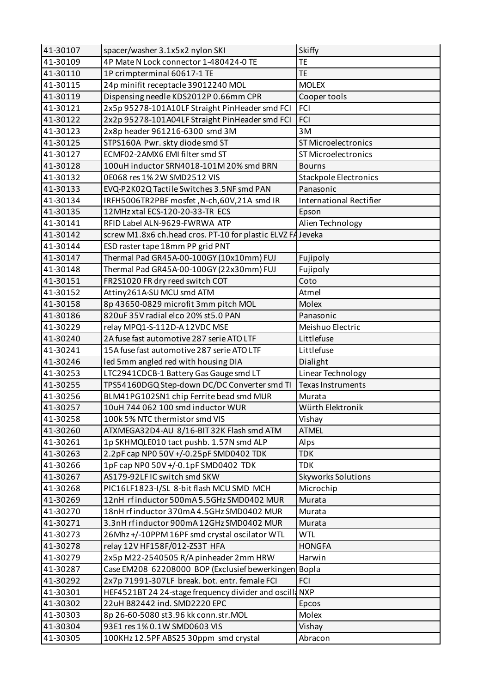| 41-30107 | spacer/washer 3.1x5x2 nylon SKI                             | <b>Skiffy</b>                  |
|----------|-------------------------------------------------------------|--------------------------------|
| 41-30109 | 4P Mate N Lock connector 1-480424-0 TE                      | <b>TE</b>                      |
| 41-30110 | 1P crimpterminal 60617-1 TE                                 | <b>TE</b>                      |
| 41-30115 | 24p minifit receptacle 39012240 MOL                         | <b>MOLEX</b>                   |
| 41-30119 | Dispensing needle KDS2012P 0.66mm CPR                       | Cooper tools                   |
| 41-30121 | 2x5p 95278-101A10LF Straight PinHeader smd FCI              | <b>FCI</b>                     |
| 41-30122 | 2x2p 95278-101A04LF Straight PinHeader smd FCI              | FCI                            |
| 41-30123 | 2x8p header 961216-6300 smd 3M                              | 3M                             |
| 41-30125 | STPS160A Pwr. skty diode smd ST                             | ST Microelectronics            |
| 41-30127 | ECMF02-2AMX6 EMI filter smd ST                              | ST Microelectronics            |
| 41-30128 | 100uH inductor SRN4018-101M 20% smd BRN                     | <b>Bourns</b>                  |
| 41-30132 | 0E068 res 1% 2W SMD2512 VIS                                 | <b>Stackpole Electronics</b>   |
| 41-30133 | EVQ-P2K02Q Tactile Switches 3.5NF smd PAN                   | Panasonic                      |
| 41-30134 | IRFH5006TR2PBF mosfet, N-ch, 60V, 21A smd IR                | <b>International Rectifier</b> |
| 41-30135 | 12MHz xtal ECS-120-20-33-TR ECS                             | Epson                          |
| 41-30141 | RFID Label ALN-9629-FWRWA ATP                               | Alien Technology               |
| 41-30142 | screw M1.8x6 ch.head cros. PT-10 for plastic ELVZ FA Jeveka |                                |
| 41-30144 | ESD raster tape 18mm PP grid PNT                            |                                |
| 41-30147 | Thermal Pad GR45A-00-100GY (10x10mm) FUJ                    | Fujipoly                       |
| 41-30148 | Thermal Pad GR45A-00-100GY (22x30mm) FUJ                    | Fujipoly                       |
| 41-30151 | FR2S1020 FR dry reed switch COT                             | Coto                           |
| 41-30152 | Attiny261A-SU MCU smd ATM                                   | Atmel                          |
| 41-30158 | 8p 43650-0829 microfit 3mm pitch MOL                        | Molex                          |
| 41-30186 | 820uF 35V radial elco 20% st5.0 PAN                         | Panasonic                      |
| 41-30229 | relay MPQ1-S-112D-A 12VDC MSE                               | Meishuo Electric               |
| 41-30240 | 2A fuse fast automotive 287 serie ATO LTF                   | Littlefuse                     |
| 41-30241 | 15A fuse fast automotive 287 serie ATO LTF                  | Littlefuse                     |
| 41-30246 | led 5mm angled red with housing DIA                         | Dialight                       |
| 41-30253 | LTC2941CDCB-1 Battery Gas Gauge smd LT                      | Linear Technology              |
| 41-30255 | TPS54160DGQ Step-down DC/DC Converter smd TI                | Texas Instruments              |
| 41-30256 | BLM41PG102SN1 chip Ferrite bead smd MUR                     | Murata                         |
| 41-30257 | 10uH 744 062 100 smd inductor WUR                           | Würth Elektronik               |
| 41-30258 | 100k 5% NTC thermistor smd VIS                              | Vishay                         |
| 41-30260 | ATXMEGA32D4-AU 8/16-BIT 32K Flash smd ATM                   | <b>ATMEL</b>                   |
| 41-30261 | 1p SKHMQLE010 tact pushb. 1.57N smd ALP                     | Alps                           |
| 41-30263 | 2.2pF cap NP0 50V +/-0.25pF SMD0402 TDK                     | <b>TDK</b>                     |
| 41-30266 | 1pF cap NP0 50V +/-0.1pF SMD0402 TDK                        | <b>TDK</b>                     |
| 41-30267 | AS179-92LF IC switch smd SKW                                | <b>Skyworks Solutions</b>      |
| 41-30268 | PIC16LF1823-I/SL 8-bit flash MCU SMD MCH                    | Microchip                      |
| 41-30269 | 12nH rfinductor 500mA 5.5GHz SMD0402 MUR                    | Murata                         |
| 41-30270 | 18nH rfinductor 370mA 4.5GHz SMD0402 MUR                    | Murata                         |
| 41-30271 | 3.3nH rfinductor 900mA 12GHz SMD0402 MUR                    | Murata                         |
| 41-30273 | 26Mhz +/-10PPM 16PF smd crystal oscilator WTL               | <b>WTL</b>                     |
| 41-30278 | relay 12V HF158F/012-ZS3T HFA                               | <b>HONGFA</b>                  |
| 41-30279 | 2x5p M22-2540505 R/A pinheader 2mm HRW                      | Harwin                         |
| 41-30287 | Case EM208 62208000 BOP (Exclusief bewerkingen Bopla        |                                |
| 41-30292 | 2x7p 71991-307LF break. bot. entr. female FCI               | <b>FCI</b>                     |
| 41-30301 | HEF4521BT 24 24-stage frequency divider and oscilla NXP     |                                |
| 41-30302 | 22uH B82442 ind. SMD2220 EPC                                | Epcos                          |
| 41-30303 | 8p 26-60-5080 st3.96 kk conn.str.MOL                        | Molex                          |
| 41-30304 | 93E1 res 1% 0.1W SMD0603 VIS                                | Vishay                         |
| 41-30305 | 100KHz 12.5PF ABS25 30ppm smd crystal                       | Abracon                        |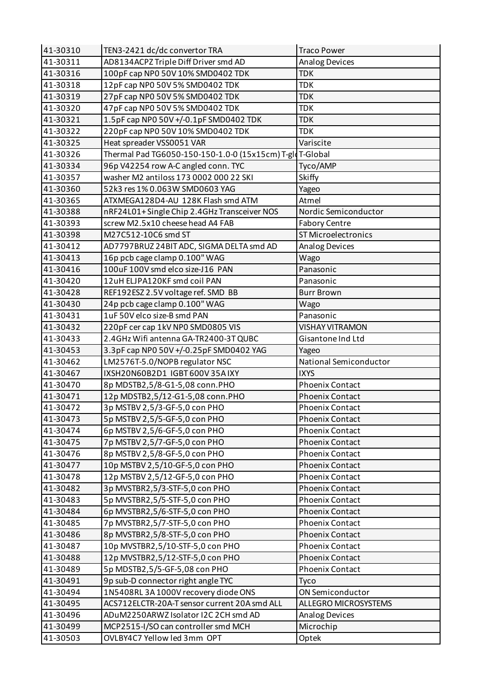| 41-30310 | TEN3-2421 dc/dc convertor TRA                             | <b>Traco Power</b>     |
|----------|-----------------------------------------------------------|------------------------|
| 41-30311 | AD8134ACPZ Triple Diff Driver smd AD                      | <b>Analog Devices</b>  |
| 41-30316 | 100pF cap NP0 50V 10% SMD0402 TDK                         | <b>TDK</b>             |
| 41-30318 | 12pF cap NP0 50V 5% SMD0402 TDK                           | <b>TDK</b>             |
| 41-30319 | 27pF cap NP0 50V 5% SMD0402 TDK                           | <b>TDK</b>             |
| 41-30320 | 47pF cap NP0 50V 5% SMD0402 TDK                           | <b>TDK</b>             |
| 41-30321 | 1.5pF cap NP0 50V +/-0.1pF SMD0402 TDK                    | <b>TDK</b>             |
| 41-30322 | 220pF cap NP0 50V 10% SMD0402 TDK                         | <b>TDK</b>             |
| 41-30325 | Heat spreader VSS0051 VAR                                 | Variscite              |
| 41-30326 | Thermal Pad TG6050-150-150-1.0-0 (15x15cm) T-gld T-Global |                        |
| 41-30334 | 96p V42254 row A-C angled conn. TYC                       | Tyco/AMP               |
| 41-30357 | washer M2 antiloss 173 0002 000 22 SKI                    | Skiffy                 |
| 41-30360 | 52k3 res 1% 0.063W SMD0603 YAG                            | Yageo                  |
| 41-30365 | ATXMEGA128D4-AU 128K Flash smd ATM                        | Atmel                  |
| 41-30388 | nRF24L01+Single Chip 2.4GHz Transceiver NOS               | Nordic Semiconductor   |
| 41-30393 | screw M2.5x10 cheese head A4 FAB                          | <b>Fabory Centre</b>   |
| 41-30398 | M27C512-10C6 smd ST                                       | ST Microelectronics    |
| 41-30412 | AD7797BRUZ 24BIT ADC, SIGMA DELTA smd AD                  | Analog Devices         |
| 41-30413 | 16p pcb cage clamp 0.100" WAG                             | Wago                   |
| 41-30416 | 100uF 100V smd elco size-J16 PAN                          | Panasonic              |
| 41-30420 | 12uH ELJPA120KF smd coil PAN                              | Panasonic              |
| 41-30428 | REF192ESZ 2.5V voltage ref. SMD BB                        | <b>Burr Brown</b>      |
| 41-30430 | 24p pcb cage clamp 0.100" WAG                             | Wago                   |
| 41-30431 | 1uF 50V elco size-B smd PAN                               | Panasonic              |
| 41-30432 | 220pF cer cap 1kV NP0 SMD0805 VIS                         | <b>VISHAY VITRAMON</b> |
| 41-30433 | 2.4GHz Wifi antenna GA-TR2400-3T QUBC                     | Gisantone Ind Ltd      |
| 41-30453 | 3.3pF cap NP0 50V +/-0.25pF SMD0402 YAG                   | Yageo                  |
| 41-30462 | LM2576T-5.0/NOPB regulator NSC                            | National Semiconductor |
| 41-30467 | IXSH20N60B2D1 IGBT 600V 35A IXY                           | <b>IXYS</b>            |
| 41-30470 | 8p MDSTB2,5/8-G1-5,08 conn.PHO                            | Phoenix Contact        |
| 41-30471 | 12p MDSTB2,5/12-G1-5,08 conn.PHO                          | <b>Phoenix Contact</b> |
| 41-30472 | 3p MSTBV 2,5/3-GF-5,0 con PHO                             | Phoenix Contact        |
| 41-30473 | 5p MSTBV 2,5/5-GF-5,0 con PHO                             | <b>Phoenix Contact</b> |
| 41-30474 | 6p MSTBV 2,5/6-GF-5,0 con PHO                             | <b>Phoenix Contact</b> |
| 41-30475 | 7p MSTBV 2,5/7-GF-5,0 con PHO                             | <b>Phoenix Contact</b> |
| 41-30476 | 8p MSTBV 2,5/8-GF-5,0 con PHO                             | <b>Phoenix Contact</b> |
| 41-30477 | 10p MSTBV 2,5/10-GF-5,0 con PHO                           | <b>Phoenix Contact</b> |
| 41-30478 | 12p MSTBV 2,5/12-GF-5,0 con PHO                           | <b>Phoenix Contact</b> |
| 41-30482 | 3p MVSTBR2,5/3-STF-5,0 con PHO                            | <b>Phoenix Contact</b> |
| 41-30483 | 5p MVSTBR2,5/5-STF-5,0 con PHO                            | <b>Phoenix Contact</b> |
| 41-30484 | 6p MVSTBR2,5/6-STF-5,0 con PHO                            | <b>Phoenix Contact</b> |
| 41-30485 |                                                           | <b>Phoenix Contact</b> |
| 41-30486 | 7p MVSTBR2,5/7-STF-5,0 con PHO                            | <b>Phoenix Contact</b> |
|          | 8p MVSTBR2,5/8-STF-5,0 con PHO                            |                        |
| 41-30487 | 10p MVSTBR2,5/10-STF-5,0 con PHO                          | <b>Phoenix Contact</b> |
| 41-30488 | 12p MVSTBR2,5/12-STF-5,0 con PHO                          | <b>Phoenix Contact</b> |
| 41-30489 | 5p MDSTB2,5/5-GF-5,08 con PHO                             | <b>Phoenix Contact</b> |
| 41-30491 | 9p sub-D connector right angle TYC                        | Tyco                   |
| 41-30494 | 1N5408RL 3A 1000V recovery diode ONS                      | ON Semiconductor       |
| 41-30495 | ACS712ELCTR-20A-T sensor current 20A smd ALL              | ALLEGRO MICROSYSTEMS   |
| 41-30496 | ADuM2250ARWZ Isolator I2C 2CH smd AD                      | <b>Analog Devices</b>  |
| 41-30499 | MCP2515-I/SO can controller smd MCH                       | Microchip              |
| 41-30503 | OVLBY4C7 Yellow led 3mm OPT                               | Optek                  |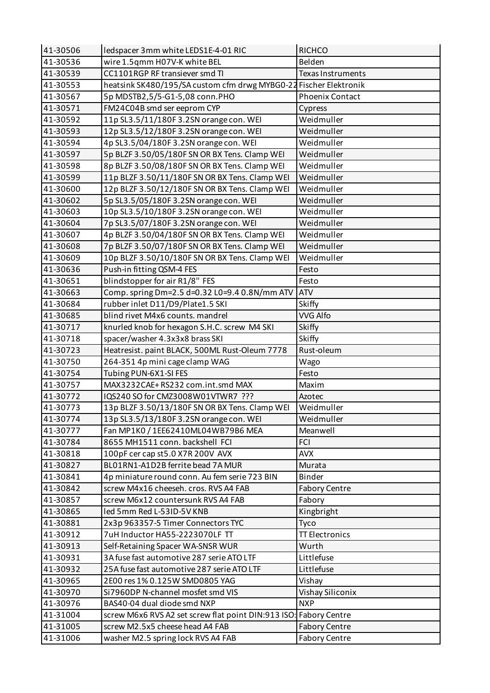| 41-30506 | ledspacer 3mm white LEDS1E-4-01 RIC                               | <b>RICHCO</b>          |
|----------|-------------------------------------------------------------------|------------------------|
| 41-30536 | wire 1.5qmm H07V-K white BEL                                      | Belden                 |
| 41-30539 | CC1101RGP RF transiever smd TI                                    | Texas Instruments      |
| 41-30553 | heatsink SK480/195/SA custom cfm drwg MYBG0-22 Fischer Elektronik |                        |
| 41-30567 | 5p MDSTB2,5/5-G1-5,08 conn.PHO                                    | <b>Phoenix Contact</b> |
| 41-30571 | FM24C04B smd ser eeprom CYP                                       | Cypress                |
| 41-30592 | 11p SL3.5/11/180F 3.2SN orange con. WEI                           | Weidmuller             |
| 41-30593 | 12p SL3.5/12/180F 3.2SN orange con. WEI                           | Weidmuller             |
| 41-30594 | 4p SL3.5/04/180F 3.2SN orange con. WEI                            | Weidmuller             |
| 41-30597 | 5p BLZF 3.50/05/180F SN OR BX Tens. Clamp WEI                     | Weidmuller             |
| 41-30598 | 8p BLZF 3.50/08/180F SN OR BX Tens. Clamp WEI                     | Weidmuller             |
| 41-30599 | 11p BLZF 3.50/11/180F SN OR BX Tens. Clamp WEI                    | Weidmuller             |
| 41-30600 | 12p BLZF 3.50/12/180F SN OR BX Tens. Clamp WEI                    | Weidmuller             |
| 41-30602 | 5p SL3.5/05/180F 3.2SN orange con. WEI                            | Weidmuller             |
| 41-30603 | 10p SL3.5/10/180F 3.2SN orange con. WEI                           | Weidmuller             |
| 41-30604 | 7p SL3.5/07/180F 3.2SN orange con. WEI                            | Weidmuller             |
| 41-30607 | 4p BLZF 3.50/04/180F SN OR BX Tens. Clamp WEI                     | Weidmuller             |
| 41-30608 | 7p BLZF 3.50/07/180F SN OR BX Tens. Clamp WEI                     | Weidmuller             |
| 41-30609 | 10p BLZF 3.50/10/180F SN OR BX Tens. Clamp WEI                    | Weidmuller             |
| 41-30636 | Push-in fitting QSM-4 FES                                         | Festo                  |
| 41-30651 | blindstopper for air R1/8" FES                                    | Festo                  |
| 41-30663 | Comp. spring Dm=2.5 d=0.32 L0=9.4 0.8N/mm ATV                     | <b>ATV</b>             |
| 41-30684 | rubber inlet D11/D9/Plate1.5 SKI                                  | Skiffy                 |
| 41-30685 | blind rivet M4x6 counts. mandrel                                  | <b>VVG Alfo</b>        |
| 41-30717 | knurled knob for hexagon S.H.C. screw M4 SKI                      | <b>Skiffy</b>          |
| 41-30718 | spacer/washer 4.3x3x8 brass SKI                                   | Skiffy                 |
| 41-30723 | Heatresist. paint BLACK, 500ML Rust-Oleum 7778                    | Rust-oleum             |
| 41-30750 | 264-351 4p mini cage clamp WAG                                    | Wago                   |
| 41-30754 | Tubing PUN-6X1-SI FES                                             | Festo                  |
| 41-30757 | MAX3232CAE+RS232 com.int.smd MAX                                  | Maxim                  |
| 41-30772 | IQS240 SO for CMZ3008W01VTWR7 ???                                 | Azotec                 |
| 41-30773 | 13p BLZF 3.50/13/180F SN OR BX Tens. Clamp WEI                    | Weidmuller             |
| 41-30774 | 13p SL3.5/13/180F 3.2SN orange con. WEI                           | Weidmuller             |
| 41-30777 | Fan MP1K0 / 1EE62410ML04WB79B6 MEA                                | Meanwell               |
| 41-30784 | 8655 MH1511 conn. backshell FCI                                   | <b>FCI</b>             |
| 41-30818 | 100pF cer cap st5.0 X7R 200V AVX                                  | <b>AVX</b>             |
| 41-30827 | BL01RN1-A1D2B ferrite bead 7A MUR                                 | Murata                 |
| 41-30841 | 4p miniature round conn. Au fem serie 723 BIN                     | <b>Binder</b>          |
| 41-30842 | screw M4x16 cheeseh. cros. RVS A4 FAB                             | <b>Fabory Centre</b>   |
| 41-30857 | screw M6x12 countersunk RVS A4 FAB                                | Fabory                 |
| 41-30865 | led 5mm Red L-53ID-5V KNB                                         | Kingbright             |
| 41-30881 | 2x3p 963357-5 Timer Connectors TYC                                | Tyco                   |
| 41-30912 | 7uH Inductor HA55-2223070LF TT                                    | <b>TT Electronics</b>  |
| 41-30913 | Self-Retaining Spacer WA-SNSR WUR                                 | Wurth                  |
| 41-30931 | 3A fuse fast automotive 287 serie ATO LTF                         | Littlefuse             |
| 41-30932 | 25A fuse fast automotive 287 serie ATO LTF                        | Littlefuse             |
| 41-30965 | 2E00 res 1% 0.125W SMD0805 YAG                                    | Vishay                 |
| 41-30970 | Si7960DP N-channel mosfet smd VIS                                 | Vishay Siliconix       |
| 41-30976 | BAS40-04 dual diode smd NXP                                       | <b>NXP</b>             |
| 41-31004 | screw M6x6 RVS A2 set screw flat point DIN:913 ISO: Fabory Centre |                        |
| 41-31005 | screw M2.5x5 cheese head A4 FAB                                   | <b>Fabory Centre</b>   |
| 41-31006 | washer M2.5 spring lock RVS A4 FAB                                | <b>Fabory Centre</b>   |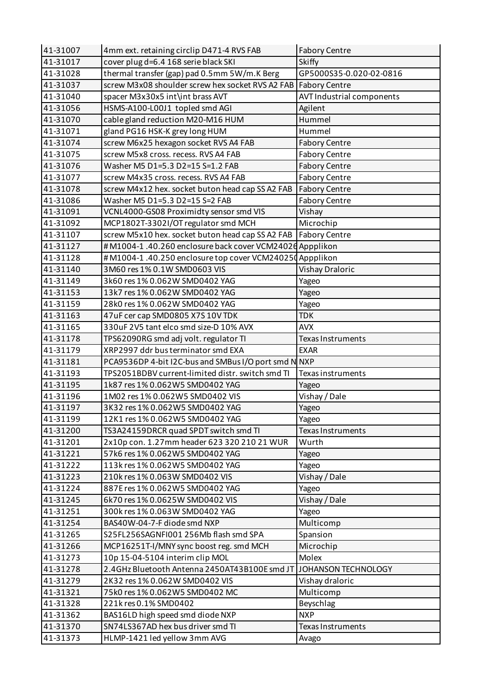| 41-31007 | 4mm ext. retaining circlip D471-4 RVS FAB                         | <b>Fabory Centre</b>      |
|----------|-------------------------------------------------------------------|---------------------------|
| 41-31017 | cover plug d=6.4 168 serie black SKI                              | <b>Skiffy</b>             |
| 41-31028 | thermal transfer (gap) pad 0.5mm 5W/m.K Berg                      | GP5000S35-0.020-02-0816   |
| 41-31037 | screw M3x08 shoulder screw hex socket RVS A2 FAB   Fabory Centre  |                           |
| 41-31040 | spacer M3x30x5 int\int brass AVT                                  | AVT Industrial components |
| 41-31056 | HSMS-A100-L00J1 topled smd AGI                                    | Agilent                   |
| 41-31070 | cable gland reduction M20-M16 HUM                                 | Hummel                    |
| 41-31071 | gland PG16 HSK-K grey long HUM                                    | Hummel                    |
| 41-31074 | screw M6x25 hexagon socket RVS A4 FAB                             | <b>Fabory Centre</b>      |
| 41-31075 | screw M5x8 cross. recess. RVS A4 FAB                              | <b>Fabory Centre</b>      |
| 41-31076 | Washer M5 D1=5.3 D2=15 S=1.2 FAB                                  | <b>Fabory Centre</b>      |
| 41-31077 | screw M4x35 cross. recess. RVS A4 FAB                             | <b>Fabory Centre</b>      |
| 41-31078 | screw M4x12 hex. socket buton head cap SS A2 FAB                  | <b>Fabory Centre</b>      |
| 41-31086 | Washer M5 D1=5.3 D2=15 S=2 FAB                                    | <b>Fabory Centre</b>      |
| 41-31091 | VCNL4000-GS08 Proximidty sensor smd VIS                           | Vishay                    |
| 41-31092 | MCP1802T-3302I/OT regulator smd MCH                               | Microchip                 |
| 41-31107 | screw M5x10 hex. socket buton head cap SS A2 FAB                  | <b>Fabory Centre</b>      |
| 41-31127 | #M1004-1 .40.260 enclosure back cover VCM2402d Appplikon          |                           |
| 41-31128 | #M1004-1.40.250 enclosure top cover VCM240250 Appplikon           |                           |
| 41-31140 | 3M60 res 1% 0.1W SMD0603 VIS                                      | Vishay Draloric           |
| 41-31149 | 3k60 res 1% 0.062W SMD0402 YAG                                    | Yageo                     |
| 41-31153 | 13k7 res 1% 0.062W SMD0402 YAG                                    | Yageo                     |
| 41-31159 | 28k0 res 1% 0.062W SMD0402 YAG                                    | Yageo                     |
| 41-31163 | 47uF cer cap SMD0805 X7S 10V TDK                                  | <b>TDK</b>                |
| 41-31165 | 330uF 2V5 tant elco smd size-D 10% AVX                            | <b>AVX</b>                |
| 41-31178 | TPS62090RG smd adj volt. regulator TI                             | Texas Instruments         |
| 41-31179 | XRP2997 ddr bus terminator smd EXA                                | <b>EXAR</b>               |
| 41-31181 | PCA9536DP 4-bit I2C-bus and SMBus I/O port smd N NXP              |                           |
| 41-31193 | TPS2051BDBV current-limited distr. switch smd TI                  | Texas instruments         |
| 41-31195 | 1k87 res 1% 0.062W5 SMD0402 YAG                                   | Yageo                     |
| 41-31196 | 1M02 res 1% 0.062W5 SMD0402 VIS                                   | Vishay / Dale             |
| 41-31197 | 3K32 res 1% 0.062W5 SMD0402 YAG                                   | Yageo                     |
| 41-31199 | 12K1 res 1% 0.062W5 SMD0402 YAG                                   | Yageo                     |
| 41-31200 | TS3A24159DRCR quad SPDT switch smd TI                             | Texas Instruments         |
| 41-31201 | 2x10p con. 1.27mm header 623 320 210 21 WUR                       | Wurth                     |
| 41-31221 | 57k6 res 1% 0.062W5 SMD0402 YAG                                   | Yageo                     |
| 41-31222 | 113k res 1% 0.062W5 SMD0402 YAG                                   | Yageo                     |
| 41-31223 | 210k res 1% 0.063W SMD0402 VIS                                    | Vishay / Dale             |
| 41-31224 | 887E res 1% 0.062W5 SMD0402 YAG                                   | Yageo                     |
| 41-31245 | 6k70 res 1% 0.0625W SMD0402 VIS                                   | Vishay / Dale             |
| 41-31251 | 300k res 1% 0.063W SMD0402 YAG                                    | Yageo                     |
| 41-31254 | BAS40W-04-7-F diode smd NXP                                       | Multicomp                 |
| 41-31265 | S25FL256SAGNFI001 256Mb flash smd SPA                             | Spansion                  |
| 41-31266 | MCP16251T-I/MNY sync boost reg. smd MCH                           | Microchip                 |
| 41-31273 | 10p 15-04-5104 interim clip MOL                                   | Molex                     |
| 41-31278 | 2.4GHz Bluetooth Antenna 2450AT43B100E smd JT JOHANSON TECHNOLOGY |                           |
| 41-31279 | 2K32 res 1% 0.062W SMD0402 VIS                                    | Vishay draloric           |
| 41-31321 | 75k0 res 1% 0.062W5 SMD0402 MC                                    | Multicomp                 |
| 41-31328 | 221k res 0.1% SMD0402                                             | Beyschlag                 |
| 41-31362 | BAS16LD high speed smd diode NXP                                  | <b>NXP</b>                |
| 41-31370 | SN74LS367AD hex bus driver smd TI                                 | Texas Instruments         |
| 41-31373 | HLMP-1421 led yellow 3mm AVG                                      | Avago                     |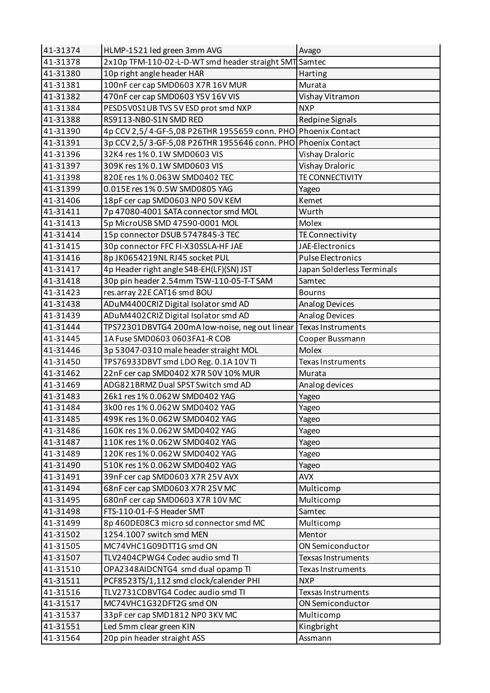| 41-31374 | HLMP-1521 led green 3mm AVG                                   | Avago                      |
|----------|---------------------------------------------------------------|----------------------------|
| 41-31378 | 2x10p TFM-110-02-L-D-WT smd header straight SMT Samtec        |                            |
| 41-31380 | 10p right angle header HAR                                    | Harting                    |
| 41-31381 | 100nF cer cap SMD0603 X7R 16V MUR                             | Murata                     |
| 41-31382 | 470nF cer cap SMD0603 Y5V 16V VIS                             | Vishay Vitramon            |
| 41-31384 | PESD5V0S1UB TVS 5V ESD prot smd NXP                           | <b>NXP</b>                 |
| 41-31388 | RS9113-NB0-S1N SMD RED                                        | Redpine Signals            |
| 41-31390 | 4p CCV 2,5/4-GF-5,08 P26THR 1955659 conn. PHO Phoenix Contact |                            |
| 41-31391 | 3p CCV 2,5/3-GF-5,08 P26THR 1955646 conn. PHO Phoenix Contact |                            |
| 41-31396 | 32K4 res 1% 0.1W SMD0603 VIS                                  | Vishay Draloric            |
| 41-31397 | 309K res 1% 0.1W SMD0603 VIS                                  | <b>Vishay Draloric</b>     |
| 41-31398 | 820E res 1% 0.063W SMD0402 TEC                                | TE CONNECTIVITY            |
| 41-31399 | 0.015E res 1% 0.5W SMD0805 YAG                                | Yageo                      |
| 41-31406 | 18pF cer cap SMD0603 NP0 50V KEM                              | Kemet                      |
| 41-31411 | 7p 47080-4001 SATA connector smd MOL                          | Wurth                      |
| 41-31413 | 5p MicroUSB SMD 47590-0001 MOL                                | Molex                      |
| 41-31414 | 15p connector DSUB 5747845-3 TEC                              | TE Connectivity            |
| 41-31415 | 30p connector FFC FI-X30SSLA-HF JAE                           | JAE-Electronics            |
| 41-31416 | 8p JK0654219NL RJ45 socket PUL                                | <b>Pulse Electronics</b>   |
| 41-31417 | 4p Header right angle S4B-EH(LF)(SN) JST                      | Japan Solderless Terminals |
| 41-31418 | 30p pin header 2.54mm TSW-110-05-T-T SAM                      | Samtec                     |
| 41-31423 | res.array 22E CAT16 smd BOU                                   | <b>Bourns</b>              |
| 41-31438 | ADuM4400CRIZ Digital Isolator smd AD                          | Analog Devices             |
| 41-31439 | ADuM4402CRIZ Digital Isolator smd AD                          | <b>Analog Devices</b>      |
| 41-31444 | TPS72301DBVTG4 200mA low-noise, neg out linear                | Texas Instruments          |
| 41-31445 | 1A Fuse SMD0603 0603FA1-R COB                                 | Cooper Bussmann            |
| 41-31446 | 3p 53047-0310 male header straight MOL                        | Molex                      |
| 41-31450 | TPS76933DBVT smd LDO Reg. 0.1A 10V TI                         | Texas Instruments          |
| 41-31462 | 22nF cer cap SMD0402 X7R 50V 10% MUR                          | Murata                     |
| 41-31469 | ADG821BRMZ Dual SPST Switch smd AD                            | Analog devices             |
| 41-31483 | 26k1 res 1% 0.062W SMD0402 YAG                                | Yageo                      |
| 41-31484 | 3k00 res 1% 0.062W SMD0402 YAG                                | Yageo                      |
| 41-31485 | 499K res 1% 0.062W SMD0402 YAG                                | Yageo                      |
| 41-31486 | 160K res 1% 0.062W SMD0402 YAG                                | Yageo                      |
| 41-31487 | 110K res 1% 0.062W SMD0402 YAG                                | Yageo                      |
| 41-31489 | 120K res 1% 0.062W SMD0402 YAG                                | Yageo                      |
| 41-31490 | 510K res 1% 0.062W SMD0402 YAG                                | Yageo                      |
| 41-31491 | 39nF cer cap SMD0603 X7R 25V AVX                              | <b>AVX</b>                 |
| 41-31494 | 68nF cer cap SMD0603 X7R 25V MC                               | Multicomp                  |
| 41-31495 | 680nF cer cap SMD0603 X7R 10V MC                              | Multicomp                  |
| 41-31498 | FTS-110-01-F-S Header SMT                                     | Samtec                     |
| 41-31499 | 8p 460DE08C3 micro sd connector smd MC                        | Multicomp                  |
| 41-31502 | 1254.1007 switch smd MEN                                      | Mentor                     |
| 41-31505 | MC74VHC1G09DTT1G smd ON                                       | ON Semiconductor           |
| 41-31507 | TLV2404CPWG4 Codec audio smd TI                               | Texsas Instruments         |
| 41-31510 | OPA2348AIDCNTG4 smd dual opamp TI                             | Texas Instruments          |
| 41-31511 | PCF8523TS/1,112 smd clock/calender PHI                        | <b>NXP</b>                 |
| 41-31516 | TLV2731CDBVTG4 Codec audio smd TI                             | Texsas Instruments         |
| 41-31517 | MC74VHC1G32DFT2G smd ON                                       | ON Semiconductor           |
| 41-31537 | 33pF cer cap SMD1812 NP0 3KV MC                               | Multicomp                  |
| 41-31551 | Led 5mm clear green KIN                                       | Kingbright                 |
| 41-31564 | 20p pin header straight ASS                                   | Assmann                    |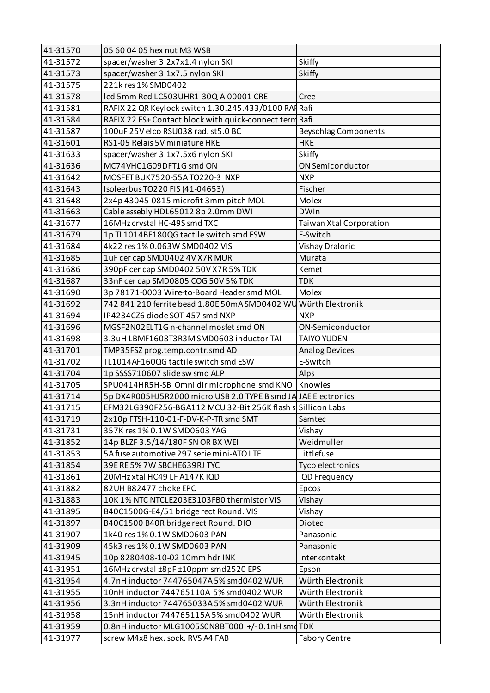| 41-31570 | 05 60 04 05 hex nut M3 WSB                                      |                             |
|----------|-----------------------------------------------------------------|-----------------------------|
| 41-31572 | spacer/washer 3.2x7x1.4 nylon SKI                               | Skiffy                      |
| 41-31573 | spacer/washer 3.1x7.5 nylon SKI                                 | Skiffy                      |
| 41-31575 | 221k res 1% SMD0402                                             |                             |
| 41-31578 | led 5mm Red LC503UHR1-30Q-A-00001 CRE                           | Cree                        |
| 41-31581 | RAFIX 22 QR Keylock switch 1.30.245.433/0100 RAF Rafi           |                             |
| 41-31584 | RAFIX 22 FS+ Contact block with quick-connect term Rafi         |                             |
| 41-31587 | 100uF 25V elco RSU038 rad. st5.0 BC                             | <b>Beyschlag Components</b> |
| 41-31601 | RS1-05 Relais 5V miniature HKE                                  | <b>HKE</b>                  |
| 41-31633 | spacer/washer 3.1x7.5x6 nylon SKI                               | Skiffy                      |
| 41-31636 | MC74VHC1G09DFT1G smd ON                                         | ON Semiconductor            |
| 41-31642 | MOSFET BUK7520-55A TO220-3 NXP                                  | <b>NXP</b>                  |
| 41-31643 | Isoleerbus TO220 FIS (41-04653)                                 | Fischer                     |
| 41-31648 | 2x4p 43045-0815 microfit 3mm pitch MOL                          | Molex                       |
| 41-31663 | Cable assebly HDL65012 8p 2.0mm DWI                             | <b>DWIn</b>                 |
| 41-31677 | 16MHz crystal HC-49S smd TXC                                    | Taiwan Xtal Corporation     |
| 41-31679 | 1p TL1014BF180QG tactile switch smd ESW                         | E-Switch                    |
| 41-31684 | 4k22 res 1% 0.063W SMD0402 VIS                                  | Vishay Draloric             |
| 41-31685 | 1uF cer cap SMD0402 4V X7R MUR                                  | Murata                      |
| 41-31686 | 390pF cer cap SMD0402 50V X7R 5% TDK                            | Kemet                       |
| 41-31687 | 33nF cer cap SMD0805 COG 50V 5% TDK                             | <b>TDK</b>                  |
| 41-31690 | 3p 78171-0003 Wire-to-Board Header smd MOL                      | Molex                       |
| 41-31692 | 742 841 210 ferrite bead 1.80E 50mA SMD0402 WU Würth Elektronik |                             |
| 41-31694 | IP4234CZ6 diode SOT-457 smd NXP                                 | <b>NXP</b>                  |
| 41-31696 | MGSF2N02ELT1G n-channel mosfet smd ON                           | ON-Semiconductor            |
| 41-31698 | 3.3uH LBMF1608T3R3M SMD0603 inductor TAI                        | <b>TAIYO YUDEN</b>          |
| 41-31701 | TMP35FSZ prog.temp.contr.smd AD                                 | <b>Analog Devices</b>       |
| 41-31702 | TL1014AF160QG tactile switch smd ESW                            | E-Switch                    |
| 41-31704 | 1p SSSS710607 slide sw smd ALP                                  | Alps                        |
| 41-31705 | SPU0414HR5H-SB Omni dir microphone smd KNO   Knowles            |                             |
| 41-31714 | 5p DX4R005HJ5R2000 micro USB 2.0 TYPE B smd JA JAE Electronics  |                             |
| 41-31715 | EFM32LG390F256-BGA112 MCU 32-Bit 256K flash s Sillicon Labs     |                             |
| 41-31719 | 2x10p FTSH-110-01-F-DV-K-P-TR smd SMT                           | Samtec                      |
| 41-31731 | 357K res 1% 0.1W SMD0603 YAG                                    | Vishay                      |
| 41-31852 | 14p BLZF 3.5/14/180F SN OR BX WEI                               | Weidmuller                  |
| 41-31853 | 5A fuse automotive 297 serie mini-ATO LTF                       | Littlefuse                  |
| 41-31854 | 39E RE 5% 7W SBCHE639RJ TYC                                     | Tyco electronics            |
| 41-31861 | 20MHz xtal HC49 LF A147K IQD                                    | <b>IQD Frequency</b>        |
| 41-31882 | 82UH B82477 choke EPC                                           | Epcos                       |
| 41-31883 | 10K 1% NTC NTCLE203E3103FB0 thermistor VIS                      | Vishay                      |
| 41-31895 | B40C1500G-E4/51 bridge rect Round. VIS                          | Vishay                      |
| 41-31897 | B40C1500 B40R bridge rect Round. DIO                            | Diotec                      |
| 41-31907 | 1k40 res 1% 0.1W SMD0603 PAN                                    | Panasonic                   |
| 41-31909 | 45k3 res 1% 0.1W SMD0603 PAN                                    | Panasonic                   |
| 41-31945 | 10p 8280408-10-02 10mm hdr INK                                  | Interkontakt                |
| 41-31951 | 16MHz crystal ±8pF ±10ppm smd2520 EPS                           | Epson                       |
| 41-31954 | 4.7nH inductor 744765047A 5% smd0402 WUR                        | Würth Elektronik            |
| 41-31955 | 10nH inductor 744765110A 5% smd0402 WUR                         | Würth Elektronik            |
| 41-31956 | 3.3nH inductor 744765033A 5% smd0402 WUR                        | Würth Elektronik            |
| 41-31958 | 15nH inductor 744765115A5% smd0402 WUR                          | Würth Elektronik            |
| 41-31959 | 0.8nH inductor MLG1005S0N8BT000 +/-0.1nH smd TDK                |                             |
| 41-31977 | screw M4x8 hex. sock. RVS A4 FAB                                | <b>Fabory Centre</b>        |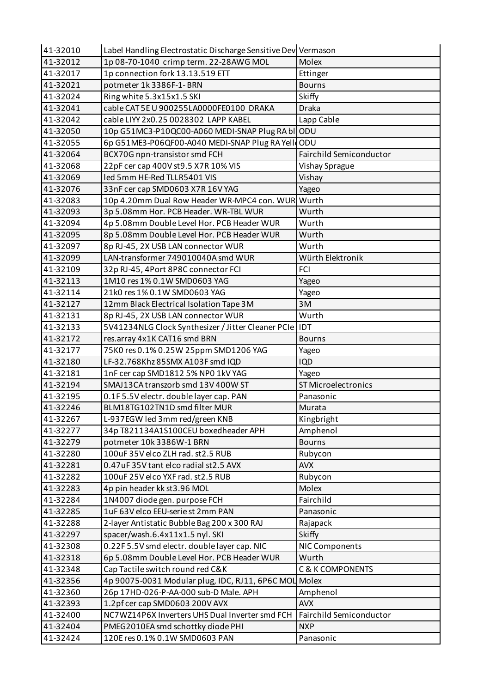| 41-32010 | Label Handling Electrostatic Discharge Sensitive Dev Vermason |                                |
|----------|---------------------------------------------------------------|--------------------------------|
| 41-32012 | 1p 08-70-1040 crimp term. 22-28AWG MOL                        | Molex                          |
| 41-32017 | 1p connection fork 13.13.519 ETT                              | Ettinger                       |
| 41-32021 | potmeter 1k 3386F-1-BRN                                       | <b>Bourns</b>                  |
| 41-32024 | Ring white 5.3x15x1.5 SKI                                     | Skiffy                         |
| 41-32041 | cable CAT 5E U 900255LA0000FE0100 DRAKA                       | <b>Draka</b>                   |
| 41-32042 | cable LIYY 2x0.25 0028302 LAPP KABEL                          | Lapp Cable                     |
| 41-32050 | 10p G51MC3-P10QC00-A060 MEDI-SNAP Plug RA bl ODU              |                                |
| 41-32055 | 6p G51ME3-P06QF00-A040 MEDI-SNAP Plug RA YelloODU             |                                |
| 41-32064 | BCX70G npn-transistor smd FCH                                 | <b>Fairchild Semiconductor</b> |
| 41-32068 | 22pF cer cap 400V st9.5 X7R 10% VIS                           | Vishay Sprague                 |
| 41-32069 | led 5mm HE-Red TLLR5401 VIS                                   | Vishay                         |
| 41-32076 | 33nF cer cap SMD0603 X7R 16V YAG                              | Yageo                          |
| 41-32083 | 10p 4.20mm Dual Row Header WR-MPC4 con. WUR Wurth             |                                |
| 41-32093 | 3p 5.08mm Hor. PCB Header. WR-TBL WUR                         | Wurth                          |
| 41-32094 | 4p 5.08mm Double Level Hor. PCB Header WUR                    | Wurth                          |
| 41-32095 | 8p 5.08mm Double Level Hor. PCB Header WUR                    | Wurth                          |
| 41-32097 | 8p RJ-45, 2X USB LAN connector WUR                            | Wurth                          |
| 41-32099 | LAN-transformer 749010040A smd WUR                            | Würth Elektronik               |
| 41-32109 | 32p RJ-45, 4Port 8P8C connector FCI                           | <b>FCI</b>                     |
| 41-32113 | 1M10 res 1% 0.1W SMD0603 YAG                                  | Yageo                          |
| 41-32114 | 21k0 res 1% 0.1W SMD0603 YAG                                  | Yageo                          |
| 41-32127 | 12mm Black Electrical Isolation Tape 3M                       | 3M                             |
| 41-32131 | 8p RJ-45, 2X USB LAN connector WUR                            | Wurth                          |
| 41-32133 | 5V41234NLG Clock Synthesizer / Jitter Cleaner PCIe IDT        |                                |
| 41-32172 | res.array 4x1K CAT16 smd BRN                                  | <b>Bourns</b>                  |
| 41-32177 | 75K0 res 0.1% 0.25W 25ppm SMD1206 YAG                         | Yageo                          |
| 41-32180 | LF-32.768Khz 85SMX A103F smd IQD                              | <b>IQD</b>                     |
| 41-32181 | 1nF cer cap SMD1812 5% NP0 1kV YAG                            | Yageo                          |
| 41-32194 | SMAJ13CA transzorb smd 13V 400W ST                            | <b>ST Microelectronics</b>     |
| 41-32195 | 0.1F5.5V electr. double layer cap. PAN                        | Panasonic                      |
| 41-32246 | BLM18TG102TN1D smd filter MUR                                 | Murata                         |
| 41-32267 | L-937EGW led 3mm red/green KNB                                | Kingbright                     |
| 41-32277 | 34p T821134A1S100CEU boxedheader APH                          | Amphenol                       |
| 41-32279 | potmeter 10k 3386W-1 BRN                                      | <b>Bourns</b>                  |
| 41-32280 | 100uF 35V elco ZLH rad. st2.5 RUB                             | Rubycon                        |
| 41-32281 | 0.47uF 35V tant elco radial st2.5 AVX                         | <b>AVX</b>                     |
| 41-32282 | 100uF 25V elco YXF rad. st2.5 RUB                             | Rubycon                        |
| 41-32283 | 4p pin header kk st3.96 MOL                                   | Molex                          |
| 41-32284 | 1N4007 diode gen. purpose FCH                                 | Fairchild                      |
| 41-32285 | 1uF 63V elco EEU-serie st 2mm PAN                             | Panasonic                      |
| 41-32288 | 2-layer Antistatic Bubble Bag 200 x 300 RAJ                   | Rajapack                       |
| 41-32297 | spacer/wash.6.4x11x1.5 nyl. SKI                               | <b>Skiffy</b>                  |
| 41-32308 | 0.22F 5.5V smd electr. double layer cap. NIC                  | NIC Components                 |
| 41-32318 | 6p 5.08mm Double Level Hor. PCB Header WUR                    | Wurth                          |
| 41-32348 | Cap Tactile switch round red C&K                              | <b>C &amp; K COMPONENTS</b>    |
| 41-32356 | 4p 90075-0031 Modular plug, IDC, RJ11, 6P6C MOL Molex         |                                |
| 41-32360 | 26p 17HD-026-P-AA-000 sub-D Male. APH                         | Amphenol                       |
| 41-32393 | 1.2pf cer cap SMD0603 200V AVX                                | <b>AVX</b>                     |
|          |                                                               |                                |
| 41-32400 | NC7WZ14P6X Inverters UHS Dual Inverter smd FCH                | Fairchild Semiconductor        |
| 41-32404 | PMEG2010EA smd schottky diode PHI                             | <b>NXP</b>                     |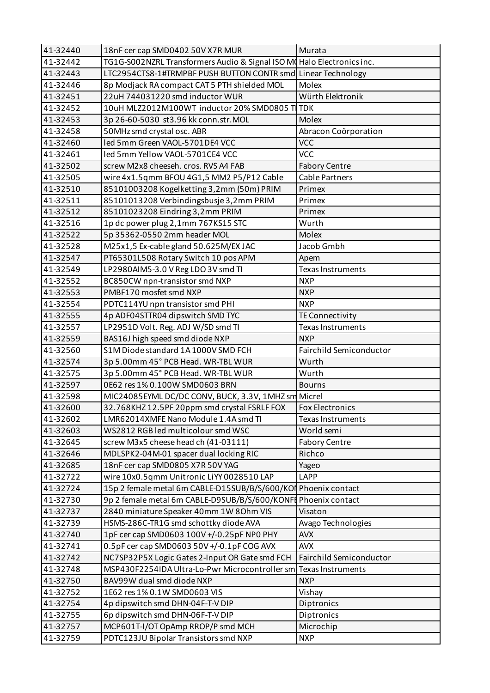| 41-32440 | 18nF cer cap SMD0402 50V X7R MUR                                      | Murata                   |
|----------|-----------------------------------------------------------------------|--------------------------|
| 41-32442 | TG1G-S002NZRL Transformers Audio & Signal ISO MoHalo Electronics inc. |                          |
| 41-32443 | LTC2954CTS8-1#TRMPBF PUSH BUTTON CONTR smd Linear Technology          |                          |
| 41-32446 | 8p Modjack RA compact CAT 5 PTH shielded MOL                          | Molex                    |
| 41-32451 | 22uH 744031220 smd inductor WUR                                       | Würth Elektronik         |
| 41-32452 | 10uH MLZ2012M100WT inductor 20% SMD0805 TI TDK                        |                          |
| 41-32453 | 3p 26-60-5030 st3.96 kk conn.str.MOL                                  | Molex                    |
| 41-32458 | 50MHz smd crystal osc. ABR                                            | Abracon Coörporation     |
| 41-32460 | led 5mm Green VAOL-5701DE4 VCC                                        | <b>VCC</b>               |
| 41-32461 | led 5mm Yellow VAOL-5701CE4 VCC                                       | <b>VCC</b>               |
| 41-32502 | screw M2x8 cheeseh. cros. RVS A4 FAB                                  | <b>Fabory Centre</b>     |
| 41-32505 | wire 4x1.5qmm BFOU 4G1,5 MM2 P5/P12 Cable                             | <b>Cable Partners</b>    |
| 41-32510 | 85101003208 Kogelketting 3,2mm (50m) PRIM                             | Primex                   |
| 41-32511 | 85101013208 Verbindingsbusje 3,2mm PRIM                               | Primex                   |
| 41-32512 | 85101023208 Eindring 3,2mm PRIM                                       | Primex                   |
| 41-32516 | 1p dc power plug 2,1mm 767KS15 STC                                    | Wurth                    |
| 41-32522 | 5p 35362-0550 2mm header MOL                                          | Molex                    |
| 41-32528 | M25x1,5 Ex-cable gland 50.625M/EX JAC                                 | Jacob Gmbh               |
| 41-32547 | PT65301L508 Rotary Switch 10 pos APM                                  | Apem                     |
| 41-32549 | LP2980AIM5-3.0 V Reg LDO 3V smd TI                                    | <b>Texas Instruments</b> |
| 41-32552 | BC850CW npn-transistor smd NXP                                        | <b>NXP</b>               |
| 41-32553 | PMBF170 mosfet smd NXP                                                | <b>NXP</b>               |
| 41-32554 | PDTC114YU npn transistor smd PHI                                      | <b>NXP</b>               |
| 41-32555 | 4p ADF04STTR04 dipswitch SMD TYC                                      | TE Connectivity          |
| 41-32557 | LP2951D Volt. Reg. ADJ W/SD smd TI                                    | <b>Texas Instruments</b> |
| 41-32559 | BAS16J high speed smd diode NXP                                       | <b>NXP</b>               |
| 41-32560 | S1M Diode standard 1A 1000V SMD FCH                                   | Fairchild Semiconductor  |
| 41-32574 | 3p 5.00mm 45° PCB Head. WR-TBL WUR                                    | Wurth                    |
| 41-32575 | 3p 5.00mm 45° PCB Head. WR-TBL WUR                                    | Wurth                    |
| 41-32597 | 0E62 res 1% 0.100W SMD0603 BRN                                        | <b>Bourns</b>            |
| 41-32598 | MIC24085EYML DC/DC CONV, BUCK, 3.3V, 1MHZ sm Micrel                   |                          |
| 41-32600 | 32.768KHZ 12.5PF 20ppm smd crystal FSRLF FOX                          | <b>Fox Electronics</b>   |
| 41-32602 | LMR62014XMFE Nano Module 1.4A smd TI                                  | Texas Instruments        |
| 41-32603 | WS2812 RGB led multicolour smd WSC                                    | World semi               |
| 41-32645 | screw M3x5 cheese head ch (41-03111)                                  | <b>Fabory Centre</b>     |
| 41-32646 | MDLSPK2-04M-01 spacer dual locking RIC                                | Richco                   |
| 41-32685 |                                                                       |                          |
|          | 18nF cer cap SMD0805 X7R 50V YAG                                      | Yageo                    |
| 41-32722 | wire 10x0.5qmm Unitronic LiYY 0028510 LAP                             | LAPP                     |
| 41-32724 | 15p 2 female metal 6m CABLE-D15SUB/B/S/600/KOM Phoenix contact        |                          |
| 41-32730 | 9p 2 female metal 6m CABLE-D9SUB/B/S/600/KONFI Phoenix contact        |                          |
| 41-32737 | 2840 miniature Speaker 40mm 1W 80hm VIS                               | Visaton                  |
| 41-32739 | HSMS-286C-TR1G smd schottky diode AVA                                 | Avago Technologies       |
| 41-32740 | 1pF cer cap SMD0603 100V +/-0.25pF NP0 PHY                            | <b>AVX</b>               |
| 41-32741 | 0.5pF cer cap SMD0603 50V +/-0.1pF COG AVX                            | <b>AVX</b>               |
| 41-32742 | NC7SP32P5X Logic Gates 2-Input OR Gate smd FCH                        | Fairchild Semiconductor  |
| 41-32748 | MSP430F2254IDA Ultra-Lo-Pwr Microcontroller sm                        | Texas Instruments        |
| 41-32750 | BAV99W dual smd diode NXP                                             | <b>NXP</b>               |
| 41-32752 | 1E62 res 1% 0.1W SMD0603 VIS                                          | Vishay                   |
| 41-32754 | 4p dipswitch smd DHN-04F-T-V DIP                                      | Diptronics               |
| 41-32755 | 6p dipswitch smd DHN-06F-T-V DIP                                      | Diptronics               |
| 41-32757 | MCP601T-I/OT OpAmp RROP/P smd MCH                                     | Microchip                |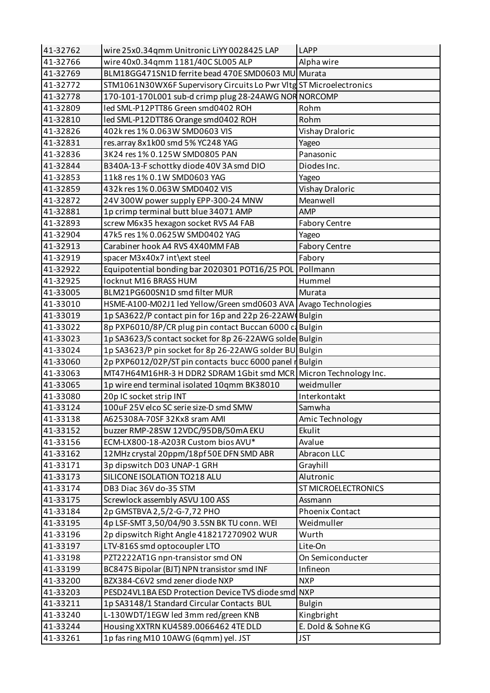| 41-32762 | wire 25x0.34qmm Unitronic LiYY 0028425 LAP                                    | <b>LAPP</b>                      |
|----------|-------------------------------------------------------------------------------|----------------------------------|
| 41-32766 | wire 40x0.34qmm 1181/40C SL005 ALP                                            | Alpha wire                       |
| 41-32769 | BLM18GG471SN1D ferrite bead 470E SMD0603 MU Murata                            |                                  |
| 41-32772 | STM1061N30WX6F Supervisory Circuits Lo Pwr VItg ST Microelectronics           |                                  |
| 41-32778 | 170-101-170L001 sub-d crimp plug 28-24AWG NOR NORCOMP                         |                                  |
| 41-32809 | led SML-P12PTT86 Green smd0402 ROH                                            | Rohm                             |
| 41-32810 | led SML-P12DTT86 Orange smd0402 ROH                                           | Rohm                             |
| 41-32826 | 402k res 1% 0.063W SMD0603 VIS                                                | Vishay Draloric                  |
| 41-32831 | res.array 8x1k00 smd 5% YC248 YAG                                             | Yageo                            |
| 41-32836 | 3K24 res 1% 0.125W SMD0805 PAN                                                | Panasonic                        |
| 41-32844 | B340A-13-F schottky diode 40V 3A smd DIO                                      | Diodes Inc.                      |
| 41-32853 | 11k8 res 1% 0.1W SMD0603 YAG                                                  | Yageo                            |
| 41-32859 | 432k res 1% 0.063W SMD0402 VIS                                                | Vishay Draloric                  |
| 41-32872 | 24V 300W power supply EPP-300-24 MNW                                          | Meanwell                         |
| 41-32881 | 1p crimp terminal butt blue 34071 AMP                                         | AMP                              |
| 41-32893 | screw M6x35 hexagon socket RVS A4 FAB                                         | <b>Fabory Centre</b>             |
| 41-32904 | 47k5 res 1% 0.0625W SMD0402 YAG                                               | Yageo                            |
| 41-32913 | Carabiner hook A4 RVS 4X40MM FAB                                              | <b>Fabory Centre</b>             |
| 41-32919 | spacer M3x40x7 int\ext steel                                                  | Fabory                           |
| 41-32922 | Equipotential bonding bar 2020301 POT16/25 POL                                | Pollmann                         |
| 41-32925 | locknut M16 BRASS HUM                                                         | Hummel                           |
| 41-33005 | BLM21PG600SN1D smd filter MUR                                                 | Murata                           |
| 41-33010 | HSME-A100-M02J1 led Yellow/Green smd0603 AVA Avago Technologies               |                                  |
| 41-33019 | 1p SA3622/P contact pin for 16p and 22p 26-22AW Bulgin                        |                                  |
| 41-33022 | 8p PXP6010/8P/CR plug pin contact Buccan 6000 c Bulgin                        |                                  |
| 41-33023 | 1p SA3623/S contact socket for 8p 26-22AWG solde Bulgin                       |                                  |
| 41-33024 | 1p SA3623/P pin socket for 8p 26-22AWG solder BU Bulgin                       |                                  |
| 41-33060 | 2p PXP6012/02P/ST pin contacts bucc 6000 panel r Bulgin                       |                                  |
| 41-33063 | MT47H64M16HR-3 H DDR2 SDRAM 1Gbit smd MCR Micron Technology Inc.              |                                  |
| 41-33065 | 1p wire end terminal isolated 10qmm BK38010                                   | weidmuller                       |
| 41-33080 | 20p IC socket strip INT                                                       | Interkontakt                     |
| 41-33124 | 100uF 25V elco SC serie size-D smd SMW                                        | Samwha                           |
| 41-33138 | A625308A-70SF 32Kx8 sram AMI                                                  | Amic Technology                  |
| 41-33152 | buzzer RMP-28SW 12VDC/95DB/50mA EKU                                           | Ekulit                           |
| 41-33156 | ECM-LX800-18-A203R Custom bios AVU*                                           | Avalue                           |
| 41-33162 | 12MHz crystal 20ppm/18pf 50E DFN SMD ABR                                      | Abracon LLC                      |
| 41-33171 | 3p dipswitch D03 UNAP-1 GRH                                                   | Grayhill                         |
| 41-33173 | SILICONE ISOLATION TO218 ALU                                                  | Alutronic                        |
| 41-33174 | DB3 Diac 36V do-35 STM                                                        | <b>ST MICROELECTRONICS</b>       |
| 41-33175 | Screwlock assembly ASVU 100 ASS                                               | Assmann                          |
| 41-33184 | 2p GMSTBVA 2,5/2-G-7,72 PHO                                                   | <b>Phoenix Contact</b>           |
| 41-33195 | 4p LSF-SMT 3,50/04/90 3.5SN BK TU conn. WEI                                   | Weidmuller                       |
| 41-33196 | 2p dipswitch Right Angle 418217270902 WUR                                     | Wurth                            |
| 41-33197 | LTV-816S smd optocoupler LTO                                                  | Lite-On                          |
| 41-33198 | PZT2222AT1G npn-transistor smd ON                                             | On Semiconducter                 |
| 41-33199 | BC847S Bipolar (BJT) NPN transistor smd INF                                   | Infineon                         |
| 41-33200 | BZX384-C6V2 smd zener diode NXP                                               | <b>NXP</b>                       |
| 41-33203 | PESD24VL1BA ESD Protection Device TVS diode smd                               | <b>NXP</b>                       |
| 41-33211 | 1p SA3148/1 Standard Circular Contacts BUL                                    | <b>Bulgin</b>                    |
| 41-33240 | L-130WDT/1EGW led 3mm red/green KNB                                           | Kingbright                       |
| 41-33244 |                                                                               |                                  |
|          | Housing XXTRN KU4589.0066462 4TE DLD<br>1p fas ring M10 10AWG (6qmm) yel. JST | E. Dold & Sohne KG<br><b>JST</b> |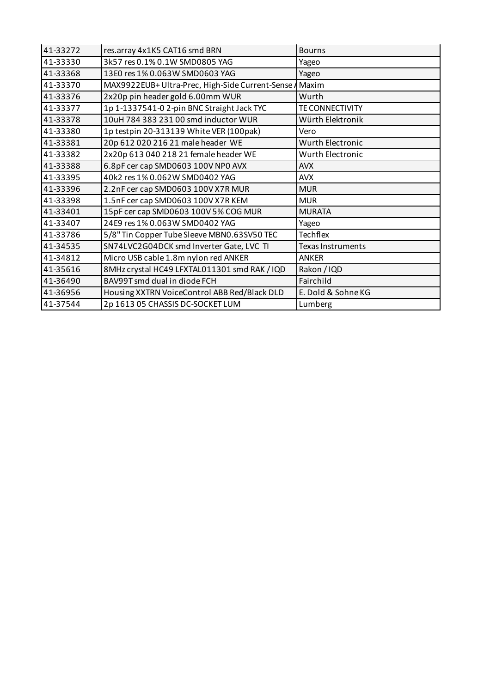| 41-33272 | res.array 4x1K5 CAT16 smd BRN                          | <b>Bourns</b>      |
|----------|--------------------------------------------------------|--------------------|
| 41-33330 | 3k57 res 0.1% 0.1W SMD0805 YAG                         | Yageo              |
| 41-33368 | 13E0 res 1% 0.063W SMD0603 YAG                         | Yageo              |
| 41-33370 | MAX9922EUB+Ultra-Prec, High-Side Current-Sense A Maxim |                    |
| 41-33376 | 2x20p pin header gold 6.00mm WUR                       | Wurth              |
| 41-33377 | 1p 1-1337541-0 2-pin BNC Straight Jack TYC             | TE CONNECTIVITY    |
| 41-33378 | 10uH 784 383 231 00 smd inductor WUR                   | Würth Elektronik   |
| 41-33380 | 1p testpin 20-313139 White VER (100pak)                | Vero               |
| 41-33381 | 20p 612 020 216 21 male header WE                      | Wurth Electronic   |
| 41-33382 | 2x20p 613 040 218 21 female header WE                  | Wurth Electronic   |
| 41-33388 | 6.8pF cer cap SMD0603 100V NP0 AVX                     | <b>AVX</b>         |
| 41-33395 | 40k2 res 1% 0.062W SMD0402 YAG                         | <b>AVX</b>         |
| 41-33396 | 2.2nF cer cap SMD0603 100V X7R MUR                     | <b>MUR</b>         |
| 41-33398 | 1.5nF cer cap SMD0603 100V X7R KEM                     | <b>MUR</b>         |
| 41-33401 | 15pF cer cap SMD0603 100V 5% COG MUR                   | <b>MURATA</b>      |
| 41-33407 | 24E9 res 1% 0.063W SMD0402 YAG                         | Yageo              |
| 41-33786 | 5/8" Tin Copper Tube Sleeve MBN0.63SV50 TEC            | <b>Techflex</b>    |
| 41-34535 | SN74LVC2G04DCK smd Inverter Gate, LVC TI               | Texas Instruments  |
| 41-34812 | Micro USB cable 1.8m nylon red ANKER                   | <b>ANKER</b>       |
| 41-35616 | 8MHz crystal HC49 LFXTAL011301 smd RAK / IQD           | Rakon / IQD        |
| 41-36490 | BAV99T smd dual in diode FCH                           | Fairchild          |
| 41-36956 | Housing XXTRN VoiceControl ABB Red/Black DLD           | E. Dold & Sohne KG |
| 41-37544 | 2p 1613 05 CHASSIS DC-SOCKET LUM                       | Lumberg            |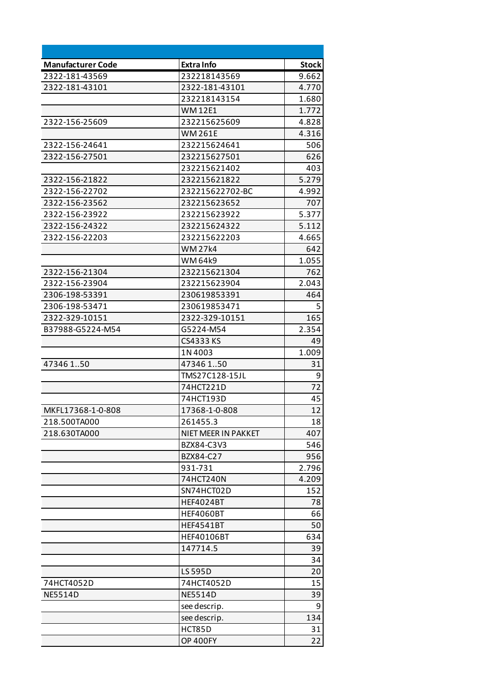| <b>Manufacturer Code</b> | <b>Extra Info</b>   | <b>Stock</b> |
|--------------------------|---------------------|--------------|
| 2322-181-43569           | 232218143569        | 9.662        |
| 2322-181-43101           | 2322-181-43101      | 4.770        |
|                          | 232218143154        | 1.680        |
|                          | <b>WM12E1</b>       | 1.772        |
| 2322-156-25609           | 232215625609        | 4.828        |
|                          | <b>WM261E</b>       | 4.316        |
| 2322-156-24641           | 232215624641        | 506          |
| 2322-156-27501           | 232215627501        | 626          |
|                          | 232215621402        | 403          |
| 2322-156-21822           | 232215621822        | 5.279        |
| 2322-156-22702           | 232215622702-BC     | 4.992        |
| 2322-156-23562           | 232215623652        | 707          |
| 2322-156-23922           | 232215623922        | 5.377        |
| 2322-156-24322           | 232215624322        | 5.112        |
| 2322-156-22203           | 232215622203        | 4.665        |
|                          | <b>WM27k4</b>       | 642          |
|                          | WM 64k9             | 1.055        |
| 2322-156-21304           | 232215621304        | 762          |
| 2322-156-23904           | 232215623904        | 2.043        |
| 2306-198-53391           | 230619853391        | 464          |
| 2306-198-53471           | 230619853471        | 5            |
| 2322-329-10151           | 2322-329-10151      | 165          |
| B37988-G5224-M54         | G5224-M54           | 2.354        |
|                          | CS4333 KS           | 49           |
|                          | 1N4003              | 1.009        |
| 47346150                 | 47346 150           | 31           |
|                          | TMS27C128-15JL      | 9            |
|                          | 74HCT221D           | 72           |
|                          | 74HCT193D           | 45           |
| MKFL17368-1-0-808        | 17368-1-0-808       | 12           |
| 218.500TA000             | 261455.3            | 18           |
| 218.630TA000             | NIET MEER IN PAKKET | 407          |
|                          | BZX84-C3V3          | 546          |
|                          | BZX84-C27           | 956          |
|                          | 931-731             | 2.796        |
|                          | 74HCT240N           | 4.209        |
|                          | SN74HCT02D          | 152          |
|                          | <b>HEF4024BT</b>    | 78           |
|                          | <b>HEF4060BT</b>    | 66           |
|                          | <b>HEF4541BT</b>    | 50           |
|                          | <b>HEF40106BT</b>   | 634          |
|                          | 147714.5            | 39           |
|                          |                     | 34           |
|                          | <b>LS 595D</b>      | 20           |
| 74HCT4052D               | 74HCT4052D          | 15           |
| <b>NE5514D</b>           | <b>NE5514D</b>      | 39           |
|                          | see descrip.        | 9            |
|                          | see descrip.        | 134          |
|                          | HCT85D              | 31           |
|                          | <b>OP 400FY</b>     | 22           |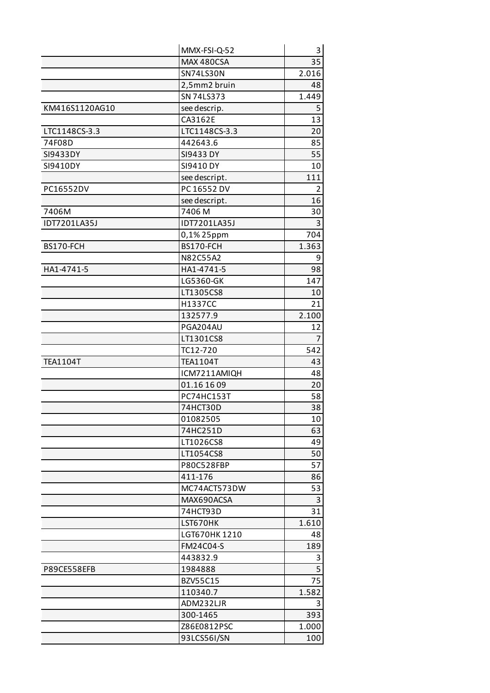|                 | MMX-FSI-Q-52      | 3              |
|-----------------|-------------------|----------------|
|                 | MAX 480CSA        | 35             |
|                 | SN74LS30N         | 2.016          |
|                 | 2,5mm2 bruin      | 48             |
|                 | SN 74LS373        | 1.449          |
| KM416S1120AG10  | see descrip.      | 5              |
|                 | CA3162E           | 13             |
| LTC1148CS-3.3   | LTC1148CS-3.3     | 20             |
| 74F08D          | 442643.6          | 85             |
| SI9433DY        | <b>SI9433 DY</b>  | 55             |
| SI9410DY        | SI9410 DY         | 10             |
|                 | see descript.     | 111            |
| PC16552DV       | PC 16552 DV       | 2              |
|                 | see descript.     | 16             |
| 7406M           | 7406 M            | 30             |
| IDT7201LA35J    | IDT7201LA35J      | 3              |
|                 | 0,1% 25ppm        | 704            |
| BS170-FCH       | BS170-FCH         | 1.363          |
|                 | N82C55A2          | 9              |
| HA1-4741-5      | HA1-4741-5        | 98             |
|                 | LG5360-GK         | 147            |
|                 | LT1305CS8         | 10             |
|                 | H1337CC           | 21             |
|                 | 132577.9          | 2.100          |
|                 | PGA204AU          | 12             |
|                 | LT1301CS8         | $\overline{7}$ |
|                 | TC12-720          | 542            |
| <b>TEA1104T</b> | <b>TEA1104T</b>   | 43             |
|                 | ICM7211AMIQH      | 48             |
|                 | 01.16 16 09       | 20             |
|                 | <b>PC74HC153T</b> | 58             |
|                 | 74HCT30D          | 38             |
|                 | 01082505          | 10             |
|                 | 74HC251D          | 63             |
|                 | LT1026CS8         | 49             |
|                 | LT1054CS8         | 50             |
|                 | P80C528FBP        | 57             |
|                 | 411-176           | 86             |
|                 | MC74ACT573DW      | 53             |
|                 | MAX690ACSA        | 3              |
|                 | 74HCT93D          | 31             |
|                 | LST670HK          | 1.610          |
|                 | LGT670HK 1210     | 48             |
|                 | FM24C04-S         | 189            |
|                 | 443832.9          | 3              |
| P89CE558EFB     | 1984888           | 5              |
|                 | BZV55C15          | 75             |
|                 | 110340.7          | 1.582          |
|                 | ADM232LJR         | 3              |
|                 | 300-1465          | 393            |
|                 | Z86E0812PSC       | 1.000          |
|                 | 93LCS56I/SN       | 100            |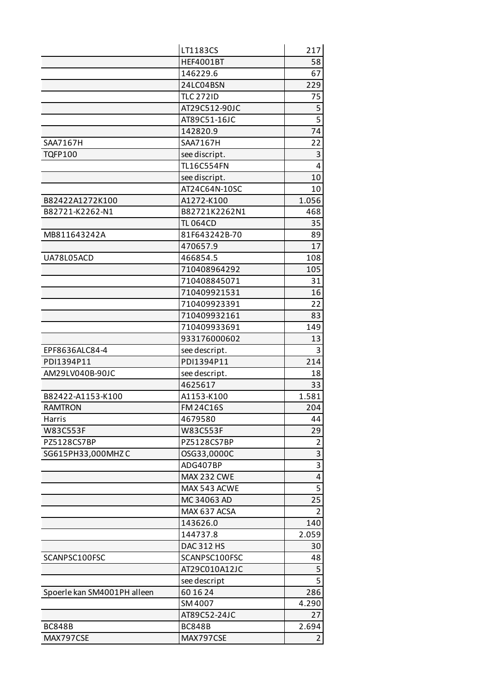|                             | LT1183CS           | 217                     |
|-----------------------------|--------------------|-------------------------|
|                             | <b>HEF4001BT</b>   | 58                      |
|                             | 146229.6           | 67                      |
|                             | 24LC04BSN          | 229                     |
|                             | <b>TLC 272ID</b>   | 75                      |
|                             | AT29C512-90JC      | 5                       |
|                             | AT89C51-16JC       | $\overline{5}$          |
|                             | 142820.9           | 74                      |
| SAA7167H                    | SAA7167H           | 22                      |
| <b>TQFP100</b>              | see discript.      | 3                       |
|                             | <b>TL16C554FN</b>  | 4                       |
|                             | see discript.      | 10                      |
|                             | AT24C64N-10SC      | 10                      |
| B82422A1272K100             | A1272-K100         | 1.056                   |
| B82721-K2262-N1             | B82721K2262N1      | 468                     |
|                             | <b>TL 064CD</b>    | 35                      |
| MB811643242A                | 81F643242B-70      | 89                      |
|                             | 470657.9           | 17                      |
| UA78L05ACD                  | 466854.5           | 108                     |
|                             | 710408964292       | 105                     |
|                             | 710408845071       | 31                      |
|                             | 710409921531       | 16                      |
|                             | 710409923391       | 22                      |
|                             | 710409932161       | 83                      |
|                             | 710409933691       | 149                     |
|                             | 933176000602       | 13                      |
| EPF8636ALC84-4              | see descript.      | 3                       |
| PDI1394P11                  | PDI1394P11         | 214                     |
| AM29LV040B-90JC             | see descript.      | 18                      |
|                             | 4625617            | 33                      |
| B82422-A1153-K100           | A1153-K100         | 1.581                   |
| <b>RAMTRON</b>              | <b>FM 24C16S</b>   | 204                     |
| Harris                      | 4679580            | 44                      |
| <b>W83C553F</b>             | W83C553F           | 29                      |
| PZ5128CS7BP                 | PZ5128CS7BP        | $\overline{2}$          |
| SG615PH33,000MHZC           | OSG33,0000C        | $\overline{3}$          |
|                             | ADG407BP           | 3                       |
|                             | <b>MAX 232 CWE</b> | $\overline{\mathbf{4}}$ |
|                             | MAX 543 ACWE       | 5                       |
|                             | MC 34063 AD        | 25                      |
|                             | MAX 637 ACSA       | $\overline{2}$          |
|                             | 143626.0           | 140                     |
|                             | 144737.8           | 2.059                   |
|                             | DAC 312 HS         | 30                      |
| SCANPSC100FSC               | SCANPSC100FSC      | 48                      |
|                             | AT29C010A12JC      | 5                       |
|                             | see descript       | $\overline{5}$          |
| Spoerle kan SM4001PH alleen | 60 16 24           | 286                     |
|                             | SM 4007            | 4.290                   |
|                             | AT89C52-24JC       | 27                      |
| <b>BC848B</b>               | <b>BC848B</b>      | 2.694                   |
| MAX797CSE                   | MAX797CSE          | $\overline{2}$          |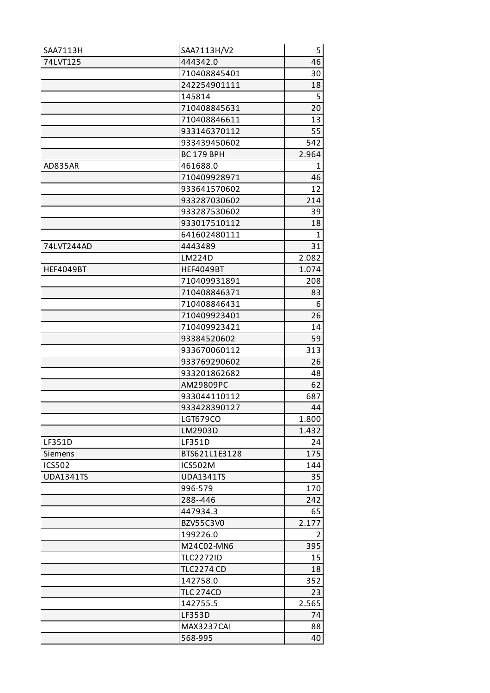| SAA7113H         | SAA7113H/V2       | 5            |
|------------------|-------------------|--------------|
| 74LVT125         | 444342.0          | 46           |
|                  | 710408845401      | 30           |
|                  | 242254901111      | 18           |
|                  | 145814            | 5            |
|                  | 710408845631      | 20           |
|                  | 710408846611      | 13           |
|                  | 933146370112      | 55           |
|                  | 933439450602      | 542          |
|                  | <b>BC 179 BPH</b> | 2.964        |
| AD835AR          | 461688.0          | 1            |
|                  | 710409928971      | 46           |
|                  | 933641570602      | 12           |
|                  | 933287030602      | 214          |
|                  | 933287530602      | 39           |
|                  | 933017510112      | 18           |
|                  | 641602480111      | $\mathbf{1}$ |
| 74LVT244AD       | 4443489           | 31           |
|                  | LM224D            | 2.082        |
| <b>HEF4049BT</b> | <b>HEF4049BT</b>  | 1.074        |
|                  | 710409931891      | 208          |
|                  | 710408846371      | 83           |
|                  | 710408846431      | 6            |
|                  | 710409923401      | 26           |
|                  | 710409923421      | 14           |
|                  | 93384520602       | 59           |
|                  | 933670060112      | 313          |
|                  | 933769290602      | 26           |
|                  | 933201862682      | 48           |
|                  | AM29809PC         | 62           |
|                  | 933044110112      | 687          |
|                  | 933428390127      | 44           |
|                  | LGT679CO          | 1.800        |
|                  | LM2903D           | 1.432        |
| LF351D           | LF351D            | 24           |
| <b>Siemens</b>   | BTS621L1E3128     | 175          |
| <b>ICS502</b>    | ICS502M           | 144          |
| <b>UDA1341TS</b> | <b>UDA1341TS</b>  | 35           |
|                  | 996-579           | 170          |
|                  | 288-446           | 242          |
|                  | 447934.3          | 65           |
|                  | BZV55C3V0         | 2.177        |
|                  | 199226.0          | 2            |
|                  | M24C02-MN6        | 395          |
|                  | <b>TLC2272ID</b>  | 15           |
|                  | <b>TLC2274 CD</b> | 18           |
|                  | 142758.0          | 352          |
|                  | <b>TLC 274CD</b>  | 23           |
|                  | 142755.5          | 2.565        |
|                  | LF353D            | 74           |
|                  | MAX3237CAI        | 88           |
|                  | 568-995           | 40           |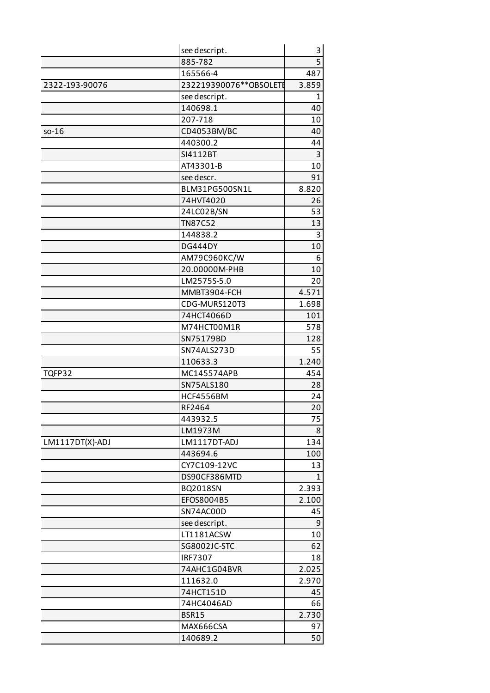|                 | see descript.            | 3         |
|-----------------|--------------------------|-----------|
|                 | 885-782                  | 5         |
|                 | 165566-4                 | 487       |
| 2322-193-90076  | 232219390076 ** OBSOLETE | 3.859     |
|                 | see descript.            | 1         |
|                 | 140698.1                 | 40        |
|                 | 207-718                  | 10        |
| $so-16$         | CD4053BM/BC              | 40        |
|                 | 440300.2                 | 44        |
|                 | SI4112BT                 | 3         |
|                 | AT43301-B                | 10        |
|                 | see descr.               | 91        |
|                 | BLM31PG500SN1L           | 8.820     |
|                 | 74HVT4020                | 26        |
|                 | 24LC02B/SN               | 53        |
|                 | <b>TN87C52</b>           | 13        |
|                 | 144838.2                 | 3         |
|                 | <b>DG444DY</b>           | 10        |
|                 | AM79C960KC/W             | 6         |
|                 | 20.00000M-PHB            | 10        |
|                 | LM2575S-5.0              | 20        |
|                 | MMBT3904-FCH             | 4.571     |
|                 | CDG-MURS120T3            | 1.698     |
|                 | 74HCT4066D               | 101       |
|                 | M74HCT00M1R              | 578       |
|                 | SN75179BD                | 128       |
|                 | SN74ALS273D              | 55        |
|                 | 110633.3<br>MC145574APB  | 1.240     |
| TQFP32          | SN75ALS180               | 454<br>28 |
|                 | <b>HCF4556BM</b>         |           |
|                 | RF2464                   | 24<br>20  |
|                 | 443932.5                 | 75        |
|                 | LM1973M                  | 8         |
| LM1117DT(X)-ADJ | LM1117DT-ADJ             | 134       |
|                 | 443694.6                 | 100       |
|                 | CY7C109-12VC             | 13        |
|                 | DS90CF386MTD             | 1         |
|                 | BQ2018SN                 | 2.393     |
|                 | EFOS8004B5               | 2.100     |
|                 | SN74AC00D                | 45        |
|                 | see descript.            | 9         |
|                 | LT1181ACSW               | 10        |
|                 | SG8002JC-STC             | 62        |
|                 | <b>IRF7307</b>           | 18        |
|                 | 74AHC1G04BVR             | 2.025     |
|                 | 111632.0                 | 2.970     |
|                 | 74HCT151D                | 45        |
|                 | 74HC4046AD               | 66        |
|                 | <b>BSR15</b>             | 2.730     |
|                 | MAX666CSA                | 97        |
|                 | 140689.2                 | 50        |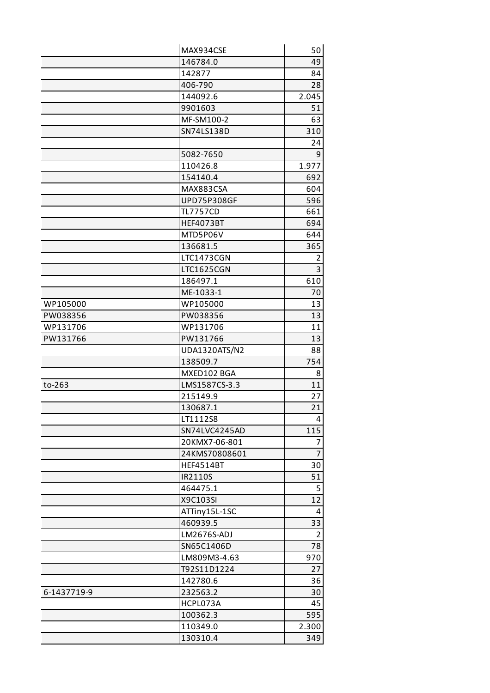|             | MAX934CSE          | 50             |
|-------------|--------------------|----------------|
|             | 146784.0           | 49             |
|             | 142877             | 84             |
|             | 406-790            | 28             |
|             | 144092.6           | 2.045          |
|             | 9901603            | 51             |
|             | MF-SM100-2         | 63             |
|             | SN74LS138D         | 310            |
|             |                    | 24             |
|             | 5082-7650          | 9              |
|             | 110426.8           | 1.977          |
|             | 154140.4           | 692            |
|             | MAX883CSA          | 604            |
|             | <b>UPD75P308GF</b> | 596            |
|             | <b>TL7757CD</b>    | 661            |
|             | <b>HEF4073BT</b>   | 694            |
|             | MTD5P06V           | 644            |
|             | 136681.5           | 365            |
|             | LTC1473CGN         | $\overline{2}$ |
|             | LTC1625CGN         | 3              |
|             | 186497.1           | 610            |
|             | ME-1033-1          | 70             |
| WP105000    | WP105000           | 13             |
| PW038356    | PW038356           | 13             |
| WP131706    | WP131706           | 11             |
| PW131766    | PW131766           | 13             |
|             | UDA1320ATS/N2      | 88             |
|             | 138509.7           | 754            |
|             | MXED102 BGA        | 8              |
| to-263      | LMS1587CS-3.3      | 11             |
|             | 215149.9           | 27             |
|             | 130687.1           | 21             |
|             | LT1112S8           | 4              |
|             | SN74LVC4245AD      | 115            |
|             | 20KMX7-06-801      | $\overline{7}$ |
|             | 24KMS70808601      | $\overline{7}$ |
|             | <b>HEF4514BT</b>   | 30             |
|             | IR2110S            | 51             |
|             | 464475.1           | 5              |
|             | X9C103SI           | 12             |
|             | ATTiny15L-1SC      | $\overline{4}$ |
|             | 460939.5           | 33             |
|             | LM2676S-ADJ        | $\overline{2}$ |
|             | SN65C1406D         | 78             |
|             | LM809M3-4.63       | 970            |
|             | T92S11D1224        | 27             |
|             | 142780.6           | 36             |
| 6-1437719-9 | 232563.2           | 30             |
|             | HCPL073A           | 45             |
|             | 100362.3           | 595            |
|             | 110349.0           | 2.300          |
|             | 130310.4           | 349            |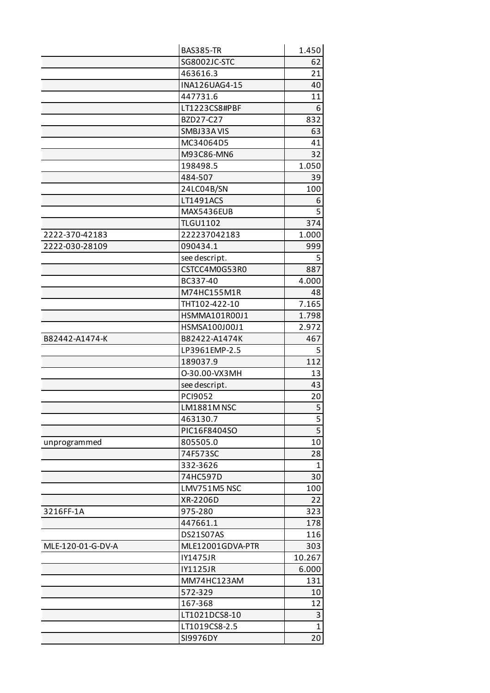|                   | <b>BAS385-TR</b>    | 1.450        |
|-------------------|---------------------|--------------|
|                   | <b>SG8002JC-STC</b> | 62           |
|                   | 463616.3            | 21           |
|                   | INA126UAG4-15       | 40           |
|                   | 447731.6            | 11           |
|                   | LT1223CS8#PBF       | 6            |
|                   | BZD27-C27           | 832          |
|                   | SMBJ33AVIS          | 63           |
|                   | MC34064D5           | 41           |
|                   | M93C86-MN6          | 32           |
|                   | 198498.5            | 1.050        |
|                   | 484-507             | 39           |
|                   | 24LC04B/SN          | 100          |
|                   | LT1491ACS           | 6            |
|                   | MAX5436EUB          | 5            |
|                   | <b>TLGU1102</b>     | 374          |
| 2222-370-42183    | 222237042183        | 1.000        |
| 2222-030-28109    | 090434.1            | 999          |
|                   | see descript.       | 5            |
|                   | CSTCC4M0G53R0       | 887          |
|                   | BC337-40            | 4.000        |
|                   | M74HC155M1R         | 48           |
|                   | THT102-422-10       | 7.165        |
|                   | HSMMA101R00J1       | 1.798        |
|                   | HSMSA100J00J1       | 2.972        |
| B82442-A1474-K    | B82422-A1474K       | 467          |
|                   | LP3961EMP-2.5       | 5            |
|                   | 189037.9            | 112          |
|                   | 0-30.00-VX3MH       | 13           |
|                   | see descript.       | 43           |
|                   | PCI9052             | 20           |
|                   | <b>LM1881M NSC</b>  | 5            |
|                   | 463130.7            | 5            |
|                   | PIC16F8404SO        | 5            |
| unprogrammed      | 805505.0            | 10           |
|                   | 74F573SC            | 28           |
|                   | 332-3626            | $\mathbf 1$  |
|                   | 74HC597D            | 30           |
|                   | LMV751M5 NSC        | 100          |
|                   | XR-2206D            | 22           |
| 3216FF-1A         | 975-280             | 323          |
|                   | 447661.1            | 178          |
|                   | DS21S07AS           | 116          |
| MLE-120-01-G-DV-A | MLE12001GDVA-PTR    | 303          |
|                   | <b>IY1475JR</b>     | 10.267       |
|                   | <b>IY1125JR</b>     | 6.000        |
|                   | MM74HC123AM         | 131          |
|                   | 572-329             | 10           |
|                   | 167-368             | 12           |
|                   | LT1021DCS8-10       | 3            |
|                   | LT1019CS8-2.5       | $\mathbf{1}$ |
|                   | SI9976DY            | 20           |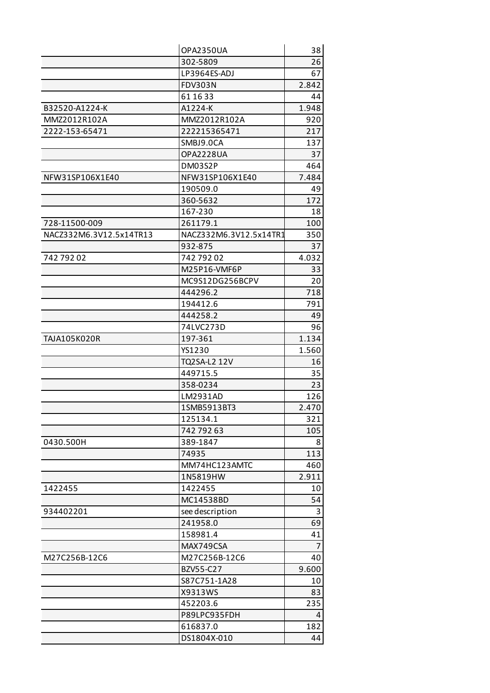|                         | OPA2350UA              | 38             |
|-------------------------|------------------------|----------------|
|                         | 302-5809               | 26             |
|                         | LP3964ES-ADJ           | 67             |
|                         | <b>FDV303N</b>         | 2.842          |
|                         | 61 16 33               | 44             |
| B32520-A1224-K          | A1224-K                | 1.948          |
| MMZ2012R102A            | MMZ2012R102A           | 920            |
| 2222-153-65471          | 222215365471           | 217            |
|                         | SMBJ9.0CA              | 137            |
|                         | OPA2228UA              | 37             |
|                         | DM03S2P                | 464            |
| NFW31SP106X1E40         | NFW31SP106X1E40        | 7.484          |
|                         | 190509.0               | 49             |
|                         | 360-5632               | 172            |
|                         | 167-230                | 18             |
| 728-11500-009           | 261179.1               | 100            |
| NACZ332M6.3V12.5x14TR13 | NACZ332M6.3V12.5x14TR1 | 350            |
|                         | 932-875                | 37             |
| 74279202                | 74279202               | 4.032          |
|                         | M25P16-VMF6P           | 33             |
|                         | MC9S12DG256BCPV        | 20             |
|                         | 444296.2               | 718            |
|                         | 194412.6               | 791            |
|                         | 444258.2               | 49             |
|                         | 74LVC273D              | 96             |
| TAJA105K020R            | 197-361                | 1.134          |
|                         | YS1230                 | 1.560          |
|                         | TQ2SA-L2 12V           | 16             |
|                         | 449715.5               | 35             |
|                         | 358-0234               | 23             |
|                         | LM2931AD               | 126            |
|                         | 1SMB5913BT3            | 2.470          |
|                         | 125134.1               | 321            |
|                         | 742 792 63             | 105            |
| 0430.500H               | 389-1847               | 8              |
|                         | 74935                  | 113            |
|                         | MM74HC123AMTC          | 460            |
|                         | 1N5819HW               | 2.911          |
| 1422455                 | 1422455                | 10             |
|                         | MC14538BD              | 54             |
| 934402201               | see description        | 3              |
|                         | 241958.0               | 69             |
|                         | 158981.4               | 41             |
|                         | MAX749CSA              | $\overline{7}$ |
| M27C256B-12C6           | M27C256B-12C6          | 40             |
|                         | BZV55-C27              | 9.600          |
|                         | S87C751-1A28           | 10             |
|                         | X9313WS                | 83             |
|                         | 452203.6               | 235            |
|                         | P89LPC935FDH           | 4              |
|                         | 616837.0               | 182            |
|                         | DS1804X-010            | 44             |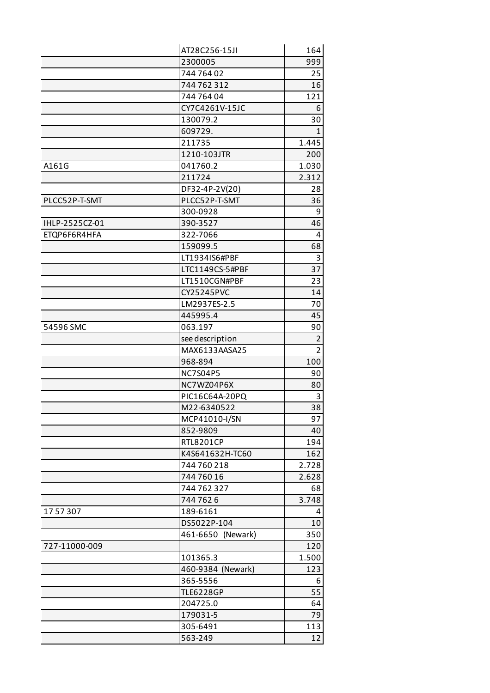|                | AT28C256-15JI     | 164            |
|----------------|-------------------|----------------|
|                | 2300005           | 999            |
|                | 744 764 02        | 25             |
|                | 744 762 312       | 16             |
|                | 744 764 04        | 121            |
|                | CY7C4261V-15JC    | 6              |
|                | 130079.2          | 30             |
|                | 609729.           | $\mathbf{1}$   |
|                | 211735            | 1.445          |
|                | 1210-103JTR       | 200            |
| A161G          | 041760.2          | 1.030          |
|                | 211724            | 2.312          |
|                | DF32-4P-2V(20)    | 28             |
| PLCC52P-T-SMT  | PLCC52P-T-SMT     | 36             |
|                | 300-0928          | 9              |
| IHLP-2525CZ-01 | 390-3527          | 46             |
| ETQP6F6R4HFA   | 322-7066          | 4              |
|                | 159099.5          | 68             |
|                | LT1934IS6#PBF     | 3              |
|                | LTC1149CS-5#PBF   | 37             |
|                | LT1510CGN#PBF     | 23             |
|                | CY25245PVC        | 14             |
|                | LM2937ES-2.5      | 70             |
|                | 445995.4          | 45             |
| 54596 SMC      | 063.197           | 90             |
|                | see description   | $\overline{2}$ |
|                | MAX6133AASA25     | $\overline{2}$ |
|                | 968-894           | 100            |
|                | <b>NC7S04P5</b>   | 90             |
|                | NC7WZ04P6X        | 80             |
|                | PIC16C64A-20PQ    | 3              |
|                | M22-6340522       | 38             |
|                | MCP41010-I/SN     | 97             |
|                | 852-9809          | 40             |
|                | <b>RTL8201CP</b>  | 194            |
|                | K4S641632H-TC60   | 162            |
|                | 744 760 218       | 2.728          |
|                | 744 760 16        | 2.628          |
|                | 744 762 327       | 68             |
|                | 7447626           | 3.748          |
| 1757307        | 189-6161          | 4              |
|                | DS5022P-104       | 10             |
|                | 461-6650 (Newark) | 350            |
| 727-11000-009  |                   | 120            |
|                | 101365.3          | 1.500          |
|                | 460-9384 (Newark) | 123            |
|                | 365-5556          | 6              |
|                | <b>TLE6228GP</b>  | 55             |
|                | 204725.0          | 64             |
|                | 179031-5          | 79             |
|                | 305-6491          | 113            |
|                | 563-249           | 12             |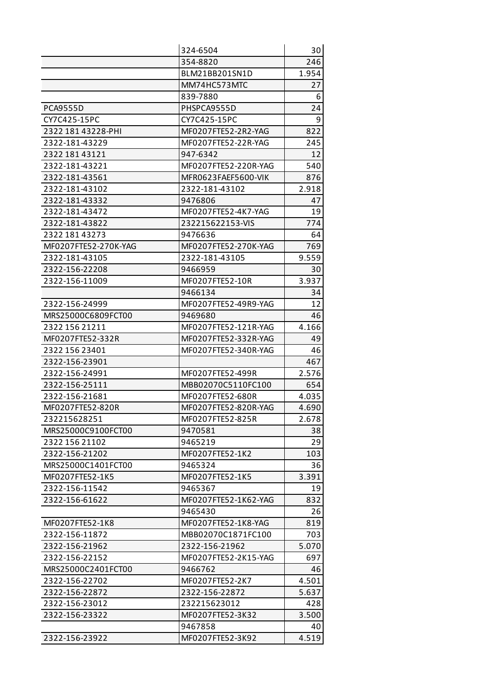|                      | 324-6504             | 30    |
|----------------------|----------------------|-------|
|                      | 354-8820             | 246   |
|                      | BLM21BB201SN1D       | 1.954 |
|                      | MM74HC573MTC         | 27    |
|                      | 839-7880             | 6     |
| <b>PCA9555D</b>      | PHSPCA9555D          | 24    |
| CY7C425-15PC         | CY7C425-15PC         | 9     |
| 2322 181 43228-PHI   | MF0207FTE52-2R2-YAG  | 822   |
| 2322-181-43229       | MF0207FTE52-22R-YAG  | 245   |
| 2322 181 43121       | 947-6342             | 12    |
| 2322-181-43221       | MF0207FTE52-220R-YAG | 540   |
| 2322-181-43561       | MFR0623FAEF5600-VIK  | 876   |
| 2322-181-43102       | 2322-181-43102       | 2.918 |
| 2322-181-43332       | 9476806              | 47    |
| 2322-181-43472       | MF0207FTE52-4K7-YAG  | 19    |
| 2322-181-43822       | 232215622153-VIS     | 774   |
| 2322 181 43273       | 9476636              | 64    |
| MF0207FTE52-270K-YAG | MF0207FTE52-270K-YAG | 769   |
| 2322-181-43105       | 2322-181-43105       | 9.559 |
| 2322-156-22208       | 9466959              | 30    |
| 2322-156-11009       | MF0207FTE52-10R      | 3.937 |
|                      | 9466134              | 34    |
| 2322-156-24999       | MF0207FTE52-49R9-YAG | 12    |
| MRS25000C6809FCT00   | 9469680              | 46    |
| 2322 156 21211       | MF0207FTE52-121R-YAG | 4.166 |
| MF0207FTE52-332R     | MF0207FTE52-332R-YAG | 49    |
| 2322 156 23401       | MF0207FTE52-340R-YAG | 46    |
| 2322-156-23901       |                      | 467   |
| 2322-156-24991       | MF0207FTE52-499R     | 2.576 |
| 2322-156-25111       | MBB02070C5110FC100   | 654   |
| 2322-156-21681       | MF0207FTE52-680R     | 4.035 |
| MF0207FTE52-820R     | MF0207FTE52-820R-YAG | 4.690 |
| 232215628251         | MF0207FTE52-825R     | 2.678 |
| MRS25000C9100FCT00   | 9470581              | 38    |
| 2322 156 21102       | 9465219              | 29    |
| 2322-156-21202       | MF0207FTE52-1K2      | 103   |
| MRS25000C1401FCT00   | 9465324              | 36    |
| MF0207FTE52-1K5      | MF0207FTE52-1K5      | 3.391 |
| 2322-156-11542       | 9465367              | 19    |
| 2322-156-61622       | MF0207FTE52-1K62-YAG | 832   |
|                      | 9465430              | 26    |
| MF0207FTE52-1K8      | MF0207FTE52-1K8-YAG  | 819   |
| 2322-156-11872       | MBB02070C1871FC100   | 703   |
| 2322-156-21962       | 2322-156-21962       | 5.070 |
| 2322-156-22152       | MF0207FTE52-2K15-YAG | 697   |
| MRS25000C2401FCT00   | 9466762              | 46    |
| 2322-156-22702       | MF0207FTE52-2K7      | 4.501 |
| 2322-156-22872       | 2322-156-22872       | 5.637 |
| 2322-156-23012       | 232215623012         | 428   |
| 2322-156-23322       | MF0207FTE52-3K32     | 3.500 |
|                      | 9467858              | 40    |
| 2322-156-23922       | MF0207FTE52-3K92     | 4.519 |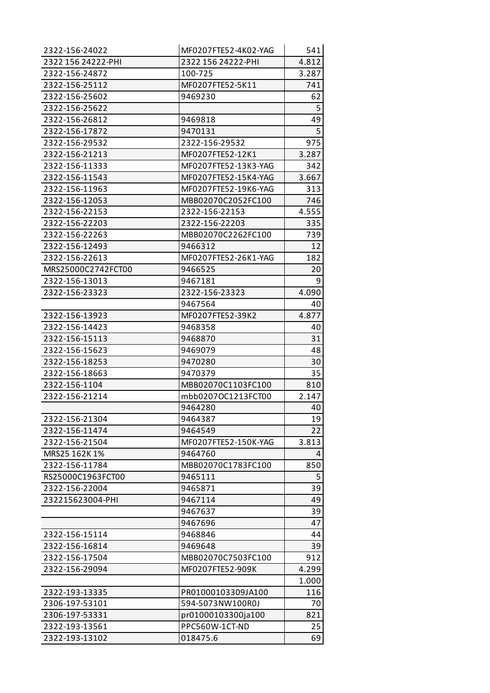| 2322-156-24022     | MF0207FTE52-4K02-YAG | 541   |
|--------------------|----------------------|-------|
| 2322 156 24222-PHI | 2322 156 24222-PHI   | 4.812 |
| 2322-156-24872     | 100-725              | 3.287 |
| 2322-156-25112     | MF0207FTE52-5K11     | 741   |
| 2322-156-25602     | 9469230              | 62    |
| 2322-156-25622     |                      | 5     |
| 2322-156-26812     | 9469818              | 49    |
| 2322-156-17872     | 9470131              | 5     |
| 2322-156-29532     | 2322-156-29532       | 975   |
| 2322-156-21213     | MF0207FTE52-12K1     | 3.287 |
| 2322-156-11333     | MF0207FTE52-13K3-YAG | 342   |
| 2322-156-11543     | MF0207FTE52-15K4-YAG | 3.667 |
| 2322-156-11963     | MF0207FTE52-19K6-YAG | 313   |
| 2322-156-12053     | MBB02070C2052FC100   | 746   |
| 2322-156-22153     | 2322-156-22153       | 4.555 |
| 2322-156-22203     | 2322-156-22203       | 335   |
| 2322-156-22263     | MBB02070C2262FC100   | 739   |
| 2322-156-12493     | 9466312              | 12    |
| 2322-156-22613     | MF0207FTE52-26K1-YAG | 182   |
| MRS25000C2742FCT00 | 9466525              | 20    |
| 2322-156-13013     | 9467181              | 9     |
| 2322-156-23323     | 2322-156-23323       | 4.090 |
|                    | 9467564              | 40    |
| 2322-156-13923     | MF0207FTE52-39K2     | 4.877 |
| 2322-156-14423     | 9468358              | 40    |
| 2322-156-15113     | 9468870              | 31    |
| 2322-156-15623     | 9469079              | 48    |
| 2322-156-18253     | 9470280              | 30    |
| 2322-156-18663     | 9470379              | 35    |
| 2322-156-1104      | MBB02070C1103FC100   | 810   |
| 2322-156-21214     | mbb0207OC1213FCT00   | 2.147 |
|                    | 9464280              | 40    |
| 2322-156-21304     | 9464387              | 19    |
| 2322-156-11474     | 9464549              | 22    |
| 2322-156-21504     | MF0207FTE52-150K-YAG | 3.813 |
| MRS25 162K 1%      | 9464760              | 4     |
| 2322-156-11784     | MBB02070C1783FC100   | 850   |
| RS25000C1963FCT00  | 9465111              | 5     |
| 2322-156-22004     | 9465871              | 39    |
| 232215623004-PHI   | 9467114              | 49    |
|                    | 9467637              | 39    |
|                    | 9467696              | 47    |
| 2322-156-15114     | 9468846              | 44    |
| 2322-156-16814     | 9469648              | 39    |
| 2322-156-17504     | MBB02070C7503FC100   | 912   |
| 2322-156-29094     | MF0207FTE52-909K     | 4.299 |
|                    |                      | 1.000 |
| 2322-193-13335     | PR01000103309JA100   | 116   |
| 2306-197-53101     | 594-5073NW100R0J     | 70    |
| 2306-197-53331     | pr01000103300ja100   | 821   |
| 2322-193-13561     | PPC560W-1CT-ND       | 25    |
| 2322-193-13102     | 018475.6             | 69    |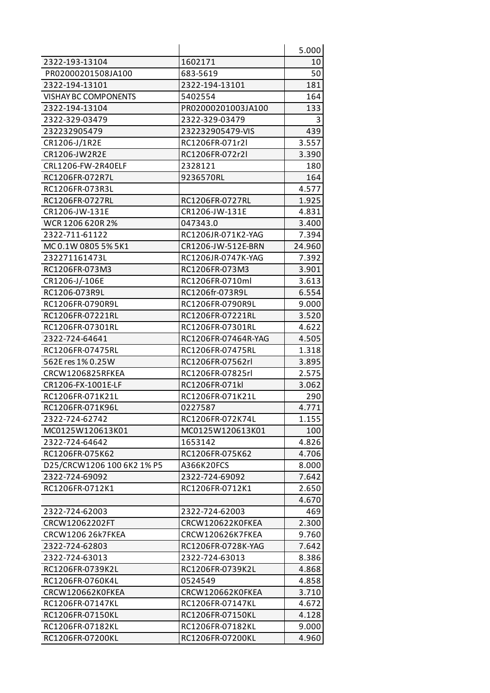|                             |                     | 5.000  |
|-----------------------------|---------------------|--------|
| 2322-193-13104              | 1602171             | 10     |
| PR02000201508JA100          | 683-5619            | 50     |
| 2322-194-13101              | 2322-194-13101      | 181    |
| <b>VISHAY BC COMPONENTS</b> | 5402554             | 164    |
| 2322-194-13104              | PR02000201003JA100  | 133    |
| 2322-329-03479              | 2322-329-03479      | 3      |
| 232232905479                | 232232905479-VIS    | 439    |
| CR1206-J/1R2E               | RC1206FR-071r2l     | 3.557  |
| CR1206-JW2R2E               | RC1206FR-072r2l     | 3.390  |
| CRL1206-FW-2R40ELF          | 2328121             | 180    |
| RC1206FR-072R7L             | 9236570RL           | 164    |
| RC1206FR-073R3L             |                     | 4.577  |
| RC1206FR-0727RL             | RC1206FR-0727RL     | 1.925  |
| CR1206-JW-131E              | CR1206-JW-131E      | 4.831  |
| WCR 1206 620R 2%            | 047343.0            | 3.400  |
| 2322-711-61122              | RC1206JR-071K2-YAG  | 7.394  |
| MC 0.1W 0805 5% 5K1         | CR1206-JW-512E-BRN  | 24.960 |
| 232271161473L               | RC1206JR-0747K-YAG  | 7.392  |
| RC1206FR-073M3              | RC1206FR-073M3      | 3.901  |
| CR1206-J/-106E              | RC1206FR-0710ml     | 3.613  |
| RC1206-073R9L               | RC1206fr-073R9L     | 6.554  |
| RC1206FR-0790R9L            | RC1206FR-0790R9L    | 9.000  |
| RC1206FR-07221RL            | RC1206FR-07221RL    | 3.520  |
| RC1206FR-07301RL            | RC1206FR-07301RL    | 4.622  |
| 2322-724-64641              | RC1206FR-07464R-YAG | 4.505  |
| RC1206FR-07475RL            | RC1206FR-07475RL    | 1.318  |
| 562E res 1% 0.25W           | RC1206FR-07562rl    | 3.895  |
| CRCW1206825RFKEA            | RC1206FR-07825rl    | 2.575  |
| CR1206-FX-1001E-LF          | RC1206FR-071kl      | 3.062  |
| RC1206FR-071K21L            | RC1206FR-071K21L    | 290    |
| RC1206FR-071K96L            | 0227587             | 4.771  |
| 2322-724-62742              | RC1206FR-072K74L    | 1.155  |
| MC0125W120613K01            | MC0125W120613K01    | 100    |
| 2322-724-64642              | 1653142             | 4.826  |
| RC1206FR-075K62             | RC1206FR-075K62     | 4.706  |
| D25/CRCW1206 100 6K2 1% P5  | A366K20FCS          | 8.000  |
| 2322-724-69092              | 2322-724-69092      | 7.642  |
| RC1206FR-0712K1             | RC1206FR-0712K1     | 2.650  |
|                             |                     | 4.670  |
| 2322-724-62003              | 2322-724-62003      | 469    |
| CRCW12062202FT              | CRCW120622K0FKEA    | 2.300  |
| CRCW1206 26k7FKEA           | CRCW120626K7FKEA    | 9.760  |
| 2322-724-62803              | RC1206FR-0728K-YAG  | 7.642  |
| 2322-724-63013              | 2322-724-63013      | 8.386  |
| RC1206FR-0739K2L            | RC1206FR-0739K2L    | 4.868  |
| RC1206FR-0760K4L            | 0524549             | 4.858  |
| CRCW120662K0FKEA            | CRCW120662K0FKEA    | 3.710  |
| RC1206FR-07147KL            | RC1206FR-07147KL    | 4.672  |
| RC1206FR-07150KL            | RC1206FR-07150KL    | 4.128  |
| RC1206FR-07182KL            | RC1206FR-07182KL    | 9.000  |
| RC1206FR-07200KL            | RC1206FR-07200KL    | 4.960  |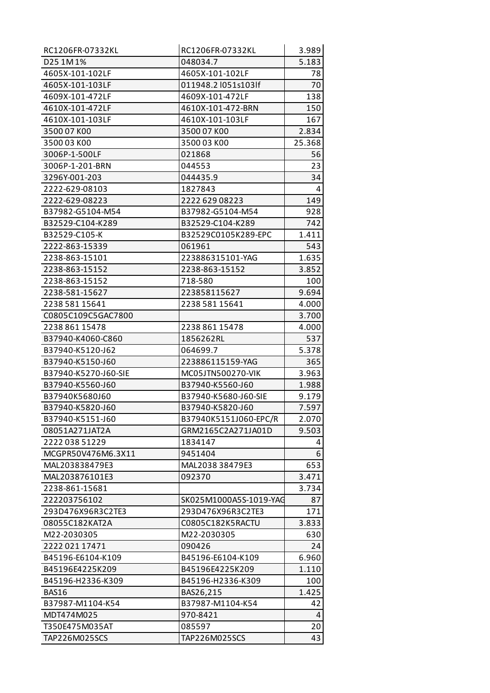| RC1206FR-07332KL     | RC1206FR-07332KL       | 3.989  |
|----------------------|------------------------|--------|
| D25 1M 1%            | 048034.7               | 5.183  |
| 4605X-101-102LF      | 4605X-101-102LF        | 78     |
| 4605X-101-103LF      | 011948.2 l051s103lf    | 70     |
| 4609X-101-472LF      | 4609X-101-472LF        | 138    |
| 4610X-101-472LF      | 4610X-101-472-BRN      | 150    |
| 4610X-101-103LF      | 4610X-101-103LF        | 167    |
| 3500 07 KOO          | 3500 07 KOO            | 2.834  |
| 3500 03 KOO          | 3500 03 KOO            | 25.368 |
| 3006P-1-500LF        | 021868                 | 56     |
| 3006P-1-201-BRN      | 044553                 | 23     |
| 3296Y-001-203        | 044435.9               | 34     |
| 2222-629-08103       | 1827843                | 4      |
| 2222-629-08223       | 2222 629 08223         | 149    |
| B37982-G5104-M54     | B37982-G5104-M54       | 928    |
| B32529-C104-K289     | B32529-C104-K289       | 742    |
| B32529-C105-K        | B32529C0105K289-EPC    | 1.411  |
| 2222-863-15339       | 061961                 | 543    |
| 2238-863-15101       | 223886315101-YAG       | 1.635  |
| 2238-863-15152       | 2238-863-15152         | 3.852  |
| 2238-863-15152       | 718-580                | 100    |
| 2238-581-15627       | 223858115627           | 9.694  |
| 2238 581 15641       | 2238 581 15641         | 4.000  |
| C0805C109C5GAC7800   |                        | 3.700  |
| 2238 861 15478       | 2238 861 15478         | 4.000  |
| B37940-K4060-C860    | 1856262RL              | 537    |
| B37940-K5120-J62     | 064699.7               | 5.378  |
| B37940-K5150-J60     | 223886115159-YAG       | 365    |
| B37940-K5270-J60-SIE | MC05JTN500270-VIK      | 3.963  |
| B37940-K5560-J60     | B37940-K5560-J60       | 1.988  |
| B37940K5680J60       | B37940-K5680-J60-SIE   | 9.179  |
| B37940-K5820-J60     | B37940-K5820-J60       | 7.597  |
| B37940-K5151-J60     | B37940K5151J060-EPC/R  | 2.070  |
| 08051A271JAT2A       | GRM2165C2A271JA01D     | 9.503  |
| 2222 038 51229       | 1834147                | 4      |
| MCGPR50V476M6.3X11   | 9451404                | 6      |
| MAL203838479E3       | MAL2038 38479E3        | 653    |
| MAL203876101E3       | 092370                 | 3.471  |
| 2238-861-15681       |                        | 3.734  |
| 222203756102         | SK025M1000A5S-1019-YAG | 87     |
| 293D476X96R3C2TE3    | 293D476X96R3C2TE3      | 171    |
| 08055C182KAT2A       | C0805C182K5RACTU       | 3.833  |
| M22-2030305          | M22-2030305            | 630    |
| 2222 021 17471       | 090426                 | 24     |
| B45196-E6104-K109    | B45196-E6104-K109      | 6.960  |
| B45196E4225K209      | B45196E4225K209        | 1.110  |
| B45196-H2336-K309    | B45196-H2336-K309      | 100    |
| <b>BAS16</b>         | BAS26,215              | 1.425  |
| B37987-M1104-K54     | B37987-M1104-K54       | 42     |
| MDT474M025           | 970-8421               | 4      |
| T350E475M035AT       | 085597                 | 20     |
| TAP226M025SCS        | TAP226M025SCS          | 43     |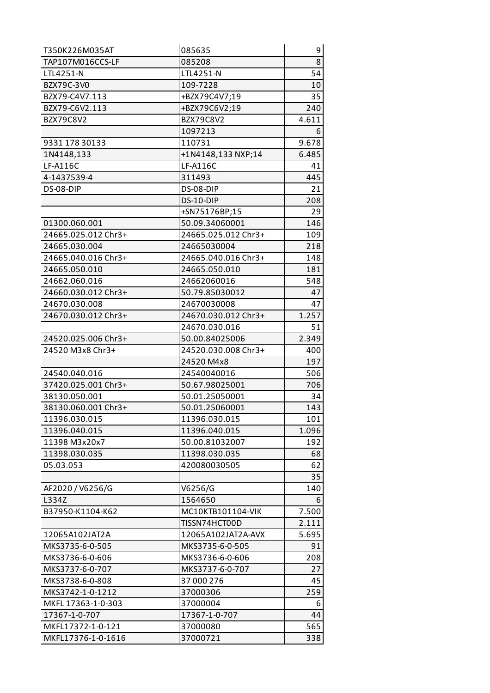| T350K226M035AT      | 085635              | 9     |
|---------------------|---------------------|-------|
| TAP107M016CCS-LF    | 085208              | 8     |
| LTL4251-N           | LTL4251-N           | 54    |
| BZX79C-3V0          | 109-7228            | 10    |
| BZX79-C4V7.113      | +BZX79C4V7;19       | 35    |
| BZX79-C6V2.113      | +BZX79C6V2;19       | 240   |
| BZX79C8V2           | BZX79C8V2           | 4.611 |
|                     | 1097213             | 6     |
| 9331 178 30133      | 110731              | 9.678 |
| 1N4148,133          | +1N4148,133 NXP;14  | 6.485 |
| LF-A116C            | <b>LF-A116C</b>     | 41    |
| 4-1437539-4         | 311493              | 445   |
| DS-08-DIP           | DS-08-DIP           | 21    |
|                     | DS-10-DIP           | 208   |
|                     | +SN75176BP;15       | 29    |
| 01300.060.001       | 50.09.34060001      | 146   |
| 24665.025.012 Chr3+ | 24665.025.012 Chr3+ | 109   |
| 24665.030.004       | 24665030004         | 218   |
| 24665.040.016 Chr3+ | 24665.040.016 Chr3+ | 148   |
| 24665.050.010       | 24665.050.010       | 181   |
| 24662.060.016       | 24662060016         | 548   |
| 24660.030.012 Chr3+ | 50.79.85030012      | 47    |
| 24670.030.008       | 24670030008         | 47    |
| 24670.030.012 Chr3+ | 24670.030.012 Chr3+ | 1.257 |
|                     | 24670.030.016       | 51    |
| 24520.025.006 Chr3+ | 50.00.84025006      | 2.349 |
| 24520 M3x8 Chr3+    | 24520.030.008 Chr3+ | 400   |
|                     | 24520 M4x8          | 197   |
| 24540.040.016       | 24540040016         | 506   |
| 37420.025.001 Chr3+ | 50.67.98025001      | 706   |
| 38130.050.001       | 50.01.25050001      | 34    |
| 38130.060.001 Chr3+ | 50.01.25060001      | 143   |
| 11396.030.015       | 11396.030.015       | 101   |
| 11396.040.015       | 11396.040.015       | 1.096 |
| 11398 M3x20x7       | 50.00.81032007      | 192   |
| 11398.030.035       | 11398.030.035       | 68    |
| 05.03.053           | 420080030505        | 62    |
|                     |                     | 35    |
| AF2020 / V6256/G    | V6256/G             | 140   |
| L334Z               | 1564650             | 6     |
| B37950-K1104-K62    | MC10KTB101104-VIK   | 7.500 |
|                     | TISSN74HCT00D       | 2.111 |
| 12065A102JAT2A      | 12065A102JAT2A-AVX  | 5.695 |
| MKS3735-6-0-505     | MKS3735-6-0-505     | 91    |
| MKS3736-6-0-606     | MKS3736-6-0-606     | 208   |
| MKS3737-6-0-707     | MKS3737-6-0-707     | 27    |
| MKS3738-6-0-808     | 37 000 276          | 45    |
| MKS3742-1-0-1212    | 37000306            | 259   |
| MKFL 17363-1-0-303  | 37000004            | 6     |
| 17367-1-0-707       | 17367-1-0-707       | 44    |
| MKFL17372-1-0-121   | 37000080            | 565   |
| MKFL17376-1-0-1616  | 37000721            | 338   |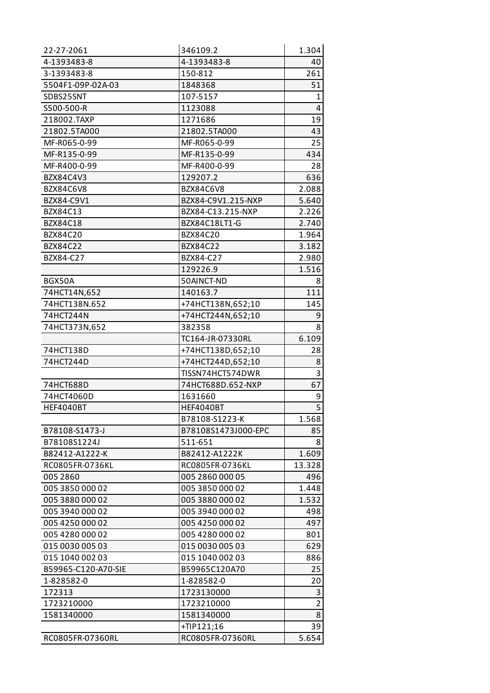| 22-27-2061          | 346109.2            | 1.304          |
|---------------------|---------------------|----------------|
| 4-1393483-8         | 4-1393483-8         | 40             |
| 3-1393483-8         | 150-812             | 261            |
| 5504F1-09P-02A-03   | 1848368             | 51             |
| SDBS25SNT           | 107-5157            | 1              |
| S500-500-R          | 1123088             | $\overline{4}$ |
| 218002.TAXP         | 1271686             | 19             |
| 21802.5TA000        | 21802.5TA000        | 43             |
| MF-R065-0-99        | MF-R065-0-99        | 25             |
| MF-R135-0-99        | MF-R135-0-99        | 434            |
| MF-R400-0-99        | MF-R400-0-99        | 28             |
| BZX84C4V3           | 129207.2            | 636            |
| BZX84C6V8           | BZX84C6V8           | 2.088          |
| BZX84-C9V1          | BZX84-C9V1.215-NXP  | 5.640          |
| BZX84C13            | BZX84-C13.215-NXP   | 2.226          |
| <b>BZX84C18</b>     | BZX84C18LT1-G       | 2.740          |
| BZX84C20            | BZX84C20            | 1.964          |
| BZX84C22            | BZX84C22            | 3.182          |
| BZX84-C27           | BZX84-C27           | 2.980          |
|                     | 129226.9            | 1.516          |
| BGX50A              | 50AINCT-ND          | 8              |
| 74HCT14N,652        | 140163.7            | 111            |
| 74HCT138N.652       | +74HCT138N,652;10   | 145            |
| 74HCT244N           | +74HCT244N,652;10   | 9              |
| 74HCT373N,652       | 382358              | 8              |
|                     | TC164-JR-07330RL    | 6.109          |
| 74HCT138D           | +74HCT138D,652;10   | 28             |
| 74HCT244D           | +74HCT244D,652;10   | 8              |
|                     | TISSN74HCT574DWR    | 3              |
| 74HCT688D           | 74HCT688D.652-NXP   | 67             |
| 74HCT4060D          | 1631660             | 9              |
| <b>HEF4040BT</b>    | <b>HEF4040BT</b>    | $\overline{5}$ |
|                     | B78108-S1223-K      | 1.568          |
| B78108-S1473-J      | B78108S1473J000-EPC | 85             |
| B78108S1224J        | 511-651             | 8              |
| B82412-A1222-K      | B82412-A1222K       | 1.609          |
| RC0805FR-0736KL     | RC0805FR-0736KL     | 13.328         |
| 005 2860            | 005 2860 000 05     | 496            |
| 005 3850 000 02     | 005 3850 000 02     | 1.448          |
| 005 3880 000 02     | 005 3880 000 02     | 1.532          |
| 005 3940 000 02     | 005 3940 000 02     | 498            |
| 005 4250 000 02     | 005 4250 000 02     | 497            |
| 005 4280 000 02     | 005 4280 000 02     | 801            |
| 015 0030 005 03     | 015 0030 005 03     | 629            |
| 015 1040 002 03     | 015 1040 002 03     | 886            |
| B59965-C120-A70-SIE | B59965C120A70       | 25             |
| 1-828582-0          | 1-828582-0          | 20             |
| 172313              | 1723130000          | 3              |
| 1723210000          | 1723210000          | $\overline{2}$ |
| 1581340000          | 1581340000          | 8              |
|                     | +TIP121;16          | 39             |
| RC0805FR-07360RL    | RC0805FR-07360RL    | 5.654          |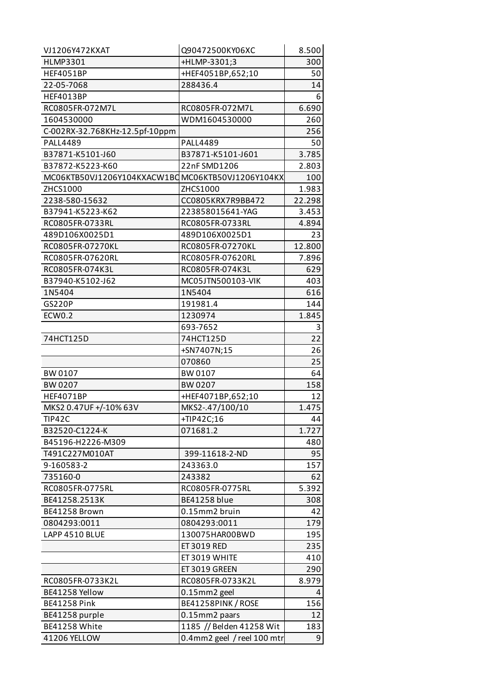| VJ1206Y472KXAT                                    | Q90472500KY06XC            | 8.500  |
|---------------------------------------------------|----------------------------|--------|
| <b>HLMP3301</b>                                   | +HLMP-3301;3               | 300    |
| <b>HEF4051BP</b>                                  | +HEF4051BP,652;10          | 50     |
| 22-05-7068                                        | 288436.4                   | 14     |
| <b>HEF4013BP</b>                                  |                            | 6      |
| RC0805FR-072M7L                                   | RC0805FR-072M7L            | 6.690  |
| 1604530000                                        | WDM1604530000              | 260    |
| C-002RX-32.768KHz-12.5pf-10ppm                    |                            | 256    |
| <b>PALL4489</b>                                   | <b>PALL4489</b>            | 50     |
| B37871-K5101-J60                                  | B37871-K5101-J601          | 3.785  |
| B37872-K5223-K60                                  | 22nFSMD1206                | 2.803  |
| MC06KTB50VJ1206Y104KXACW1BC MC06KTB50VJ1206Y104KX |                            | 100    |
| ZHCS1000                                          | ZHCS1000                   | 1.983  |
| 2238-580-15632                                    | CC0805KRX7R9BB472          | 22.298 |
| B37941-K5223-K62                                  | 223858015641-YAG           | 3.453  |
| RC0805FR-0733RL                                   | RC0805FR-0733RL            | 4.894  |
| 489D106X0025D1                                    | 489D106X0025D1             | 23     |
| RC0805FR-07270KL                                  | RC0805FR-07270KL           | 12.800 |
| RC0805FR-07620RL                                  | RC0805FR-07620RL           | 7.896  |
| RC0805FR-074K3L                                   | RC0805FR-074K3L            | 629    |
| B37940-K5102-J62                                  | MC05JTN500103-VIK          | 403    |
| 1N5404                                            | 1N5404                     | 616    |
| <b>GS220P</b>                                     | 191981.4                   | 144    |
| ECW0.2                                            | 1230974                    | 1.845  |
|                                                   | 693-7652                   | 3      |
| 74HCT125D                                         | 74HCT125D                  | 22     |
|                                                   | +SN7407N;15                | 26     |
|                                                   | 070860                     | 25     |
| BW 0107                                           | BW 0107                    | 64     |
| BW 0207                                           | BW 0207                    | 158    |
| <b>HEF4071BP</b>                                  | +HEF4071BP,652;10          | 12     |
| MKS2 0.47UF +/-10% 63V                            | MKS2-.47/100/10            | 1.475  |
| TIP42C                                            | +TIP42C;16                 | 44     |
| B32520-C1224-K                                    | 071681.2                   | 1.727  |
| B45196-H2226-M309                                 |                            | 480    |
| T491C227M010AT                                    | 399-11618-2-ND             | 95     |
| 9-160583-2                                        | 243363.0                   | 157    |
| 735160-0                                          | 243382                     | 62     |
| RC0805FR-0775RL                                   | RC0805FR-0775RL            | 5.392  |
| BE41258.2513K                                     | <b>BE41258 blue</b>        | 308    |
| BE41258 Brown                                     | 0.15mm2 bruin              | 42     |
| 0804293:0011                                      | 0804293:0011               | 179    |
| LAPP 4510 BLUE                                    | 130075HAR00BWD             | 195    |
|                                                   | ET 3019 RED                | 235    |
|                                                   | ET 3019 WHITE              | 410    |
|                                                   | ET 3019 GREEN              | 290    |
| RC0805FR-0733K2L                                  | RC0805FR-0733K2L           | 8.979  |
| BE41258 Yellow                                    | 0.15mm2 geel               | 4      |
| <b>BE41258 Pink</b>                               | BE41258PINK / ROSE         | 156    |
| BE41258 purple                                    | 0.15mm2 paars              | 12     |
| BE41258 White                                     | 1185 // Belden 41258 Wit   | 183    |
| 41206 YELLOW                                      | 0.4mm2 geel / reel 100 mtr | 9      |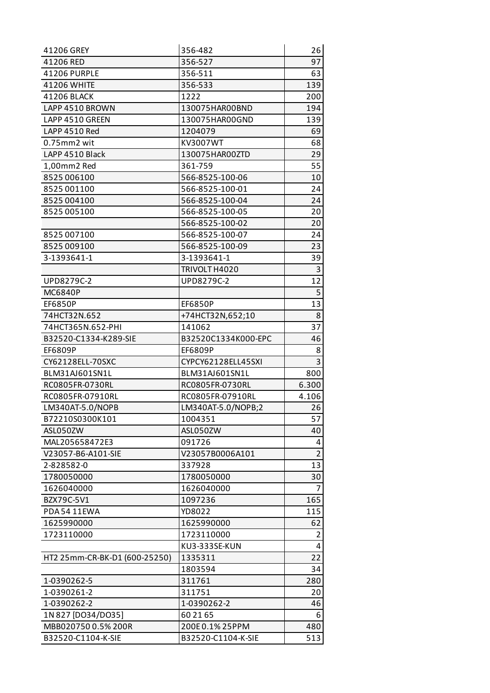| 41206 GREY                    | 356-482                              | 26             |
|-------------------------------|--------------------------------------|----------------|
| 41206 RED                     | 356-527                              | 97             |
| 41206 PURPLE                  | 356-511                              | 63             |
| 41206 WHITE                   | 356-533                              | 139            |
| 41206 BLACK                   | 1222                                 | 200            |
| LAPP 4510 BROWN               | 130075HAR00BND                       | 194            |
| LAPP 4510 GREEN               | 130075HAR00GND                       | 139            |
| LAPP 4510 Red                 | 1204079                              | 69             |
| $0.75$ mm $2$ wit             | KV3007WT                             | 68             |
| LAPP 4510 Black               | 130075HAR00ZTD                       | 29             |
| 1,00mm2 Red                   | 361-759                              | 55             |
| 8525 006100                   | 566-8525-100-06                      | 10             |
| 8525 001100                   | 566-8525-100-01                      | 24             |
| 8525 004100                   | 566-8525-100-04                      | 24             |
| 8525 005100                   | 566-8525-100-05                      | 20             |
|                               | 566-8525-100-02                      | 20             |
| 8525 007100                   | 566-8525-100-07                      | 24             |
| 8525 009100                   | 566-8525-100-09                      | 23             |
| 3-1393641-1                   | 3-1393641-1                          | 39             |
|                               | TRIVOLT H4020                        | 3              |
| UPD8279C-2                    | UPD8279C-2                           | 12             |
| MC6840P                       |                                      | 5              |
| <b>EF6850P</b>                | <b>EF6850P</b>                       | 13             |
| 74HCT32N.652                  | +74HCT32N,652;10                     | 8              |
| 74HCT365N.652-PHI             | 141062                               | 37             |
| B32520-C1334-K289-SIE         | B32520C1334K000-EPC                  | 46             |
| EF6809P                       | EF6809P                              | 8              |
| CY62128ELL-70SXC              | CYPCY62128ELL45SXI                   | 3              |
| BLM31AJ601SN1L                | BLM31AJ601SN1L                       | 800            |
| RC0805FR-0730RL               | RC0805FR-0730RL                      | 6.300          |
| RC0805FR-07910RL              | RC0805FR-07910RL                     | 4.106          |
| LM340AT-5.0/NOPB              | LM340AT-5.0/NOPB;2                   | 26             |
| B72210S0300K101               | 1004351                              | 57             |
| ASL050ZW                      | ASL050ZW                             | 40             |
| MAL205658472E3                | 091726                               | 4              |
| V23057-B6-A101-SIE            | V23057B0006A101                      | $\overline{2}$ |
| 2-828582-0                    | 337928                               | 13             |
| 1780050000                    | 1780050000                           | 30             |
| 1626040000                    | 1626040000                           | 7              |
| BZX79C-5V1                    | 1097236                              | 165            |
| PDA5411EWA                    | YD8022                               | 115            |
| 1625990000                    | 1625990000                           | 62             |
| 1723110000                    | 1723110000                           | $\overline{2}$ |
|                               | KU3-333SE-KUN                        | 4              |
| HT2 25mm-CR-BK-D1 (600-25250) | 1335311                              | 22             |
|                               | 1803594                              | 34             |
| 1-0390262-5                   | 311761                               | 280            |
| 1-0390261-2                   | 311751                               | 20             |
| 1-0390262-2                   | 1-0390262-2                          | 46             |
| 1N 827 [DO34/DO35]            | 60 21 65                             | 6              |
|                               |                                      |                |
| MBB020750 0.5% 200R           | 200E0.1% 25PPM<br>B32520-C1104-K-SIE | 480<br>513     |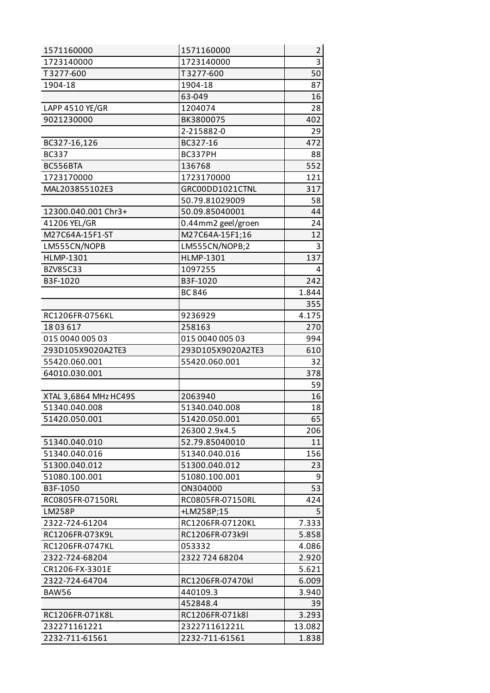| 1571160000            | 1571160000         | $\overline{2}$ |
|-----------------------|--------------------|----------------|
| 1723140000            | 1723140000         | 3              |
| T3277-600             | T3277-600          | 50             |
| 1904-18               | 1904-18            | 87             |
|                       | 63-049             | 16             |
| LAPP 4510 YE/GR       | 1204074            | 28             |
| 9021230000            | BK3800075          | 402            |
|                       | 2-215882-0         | 29             |
| BC327-16,126          | BC327-16           | 472            |
| <b>BC337</b>          | BC337PH            | 88             |
| BC556BTA              | 136768             | 552            |
| 1723170000            | 1723170000         | 121            |
| MAL203855102E3        | GRC00DD1021CTNL    | 317            |
|                       | 50.79.81029009     | 58             |
| 12300.040.001 Chr3+   | 50.09.85040001     | 44             |
| 41206 YEL/GR          | 0.44mm2 geel/groen | 24             |
| M27C64A-15F1-ST       | M27C64A-15F1;16    | 12             |
| LM555CN/NOPB          | LM555CN/NOPB;2     | 3              |
| <b>HLMP-1301</b>      | <b>HLMP-1301</b>   | 137            |
| BZV85C33              | 1097255            | 4              |
| B3F-1020              | B3F-1020           | 242            |
|                       | <b>BC 846</b>      | 1.844          |
|                       |                    | 355            |
| RC1206FR-0756KL       | 9236929            | 4.175          |
| 1803617               | 258163             | 270            |
| 015 0040 005 03       | 015 0040 005 03    | 994            |
| 293D105X9020A2TE3     | 293D105X9020A2TE3  | 610            |
| 55420.060.001         | 55420.060.001      | 32             |
| 64010.030.001         |                    | 378            |
|                       |                    | 59             |
| XTAL 3,6864 MHz HC49S | 2063940            | 16             |
| 51340.040.008         | 51340.040.008      | 18             |
| 51420.050.001         | 51420.050.001      | 65             |
|                       | 26300 2.9x4.5      | 206            |
| 51340.040.010         | 52.79.85040010     | 11             |
| 51340.040.016         | 51340.040.016      | 156            |
| 51300.040.012         | 51300.040.012      | 23             |
| 51080.100.001         | 51080.100.001      | 9              |
| B3F-1050              | ON304000           | 53             |
| RC0805FR-07150RL      | RC0805FR-07150RL   | 424            |
| <b>LM258P</b>         | +LM258P;15         | 5              |
| 2322-724-61204        | RC1206FR-07120KL   | 7.333          |
| RC1206FR-073K9L       | RC1206FR-073k9I    | 5.858          |
| RC1206FR-0747KL       | 053332             | 4.086          |
| 2322-724-68204        | 2322 724 68204     | 2.920          |
| CR1206-FX-3301E       |                    | 5.621          |
| 2322-724-64704        | RC1206FR-07470kl   | 6.009          |
| BAW56                 | 440109.3           | 3.940          |
|                       | 452848.4           | 39             |
| RC1206FR-071K8L       | RC1206FR-071k8l    | 3.293          |
| 232271161221          | 232271161221L      | 13.082         |
| 2232-711-61561        | 2232-711-61561     | 1.838          |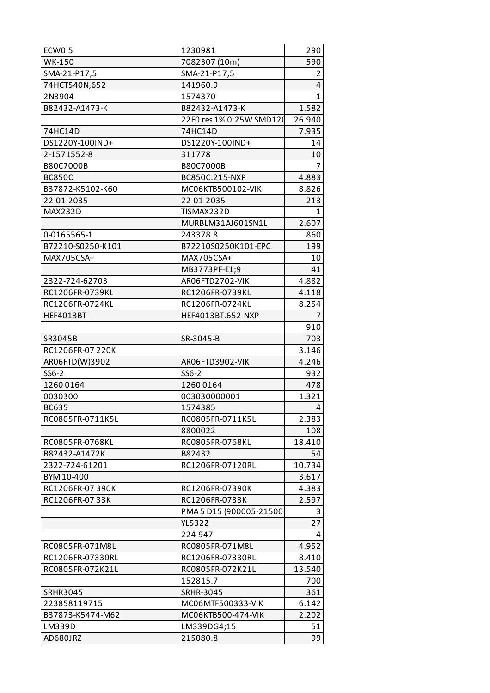| ECW0.5            | 1230981                  | 290            |
|-------------------|--------------------------|----------------|
| WK-150            | 7082307 (10m)            | 590            |
| SMA-21-P17,5      | SMA-21-P17,5             | $\overline{2}$ |
| 74HCT540N,652     | 141960.9                 | 4              |
| 2N3904            | 1574370                  | $\mathbf{1}$   |
| B82432-A1473-K    | B82432-A1473-K           | 1.582          |
|                   | 22E0 res 1% 0.25W SMD120 | 26.940         |
| 74HC14D           | 74HC14D                  | 7.935          |
| DS1220Y-100IND+   | DS1220Y-100IND+          | 14             |
| 2-1571552-8       | 311778                   | 10             |
| <b>B80C7000B</b>  | B80C7000B                | 7              |
| <b>BC850C</b>     | BC850C.215-NXP           | 4.883          |
| B37872-K5102-K60  | MC06KTB500102-VIK        | 8.826          |
| 22-01-2035        | 22-01-2035               | 213            |
| MAX232D           | TISMAX232D               | 1              |
|                   | MURBLM31AJ601SN1L        | 2.607          |
| 0-0165565-1       | 243378.8                 | 860            |
| B72210-S0250-K101 | B72210S0250K101-EPC      | 199            |
| MAX705CSA+        | MAX705CSA+               | 10             |
|                   | MB3773PF-E1;9            | 41             |
| 2322-724-62703    | AR06FTD2702-VIK          | 4.882          |
| RC1206FR-0739KL   | RC1206FR-0739KL          | 4.118          |
| RC1206FR-0724KL   | RC1206FR-0724KL          | 8.254          |
| <b>HEF4013BT</b>  | HEF4013BT.652-NXP        | $\overline{7}$ |
|                   |                          | 910            |
| SR3045B           | SR-3045-B                | 703            |
| RC1206FR-07 220K  |                          | 3.146          |
| AR06FTD(W)3902    | AR06FTD3902-VIK          | 4.246          |
| SS6-2             | SS6-2                    | 932            |
| 12600164          | 12600164                 | 478            |
| 0030300           | 003030000001             | 1.321          |
| <b>BC635</b>      | 1574385                  | 4              |
| RC0805FR-0711K5L  | RC0805FR-0711K5L         | 2.383          |
|                   | 8800022                  | 108            |
| RC0805FR-0768KL   | RC0805FR-0768KL          | 18.410         |
| B82432-A1472K     | B82432                   | 54             |
| 2322-724-61201    | RC1206FR-07120RL         | 10.734         |
| BYM 10-400        |                          | 3.617          |
| RC1206FR-07 390K  | RC1206FR-07390K          | 4.383          |
| RC1206FR-0733K    | RC1206FR-0733K           | 2.597          |
|                   | PMA 5 D15 (900005-21500  | 3              |
|                   | <b>YL5322</b>            | 27             |
|                   | 224-947                  | 4              |
| RC0805FR-071M8L   | RC0805FR-071M8L          | 4.952          |
| RC1206FR-07330RL  | RC1206FR-07330RL         | 8.410          |
| RC0805FR-072K21L  | RC0805FR-072K21L         | 13.540         |
|                   | 152815.7                 |                |
| <b>SRHR3045</b>   | <b>SRHR-3045</b>         | 700<br>361     |
| 223858119715      | MC06MTF500333-VIK        | 6.142          |
| B37873-K5474-M62  | MC06KTB500-474-VIK       | 2.202          |
| LM339D            |                          | 51             |
| AD680JRZ          | LM339DG4;15<br>215080.8  | 99             |
|                   |                          |                |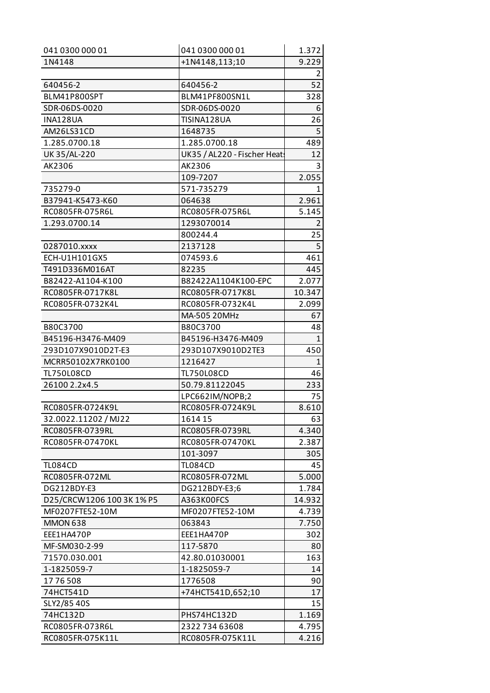| 041 0300 000 01           | 041 0300 000 01             | 1.372          |
|---------------------------|-----------------------------|----------------|
| 1N4148                    | +1N4148,113;10              | 9.229          |
|                           |                             | $\overline{2}$ |
| 640456-2                  | 640456-2                    | 52             |
| BLM41P800SPT              | BLM41PF800SN1L              | 328            |
| SDR-06DS-0020             | SDR-06DS-0020               | 6              |
| <b>INA128UA</b>           | TISINA128UA                 | 26             |
| AM26LS31CD                | 1648735                     | 5              |
| 1.285.0700.18             | 1.285.0700.18               | 489            |
| UK 35/AL-220              | UK35 / AL220 - Fischer Heat | 12             |
| AK2306                    | AK2306                      | 3              |
|                           | 109-7207                    | 2.055          |
| 735279-0                  | 571-735279                  | 1.             |
| B37941-K5473-K60          | 064638                      | 2.961          |
| RC0805FR-075R6L           | RC0805FR-075R6L             | 5.145          |
| 1.293.0700.14             | 1293070014                  | $\overline{2}$ |
|                           | 800244.4                    | 25             |
| 0287010.xxxx              | 2137128                     | 5              |
| ECH-U1H101GX5             | 074593.6                    | 461            |
| T491D336M016AT            | 82235                       | 445            |
| B82422-A1104-K100         | B82422A1104K100-EPC         | 2.077          |
| RC0805FR-0717K8L          | RC0805FR-0717K8L            | 10.347         |
| RC0805FR-0732K4L          | RC0805FR-0732K4L            | 2.099          |
|                           | MA-505 20MHz                | 67             |
| B80C3700                  | B80C3700                    | 48             |
| B45196-H3476-M409         | B45196-H3476-M409           | $\mathbf{1}$   |
| 293D107X9010D2T-E3        | 293D107X9010D2TE3           | 450            |
| MCRR50102X7RK0100         | 1216427                     | 1              |
| <b>TL750L08CD</b>         | <b>TL750L08CD</b>           | 46             |
| 26100 2.2x4.5             | 50.79.81122045              | 233            |
|                           | LPC662IM/NOPB;2             | 75             |
| RC0805FR-0724K9L          | RC0805FR-0724K9L            | 8.610          |
| 32.0022.11202 / MJ22      | 1614 15                     | 63             |
| RC0805FR-0739RL           | RC0805FR-0739RL             | 4.340          |
| RC0805FR-07470KL          | RC0805FR-07470KL            | 2.387          |
|                           | 101-3097                    | 305            |
| <b>TL084CD</b>            | <b>TL084CD</b>              | 45             |
| RC0805FR-072ML            | RC0805FR-072ML              | 5.000          |
| DG212BDY-E3               | DG212BDY-E3;6               | 1.784          |
| D25/CRCW1206 100 3K 1% P5 | A363K00FCS                  | 14.932         |
| MF0207FTE52-10M           | MF0207FTE52-10M             | 4.739          |
| <b>MMON 638</b>           | 063843                      | 7.750          |
| EEE1HA470P                | EEE1HA470P                  | 302            |
| MF-SM030-2-99             | 117-5870                    | 80             |
| 71570.030.001             | 42.80.01030001              | 163            |
| 1-1825059-7               | 1-1825059-7                 | 14             |
| 1776508                   | 1776508                     | 90             |
| 74HCT541D                 | +74HCT541D,652;10           | 17             |
| SLY2/85 40S               |                             | 15             |
| 74HC132D                  | PHS74HC132D                 | 1.169          |
| RC0805FR-073R6L           | 2322 734 63608              | 4.795          |
| RC0805FR-075K11L          | RC0805FR-075K11L            | 4.216          |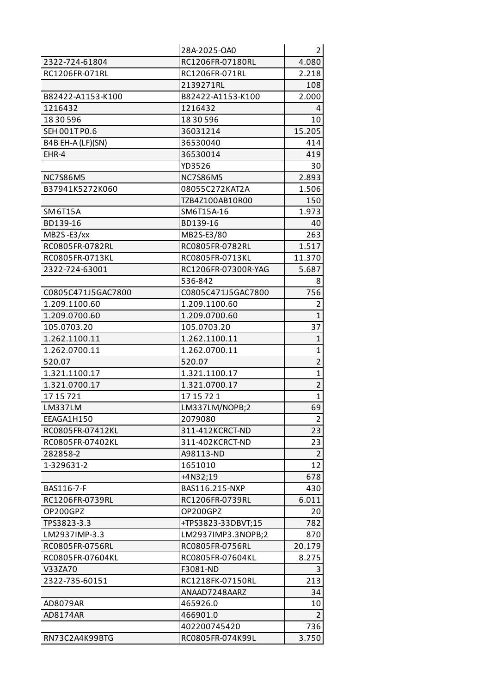|                    | 28A-2025-OA0        | $\overline{2}$ |
|--------------------|---------------------|----------------|
| 2322-724-61804     | RC1206FR-07180RL    | 4.080          |
| RC1206FR-071RL     | RC1206FR-071RL      | 2.218          |
|                    | 2139271RL           | 108            |
| B82422-A1153-K100  | B82422-A1153-K100   | 2.000          |
| 1216432            | 1216432             | 4              |
| 18 30 596          | 18 30 596           | 10             |
| SEH 001T P0.6      | 36031214            | 15.205         |
| B4B EH-A (LF)(SN)  | 36530040            | 414            |
| EHR-4              | 36530014            | 419            |
|                    | YD3526              | 30             |
| <b>NC7S86M5</b>    | <b>NC7S86M5</b>     | 2.893          |
| B37941K5272K060    | 08055C272KAT2A      | 1.506          |
|                    | TZB4Z100AB10R00     | 150            |
| <b>SM 6T15A</b>    | SM6T15A-16          | 1.973          |
| BD139-16           | BD139-16            | 40             |
| MB2S-E3/xx         | MB2S-E3/80          | 263            |
| RC0805FR-0782RL    | RC0805FR-0782RL     | 1.517          |
| RC0805FR-0713KL    | RC0805FR-0713KL     | 11.370         |
| 2322-724-63001     | RC1206FR-07300R-YAG | 5.687          |
|                    | 536-842             | 8              |
| C0805C471J5GAC7800 | C0805C471J5GAC7800  | 756            |
| 1.209.1100.60      | 1.209.1100.60       | 2              |
| 1.209.0700.60      | 1.209.0700.60       | $\mathbf{1}$   |
| 105.0703.20        | 105.0703.20         | 37             |
| 1.262.1100.11      | 1.262.1100.11       | $\mathbf{1}$   |
| 1.262.0700.11      | 1.262.0700.11       | $\mathbf{1}$   |
| 520.07             | 520.07              | $\overline{2}$ |
| 1.321.1100.17      | 1.321.1100.17       | $\mathbf{1}$   |
| 1.321.0700.17      | 1.321.0700.17       | $\overline{2}$ |
| 17 15 721          | 17 15 72 1          | $\mathbf{1}$   |
| LM337LM            | LM337LM/NOPB;2      | 69             |
| EEAGA1H150         | 2079080             | $\overline{2}$ |
| RC0805FR-07412KL   | 311-412KCRCT-ND     | 23             |
| RC0805FR-07402KL   | 311-402KCRCT-ND     | 23             |
| 282858-2           | A98113-ND           | $\overline{2}$ |
| 1-329631-2         | 1651010             | 12             |
|                    | +4N32;19            | 678            |
| BAS116-7-F         | BAS116.215-NXP      | 430            |
| RC1206FR-0739RL    | RC1206FR-0739RL     | 6.011          |
| OP200GPZ           | OP200GPZ            | 20             |
| TPS3823-3.3        | +TPS3823-33DBVT;15  | 782            |
| LM2937IMP-3.3      | LM2937IMP3.3NOPB;2  | 870            |
| RC0805FR-0756RL    | RC0805FR-0756RL     | 20.179         |
| RC0805FR-07604KL   | RC0805FR-07604KL    | 8.275          |
| V33ZA70            | F3081-ND            | 3              |
| 2322-735-60151     | RC1218FK-07150RL    | 213            |
|                    | ANAAD7248AARZ       | 34             |
| AD8079AR           | 465926.0            | 10             |
| AD8174AR           | 466901.0            | $\overline{2}$ |
|                    | 402200745420        | 736            |
| RN73C2A4K99BTG     | RC0805FR-074K99L    | 3.750          |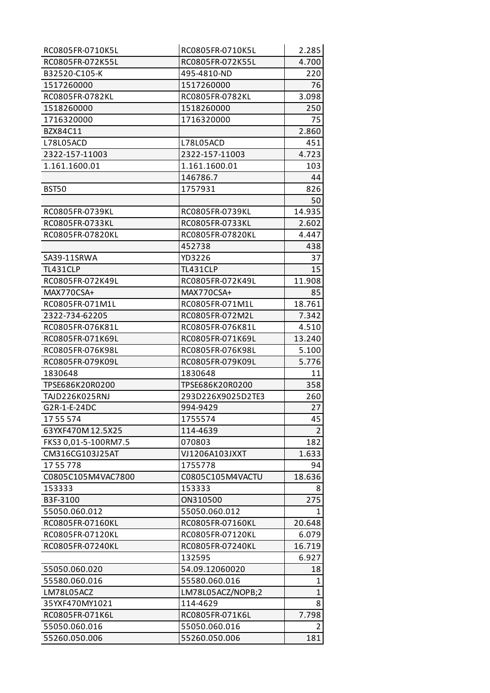| RC0805FR-0710K5L     | RC0805FR-0710K5L  | 2.285          |
|----------------------|-------------------|----------------|
| RC0805FR-072K55L     | RC0805FR-072K55L  | 4.700          |
| B32520-C105-K        | 495-4810-ND       | 220            |
| 1517260000           | 1517260000        | 76             |
| RC0805FR-0782KL      | RC0805FR-0782KL   | 3.098          |
| 1518260000           | 1518260000        | 250            |
| 1716320000           | 1716320000        | 75             |
| BZX84C11             |                   | 2.860          |
| L78L05ACD            | L78L05ACD         | 451            |
| 2322-157-11003       | 2322-157-11003    | 4.723          |
| 1.161.1600.01        | 1.161.1600.01     | 103            |
|                      | 146786.7          | 44             |
| <b>BST50</b>         | 1757931           | 826            |
|                      |                   | 50             |
| RC0805FR-0739KL      | RC0805FR-0739KL   | 14.935         |
| RC0805FR-0733KL      | RC0805FR-0733KL   | 2.602          |
| RC0805FR-07820KL     | RC0805FR-07820KL  | 4.447          |
|                      | 452738            | 438            |
| SA39-11SRWA          | YD3226            | 37             |
| TL431CLP             | TL431CLP          | 15             |
| RC0805FR-072K49L     | RC0805FR-072K49L  | 11.908         |
| MAX770CSA+           | MAX770CSA+        | 85             |
| RC0805FR-071M1L      | RC0805FR-071M1L   | 18.761         |
| 2322-734-62205       | RC0805FR-072M2L   | 7.342          |
| RC0805FR-076K81L     | RC0805FR-076K81L  | 4.510          |
| RC0805FR-071K69L     | RC0805FR-071K69L  | 13.240         |
| RC0805FR-076K98L     | RC0805FR-076K98L  | 5.100          |
| RC0805FR-079K09L     | RC0805FR-079K09L  | 5.776          |
| 1830648              | 1830648           | 11             |
| TPSE686K20R0200      | TPSE686K20R0200   | 358            |
| TAJD226K025RNJ       | 293D226X9025D2TE3 | 260            |
| G2R-1-E-24DC         | 994-9429          | 27             |
| 1755574              | 1755574           | 45             |
| 63YXF470M12.5X25     | 114-4639          | $\overline{2}$ |
| FKS3 0,01-5-100RM7.5 | 070803            | 182            |
| CM316CG103J25AT      | VJ1206A103JXXT    | 1.633          |
| 1755778              | 1755778           | 94             |
| C0805C105M4VAC7800   | C0805C105M4VACTU  | 18.636         |
| 153333               | 153333            | 8              |
| B3F-3100             | ON310500          | 275            |
| 55050.060.012        | 55050.060.012     | 1              |
| RC0805FR-07160KL     | RC0805FR-07160KL  | 20.648         |
| RC0805FR-07120KL     | RC0805FR-07120KL  | 6.079          |
| RC0805FR-07240KL     | RC0805FR-07240KL  | 16.719         |
|                      | 132595            | 6.927          |
| 55050.060.020        | 54.09.12060020    | 18             |
| 55580.060.016        | 55580.060.016     | 1              |
| LM78L05ACZ           | LM78L05ACZ/NOPB;2 | $\mathbf{1}$   |
| 35YXF470MY1021       | 114-4629          | 8              |
| RC0805FR-071K6L      | RC0805FR-071K6L   | 7.798          |
| 55050.060.016        | 55050.060.016     | $\overline{2}$ |
| 55260.050.006        | 55260.050.006     | 181            |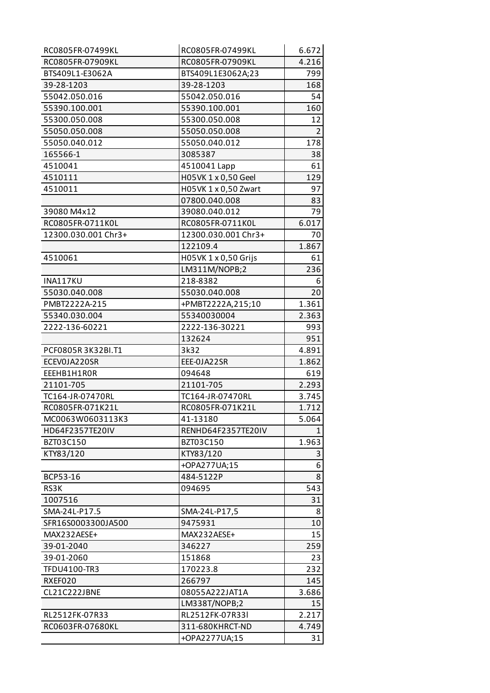| RC0805FR-07499KL    | RC0805FR-07499KL                 | 6.672          |
|---------------------|----------------------------------|----------------|
| RC0805FR-07909KL    | RC0805FR-07909KL                 | 4.216          |
| BTS409L1-E3062A     | BTS409L1E3062A;23                | 799            |
| 39-28-1203          | 39-28-1203                       | 168            |
| 55042.050.016       | 55042.050.016                    | 54             |
| 55390.100.001       | 55390.100.001                    | 160            |
| 55300.050.008       | 55300.050.008                    | 12             |
| 55050.050.008       | 55050.050.008                    | $\overline{2}$ |
| 55050.040.012       | 55050.040.012                    | 178            |
| 165566-1            | 3085387                          | 38             |
| 4510041             | 4510041 Lapp                     | 61             |
| 4510111             | H05VK 1 x 0,50 Geel              | 129            |
| 4510011             | H05VK 1 x 0,50 Zwart             | 97             |
|                     | 07800.040.008                    | 83             |
| 39080 M4x12         | 39080.040.012                    | 79             |
| RC0805FR-0711K0L    | RC0805FR-0711K0L                 | 6.017          |
| 12300.030.001 Chr3+ | 12300.030.001 Chr3+              | 70             |
|                     | 122109.4                         | 1.867          |
| 4510061             | H05VK 1 x 0,50 Grijs             | 61             |
|                     | LM311M/NOPB;2                    | 236            |
| INA117KU            | 218-8382                         | 6              |
| 55030.040.008       | 55030.040.008                    | 20             |
| PMBT2222A-215       | +PMBT2222A,215;10                | 1.361          |
| 55340.030.004       | 55340030004                      | 2.363          |
| 2222-136-60221      | 2222-136-30221                   | 993            |
|                     | 132624                           | 951            |
| PCF0805R3K32BI.T1   | 3k32                             | 4.891          |
| ECEVOJA220SR        | EEE-0JA22SR                      | 1.862          |
| EEEHB1H1ROR         | 094648                           | 619            |
| 21101-705           | 21101-705                        | 2.293          |
| TC164-JR-07470RL    | TC164-JR-07470RL                 | 3.745          |
| RC0805FR-071K21L    | RC0805FR-071K21L                 | 1.712          |
| MC0063W0603113K3    | 41-13180                         | 5.064          |
| HD64F2357TE20IV     | RENHD64F2357TE20IV               | 1              |
| BZT03C150           | BZT03C150                        | 1.963          |
| KTY83/120           | KTY83/120                        | 3              |
|                     | +OPA277UA;15                     | 6              |
| BCP53-16            | 484-5122P                        | 8              |
| RS3K                | 094695                           | 543            |
| 1007516             |                                  | 31             |
| SMA-24L-P17.5       | SMA-24L-P17,5                    | 8              |
| SFR16S0003300JA500  | 9475931                          | 10             |
| MAX232AESE+         | MAX232AESE+                      | 15             |
| 39-01-2040          | 346227                           | 259            |
| 39-01-2060          | 151868                           | 23             |
| TFDU4100-TR3        | 170223.8                         | 232            |
| RXEF020             |                                  |                |
|                     | 266797                           | 145            |
| CL21C222JBNE        | 08055A222JAT1A                   | 3.686          |
|                     | LM338T/NOPB;2                    | 15             |
| RL2512FK-07R33      | RL2512FK-07R33I                  | 2.217          |
| RC0603FR-07680KL    | 311-680KHRCT-ND<br>+OPA2277UA;15 | 4.749<br>31    |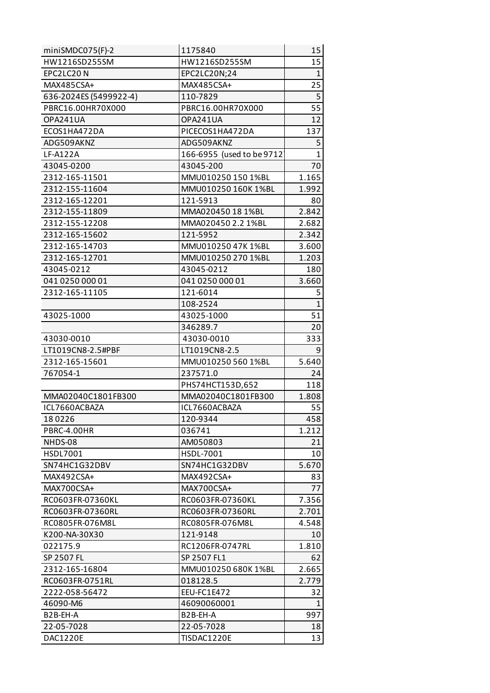| miniSMDC075(F)-2       | 1175840                   | 15           |
|------------------------|---------------------------|--------------|
| HW1216SD255SM          | HW1216SD255SM             | 15           |
| EPC2LC20N              | EPC2LC20N;24              | $\mathbf{1}$ |
| MAX485CSA+             | MAX485CSA+                | 25           |
| 636-2024ES (5499922-4) | 110-7829                  | 5            |
| PBRC16.00HR70X000      | PBRC16.00HR70X000         | 55           |
| OPA241UA               | OPA241UA                  | 12           |
| ECOS1HA472DA           | PICECOS1HA472DA           | 137          |
| ADG509AKNZ             | ADG509AKNZ                | 5            |
| LF-A122A               | 166-6955 (used to be 9712 | $\mathbf{1}$ |
| 43045-0200             | 43045-200                 | 70           |
| 2312-165-11501         | MMU010250 150 1%BL        | 1.165        |
| 2312-155-11604         | MMU010250 160K 1%BL       | 1.992        |
| 2312-165-12201         | 121-5913                  | 80           |
| 2312-155-11809         | MMA020450 18 1%BL         | 2.842        |
| 2312-155-12208         | MMA020450 2.2 1%BL        | 2.682        |
| 2312-165-15602         | 121-5952                  | 2.342        |
| 2312-165-14703         | MMU010250 47K 1%BL        | 3.600        |
| 2312-165-12701         | MMU010250 270 1%BL        | 1.203        |
| 43045-0212             | 43045-0212                | 180          |
| 041 0250 000 01        | 041 0250 000 01           | 3.660        |
| 2312-165-11105         | 121-6014                  | 5            |
|                        | 108-2524                  | $\mathbf{1}$ |
| 43025-1000             | 43025-1000                | 51           |
|                        | 346289.7                  | 20           |
| 43030-0010             | 43030-0010                | 333          |
| LT1019CN8-2.5#PBF      | LT1019CN8-2.5             | 9            |
| 2312-165-15601         | MMU010250 560 1%BL        | 5.640        |
| 767054-1               | 237571.0                  | 24           |
|                        | PHS74HCT153D,652          | 118          |
| MMA02040C1801FB300     | MMA02040C1801FB300        | 1.808        |
| ICL7660ACBAZA          | ICL7660ACBAZA             | 55           |
| 180226                 | 120-9344                  | 458          |
| PBRC-4.00HR            | 036741                    | 1.212        |
| NHDS-08                | AM050803                  | 21           |
| HSDL7001               | HSDL-7001                 | 10           |
| SN74HC1G32DBV          | SN74HC1G32DBV             | 5.670        |
| MAX492CSA+             | MAX492CSA+                | 83           |
| MAX700CSA+             | MAX700CSA+                | 77           |
| RC0603FR-07360KL       | RC0603FR-07360KL          | 7.356        |
| RC0603FR-07360RL       | RC0603FR-07360RL          | 2.701        |
| RC0805FR-076M8L        | RC0805FR-076M8L           | 4.548        |
| K200-NA-30X30          | 121-9148                  | 10           |
| 022175.9               | RC1206FR-0747RL           | 1.810        |
| SP 2507 FL             | SP 2507 FL1               | 62           |
| 2312-165-16804         | MMU010250 680K 1%BL       | 2.665        |
| RC0603FR-0751RL        | 018128.5                  | 2.779        |
| 2222-058-56472         | EEU-FC1E472               | 32           |
| 46090-M6               | 46090060001               | 1            |
| B <sub>2</sub> B-EH-A  | B <sub>2</sub> B-EH-A     | 997          |
| 22-05-7028             | 22-05-7028                | 18           |
| <b>DAC1220E</b>        | TISDAC1220E               | 13           |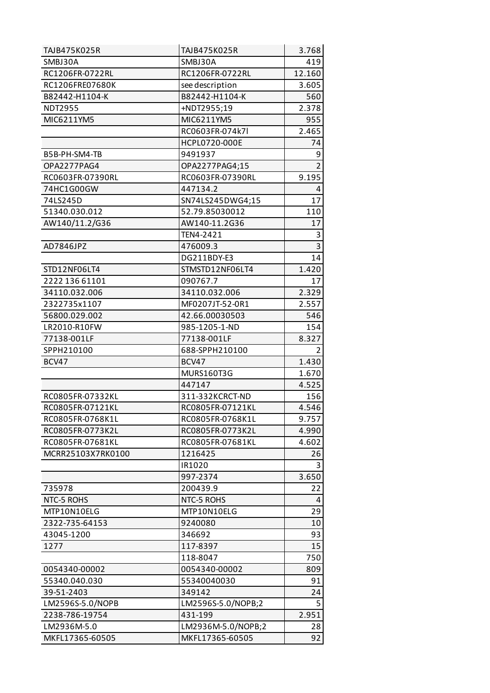| TAJB475K025R      | TAJB475K025R       | 3.768          |
|-------------------|--------------------|----------------|
| SMBJ30A           | SMBJ30A            | 419            |
| RC1206FR-0722RL   | RC1206FR-0722RL    | 12.160         |
| RC1206FRE07680K   | see description    | 3.605          |
| B82442-H1104-K    | B82442-H1104-K     | 560            |
| <b>NDT2955</b>    | +NDT2955;19        | 2.378          |
| MIC6211YM5        | MIC6211YM5         | 955            |
|                   | RC0603FR-074k7l    | 2.465          |
|                   | HCPL0720-000E      | 74             |
| B5B-PH-SM4-TB     | 9491937            | 9              |
| OPA2277PAG4       | OPA2277PAG4;15     | $\overline{2}$ |
| RC0603FR-07390RL  | RC0603FR-07390RL   | 9.195          |
| 74HC1G00GW        | 447134.2           | 4              |
| 74LS245D          | SN74LS245DWG4;15   | 17             |
| 51340.030.012     | 52.79.85030012     | 110            |
| AW140/11.2/G36    | AW140-11.2G36      | 17             |
|                   | TEN4-2421          | 3              |
| AD7846JPZ         | 476009.3           | 3              |
|                   | DG211BDY-E3        | 14             |
| STD12NF06LT4      | STMSTD12NF06LT4    | 1.420          |
| 2222 136 61101    | 090767.7           | 17             |
| 34110.032.006     | 34110.032.006      | 2.329          |
| 2322735x1107      | MF0207JT-52-0R1    | 2.557          |
| 56800.029.002     | 42.66.00030503     | 546            |
| LR2010-R10FW      | 985-1205-1-ND      | 154            |
| 77138-001LF       | 77138-001LF        | 8.327          |
| SPPH210100        | 688-SPPH210100     | $\overline{2}$ |
| BCV47             | BCV47              | 1.430          |
|                   | MURS160T3G         | 1.670          |
|                   | 447147             | 4.525          |
| RC0805FR-07332KL  | 311-332KCRCT-ND    | 156            |
| RC0805FR-07121KL  | RC0805FR-07121KL   | 4.546          |
| RC0805FR-0768K1L  | RC0805FR-0768K1L   | 9.757          |
| RC0805FR-0773K2L  | RC0805FR-0773K2L   | 4.990          |
| RC0805FR-07681KL  | RC0805FR-07681KL   | 4.602          |
| MCRR25103X7RK0100 | 1216425            | 26             |
|                   | IR1020             | 3              |
|                   | 997-2374           | 3.650          |
| 735978            | 200439.9           | 22             |
| NTC-5 ROHS        | NTC-5 ROHS         | 4              |
| MTP10N10ELG       | MTP10N10ELG        | 29             |
| 2322-735-64153    | 9240080            | 10             |
| 43045-1200        | 346692             | 93             |
| 1277              | 117-8397           | 15             |
|                   | 118-8047           | 750            |
| 0054340-00002     | 0054340-00002      | 809            |
| 55340.040.030     | 55340040030        | 91             |
| 39-51-2403        | 349142             | 24             |
| LM2596S-5.0/NOPB  | LM2596S-5.0/NOPB;2 | 5              |
| 2238-786-19754    | 431-199            | 2.951          |
| LM2936M-5.0       | LM2936M-5.0/NOPB;2 | 28             |
| MKFL17365-60505   | MKFL17365-60505    | 92             |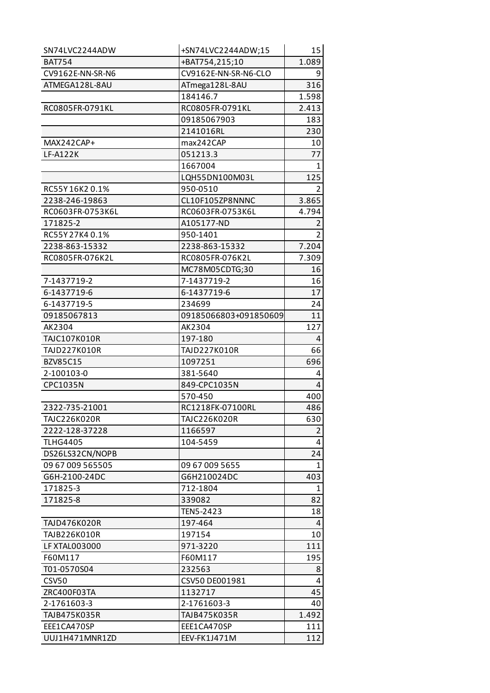| SN74LVC2244ADW      | +SN74LVC2244ADW;15    | 15             |
|---------------------|-----------------------|----------------|
| <b>BAT754</b>       | +BAT754,215;10        | 1.089          |
| CV9162E-NN-SR-N6    | CV9162E-NN-SR-N6-CLO  | 9              |
| ATMEGA128L-8AU      | ATmega128L-8AU        | 316            |
|                     | 184146.7              | 1.598          |
| RC0805FR-0791KL     | RC0805FR-0791KL       | 2.413          |
|                     | 09185067903           | 183            |
|                     | 2141016RL             | 230            |
| MAX242CAP+          | max242CAP             | 10             |
| <b>LF-A122K</b>     | 051213.3              | 77             |
|                     | 1667004               | $\mathbf{1}$   |
|                     | LQH55DN100M03L        | 125            |
| RC55Y16K20.1%       | 950-0510              | 2              |
| 2238-246-19863      | CL10F105ZP8NNNC       | 3.865          |
| RC0603FR-0753K6L    | RC0603FR-0753K6L      | 4.794          |
| 171825-2            | A105177-ND            | 2              |
| RC55Y27K40.1%       | 950-1401              | $\overline{2}$ |
| 2238-863-15332      | 2238-863-15332        | 7.204          |
| RC0805FR-076K2L     | RC0805FR-076K2L       | 7.309          |
|                     | MC78M05CDTG;30        | 16             |
| 7-1437719-2         | 7-1437719-2           | 16             |
| 6-1437719-6         | 6-1437719-6           | 17             |
| 6-1437719-5         | 234699                | 24             |
| 09185067813         | 09185066803+091850609 | 11             |
| AK2304              | AK2304                | 127            |
| <b>TAJC107K010R</b> | 197-180               | 4              |
| TAJD227K010R        | TAJD227K010R          | 66             |
| <b>BZV85C15</b>     | 1097251               | 696            |
| 2-100103-0          | 381-5640              | 4              |
| <b>CPC1035N</b>     | 849-CPC1035N          | 4              |
|                     | 570-450               | 400            |
| 2322-735-21001      | RC1218FK-07100RL      | 486            |
| <b>TAJC226K020R</b> | <b>TAJC226K020R</b>   | 630            |
| 2222-128-37228      | 1166597               | 2              |
| <b>TLHG4405</b>     | 104-5459              | 4              |
| DS26LS32CN/NOPB     |                       | 24             |
| 09 67 009 565505    | 09 67 009 5655        | 1              |
| G6H-2100-24DC       | G6H210024DC           | 403            |
| 171825-3            | 712-1804              | 1              |
| 171825-8            | 339082                | 82             |
|                     | TEN5-2423             | 18             |
| <b>TAJD476K020R</b> | 197-464               | 4              |
| <b>TAJB226K010R</b> | 197154                | 10             |
| LF XTAL003000       | 971-3220              | 111            |
| F60M117             | F60M117               | 195            |
| T01-0570S04         | 232563                | 8              |
| <b>CSV50</b>        | CSV50 DE001981        | 4              |
| ZRC400F03TA         | 1132717               | 45             |
| 2-1761603-3         | 2-1761603-3           | 40             |
| TAJB475K035R        | TAJB475K035R          | 1.492          |
| EEE1CA470SP         | EEE1CA470SP           | 111            |
| UUJ1H471MNR1ZD      | EEV-FK1J471M          | 112            |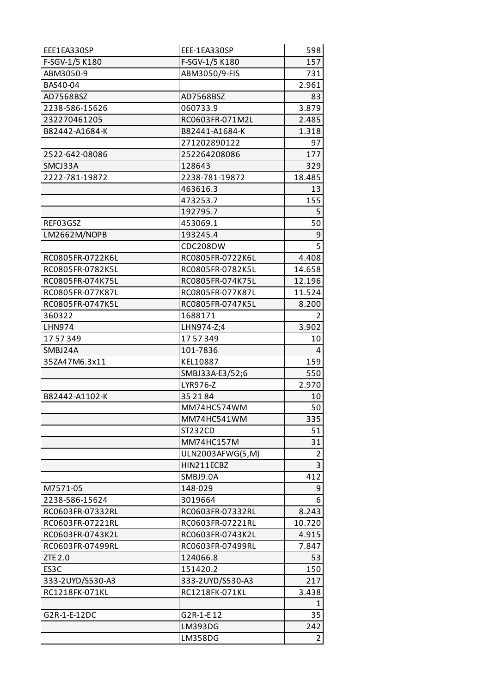| EEE1EA330SP      | EEE-1EA330SP     | 598    |
|------------------|------------------|--------|
| F-SGV-1/5 K180   | F-SGV-1/5 K180   | 157    |
| ABM3050-9        | ABM3050/9-FIS    | 731    |
| BAS40-04         |                  | 2.961  |
| AD7568BSZ        | AD7568BSZ        | 83     |
| 2238-586-15626   | 060733.9         | 3.879  |
| 232270461205     | RC0603FR-071M2L  | 2.485  |
| B82442-A1684-K   | B82441-A1684-K   | 1.318  |
|                  | 271202890122     | 97     |
| 2522-642-08086   | 252264208086     | 177    |
| SMCJ33A          | 128643           | 329    |
| 2222-781-19872   | 2238-781-19872   | 18.485 |
|                  | 463616.3         | 13     |
|                  | 473253.7         | 155    |
|                  | 192795.7         | 5      |
| REF03GSZ         | 453069.1         | 50     |
| LM2662M/NOPB     | 193245.4         | 9      |
|                  | CDC208DW         | 5      |
| RC0805FR-0722K6L | RC0805FR-0722K6L | 4.408  |
| RC0805FR-0782K5L | RC0805FR-0782K5L | 14.658 |
| RC0805FR-074K75L | RC0805FR-074K75L | 12.196 |
| RC0805FR-077K87L | RC0805FR-077K87L | 11.524 |
| RC0805FR-0747K5L | RC0805FR-0747K5L | 8.200  |
| 360322           | 1688171          | 2      |
| LHN974           | LHN974-Z;4       | 3.902  |
| 1757349          | 1757349          | 10     |
| SMBJ24A          | 101-7836         | 4      |
| 35ZA47M6.3x11    | KEL10887         | 159    |
|                  | SMBJ33A-E3/52;6  | 550    |
|                  | LYR976-Z         | 2.970  |
| B82442-A1102-K   | 35 21 84         | 10     |
|                  | MM74HC574WM      | 50     |
|                  | MM74HC541WM      | 335    |
|                  | ST232CD          | 51     |
|                  | MM74HC157M       | 31     |
|                  | ULN2003AFWG(5,M) | 2      |
|                  |                  |        |
|                  | HIN211ECBZ       | 3      |
|                  | SMBJ9.0A         | 412    |
| M7571-05         | 148-029          | 9      |
| 2238-586-15624   | 3019664          | 6      |
| RC0603FR-07332RL | RC0603FR-07332RL | 8.243  |
| RC0603FR-07221RL | RC0603FR-07221RL | 10.720 |
| RC0603FR-0743K2L | RC0603FR-0743K2L | 4.915  |
| RC0603FR-07499RL | RC0603FR-07499RL | 7.847  |
| ZTE 2.0          | 124066.8         | 53     |
| ES3C             | 151420.2         | 150    |
| 333-2UYD/S530-A3 | 333-2UYD/S530-A3 | 217    |
| RC1218FK-071KL   | RC1218FK-071KL   | 3.438  |
|                  |                  | 1      |
| G2R-1-E-12DC     | G2R-1-E12        | 35     |
|                  | LM393DG          | 242    |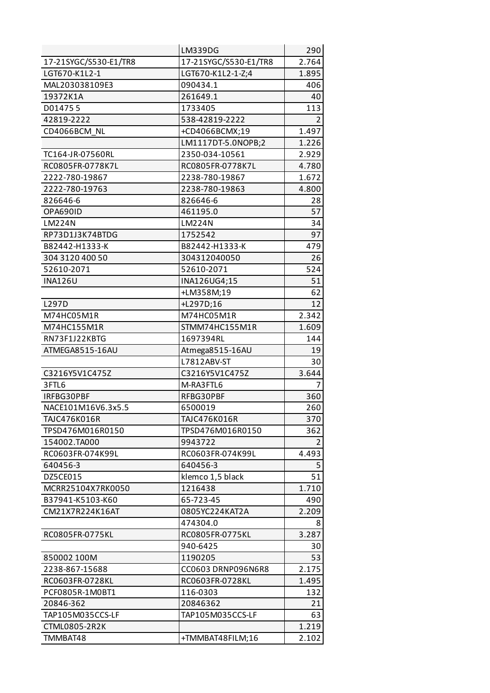|                       | LM339DG               | 290            |
|-----------------------|-----------------------|----------------|
| 17-21SYGC/S530-E1/TR8 | 17-21SYGC/S530-E1/TR8 | 2.764          |
| LGT670-K1L2-1         | LGT670-K1L2-1-Z;4     | 1.895          |
| MAL203038109E3        | 090434.1              | 406            |
| 19372K1A              | 261649.1              | 40             |
| D014755               | 1733405               | 113            |
| 42819-2222            | 538-42819-2222        | $\overline{2}$ |
| CD4066BCM NL          | +CD4066BCMX;19        | 1.497          |
|                       | LM1117DT-5.0NOPB;2    | 1.226          |
| TC164-JR-07560RL      | 2350-034-10561        | 2.929          |
| RC0805FR-0778K7L      | RC0805FR-0778K7L      | 4.780          |
| 2222-780-19867        | 2238-780-19867        | 1.672          |
| 2222-780-19763        | 2238-780-19863        | 4.800          |
| 826646-6              | 826646-6              | 28             |
| OPA690ID              | 461195.0              | 57             |
| <b>LM224N</b>         | <b>LM224N</b>         | 34             |
| RP73D1J3K74BTDG       | 1752542               | 97             |
| B82442-H1333-K        | B82442-H1333-K        | 479            |
| 304 3120 400 50       | 304312040050          | 26             |
| 52610-2071            | 52610-2071            | 524            |
| <b>INA126U</b>        | INA126UG4;15          | 51             |
|                       | +LM358M;19            | 62             |
| L297D                 | +L297D;16             | 12             |
| M74HC05M1R            | M74HC05M1R            | 2.342          |
| M74HC155M1R           | STMM74HC155M1R        | 1.609          |
| RN73F1J22KBTG         | 1697394RL             | 144            |
| ATMEGA8515-16AU       | Atmega8515-16AU       | 19             |
|                       | L7812ABV-ST           | 30             |
| C3216Y5V1C475Z        | C3216Y5V1C475Z        | 3.644          |
| 3FTL6                 | M-RA3FTL6             | 7              |
| IRFBG30PBF            | RFBG30PBF             | 360            |
| NACE101M16V6.3x5.5    | 6500019               | 260            |
| TAJC476K016R          | TAJC476K016R          | 370            |
| TPSD476M016R0150      | TPSD476M016R0150      | 362            |
| 154002.TA000          | 9943722               | 2              |
| RC0603FR-074K99L      | RC0603FR-074K99L      | 4.493          |
| 640456-3              | 640456-3              | 5              |
| DZ5CE015              | klemco 1,5 black      | 51             |
| MCRR25104X7RK0050     | 1216438               | 1.710          |
| B37941-K5103-K60      | 65-723-45             | 490            |
| CM21X7R224K16AT       | 0805YC224KAT2A        | 2.209          |
|                       | 474304.0              | 8              |
| RC0805FR-0775KL       | RC0805FR-0775KL       | 3.287          |
|                       | 940-6425              | 30             |
| 850002 100M           | 1190205               | 53             |
| 2238-867-15688        | CC0603 DRNP096N6R8    | 2.175          |
| RC0603FR-0728KL       | RC0603FR-0728KL       | 1.495          |
| PCF0805R-1M0BT1       | 116-0303              | 132            |
| 20846-362             | 20846362              | 21             |
| TAP105M035CCS-LF      | TAP105M035CCS-LF      | 63             |
| CTML0805-2R2K         |                       | 1.219          |
| TMMBAT48              | +TMMBAT48FILM;16      | 2.102          |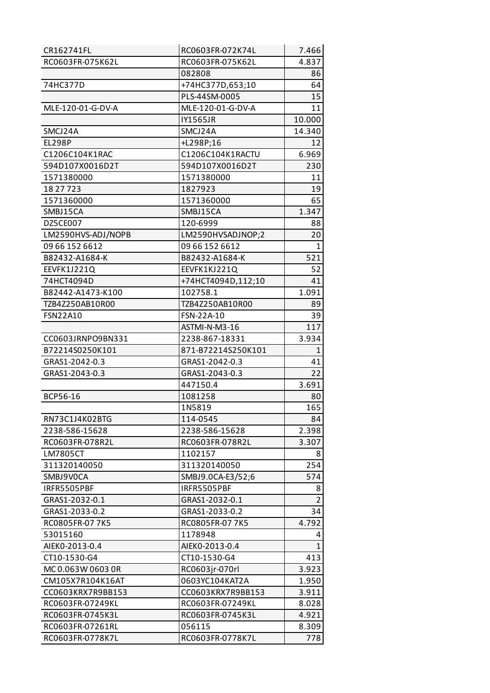| CR162741FL         | RC0603FR-072K74L   | 7.466          |
|--------------------|--------------------|----------------|
| RC0603FR-075K62L   | RC0603FR-075K62L   | 4.837          |
|                    | 082808             | 86             |
| 74HC377D           | +74HC377D,653;10   | 64             |
|                    | PLS-44SM-0005      | 15             |
| MLE-120-01-G-DV-A  | MLE-120-01-G-DV-A  | 11             |
|                    | IY1565JR           | 10.000         |
| SMCJ24A            | SMCJ24A            | 14.340         |
| <b>EL298P</b>      | +L298P;16          | 12             |
| C1206C104K1RAC     | C1206C104K1RACTU   | 6.969          |
| 594D107X0016D2T    | 594D107X0016D2T    | 230            |
| 1571380000         | 1571380000         | 11             |
| 18 27 7 23         | 1827923            | 19             |
| 1571360000         | 1571360000         | 65             |
| SMBJ15CA           | SMBJ15CA           | 1.347          |
| DZ5CE007           | 120-6999           | 88             |
| LM2590HVS-ADJ/NOPB | LM2590HVSADJNOP;2  | 20             |
| 09 66 152 6612     | 09 66 152 6612     | $\mathbf{1}$   |
| B82432-A1684-K     | B82432-A1684-K     | 521            |
| EEVFK1J221Q        | EEVFK1KJ221Q       | 52             |
| 74HCT4094D         | +74HCT4094D,112;10 | 41             |
| B82442-A1473-K100  | 102758.1           | 1.091          |
| TZB4Z250AB10R00    | TZB4Z250AB10R00    | 89             |
| <b>FSN22A10</b>    | FSN-22A-10         | 39             |
|                    | ASTMI-N-M3-16      | 117            |
| CC0603JRNPO9BN331  | 2238-867-18331     | 3.934          |
| B72214S0250K101    | 871-B72214S250K101 | $\mathbf{1}$   |
| GRAS1-2042-0.3     | GRAS1-2042-0.3     | 41             |
| GRAS1-2043-0.3     | GRAS1-2043-0.3     | 22             |
|                    | 447150.4           | 3.691          |
| <b>BCP56-16</b>    | 1081258            | 80             |
|                    | 1N5819             | 165            |
| RN73C1J4K02BTG     | 114-0545           | 84             |
| 2238-586-15628     | 2238-586-15628     | 2.398          |
| RC0603FR-078R2L    | RC0603FR-078R2L    | 3.307          |
| LM7805CT           | 1102157            | 8              |
| 311320140050       | 311320140050       | 254            |
| SMBJ9V0CA          | SMBJ9.0CA-E3/52;6  | 574            |
| IRFR5505PBF        | IRFR5505PBF        | 8              |
| GRAS1-2032-0.1     | GRAS1-2032-0.1     | $\overline{2}$ |
| GRAS1-2033-0.2     | GRAS1-2033-0.2     | 34             |
| RC0805FR-07 7K5    | RC0805FR-07 7K5    | 4.792          |
| 53015160           | 1178948            | 4              |
| AIEK0-2013-0.4     |                    |                |
| CT10-1530-G4       | AIEK0-2013-0.4     | $\mathbf{1}$   |
|                    | CT10-1530-G4       | 413            |
| MC 0.063W 0603 0R  | RC0603jr-070rl     | 3.923          |
| CM105X7R104K16AT   | 0603YC104KAT2A     | 1.950          |
| CC0603KRX7R9BB153  | CC0603KRX7R9BB153  | 3.911          |
| RC0603FR-07249KL   | RC0603FR-07249KL   | 8.028          |
| RC0603FR-0745K3L   | RC0603FR-0745K3L   | 4.921          |
| RC0603FR-07261RL   | 056115             | 8.309          |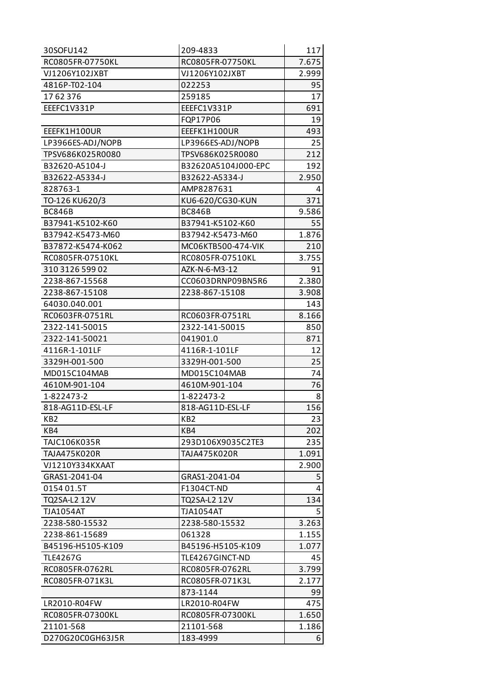| 30SOFU142           | 209-4833            | 117   |
|---------------------|---------------------|-------|
| RC0805FR-07750KL    | RC0805FR-07750KL    | 7.675 |
| VJ1206Y102JXBT      | VJ1206Y102JXBT      | 2.999 |
| 4816P-T02-104       | 022253              | 95    |
| 1762376             | 259185              | 17    |
| EEEFC1V331P         | EEEFC1V331P         | 691   |
|                     | FQP17P06            | 19    |
| EEEFK1H100UR        | EEEFK1H100UR        | 493   |
| LP3966ES-ADJ/NOPB   | LP3966ES-ADJ/NOPB   | 25    |
| TPSV686K025R0080    | TPSV686K025R0080    | 212   |
| B32620-A5104-J      | B32620A5104J000-EPC | 192   |
| B32622-A5334-J      | B32622-A5334-J      | 2.950 |
| 828763-1            | AMP8287631          | 4     |
| TO-126 KU620/3      | KU6-620/CG30-KUN    | 371   |
| <b>BC846B</b>       | <b>BC846B</b>       | 9.586 |
| B37941-K5102-K60    | B37941-K5102-K60    | 55    |
| B37942-K5473-M60    | B37942-K5473-M60    | 1.876 |
| B37872-K5474-K062   | MC06KTB500-474-VIK  | 210   |
| RC0805FR-07510KL    | RC0805FR-07510KL    | 3.755 |
| 310 3126 599 02     | AZK-N-6-M3-12       | 91    |
| 2238-867-15568      | CC0603DRNP09BN5R6   | 2.380 |
| 2238-867-15108      | 2238-867-15108      | 3.908 |
| 64030.040.001       |                     | 143   |
| RC0603FR-0751RL     | RC0603FR-0751RL     | 8.166 |
| 2322-141-50015      | 2322-141-50015      | 850   |
| 2322-141-50021      | 041901.0            | 871   |
| 4116R-1-101LF       | 4116R-1-101LF       | 12    |
| 3329H-001-500       | 3329H-001-500       | 25    |
| MD015C104MAB        | MD015C104MAB        | 74    |
| 4610M-901-104       | 4610M-901-104       | 76    |
| 1-822473-2          | 1-822473-2          | 8     |
| 818-AG11D-ESL-LF    | 818-AG11D-ESL-LF    | 156   |
| KB <sub>2</sub>     | KB <sub>2</sub>     | 23    |
| KB4                 | KB4                 | 202   |
| TAJC106K035R        | 293D106X9035C2TE3   | 235   |
| <b>TAJA475K020R</b> | TAJA475K020R        | 1.091 |
| VJ1210Y334KXAAT     |                     | 2.900 |
| GRAS1-2041-04       | GRAS1-2041-04       | 5     |
| 0154 01.5T          | F1304CT-ND          | 4     |
| TQ2SA-L2 12V        | TQ2SA-L2 12V        | 134   |
| <b>TJA1054AT</b>    | <b>TJA1054AT</b>    | 5     |
| 2238-580-15532      | 2238-580-15532      | 3.263 |
| 2238-861-15689      | 061328              | 1.155 |
| B45196-H5105-K109   | B45196-H5105-K109   | 1.077 |
| <b>TLE4267G</b>     | TLE4267GINCT-ND     | 45    |
| RC0805FR-0762RL     | RC0805FR-0762RL     | 3.799 |
| RC0805FR-071K3L     | RC0805FR-071K3L     | 2.177 |
|                     | 873-1144            | 99    |
| LR2010-R04FW        | LR2010-R04FW        | 475   |
| RC0805FR-07300KL    | RC0805FR-07300KL    | 1.650 |
| 21101-568           | 21101-568           | 1.186 |
| D270G20C0GH63J5R    | 183-4999            | 6     |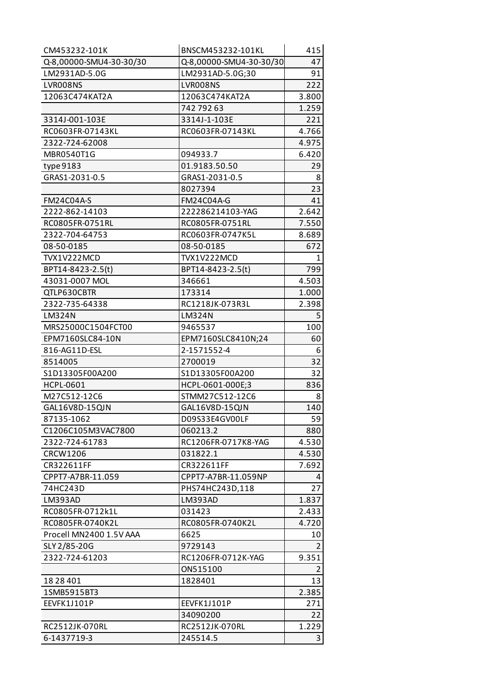| CM453232-101K           | BNSCM453232-101KL       | 415   |
|-------------------------|-------------------------|-------|
| Q-8,00000-SMU4-30-30/30 | Q-8,00000-SMU4-30-30/30 | 47    |
| LM2931AD-5.0G           | LM2931AD-5.0G;30        | 91    |
| LVR008NS                | LVR008NS                | 222   |
| 12063C474KAT2A          | 12063C474KAT2A          | 3.800 |
|                         | 742 792 63              | 1.259 |
| 3314J-001-103E          | 3314J-1-103E            | 221   |
| RC0603FR-07143KL        | RC0603FR-07143KL        | 4.766 |
| 2322-724-62008          |                         | 4.975 |
| MBR0540T1G              | 094933.7                | 6.420 |
| type 9183               | 01.9183.50.50           | 29    |
| GRAS1-2031-0.5          | GRAS1-2031-0.5          | 8     |
|                         | 8027394                 | 23    |
| <b>FM24C04A-S</b>       | <b>FM24C04A-G</b>       | 41    |
| 2222-862-14103          | 222286214103-YAG        | 2.642 |
| RC0805FR-0751RL         | RC0805FR-0751RL         | 7.550 |
| 2322-704-64753          | RC0603FR-0747K5L        | 8.689 |
| 08-50-0185              | 08-50-0185              | 672   |
| TVX1V222MCD             | TVX1V222MCD             | 1     |
| BPT14-8423-2.5(t)       | BPT14-8423-2.5(t)       | 799   |
| 43031-0007 MOL          | 346661                  | 4.503 |
| QTLP630CBTR             | 173314                  | 1.000 |
| 2322-735-64338          | RC1218JK-073R3L         | 2.398 |
| <b>LM324N</b>           | <b>LM324N</b>           | 5     |
| MRS25000C1504FCT00      | 9465537                 | 100   |
| EPM7160SLC84-10N        | EPM7160SLC8410N;24      | 60    |
| 816-AG11D-ESL           | 2-1571552-4             | 6     |
| 8514005                 | 2700019                 | 32    |
| S1D13305F00A200         | S1D13305F00A200         | 32    |
| <b>HCPL-0601</b>        | HCPL-0601-000E;3        | 836   |
| M27C512-12C6            | STMM27C512-12C6         | 8     |
| GAL16V8D-15QJN          | GAL16V8D-15QJN          | 140   |
| 87135-1062              | D09S33E4GV00LF          | 59    |
| C1206C105M3VAC7800      | 060213.2                | 880   |
| 2322-724-61783          | RC1206FR-0717K8-YAG     | 4.530 |
| <b>CRCW1206</b>         | 031822.1                | 4.530 |
| CR322611FF              | CR322611FF              | 7.692 |
| CPPT7-A7BR-11.059       | CPPT7-A7BR-11.059NP     | 4     |
| 74HC243D                | PHS74HC243D,118         | 27    |
| LM393AD                 | LM393AD                 | 1.837 |
| RC0805FR-0712k1L        | 031423                  | 2.433 |
| RC0805FR-0740K2L        | RC0805FR-0740K2L        | 4.720 |
| Procell MN2400 1.5V AAA | 6625                    | 10    |
| SLY 2/85-20G            | 9729143                 | 2     |
| 2322-724-61203          | RC1206FR-0712K-YAG      | 9.351 |
|                         | ON515100                | 2     |
| 18 28 401               | 1828401                 | 13    |
| 1SMB5915BT3             |                         | 2.385 |
| EEVFK1J101P             | EEVFK1J101P             | 271   |
|                         | 34090200                | 22    |
| RC2512JK-070RL          | RC2512JK-070RL          | 1.229 |
| 6-1437719-3             | 245514.5                | 3     |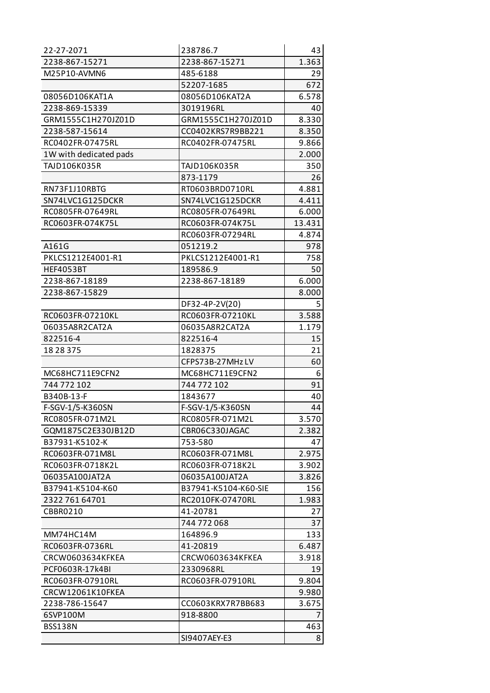| 22-27-2071             | 238786.7             | 43     |
|------------------------|----------------------|--------|
| 2238-867-15271         | 2238-867-15271       | 1.363  |
| M25P10-AVMN6           | 485-6188             | 29     |
|                        | 52207-1685           | 672    |
| 08056D106KAT1A         | 08056D106KAT2A       | 6.578  |
| 2238-869-15339         | 3019196RL            | 40     |
| GRM1555C1H270JZ01D     | GRM1555C1H270JZ01D   | 8.330  |
| 2238-587-15614         | CC0402KRS7R9BB221    | 8.350  |
| RC0402FR-07475RL       | RC0402FR-07475RL     | 9.866  |
| 1W with dedicated pads |                      | 2.000  |
| TAJD106K035R           | TAJD106K035R         | 350    |
|                        | 873-1179             | 26     |
| RN73F1J10RBTG          | RT0603BRD0710RL      | 4.881  |
| SN74LVC1G125DCKR       | SN74LVC1G125DCKR     | 4.411  |
| RC0805FR-07649RL       | RC0805FR-07649RL     | 6.000  |
| RC0603FR-074K75L       | RC0603FR-074K75L     | 13.431 |
|                        | RC0603FR-07294RL     | 4.874  |
| A161G                  | 051219.2             | 978    |
| PKLCS1212E4001-R1      | PKLCS1212E4001-R1    | 758    |
| <b>HEF4053BT</b>       | 189586.9             | 50     |
| 2238-867-18189         | 2238-867-18189       | 6.000  |
| 2238-867-15829         |                      | 8.000  |
|                        | DF32-4P-2V(20)       | 5      |
| RC0603FR-07210KL       | RC0603FR-07210KL     | 3.588  |
| 06035A8R2CAT2A         | 06035A8R2CAT2A       | 1.179  |
| 822516-4               | 822516-4             | 15     |
| 18 28 375              | 1828375              | 21     |
|                        | CFPS73B-27MHzLV      | 60     |
| MC68HC711E9CFN2        | MC68HC711E9CFN2      | 6      |
| 744 772 102            | 744 772 102          | 91     |
| B340B-13-F             | 1843677              | 40     |
| F-SGV-1/5-K360SN       | F-SGV-1/5-K360SN     | 44     |
| RC0805FR-071M2L        | RC0805FR-071M2L      | 3.570  |
| GQM1875C2E330JB12D     | CBR06C330JAGAC       | 2.382  |
| B37931-K5102-K         | 753-580              | 47     |
| RC0603FR-071M8L        | RC0603FR-071M8L      | 2.975  |
| RC0603FR-0718K2L       | RC0603FR-0718K2L     | 3.902  |
| 06035A100JAT2A         | 06035A100JAT2A       | 3.826  |
| B37941-K5104-K60       | B37941-K5104-K60-SIE | 156    |
| 2322 761 64701         | RC2010FK-07470RL     | 1.983  |
| CBBR0210               | 41-20781             | 27     |
|                        | 744 772 068          | 37     |
| MM74HC14M              | 164896.9             | 133    |
| RC0603FR-0736RL        | 41-20819             | 6.487  |
| CRCW0603634KFKEA       | CRCW0603634KFKEA     | 3.918  |
| PCF0603R-17k4BI        | 2330968RL            | 19     |
| RC0603FR-07910RL       | RC0603FR-07910RL     | 9.804  |
| CRCW12061K10FKEA       |                      | 9.980  |
| 2238-786-15647         | CC0603KRX7R7BB683    | 3.675  |
| 6SVP100M               | 918-8800             | 7      |
| <b>BSS138N</b>         |                      | 463    |
|                        | SI9407AEY-E3         | 8      |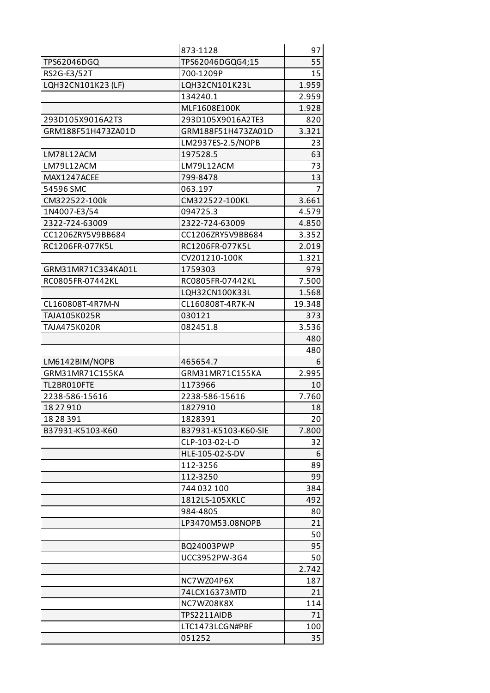|                    | 873-1128             | 97     |
|--------------------|----------------------|--------|
| TPS62046DGQ        | TPS62046DGQG4;15     | 55     |
| RS2G-E3/52T        | 700-1209P            | 15     |
| LQH32CN101K23 (LF) | LQH32CN101K23L       | 1.959  |
|                    | 134240.1             | 2.959  |
|                    | MLF1608E100K         | 1.928  |
| 293D105X9016A2T3   | 293D105X9016A2TE3    | 820    |
| GRM188F51H473ZA01D | GRM188F51H473ZA01D   | 3.321  |
|                    | LM2937ES-2.5/NOPB    | 23     |
| LM78L12ACM         | 197528.5             | 63     |
| LM79L12ACM         | LM79L12ACM           | 73     |
| MAX1247ACEE        | 799-8478             | 13     |
| 54596 SMC          | 063.197              |        |
| CM322522-100k      | CM322522-100KL       | 3.661  |
| 1N4007-E3/54       | 094725.3             | 4.579  |
| 2322-724-63009     | 2322-724-63009       | 4.850  |
| CC1206ZRY5V9BB684  | CC1206ZRY5V9BB684    | 3.352  |
| RC1206FR-077K5L    | RC1206FR-077K5L      | 2.019  |
|                    | CV201210-100K        | 1.321  |
| GRM31MR71C334KA01L | 1759303              | 979    |
| RC0805FR-07442KL   | RC0805FR-07442KL     | 7.500  |
|                    | LQH32CN100K33L       | 1.568  |
| CL160808T-4R7M-N   | CL160808T-4R7K-N     | 19.348 |
| TAJA105K025R       | 030121               | 373    |
| TAJA475K020R       | 082451.8             | 3.536  |
|                    |                      | 480    |
|                    |                      | 480    |
| LM6142BIM/NOPB     | 465654.7             | 6      |
| GRM31MR71C155KA    | GRM31MR71C155KA      | 2.995  |
| TL2BR010FTE        | 1173966              | 10     |
| 2238-586-15616     | 2238-586-15616       | 7.760  |
| 18 27 910          | 1827910              | 18     |
| 18 28 391          | 1828391              | 20     |
| B37931-K5103-K60   | B37931-K5103-K60-SIE | 7.800  |
|                    | CLP-103-02-L-D       | 32     |
|                    | HLE-105-02-S-DV      | 6      |
|                    | 112-3256             | 89     |
|                    | 112-3250             | 99     |
|                    | 744 032 100          | 384    |
|                    | 1812LS-105XKLC       | 492    |
|                    | 984-4805             | 80     |
|                    | LP3470M53.08NOPB     | 21     |
|                    |                      | 50     |
|                    | BQ24003PWP           | 95     |
|                    | UCC3952PW-3G4        | 50     |
|                    |                      | 2.742  |
|                    | NC7WZ04P6X           | 187    |
|                    | 74LCX16373MTD        | 21     |
|                    | NC7WZ08K8X           | 114    |
|                    | TPS2211AIDB          | 71     |
|                    | LTC1473LCGN#PBF      | 100    |
|                    | 051252               | 35     |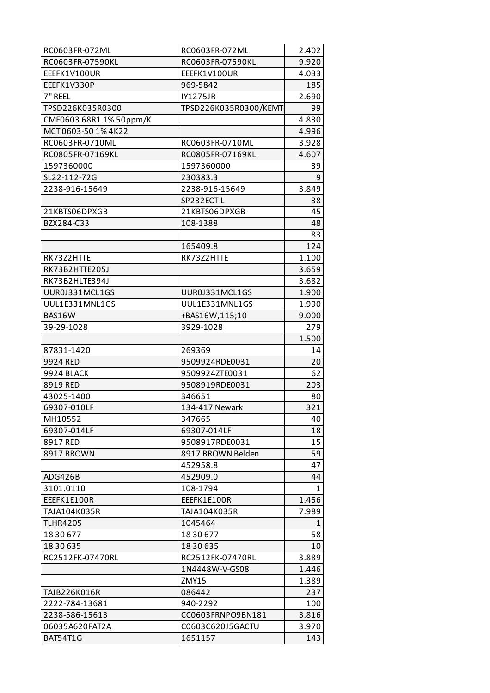| RC0603FR-072ML          | RC0603FR-072ML        | 2.402 |
|-------------------------|-----------------------|-------|
| RC0603FR-07590KL        | RC0603FR-07590KL      | 9.920 |
| EEEFK1V100UR            | EEEFK1V100UR          | 4.033 |
| EEEFK1V330P             | 969-5842              | 185   |
| 7" REEL                 | <b>IY1275JR</b>       | 2.690 |
| TPSD226K035R0300        | TPSD226K035R0300/KEMT | 99    |
| CMF0603 68R1 1% 50ppm/K |                       | 4.830 |
| MCT0603-50 1% 4K22      |                       | 4.996 |
| RC0603FR-0710ML         | RC0603FR-0710ML       | 3.928 |
| RC0805FR-07169KL        | RC0805FR-07169KL      | 4.607 |
| 1597360000              | 1597360000            | 39    |
| SL22-112-72G            | 230383.3              | 9     |
| 2238-916-15649          | 2238-916-15649        | 3.849 |
|                         | SP232ECT-L            | 38    |
| 21KBTS06DPXGB           | 21KBTS06DPXGB         | 45    |
| BZX284-C33              | 108-1388              | 48    |
|                         |                       | 83    |
|                         | 165409.8              | 124   |
| RK73Z2HTTE              | RK73Z2HTTE            | 1.100 |
| RK73B2HTTE205J          |                       | 3.659 |
| RK73B2HLTE394J          |                       | 3.682 |
| UUR0J331MCL1GS          | UUR0J331MCL1GS        | 1.900 |
| UUL1E331MNL1GS          | UUL1E331MNL1GS        | 1.990 |
| BAS16W                  | +BAS16W,115;10        | 9.000 |
| 39-29-1028              | 3929-1028             | 279   |
|                         |                       | 1.500 |
| 87831-1420              | 269369                | 14    |
| 9924 RED                | 9509924RDE0031        | 20    |
| 9924 BLACK              | 9509924ZTE0031        | 62    |
| 8919 RED                | 9508919RDE0031        | 203   |
| 43025-1400              | 346651                | 80    |
| 69307-010LF             | 134-417 Newark        | 321   |
| MH10552                 | 347665                | 40    |
| 69307-014LF             | 69307-014LF           | 18    |
| 8917 RED                | 9508917RDE0031        | 15    |
| 8917 BROWN              | 8917 BROWN Belden     | 59    |
|                         | 452958.8              | 47    |
| ADG426B                 | 452909.0              | 44    |
| 3101.0110               | 108-1794              | 1     |
| EEEFK1E100R             | EEEFK1E100R           | 1.456 |
| TAJA104K035R            | TAJA104K035R          | 7.989 |
| <b>TLHR4205</b>         | 1045464               | 1     |
| 18 30 677               | 18 30 677             | 58    |
| 18 30 635               | 18 30 635             | 10    |
| RC2512FK-07470RL        | RC2512FK-07470RL      | 3.889 |
|                         | 1N4448W-V-GS08        | 1.446 |
|                         | ZMY15                 | 1.389 |
| TAJB226K016R            | 086442                | 237   |
| 2222-784-13681          | 940-2292              | 100   |
| 2238-586-15613          | CC0603FRNPO9BN181     | 3.816 |
| 06035A620FAT2A          | C0603C620J5GACTU      | 3.970 |
| BAT54T1G                | 1651157               | 143   |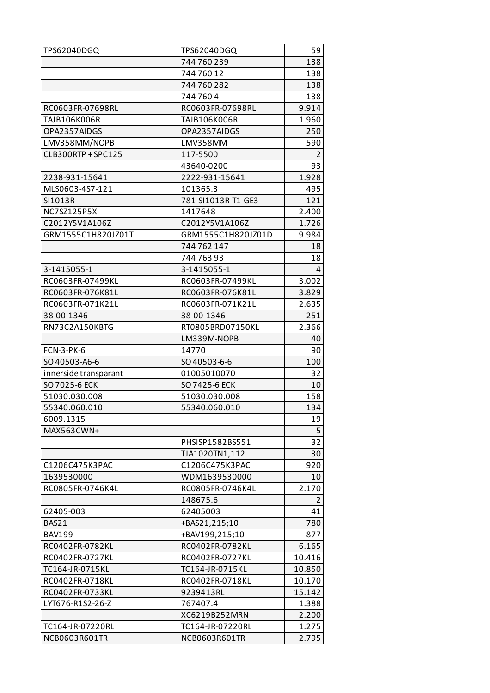| TPS62040DGQ           | TPS62040DGQ        | 59             |
|-----------------------|--------------------|----------------|
|                       | 744 760 239        | 138            |
|                       | 744 760 12         | 138            |
|                       | 744 760 282        | 138            |
|                       | 7447604            | 138            |
| RC0603FR-07698RL      | RC0603FR-07698RL   | 9.914          |
| TAJB106K006R          | TAJB106K006R       | 1.960          |
| OPA2357AIDGS          | OPA2357AIDGS       | 250            |
| LMV358MM/NOPB         | LMV358MM           | 590            |
| CLB300RTP + SPC125    | 117-5500           | $\overline{2}$ |
|                       | 43640-0200         | 93             |
| 2238-931-15641        | 2222-931-15641     | 1.928          |
| MLS0603-4S7-121       | 101365.3           | 495            |
| SI1013R               | 781-SI1013R-T1-GE3 | 121            |
| NC7SZ125P5X           | 1417648            | 2.400          |
| C2012Y5V1A106Z        | C2012Y5V1A106Z     | 1.726          |
| GRM1555C1H820JZ01T    | GRM1555C1H820JZ01D | 9.984          |
|                       | 744 762 147        | 18             |
|                       | 744 763 93         | 18             |
| 3-1415055-1           | 3-1415055-1        | 4              |
| RC0603FR-07499KL      | RC0603FR-07499KL   | 3.002          |
| RC0603FR-076K81L      | RC0603FR-076K81L   | 3.829          |
| RC0603FR-071K21L      | RC0603FR-071K21L   | 2.635          |
| 38-00-1346            | 38-00-1346         | 251            |
| RN73C2A150KBTG        | RT0805BRD07150KL   | 2.366          |
|                       | LM339M-NOPB        | 40             |
| <b>FCN-3-PK-6</b>     | 14770              | 90             |
| SO 40503-A6-6         | SO40503-6-6        | 100            |
| innerside transparant | 01005010070        | 32             |
| SO 7025-6 ECK         | SO 7425-6 ECK      | 10             |
| 51030.030.008         | 51030.030.008      | 158            |
| 55340.060.010         | 55340.060.010      | 134            |
| 6009.1315             |                    | 19             |
| MAX563CWN+            |                    | 5              |
|                       | PHSISP1582BS551    | 32             |
|                       | TJA1020TN1,112     | 30             |
| C1206C475K3PAC        | C1206C475K3PAC     | 920            |
| 1639530000            | WDM1639530000      | 10             |
| RC0805FR-0746K4L      | RC0805FR-0746K4L   | 2.170          |
|                       | 148675.6           |                |
| 62405-003             | 62405003           | 41             |
| BAS21                 | +BAS21,215;10      | 780            |
| <b>BAV199</b>         | +BAV199,215;10     | 877            |
| RC0402FR-0782KL       | RC0402FR-0782KL    | 6.165          |
| RC0402FR-0727KL       | RC0402FR-0727KL    | 10.416         |
| TC164-JR-0715KL       | TC164-JR-0715KL    | 10.850         |
| RC0402FR-0718KL       | RC0402FR-0718KL    | 10.170         |
| RC0402FR-0733KL       | 9239413RL          | 15.142         |
| LYT676-R1S2-26-Z      | 767407.4           | 1.388          |
|                       | XC6219B252MRN      | 2.200          |
| TC164-JR-07220RL      | TC164-JR-07220RL   | 1.275          |
| NCB0603R601TR         | NCB0603R601TR      | 2.795          |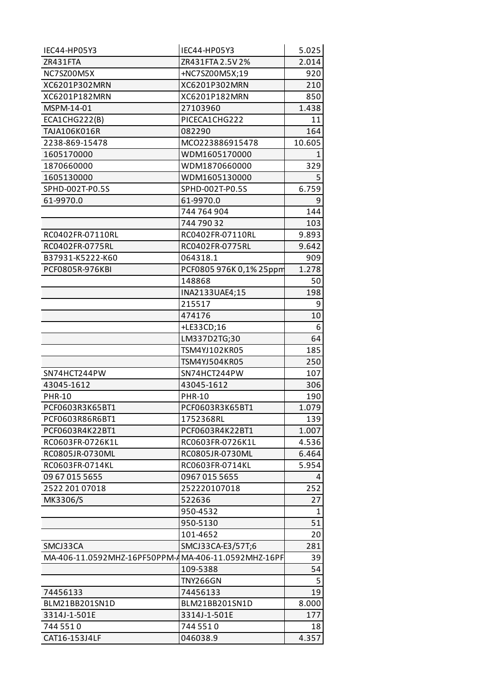| IEC44-HP05Y3                                        | IEC44-HP05Y3            | 5.025  |
|-----------------------------------------------------|-------------------------|--------|
| ZR431FTA                                            | ZR431FTA 2.5V 2%        | 2.014  |
| NC7SZ00M5X                                          | +NC7SZ00M5X;19          | 920    |
| XC6201P302MRN                                       | XC6201P302MRN           | 210    |
| XC6201P182MRN                                       | XC6201P182MRN           | 850    |
| MSPM-14-01                                          | 27103960                | 1.438  |
| ECA1CHG222(B)                                       | PICECA1CHG222           | 11     |
| TAJA106K016R                                        | 082290                  | 164    |
| 2238-869-15478                                      | MCO223886915478         | 10.605 |
| 1605170000                                          | WDM1605170000           | 1      |
| 1870660000                                          | WDM1870660000           | 329    |
| 1605130000                                          | WDM1605130000           | 5      |
| SPHD-002T-P0.5S                                     | SPHD-002T-P0.5S         | 6.759  |
| 61-9970.0                                           | 61-9970.0               | 9      |
|                                                     | 744 764 904             | 144    |
|                                                     | 744 790 32              | 103    |
| RC0402FR-07110RL                                    | RC0402FR-07110RL        | 9.893  |
| RC0402FR-0775RL                                     | RC0402FR-0775RL         | 9.642  |
| B37931-K5222-K60                                    | 064318.1                | 909    |
| PCF0805R-976KBI                                     | PCF0805 976K 0,1% 25ppm | 1.278  |
|                                                     | 148868                  | 50     |
|                                                     | INA2133UAE4;15          | 198    |
|                                                     | 215517                  | 9      |
|                                                     | 474176                  | 10     |
|                                                     | +LE33CD;16              | 6      |
|                                                     | LM337D2TG;30            | 64     |
|                                                     | TSM4YJ102KR05           | 185    |
|                                                     | TSM4YJ504KR05           | 250    |
| SN74HCT244PW                                        | SN74HCT244PW            | 107    |
| 43045-1612                                          | 43045-1612              | 306    |
| <b>PHR-10</b>                                       | <b>PHR-10</b>           | 190    |
| PCF0603R3K65BT1                                     | PCF0603R3K65BT1         | 1.079  |
| PCF0603R86R6BT1                                     | 1752368RL               | 139    |
| PCF0603R4K22BT1                                     | PCF0603R4K22BT1         | 1.007  |
| RC0603FR-0726K1L                                    | RC0603FR-0726K1L        | 4.536  |
| RC0805JR-0730ML                                     | RC0805JR-0730ML         | 6.464  |
| RC0603FR-0714KL                                     | RC0603FR-0714KL         | 5.954  |
| 09 67 015 5655                                      | 0967 015 5655           | 4      |
| 2522 201 07018                                      | 252220107018            | 252    |
| MK3306/S                                            | 522636                  | 27     |
|                                                     | 950-4532                | 1      |
|                                                     | 950-5130                | 51     |
|                                                     | 101-4652                | 20     |
| SMCJ33CA                                            | SMCJ33CA-E3/57T;6       | 281    |
| MA-406-11.0592MHZ-16PF50PPM-AMA-406-11.0592MHZ-16PF |                         | 39     |
|                                                     | 109-5388                | 54     |
|                                                     | <b>TNY266GN</b>         | 5      |
| 74456133                                            | 74456133                | 19     |
| BLM21BB201SN1D                                      | BLM21BB201SN1D          | 8.000  |
| 3314J-1-501E                                        | 3314J-1-501E            | 177    |
| 744 551 0                                           | 744 551 0               | 18     |
| CAT16-153J4LF                                       | 046038.9                | 4.357  |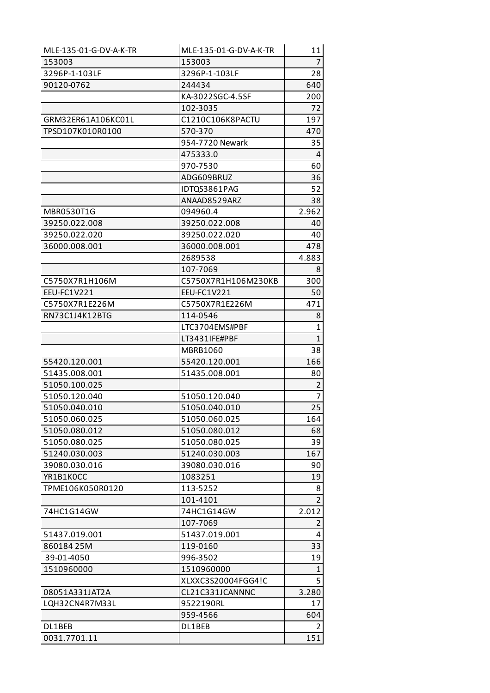| MLE-135-01-G-DV-A-K-TR | MLE-135-01-G-DV-A-K-TR | 11             |
|------------------------|------------------------|----------------|
| 153003                 | 153003                 | $\overline{7}$ |
| 3296P-1-103LF          | 3296P-1-103LF          | 28             |
| 90120-0762             | 244434                 | 640            |
|                        | KA-3022SGC-4.5SF       | 200            |
|                        | 102-3035               | 72             |
| GRM32ER61A106KC01L     | C1210C106K8PACTU       | 197            |
| TPSD107K010R0100       | 570-370                | 470            |
|                        | 954-7720 Newark        | 35             |
|                        | 475333.0               | 4              |
|                        | 970-7530               | 60             |
|                        | ADG609BRUZ             | 36             |
|                        | IDTQS3861PAG           | 52             |
|                        | ANAAD8529ARZ           | 38             |
| MBR0530T1G             | 094960.4               | 2.962          |
| 39250.022.008          | 39250.022.008          | 40             |
| 39250.022.020          | 39250.022.020          | 40             |
| 36000.008.001          | 36000.008.001          | 478            |
|                        | 2689538                | 4.883          |
|                        | 107-7069               | 8              |
| C5750X7R1H106M         | C5750X7R1H106M230KB    | 300            |
| EEU-FC1V221            | EEU-FC1V221            | 50             |
| C5750X7R1E226M         | C5750X7R1E226M         | 471            |
| RN73C1J4K12BTG         | 114-0546               | 8              |
|                        | LTC3704EMS#PBF         | 1              |
|                        | LT3431IFE#PBF          | $\mathbf{1}$   |
|                        | <b>MBRB1060</b>        | 38             |
| 55420.120.001          | 55420.120.001          | 166            |
| 51435.008.001          | 51435.008.001          | 80             |
| 51050.100.025          |                        | $\overline{2}$ |
| 51050.120.040          | 51050.120.040          | 7              |
| 51050.040.010          | 51050.040.010          | 25             |
| 51050.060.025          | 51050.060.025          | 164            |
| 51050.080.012          | 51050.080.012          | 68             |
| 51050.080.025          | 51050.080.025          | 39             |
| 51240.030.003          | 51240.030.003          | 167            |
| 39080.030.016          | 39080.030.016          | 90             |
| YR1B1KOCC              | 1083251                | 19             |
| TPME106K050R0120       | 113-5252               | 8              |
|                        | 101-4101               | $\overline{2}$ |
| 74HC1G14GW             | 74HC1G14GW             | 2.012          |
|                        | 107-7069               | $\overline{2}$ |
| 51437.019.001          | 51437.019.001          | 4              |
| 86018425M              | 119-0160               | 33             |
| 39-01-4050             | 996-3502               | 19             |
| 1510960000             | 1510960000             | 1              |
|                        | XLXXC3S20004FGG4!C     | 5              |
| 08051A331JAT2A         | CL21C331JCANNNC        | 3.280          |
| LQH32CN4R7M33L         | 9522190RL              | 17             |
|                        | 959-4566               | 604            |
| DL1BEB                 | DL1BEB                 | 2              |
| 0031.7701.11           |                        | 151            |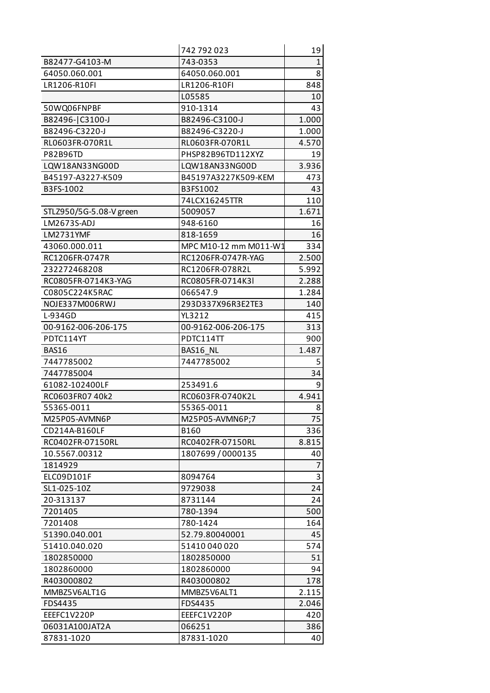|                         | 742 792 023            | 19           |
|-------------------------|------------------------|--------------|
| B82477-G4103-M          | 743-0353               | 1            |
| 64050.060.001           | 64050.060.001          | 8            |
| LR1206-R10FI            | LR1206-R10FI           | 848          |
|                         | L05585                 | 10           |
| 50WQ06FNPBF             | 910-1314               | 43           |
| B82496-C3100-J          | B82496-C3100-J         | 1.000        |
| B82496-C3220-J          | B82496-C3220-J         | 1.000        |
| RL0603FR-070R1L         | RL0603FR-070R1L        | 4.570        |
| <b>P82B96TD</b>         | PHSP82B96TD112XYZ      | 19           |
| LQW18AN33NG00D          | LQW18AN33NG00D         | 3.936        |
| B45197-A3227-K509       | B45197A3227K509-KEM    | 473          |
| B3FS-1002               | B3FS1002               | 43           |
|                         | 74LCX16245TTR          | 110          |
| STLZ950/5G-5.08-V green | 5009057                | 1.671        |
| LM2673S-ADJ             | 948-6160               | 16           |
| LM2731YMF               | 818-1659               | 16           |
| 43060.000.011           | MPC M10-12 mm M011-W1  | 334          |
| RC1206FR-0747R          | RC1206FR-0747R-YAG     | 2.500        |
| 232272468208            | RC1206FR-078R2L        | 5.992        |
| RC0805FR-0714K3-YAG     | RC0805FR-0714K3I       | 2.288        |
| C0805C224K5RAC          | 066547.9               | 1.284        |
| NOJE337M006RWJ          | 293D337X96R3E2TE3      | 140          |
| L-934GD                 | YL3212                 | 415          |
| 00-9162-006-206-175     | 00-9162-006-206-175    | 313          |
| PDTC114YT               | PDTC114TT              | 900          |
| <b>BAS16</b>            | BAS16 NL               | 1.487        |
| 7447785002              | 7447785002             | 5            |
| 7447785004              |                        | 34           |
| 61082-102400LF          | 253491.6               | 9            |
| RC0603FR07 40k2         | RC0603FR-0740K2L       | 4.941        |
| 55365-0011              | 55365-0011             | 8            |
| M25P05-AVMN6P           | M25P05-AVMN6P;7        | 75           |
| CD214A-B160LF           | B160                   | 336          |
| RC0402FR-07150RL        | RC0402FR-07150RL       | 8.815        |
| 10.5567.00312           | 1807699/0000135        | 40           |
| 1814929                 |                        | 7            |
| ELC09D101F              | 8094764                | 3            |
| SL1-025-10Z             | 9729038                | 24           |
| 20-313137               | 8731144                | 24           |
| 7201405                 | 780-1394               | 500          |
| 7201408                 | 780-1424               | 164          |
| 51390.040.001           | 52.79.80040001         | 45           |
| 51410.040.020           | 51410040020            | 574          |
| 1802850000              | 1802850000             | 51           |
| 1802860000              | 1802860000             | 94           |
| R403000802              | R403000802             | 178          |
| MMBZ5V6ALT1G            | MMBZ5V6ALT1            | 2.115        |
| FDS4435                 |                        |              |
| EEEFC1V220P             | FDS4435<br>EEEFC1V220P | 2.046<br>420 |
|                         |                        |              |
| 06031A100JAT2A          | 066251                 | 386          |
| 87831-1020              | 87831-1020             | 40           |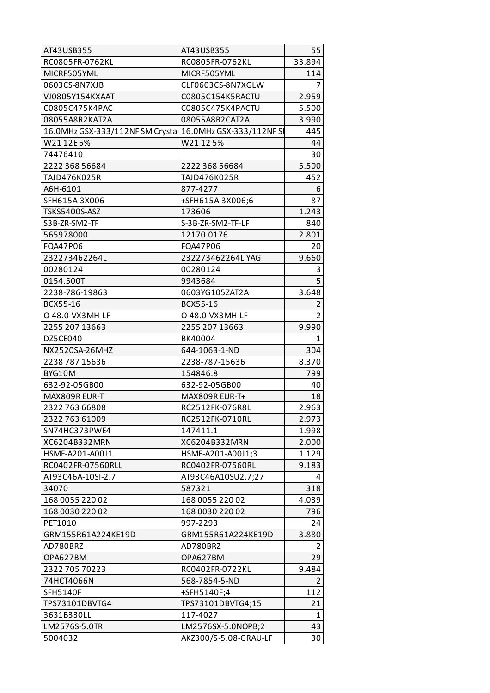| AT43USB355                                                | AT43USB355            | 55             |
|-----------------------------------------------------------|-----------------------|----------------|
| RC0805FR-0762KL                                           | RC0805FR-0762KL       | 33.894         |
| MICRF505YML                                               | MICRF505YML           | 114            |
| 0603CS-8N7XJB                                             | CLF0603CS-8N7XGLW     |                |
| VJ0805Y154KXAAT                                           | C0805C154K5RACTU      | 2.959          |
| C0805C475K4PAC                                            | C0805C475K4PACTU      | 5.500          |
| 08055A8R2KAT2A                                            | 08055A8R2CAT2A        | 3.990          |
| 16.0MHz GSX-333/112NF SM Crystal 16.0MHz GSX-333/112NF SI |                       | 445            |
| W2112E5%                                                  | W21125%               | 44             |
| 74476410                                                  |                       | 30             |
| 2222 368 56684                                            | 2222 368 56684        | 5.500          |
| TAJD476K025R                                              | TAJD476K025R          | 452            |
| A6H-6101                                                  | 877-4277              | 6              |
| SFH615A-3X006                                             | +SFH615A-3X006;6      | 87             |
| <b>TSKS5400S-ASZ</b>                                      | 173606                | 1.243          |
| S3B-ZR-SM2-TF                                             | S-3B-ZR-SM2-TF-LF     | 840            |
| 565978000                                                 | 12170.0176            | 2.801          |
| FQA47P06                                                  | FQA47P06              | 20             |
| 232273462264L                                             | 232273462264LYAG      | 9.660          |
| 00280124                                                  | 00280124              | 3              |
| 0154.500T                                                 | 9943684               | $\overline{5}$ |
| 2238-786-19863                                            | 0603YG105ZAT2A        | 3.648          |
| BCX55-16                                                  | BCX55-16              | 2              |
| O-48.0-VX3MH-LF                                           | 0-48.0-VX3MH-LF       | $\overline{2}$ |
| 2255 207 13663                                            | 2255 207 13663        | 9.990          |
| DZ5CE040                                                  | BK40004               | 1              |
| NX2520SA-26MHZ                                            | 644-1063-1-ND         | 304            |
| 2238 787 15636                                            | 2238-787-15636        | 8.370          |
| BYG10M                                                    | 154846.8              | 799            |
| 632-92-05GB00                                             | 632-92-05GB00         | 40             |
| MAX809R EUR-T                                             | MAX809R EUR-T+        | 18             |
| 2322 763 66808                                            | RC2512FK-076R8L       | 2.963          |
| 2322 763 61009                                            | RC2512FK-0710RL       | 2.973          |
| SN74HC373PWE4                                             | 147411.1              | 1.998          |
| XC6204B332MRN                                             | XC6204B332MRN         | 2.000          |
| HSMF-A201-A00J1                                           | HSMF-A201-A00J1;3     | 1.129          |
| RC0402FR-07560RLL                                         | RC0402FR-07560RL      | 9.183          |
| AT93C46A-10SI-2.7                                         | AT93C46A10SU2.7;27    | 4              |
| 34070                                                     | 587321                | 318            |
| 168 0055 220 02                                           | 168 0055 220 02       | 4.039          |
| 168 0030 220 02                                           | 168 0030 220 02       | 796            |
| PET1010                                                   | 997-2293              | 24             |
| GRM155R61A224KE19D                                        | GRM155R61A224KE19D    | 3.880          |
| AD780BRZ                                                  | AD780BRZ              | 2              |
| OPA627BM                                                  | OPA627BM              | 29             |
| 2322 705 70223                                            | RC0402FR-0722KL       | 9.484          |
| 74HCT4066N                                                | 568-7854-5-ND         | $\overline{2}$ |
| <b>SFH5140F</b>                                           | +SFH5140F;4           | 112            |
| TPS73101DBVTG4                                            | TPS73101DBVTG4;15     | 21             |
| 3631B330LL                                                | 117-4027              | 1              |
| LM2576S-5.0TR                                             | LM2576SX-5.0NOPB;2    | 43             |
| 5004032                                                   | AKZ300/5-5.08-GRAU-LF | 30             |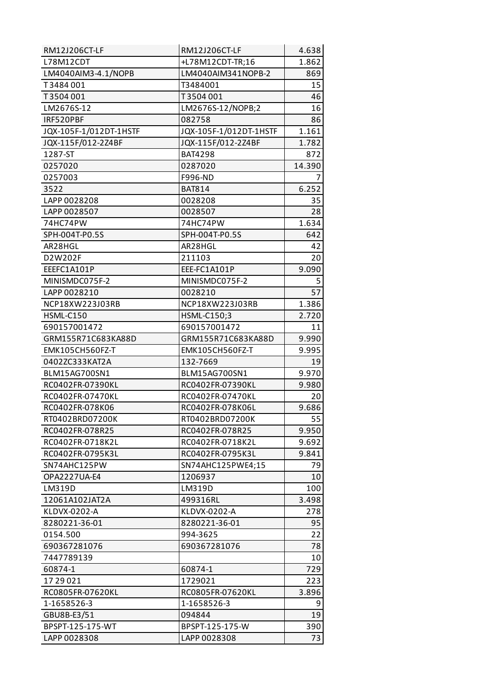| RM12J206CT-LF          | RM12J206CT-LF          | 4.638  |
|------------------------|------------------------|--------|
| L78M12CDT              | +L78M12CDT-TR;16       | 1.862  |
| LM4040AIM3-4.1/NOPB    | LM4040AIM341NOPB-2     | 869    |
| T3484001               | T3484001               | 15     |
| T3504001               | T3504001               | 46     |
| LM2676S-12             | LM2676S-12/NOPB;2      | 16     |
| IRF520PBF              | 082758                 | 86     |
| JQX-105F-1/012DT-1HSTF | JQX-105F-1/012DT-1HSTF | 1.161  |
| JQX-115F/012-2Z4BF     | JQX-115F/012-2Z4BF     | 1.782  |
| 1287-ST                | <b>BAT4298</b>         | 872    |
| 0257020                | 0287020                | 14.390 |
| 0257003                | F996-ND                | 7      |
| 3522                   | <b>BAT814</b>          | 6.252  |
| LAPP 0028208           | 0028208                | 35     |
| LAPP 0028507           | 0028507                | 28     |
| 74HC74PW               | 74HC74PW               | 1.634  |
| SPH-004T-P0.5S         | SPH-004T-P0.5S         | 642    |
| AR28HGL                | AR28HGL                | 42     |
| D2W202F                | 211103                 | 20     |
| EEEFC1A101P            | EEE-FC1A101P           | 9.090  |
| MINISMDC075F-2         | MINISMDC075F-2         | 5      |
| LAPP 0028210           | 0028210                | 57     |
| NCP18XW223J03RB        | NCP18XW223J03RB        | 1.386  |
| HSML-C150              | HSML-C150;3            | 2.720  |
| 690157001472           | 690157001472           | 11     |
| GRM155R71C683KA88D     | GRM155R71C683KA88D     | 9.990  |
| EMK105CH560FZ-T        | EMK105CH560FZ-T        | 9.995  |
| 0402ZC333KAT2A         | 132-7669               | 19     |
| BLM15AG700SN1          | BLM15AG700SN1          | 9.970  |
| RC0402FR-07390KL       | RC0402FR-07390KL       | 9.980  |
| RC0402FR-07470KL       | RC0402FR-07470KL       | 20     |
| RC0402FR-078K06        | RC0402FR-078K06L       | 9.686  |
| RT0402BRD07200K        | RT0402BRD07200K        | 55     |
| RC0402FR-078R25        | RC0402FR-078R25        | 9.950  |
| RC0402FR-0718K2L       | RC0402FR-0718K2L       | 9.692  |
| RC0402FR-0795K3L       | RC0402FR-0795K3L       | 9.841  |
| SN74AHC125PW           | SN74AHC125PWE4;15      | 79     |
| OPA2227UA-E4           | 1206937                | 10     |
| LM319D                 | LM319D                 | 100    |
| 12061A102JAT2A         | 499316RL               | 3.498  |
| KLDVX-0202-A           | KLDVX-0202-A           | 278    |
| 8280221-36-01          | 8280221-36-01          | 95     |
| 0154.500               | 994-3625               | 22     |
| 690367281076           | 690367281076           | 78     |
| 7447789139             |                        | 10     |
| 60874-1                | 60874-1                | 729    |
| 1729021                | 1729021                | 223    |
| RC0805FR-07620KL       | RC0805FR-07620KL       | 3.896  |
| 1-1658526-3            | 1-1658526-3            | 9      |
| GBU8B-E3/51            | 094844                 | 19     |
| BPSPT-125-175-WT       | BPSPT-125-175-W        | 390    |
| LAPP 0028308           | LAPP 0028308           | 73     |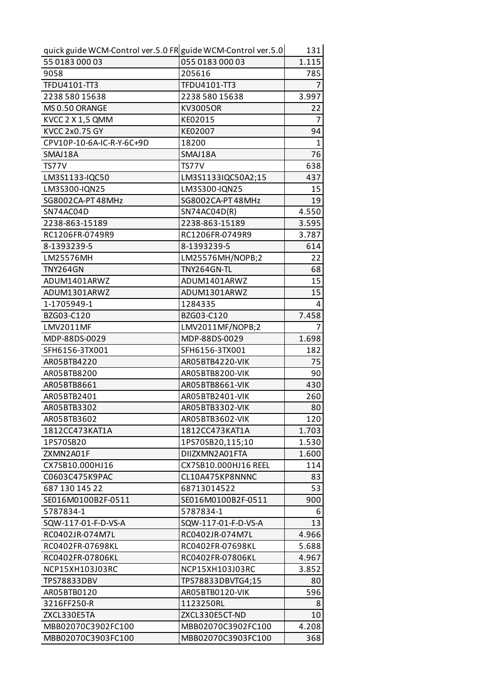| quick guide WCM-Control ver.5.0 FR guide WCM-Control ver.5.0 |                      | 131            |
|--------------------------------------------------------------|----------------------|----------------|
| 55 0183 000 03                                               | 055 0183 000 03      | 1.115          |
| 9058                                                         | 205616               | 785            |
| TFDU4101-TT3                                                 | TFDU4101-TT3         | $\overline{7}$ |
| 2238 580 15638                                               | 2238 580 15638       | 3.997          |
| MS 0.50 ORANGE                                               | KV3005OR             | 22             |
| KVCC 2 X 1,5 QMM                                             | KE02015              | $\overline{7}$ |
| <b>KVCC 2x0.75 GY</b>                                        | KE02007              | 94             |
| CPV10P-10-6A-IC-R-Y-6C+9D                                    | 18200                | 1              |
| SMAJ18A                                                      | SMAJ18A              | 76             |
| TS77V                                                        | <b>TS77V</b>         | 638            |
| LM3S1133-IQC50                                               | LM3S1133IQC50A2;15   | 437            |
| LM3S300-IQN25                                                | LM3S300-IQN25        | 15             |
| SG8002CA-PT48MHz                                             | SG8002CA-PT48MHz     | 19             |
| SN74AC04D                                                    | SN74AC04D(R)         | 4.550          |
| 2238-863-15189                                               | 2238-863-15189       | 3.595          |
| RC1206FR-0749R9                                              | RC1206FR-0749R9      | 3.787          |
| 8-1393239-5                                                  | 8-1393239-5          | 614            |
| LM25576MH                                                    | LM25576MH/NOPB;2     | 22             |
| <b>TNY264GN</b>                                              | TNY264GN-TL          | 68             |
| ADUM1401ARWZ                                                 | ADUM1401ARWZ         | 15             |
| ADUM1301ARWZ                                                 | ADUM1301ARWZ         | 15             |
| 1-1705949-1                                                  | 1284335              | 4              |
| BZG03-C120                                                   | BZG03-C120           | 7.458          |
| <b>LMV2011MF</b>                                             | LMV2011MF/NOPB;2     | $\overline{7}$ |
| MDP-88DS-0029                                                | MDP-88DS-0029        | 1.698          |
| SFH6156-3TX001                                               | SFH6156-3TX001       | 182            |
| AR05BTB4220                                                  | AR05BTB4220-VIK      | 75             |
| AR05BTB8200                                                  | AR05BTB8200-VIK      | 90             |
| AR05BTB8661                                                  | AR05BTB8661-VIK      | 430            |
| AR05BTB2401                                                  | AR05BTB2401-VIK      | 260            |
| AR05BTB3302                                                  | AR05BTB3302-VIK      | 80             |
| AR05BTB3602                                                  | AR05BTB3602-VIK      | 120            |
| 1812CC473KAT1A                                               | 1812CC473KAT1A       | 1.703          |
| 1PS70SB20                                                    | 1PS70SB20,115;10     | 1.530          |
| ZXMN2A01F                                                    | DIIZXMN2A01FTA       | 1.600          |
| CX7SB10.000HJ16                                              | CX7SB10.000HJ16 REEL | 114            |
| C0603C475K9PAC                                               | CL10A475KP8NNNC      | 83             |
| 687 130 145 22                                               | 68713014522          | 53             |
| SE016M0100B2F-0511                                           | SE016M0100B2F-0511   | 900            |
| 5787834-1                                                    | 5787834-1            | 6              |
| SQW-117-01-F-D-VS-A                                          | SQW-117-01-F-D-VS-A  | 13             |
| RC0402JR-074M7L                                              | RC0402JR-074M7L      | 4.966          |
| RC0402FR-07698KL                                             | RC0402FR-07698KL     | 5.688          |
| RC0402FR-07806KL                                             | RC0402FR-07806KL     | 4.967          |
| NCP15XH103J03RC                                              | NCP15XH103J03RC      | 3.852          |
| <b>TPS78833DBV</b>                                           | TPS78833DBVTG4;15    | 80             |
| AR05BTB0120                                                  | AR05BTB0120-VIK      | 596            |
| 3216FF250-R                                                  | 1123250RL            | 8              |
| ZXCL330E5TA                                                  | ZXCL330E5CT-ND       | 10             |
| MBB02070C3902FC100                                           | MBB02070C3902FC100   | 4.208          |
| MBB02070C3903FC100                                           | MBB02070C3903FC100   | 368            |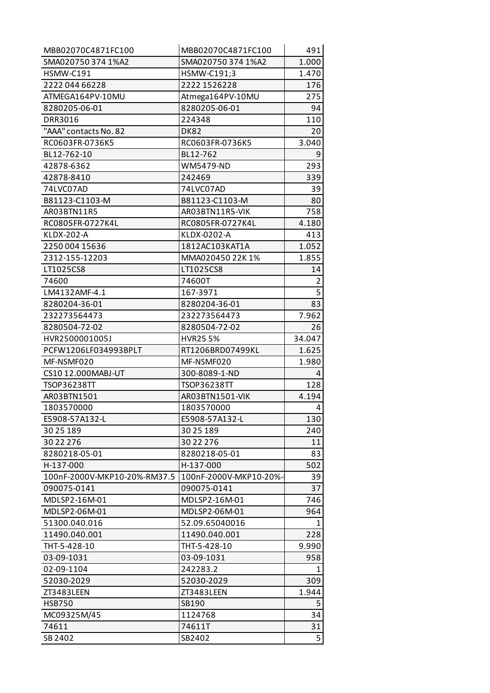| MBB02070C4871FC100           | MBB02070C4871FC100     | 491            |
|------------------------------|------------------------|----------------|
| SMA020750 374 1%A2           | SMA020750 374 1%A2     | 1.000          |
| <b>HSMW-C191</b>             | HSMW-C191;3            | 1.470          |
| 2222 044 66228               | 2222 1526228           | 176            |
| ATMEGA164PV-10MU             | Atmega164PV-10MU       | 275            |
| 8280205-06-01                | 8280205-06-01          | 94             |
| DRR3016                      | 224348                 | 110            |
| "AAA" contacts No. 82        | <b>DK82</b>            | 20             |
| RC0603FR-0736K5              | RC0603FR-0736K5        | 3.040          |
| BL12-762-10                  | BL12-762               | 9              |
| 42878-6362                   | <b>WM5479-ND</b>       | 293            |
| 42878-8410                   | 242469                 | 339            |
| 74LVC07AD                    | 74LVC07AD              | 39             |
| B81123-C1103-M               | B81123-C1103-M         | 80             |
| AR03BTN11R5                  | AR03BTN11R5-VIK        | 758            |
| RC0805FR-0727K4L             | RC0805FR-0727K4L       | 4.180          |
| <b>KLDX-202-A</b>            | KLDX-0202-A            | 413            |
| 2250 004 15636               | 1812AC103KAT1A         | 1.052          |
| 2312-155-12203               | MMA020450 22K 1%       | 1.855          |
| LT1025CS8                    | LT1025CS8              | 14             |
| 74600                        | 74600T                 | $\overline{2}$ |
| LM4132AMF-4.1                | 167-3971               | $\overline{5}$ |
| 8280204-36-01                | 8280204-36-01          | 83             |
| 232273564473                 | 232273564473           | 7.962          |
| 8280504-72-02                | 8280504-72-02          | 26             |
| HVR2500001005J               | <b>HVR255%</b>         | 34.047         |
| PCFW1206LF034993BPLT         | RT1206BRD07499KL       | 1.625          |
| MF-NSMF020                   | MF-NSMF020             | 1.980          |
| CS10 12.000MABJ-UT           | 300-8089-1-ND          | 4              |
| TSOP36238TT                  | <b>TSOP36238TT</b>     | 128            |
| AR03BTN1501                  | AR03BTN1501-VIK        | 4.194          |
| 1803570000                   | 1803570000             | 4              |
| E5908-57A132-L               | E5908-57A132-L         | 130            |
| 30 25 189                    | 30 25 189              | 240            |
| 30 22 276                    | 30 22 276              | 11             |
| 8280218-05-01                | 8280218-05-01          | 83             |
| H-137-000                    | H-137-000              | 502            |
| 100nF-2000V-MKP10-20%-RM37.5 | 100nF-2000V-MKP10-20%- | 39             |
| 090075-0141                  | 090075-0141            | 37             |
| MDLSP2-16M-01                | MDLSP2-16M-01          | 746            |
| MDLSP2-06M-01                | MDLSP2-06M-01          | 964            |
| 51300.040.016                | 52.09.65040016         | 1              |
| 11490.040.001                | 11490.040.001          | 228            |
| THT-5-428-10                 | THT-5-428-10           | 9.990          |
| 03-09-1031                   | 03-09-1031             | 958            |
| 02-09-1104                   | 242283.2               | 1              |
| 52030-2029                   | 52030-2029             | 309            |
| ZT3483LEEN                   | ZT3483LEEN             | 1.944          |
| <b>HSB750</b>                | SB190                  | 5              |
| MC09325M/45                  | 1124768                | 34             |
| 74611                        | 74611T                 | 31             |
| SB 2402                      | SB2402                 | 5              |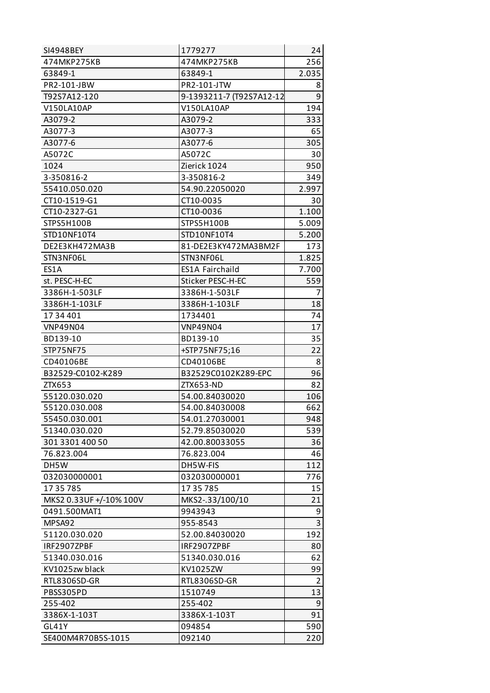| SI4948BEY               | 1779277                  | 24             |
|-------------------------|--------------------------|----------------|
| 474MKP275KB             | 474MKP275KB              | 256            |
| 63849-1                 | 63849-1                  | 2.035          |
| PR2-101-JBW             | PR2-101-JTW              | 8              |
| T92S7A12-120            | 9-1393211-7 (T92S7A12-12 | 9              |
| V150LA10AP              | V150LA10AP               | 194            |
| A3079-2                 | A3079-2                  | 333            |
| A3077-3                 | A3077-3                  | 65             |
| A3077-6                 | A3077-6                  | 305            |
| A5072C                  | A5072C                   | 30             |
| 1024                    | Zierick 1024             | 950            |
| 3-350816-2              | 3-350816-2               | 349            |
| 55410.050.020           | 54.90.22050020           | 2.997          |
| CT10-1519-G1            | CT10-0035                | 30             |
| CT10-2327-G1            | CT10-0036                | 1.100          |
| STPS5H100B              | STPS5H100B               | 5.009          |
| STD10NF10T4             | STD10NF10T4              | 5.200          |
| DE2E3KH472MA3B          | 81-DE2E3KY472MA3BM2F     | 173            |
| STN3NF06L               | STN3NF06L                | 1.825          |
| ES1A                    | ES1A Fairchaild          | 7.700          |
| st. PESC-H-EC           | Sticker PESC-H-EC        | 559            |
| 3386H-1-503LF           | 3386H-1-503LF            | 7              |
| 3386H-1-103LF           | 3386H-1-103LF            | 18             |
| 1734401                 | 1734401                  | 74             |
| <b>VNP49N04</b>         | <b>VNP49N04</b>          | 17             |
| BD139-10                | BD139-10                 | 35             |
| STP75NF75               | +STP75NF75;16            | 22             |
| CD40106BE               | CD40106BE                | 8              |
| B32529-C0102-K289       | B32529C0102K289-EPC      | 96             |
| ZTX653                  | ZTX653-ND                | 82             |
| 55120.030.020           | 54.00.84030020           | 106            |
| 55120.030.008           | 54.00.84030008           | 662            |
| 55450.030.001           | 54.01.27030001           | 948            |
| 51340.030.020           | 52.79.85030020           | 539            |
| 301 3301 400 50         | 42.00.80033055           | 36             |
| 76.823.004              | 76.823.004               | 46             |
| DH5W                    | DH5W-FIS                 | 112            |
| 032030000001            | 032030000001             | 776            |
| 17 35 785               | 17 35 785                | 15             |
| MKS2 0.33UF +/-10% 100V | MKS2-.33/100/10          | 21             |
| 0491.500MAT1            | 9943943                  | 9              |
| MPSA92                  | 955-8543                 | 3              |
| 51120.030.020           | 52.00.84030020           | 192            |
| IRF2907ZPBF             | IRF2907ZPBF              | 80             |
| 51340.030.016           | 51340.030.016            | 62             |
| KV1025zw black          | KV1025ZW                 | 99             |
| RTL8306SD-GR            | RTL8306SD-GR             | $\overline{2}$ |
| PBSS305PD               | 1510749                  | 13             |
| 255-402                 | 255-402                  | 9              |
| 3386X-1-103T            | 3386X-1-103T             | 91             |
| GL41Y                   | 094854                   | 590            |
| SE400M4R70B5S-1015      | 092140                   | 220            |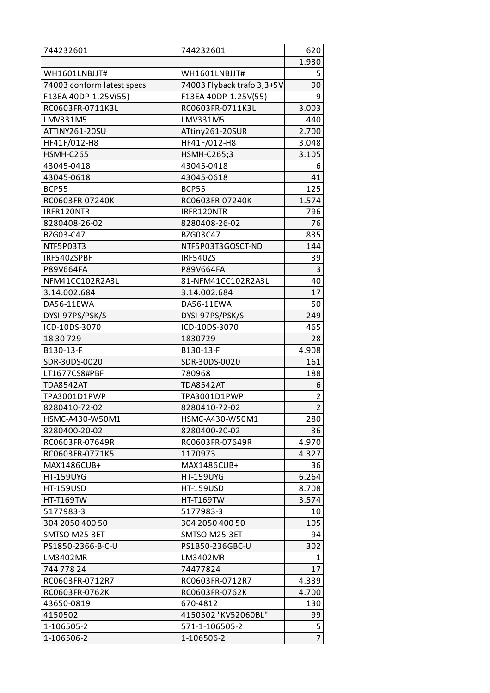| 744232601                  | 744232601                  | 620            |
|----------------------------|----------------------------|----------------|
|                            |                            | 1.930          |
| WH1601LNBJJT#              | WH1601LNBJJT#              | 5              |
| 74003 conform latest specs | 74003 Flyback trafo 3,3+5V | 90             |
| F13EA-40DP-1.25V(55)       | F13EA-40DP-1.25V(55)       | 9              |
| RC0603FR-0711K3L           | RC0603FR-0711K3L           | 3.003          |
| LMV331M5                   | LMV331M5                   | 440            |
| ATTINY261-20SU             | ATtiny261-20SUR            | 2.700          |
| HF41F/012-H8               | HF41F/012-H8               | 3.048          |
| HSMH-C265                  | <b>HSMH-C265;3</b>         | 3.105          |
| 43045-0418                 | 43045-0418                 | 6              |
| 43045-0618                 | 43045-0618                 | 41             |
| <b>BCP55</b>               | <b>BCP55</b>               | 125            |
| RC0603FR-07240K            | RC0603FR-07240K            | 1.574          |
| IRFR120NTR                 | IRFR120NTR                 | 796            |
| 8280408-26-02              | 8280408-26-02              | 76             |
| BZG03-C47                  | BZG03C47                   | 835            |
| NTF5P03T3                  | NTF5P03T3GOSCT-ND          | 144            |
| IRF540ZSPBF                | IRF540ZS                   | 39             |
| P89V664FA                  | P89V664FA                  | 3              |
| NFM41CC102R2A3L            | 81-NFM41CC102R2A3L         | 40             |
| 3.14.002.684               | 3.14.002.684               | 17             |
| DA56-11EWA                 | DA56-11EWA                 | 50             |
| DYSI-97PS/PSK/S            | DYSI-97PS/PSK/S            | 249            |
| ICD-10DS-3070              | ICD-10DS-3070              | 465            |
| 18 30 7 29                 | 1830729                    | 28             |
| B130-13-F                  | B130-13-F                  | 4.908          |
| SDR-30DS-0020              | SDR-30DS-0020              | 161            |
| LT1677CS8#PBF              | 780968                     | 188            |
| <b>TDA8542AT</b>           | <b>TDA8542AT</b>           | 6              |
| TPA3001D1PWP               | TPA3001D1PWP               | $\overline{2}$ |
| 8280410-72-02              | 8280410-72-02              | $\overline{2}$ |
| HSMC-A430-W50M1            | HSMC-A430-W50M1            | 280            |
| 8280400-20-02              | 8280400-20-02              | 36             |
| RC0603FR-07649R            | RC0603FR-07649R            | 4.970          |
| RC0603FR-0771K5            | 1170973                    | 4.327          |
| MAX1486CUB+                | MAX1486CUB+                | 36             |
| <b>HT-159UYG</b>           | <b>HT-159UYG</b>           | 6.264          |
| <b>HT-159USD</b>           | <b>HT-159USD</b>           | 8.708          |
| <b>HT-T169TW</b>           | <b>HT-T169TW</b>           | 3.574          |
| 5177983-3                  | 5177983-3                  | 10             |
| 304 2050 400 50            | 304 2050 400 50            | 105            |
| SMTSO-M25-3ET              | SMTSO-M25-3ET              | 94             |
| PS1850-2366-B-C-U          | PS1B50-236GBC-U            | 302            |
| LM3402MR                   | LM3402MR                   | 1              |
| 744 778 24                 | 74477824                   | 17             |
| RC0603FR-0712R7            | RC0603FR-0712R7            | 4.339          |
| RC0603FR-0762K             | RC0603FR-0762K             | 4.700          |
| 43650-0819                 | 670-4812                   | 130            |
| 4150502                    | 4150502 "KV52060BL"        | 99             |
| 1-106505-2                 | 571-1-106505-2             | 5              |
| 1-106506-2                 | 1-106506-2                 | $\overline{7}$ |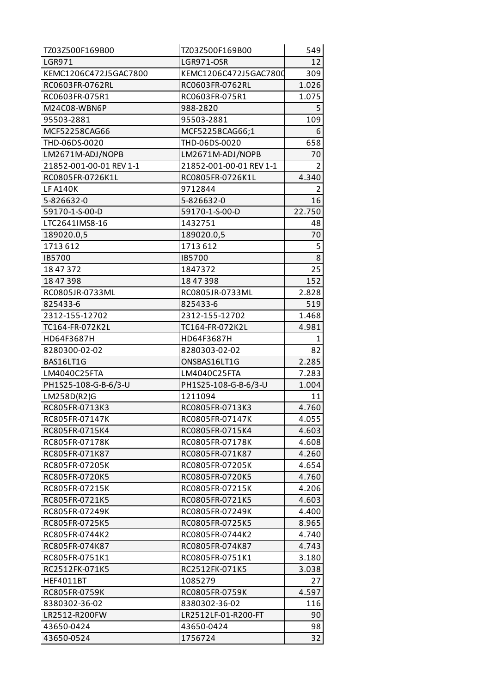| TZ03Z500F169B00         | TZ03Z500F169B00         | 549            |
|-------------------------|-------------------------|----------------|
| <b>LGR971</b>           | <b>LGR971-OSR</b>       | 12             |
| KEMC1206C472J5GAC7800   | KEMC1206C472J5GAC7800   | 309            |
| RC0603FR-0762RL         | RC0603FR-0762RL         | 1.026          |
| RC0603FR-075R1          | RC0603FR-075R1          | 1.075          |
| M24C08-WBN6P            | 988-2820                | 5              |
| 95503-2881              | 95503-2881              | 109            |
| MCF52258CAG66           | MCF52258CAG66;1         | 6              |
| THD-06DS-0020           | THD-06DS-0020           | 658            |
| LM2671M-ADJ/NOPB        | LM2671M-ADJ/NOPB        | 70             |
| 21852-001-00-01 REV 1-1 | 21852-001-00-01 REV 1-1 | $\overline{2}$ |
| RC0805FR-0726K1L        | RC0805FR-0726K1L        | 4.340          |
| <b>LF A140K</b>         | 9712844                 | 2              |
| 5-826632-0              | 5-826632-0              | 16             |
| 59170-1-S-00-D          | 59170-1-S-00-D          | 22.750         |
| LTC2641IMS8-16          | 1432751                 | 48             |
| 189020.0,5              | 189020.0,5              | 70             |
| 1713612                 | 1713612                 | 5              |
| IB5700                  | IB5700                  | 8              |
| 18 47 372               | 1847372                 | 25             |
| 18 47 398               | 18 47 398               | 152            |
| RC0805JR-0733ML         | RC0805JR-0733ML         | 2.828          |
| 825433-6                | 825433-6                | 519            |
| 2312-155-12702          | 2312-155-12702          | 1.468          |
| TC164-FR-072K2L         | TC164-FR-072K2L         | 4.981          |
| HD64F3687H              | HD64F3687H              | 1              |
| 8280300-02-02           | 8280303-02-02           | 82             |
| BAS16LT1G               | ONSBAS16LT1G            | 2.285          |
| LM4040C25FTA            | LM4040C25FTA            | 7.283          |
| PH1S25-108-G-B-6/3-U    | PH1S25-108-G-B-6/3-U    | 1.004          |
| LM258D(R2)G             | 1211094                 | 11             |
| RC805FR-0713K3          | RC0805FR-0713K3         | 4.760          |
| RC805FR-07147K          | RC0805FR-07147K         | 4.055          |
| RC805FR-0715K4          | RC0805FR-0715K4         | 4.603          |
| RC805FR-07178K          | RC0805FR-07178K         | 4.608          |
| RC805FR-071K87          | RC0805FR-071K87         | 4.260          |
| RC805FR-07205K          | RC0805FR-07205K         | 4.654          |
| RC805FR-0720K5          | RC0805FR-0720K5         | 4.760          |
| RC805FR-07215K          | RC0805FR-07215K         | 4.206          |
| RC805FR-0721K5          | RC0805FR-0721K5         | 4.603          |
| RC805FR-07249K          | RC0805FR-07249K         | 4.400          |
| RC805FR-0725K5          | RC0805FR-0725K5         | 8.965          |
| RC805FR-0744K2          | RC0805FR-0744K2         | 4.740          |
| RC805FR-074K87          | RC0805FR-074K87         | 4.743          |
| RC805FR-0751K1          | RC0805FR-0751K1         | 3.180          |
| RC2512FK-071K5          | RC2512FK-071K5          | 3.038          |
| <b>HEF4011BT</b>        | 1085279                 | 27             |
| RC805FR-0759K           | RC0805FR-0759K          | 4.597          |
| 8380302-36-02           | 8380302-36-02           | 116            |
| LR2512-R200FW           | LR2512LF-01-R200-FT     | 90             |
| 43650-0424              | 43650-0424              | 98             |
| 43650-0524              | 1756724                 | 32             |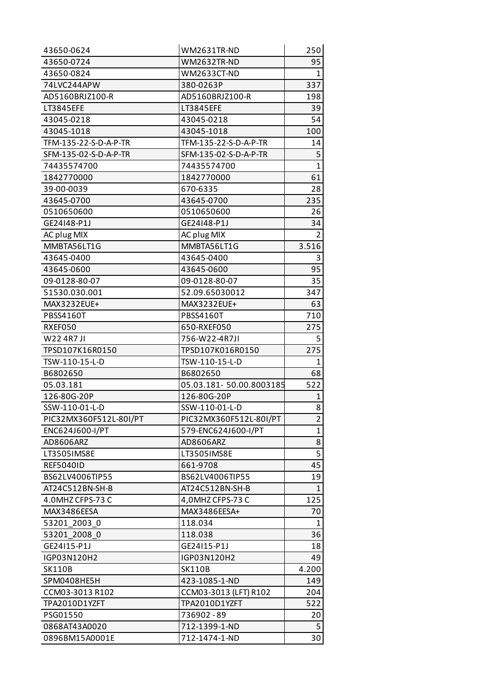| 43650-0624             | WM2631TR-ND             | 250          |
|------------------------|-------------------------|--------------|
| 43650-0724             | <b>WM2632TR-ND</b>      | 95           |
| 43650-0824             | WM2633CT-ND             | 1            |
| 74LVC244APW            | 380-0263P               | 337          |
| AD5160BRJZ100-R        | AD5160BRJZ100-R         | 198          |
| LT3845EFE              | LT3845EFE               | 39           |
| 43045-0218             | 43045-0218              | 54           |
| 43045-1018             | 43045-1018              | 100          |
| TFM-135-22-S-D-A-P-TR  | TFM-135-22-S-D-A-P-TR   | 14           |
| SFM-135-02-S-D-A-P-TR  | SFM-135-02-S-D-A-P-TR   | 5            |
| 74435574700            | 74435574700             | $\mathbf{1}$ |
| 1842770000             | 1842770000              | 61           |
| 39-00-0039             | 670-6335                | 28           |
| 43645-0700             | 43645-0700              | 235          |
| 0510650600             | 0510650600              | 26           |
| GE24148-P1J            | GE24148-P1J             | 34           |
| AC plug MIX            | AC plug MIX             | 2            |
| MMBTA56LT1G            | MMBTA56LT1G             | 3.516        |
| 43645-0400             | 43645-0400              | 3            |
| 43645-0600             | 43645-0600              | 95           |
| 09-0128-80-07          | 09-0128-80-07           | 35           |
| 51530.030.001          | 52.09.65030012          | 347          |
| MAX3232EUE+            | MAX3232EUE+             | 63           |
| <b>PBSS4160T</b>       | PBSS4160T               | 710          |
| RXEF050                | 650-RXEF050             | 275          |
| W22 4R7 JI             | 756-W22-4R7JI           | 5            |
| TPSD107K16R0150        | TPSD107K016R0150        | 275          |
| TSW-110-15-L-D         | TSW-110-15-L-D          | 1            |
| B6802650               | B6802650                | 68           |
| 05.03.181              | 05.03.181-50.00.8003185 | 522          |
| 126-80G-20P            | 126-80G-20P             | 1            |
| SSW-110-01-L-D         | SSW-110-01-L-D          | 8            |
| PIC32MX360F512L-80I/PT | PIC32MX360F512L-80I/PT  | 2            |
| ENC624J600-I/PT        | 579-ENC624J600-I/PT     | 1            |
| AD8606ARZ              | AD8606ARZ               | 8            |
| LT3505IMS8E            | LT3505IMS8E             | 5            |
| <b>REF5040ID</b>       | 661-9708                | 45           |
| BS62LV4006TIP55        | BS62LV4006TIP55         | 19           |
| AT24C512BN-SH-B        | AT24C512BN-SH-B         | $\mathbf{1}$ |
| 4.0MHZ CFPS-73 C       | 4,0MHZ CFPS-73 C        | 125          |
| MAX3486EESA            | MAX3486EESA+            | 70           |
| 53201 2003 0           | 118.034                 | $\mathbf{1}$ |
| 53201 2008 0           | 118.038                 | 36           |
| GE24115-P1J            | GE24115-P1J             | 18           |
| IGP03N120H2            | IGP03N120H2             | 49           |
| <b>SK110B</b>          | <b>SK110B</b>           | 4.200        |
| SPM0408HE5H            | 423-1085-1-ND           | 149          |
| CCM03-3013 R102        | CCM03-3013 (LFT) R102   | 204          |
| TPA2010D1YZFT          | TPA2010D1YZFT           | 522          |
| PSG01550               | 736902-89               | 20           |
|                        |                         |              |
| 0868AT43A0020          | 712-1399-1-ND           | 5            |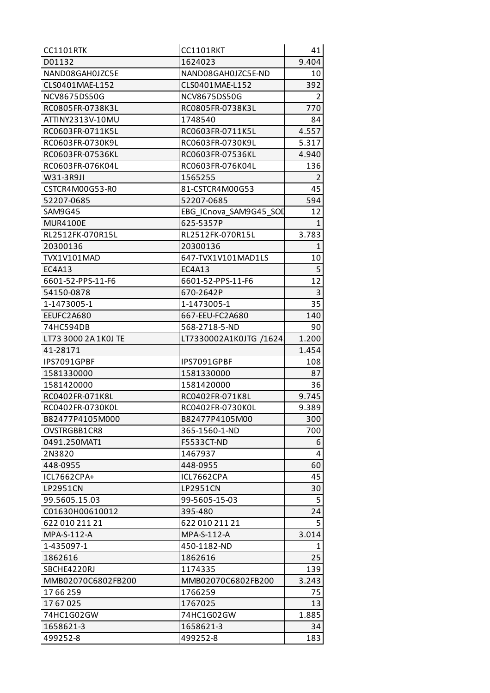| D01132<br>9.404<br>1624023<br>NAND08GAH0JZC5E<br>NAND08GAH0JZC5E-ND<br>10<br>392<br>CLS0401MAE-L152<br>CLS0401MAE-L152<br>2<br><b>NCV8675DS50G</b><br>NCV8675DS50G<br>770<br>RC0805FR-0738K3L<br>RC0805FR-0738K3L<br>1748540<br>ATTINY2313V-10MU<br>84<br>RC0603FR-0711K5L<br>RC0603FR-0711K5L<br>4.557<br>RC0603FR-0730K9L<br>RC0603FR-0730K9L<br>5.317<br>4.940<br>RC0603FR-07536KL<br>RC0603FR-07536KL<br>RC0603FR-076K04L<br>136<br>RC0603FR-076K04L<br>$\overline{2}$<br>W31-3R9JI<br>1565255<br>45<br>CSTCR4M00G53-R0<br>81-CSTCR4M00G53<br>594<br>52207-0685<br>52207-0685<br>SAM9G45<br>12<br>EBG ICnova SAM9G45 SOD<br><b>MUR4100E</b><br>625-5357P<br>1<br>RL2512FK-070R15L<br>RL2512FK-070R15L<br>3.783<br>20300136<br>20300136<br>$\mathbf{1}$<br>10<br>TVX1V101MAD<br>647-TVX1V101MAD1LS<br>5<br>EC4A13<br>EC4A13<br>12<br>6601-52-PPS-11-F6<br>6601-52-PPS-11-F6<br>3<br>670-2642P<br>54150-0878<br>35<br>1-1473005-1<br>1-1473005-1<br>EEUFC2A680<br>140<br>667-EEU-FC2A680<br>74HC594DB<br>568-2718-5-ND<br>90<br>LT73 3000 2A 1K0J TE<br>LT7330002A1K0JTG /1624<br>1.200<br>1.454<br>41-28171<br>IPS7091GPBF<br>IPS7091GPBF<br>108<br>1581330000<br>1581330000<br>87<br>1581420000<br>1581420000<br>36<br>RC0402FR-071K8L<br>RC0402FR-071K8L<br>9.745<br>9.389<br>RC0402FR-0730K0L<br>RC0402FR-0730K0L<br>B82477P4105M00<br>300<br>B82477P4105M000<br>OVSTRGBB1CR8<br>365-1560-1-ND<br>700<br>0491.250MAT1<br><b>F5533CT-ND</b><br>6<br>4<br>2N3820<br>1467937<br>60<br>448-0955<br>448-0955<br>ICL7662CPA+<br>ICL7662CPA<br>45<br><b>LP2951CN</b><br><b>LP2951CN</b><br>30<br>5<br>99.5605.15.03<br>99-5605-15-03<br>24<br>C01630H00610012<br>395-480<br>5<br>622 010 211 21<br>622 010 211 21<br>MPA-S-112-A<br>MPA-S-112-A<br>3.014<br>1-435097-1<br>450-1182-ND<br>$\mathbf{1}$<br>25<br>1862616<br>1862616<br>139<br>SBCHE4220RJ<br>1174335<br>MMB02070C6802FB200<br>MMB02070C6802FB200<br>3.243<br>1766259<br>75<br>17 66 259<br>1767025<br>1767025<br>13<br>74HC1G02GW<br>74HC1G02GW<br>1.885<br>1658621-3<br>34<br>1658621-3<br>499252-8<br>183<br>499252-8 | <b>CC1101RTK</b> | CC1101RKT | 41 |
|--------------------------------------------------------------------------------------------------------------------------------------------------------------------------------------------------------------------------------------------------------------------------------------------------------------------------------------------------------------------------------------------------------------------------------------------------------------------------------------------------------------------------------------------------------------------------------------------------------------------------------------------------------------------------------------------------------------------------------------------------------------------------------------------------------------------------------------------------------------------------------------------------------------------------------------------------------------------------------------------------------------------------------------------------------------------------------------------------------------------------------------------------------------------------------------------------------------------------------------------------------------------------------------------------------------------------------------------------------------------------------------------------------------------------------------------------------------------------------------------------------------------------------------------------------------------------------------------------------------------------------------------------------------------------------------------------------------------------------------------------------------------------------------------------------------------------------------------------------------------------------------------------------------------------------------------------------------------------------------------------------------------------------------------------------------------------------------|------------------|-----------|----|
|                                                                                                                                                                                                                                                                                                                                                                                                                                                                                                                                                                                                                                                                                                                                                                                                                                                                                                                                                                                                                                                                                                                                                                                                                                                                                                                                                                                                                                                                                                                                                                                                                                                                                                                                                                                                                                                                                                                                                                                                                                                                                      |                  |           |    |
|                                                                                                                                                                                                                                                                                                                                                                                                                                                                                                                                                                                                                                                                                                                                                                                                                                                                                                                                                                                                                                                                                                                                                                                                                                                                                                                                                                                                                                                                                                                                                                                                                                                                                                                                                                                                                                                                                                                                                                                                                                                                                      |                  |           |    |
|                                                                                                                                                                                                                                                                                                                                                                                                                                                                                                                                                                                                                                                                                                                                                                                                                                                                                                                                                                                                                                                                                                                                                                                                                                                                                                                                                                                                                                                                                                                                                                                                                                                                                                                                                                                                                                                                                                                                                                                                                                                                                      |                  |           |    |
|                                                                                                                                                                                                                                                                                                                                                                                                                                                                                                                                                                                                                                                                                                                                                                                                                                                                                                                                                                                                                                                                                                                                                                                                                                                                                                                                                                                                                                                                                                                                                                                                                                                                                                                                                                                                                                                                                                                                                                                                                                                                                      |                  |           |    |
|                                                                                                                                                                                                                                                                                                                                                                                                                                                                                                                                                                                                                                                                                                                                                                                                                                                                                                                                                                                                                                                                                                                                                                                                                                                                                                                                                                                                                                                                                                                                                                                                                                                                                                                                                                                                                                                                                                                                                                                                                                                                                      |                  |           |    |
|                                                                                                                                                                                                                                                                                                                                                                                                                                                                                                                                                                                                                                                                                                                                                                                                                                                                                                                                                                                                                                                                                                                                                                                                                                                                                                                                                                                                                                                                                                                                                                                                                                                                                                                                                                                                                                                                                                                                                                                                                                                                                      |                  |           |    |
|                                                                                                                                                                                                                                                                                                                                                                                                                                                                                                                                                                                                                                                                                                                                                                                                                                                                                                                                                                                                                                                                                                                                                                                                                                                                                                                                                                                                                                                                                                                                                                                                                                                                                                                                                                                                                                                                                                                                                                                                                                                                                      |                  |           |    |
|                                                                                                                                                                                                                                                                                                                                                                                                                                                                                                                                                                                                                                                                                                                                                                                                                                                                                                                                                                                                                                                                                                                                                                                                                                                                                                                                                                                                                                                                                                                                                                                                                                                                                                                                                                                                                                                                                                                                                                                                                                                                                      |                  |           |    |
|                                                                                                                                                                                                                                                                                                                                                                                                                                                                                                                                                                                                                                                                                                                                                                                                                                                                                                                                                                                                                                                                                                                                                                                                                                                                                                                                                                                                                                                                                                                                                                                                                                                                                                                                                                                                                                                                                                                                                                                                                                                                                      |                  |           |    |
|                                                                                                                                                                                                                                                                                                                                                                                                                                                                                                                                                                                                                                                                                                                                                                                                                                                                                                                                                                                                                                                                                                                                                                                                                                                                                                                                                                                                                                                                                                                                                                                                                                                                                                                                                                                                                                                                                                                                                                                                                                                                                      |                  |           |    |
|                                                                                                                                                                                                                                                                                                                                                                                                                                                                                                                                                                                                                                                                                                                                                                                                                                                                                                                                                                                                                                                                                                                                                                                                                                                                                                                                                                                                                                                                                                                                                                                                                                                                                                                                                                                                                                                                                                                                                                                                                                                                                      |                  |           |    |
|                                                                                                                                                                                                                                                                                                                                                                                                                                                                                                                                                                                                                                                                                                                                                                                                                                                                                                                                                                                                                                                                                                                                                                                                                                                                                                                                                                                                                                                                                                                                                                                                                                                                                                                                                                                                                                                                                                                                                                                                                                                                                      |                  |           |    |
|                                                                                                                                                                                                                                                                                                                                                                                                                                                                                                                                                                                                                                                                                                                                                                                                                                                                                                                                                                                                                                                                                                                                                                                                                                                                                                                                                                                                                                                                                                                                                                                                                                                                                                                                                                                                                                                                                                                                                                                                                                                                                      |                  |           |    |
|                                                                                                                                                                                                                                                                                                                                                                                                                                                                                                                                                                                                                                                                                                                                                                                                                                                                                                                                                                                                                                                                                                                                                                                                                                                                                                                                                                                                                                                                                                                                                                                                                                                                                                                                                                                                                                                                                                                                                                                                                                                                                      |                  |           |    |
|                                                                                                                                                                                                                                                                                                                                                                                                                                                                                                                                                                                                                                                                                                                                                                                                                                                                                                                                                                                                                                                                                                                                                                                                                                                                                                                                                                                                                                                                                                                                                                                                                                                                                                                                                                                                                                                                                                                                                                                                                                                                                      |                  |           |    |
|                                                                                                                                                                                                                                                                                                                                                                                                                                                                                                                                                                                                                                                                                                                                                                                                                                                                                                                                                                                                                                                                                                                                                                                                                                                                                                                                                                                                                                                                                                                                                                                                                                                                                                                                                                                                                                                                                                                                                                                                                                                                                      |                  |           |    |
|                                                                                                                                                                                                                                                                                                                                                                                                                                                                                                                                                                                                                                                                                                                                                                                                                                                                                                                                                                                                                                                                                                                                                                                                                                                                                                                                                                                                                                                                                                                                                                                                                                                                                                                                                                                                                                                                                                                                                                                                                                                                                      |                  |           |    |
|                                                                                                                                                                                                                                                                                                                                                                                                                                                                                                                                                                                                                                                                                                                                                                                                                                                                                                                                                                                                                                                                                                                                                                                                                                                                                                                                                                                                                                                                                                                                                                                                                                                                                                                                                                                                                                                                                                                                                                                                                                                                                      |                  |           |    |
|                                                                                                                                                                                                                                                                                                                                                                                                                                                                                                                                                                                                                                                                                                                                                                                                                                                                                                                                                                                                                                                                                                                                                                                                                                                                                                                                                                                                                                                                                                                                                                                                                                                                                                                                                                                                                                                                                                                                                                                                                                                                                      |                  |           |    |
|                                                                                                                                                                                                                                                                                                                                                                                                                                                                                                                                                                                                                                                                                                                                                                                                                                                                                                                                                                                                                                                                                                                                                                                                                                                                                                                                                                                                                                                                                                                                                                                                                                                                                                                                                                                                                                                                                                                                                                                                                                                                                      |                  |           |    |
|                                                                                                                                                                                                                                                                                                                                                                                                                                                                                                                                                                                                                                                                                                                                                                                                                                                                                                                                                                                                                                                                                                                                                                                                                                                                                                                                                                                                                                                                                                                                                                                                                                                                                                                                                                                                                                                                                                                                                                                                                                                                                      |                  |           |    |
|                                                                                                                                                                                                                                                                                                                                                                                                                                                                                                                                                                                                                                                                                                                                                                                                                                                                                                                                                                                                                                                                                                                                                                                                                                                                                                                                                                                                                                                                                                                                                                                                                                                                                                                                                                                                                                                                                                                                                                                                                                                                                      |                  |           |    |
|                                                                                                                                                                                                                                                                                                                                                                                                                                                                                                                                                                                                                                                                                                                                                                                                                                                                                                                                                                                                                                                                                                                                                                                                                                                                                                                                                                                                                                                                                                                                                                                                                                                                                                                                                                                                                                                                                                                                                                                                                                                                                      |                  |           |    |
|                                                                                                                                                                                                                                                                                                                                                                                                                                                                                                                                                                                                                                                                                                                                                                                                                                                                                                                                                                                                                                                                                                                                                                                                                                                                                                                                                                                                                                                                                                                                                                                                                                                                                                                                                                                                                                                                                                                                                                                                                                                                                      |                  |           |    |
|                                                                                                                                                                                                                                                                                                                                                                                                                                                                                                                                                                                                                                                                                                                                                                                                                                                                                                                                                                                                                                                                                                                                                                                                                                                                                                                                                                                                                                                                                                                                                                                                                                                                                                                                                                                                                                                                                                                                                                                                                                                                                      |                  |           |    |
|                                                                                                                                                                                                                                                                                                                                                                                                                                                                                                                                                                                                                                                                                                                                                                                                                                                                                                                                                                                                                                                                                                                                                                                                                                                                                                                                                                                                                                                                                                                                                                                                                                                                                                                                                                                                                                                                                                                                                                                                                                                                                      |                  |           |    |
|                                                                                                                                                                                                                                                                                                                                                                                                                                                                                                                                                                                                                                                                                                                                                                                                                                                                                                                                                                                                                                                                                                                                                                                                                                                                                                                                                                                                                                                                                                                                                                                                                                                                                                                                                                                                                                                                                                                                                                                                                                                                                      |                  |           |    |
|                                                                                                                                                                                                                                                                                                                                                                                                                                                                                                                                                                                                                                                                                                                                                                                                                                                                                                                                                                                                                                                                                                                                                                                                                                                                                                                                                                                                                                                                                                                                                                                                                                                                                                                                                                                                                                                                                                                                                                                                                                                                                      |                  |           |    |
|                                                                                                                                                                                                                                                                                                                                                                                                                                                                                                                                                                                                                                                                                                                                                                                                                                                                                                                                                                                                                                                                                                                                                                                                                                                                                                                                                                                                                                                                                                                                                                                                                                                                                                                                                                                                                                                                                                                                                                                                                                                                                      |                  |           |    |
|                                                                                                                                                                                                                                                                                                                                                                                                                                                                                                                                                                                                                                                                                                                                                                                                                                                                                                                                                                                                                                                                                                                                                                                                                                                                                                                                                                                                                                                                                                                                                                                                                                                                                                                                                                                                                                                                                                                                                                                                                                                                                      |                  |           |    |
|                                                                                                                                                                                                                                                                                                                                                                                                                                                                                                                                                                                                                                                                                                                                                                                                                                                                                                                                                                                                                                                                                                                                                                                                                                                                                                                                                                                                                                                                                                                                                                                                                                                                                                                                                                                                                                                                                                                                                                                                                                                                                      |                  |           |    |
|                                                                                                                                                                                                                                                                                                                                                                                                                                                                                                                                                                                                                                                                                                                                                                                                                                                                                                                                                                                                                                                                                                                                                                                                                                                                                                                                                                                                                                                                                                                                                                                                                                                                                                                                                                                                                                                                                                                                                                                                                                                                                      |                  |           |    |
|                                                                                                                                                                                                                                                                                                                                                                                                                                                                                                                                                                                                                                                                                                                                                                                                                                                                                                                                                                                                                                                                                                                                                                                                                                                                                                                                                                                                                                                                                                                                                                                                                                                                                                                                                                                                                                                                                                                                                                                                                                                                                      |                  |           |    |
|                                                                                                                                                                                                                                                                                                                                                                                                                                                                                                                                                                                                                                                                                                                                                                                                                                                                                                                                                                                                                                                                                                                                                                                                                                                                                                                                                                                                                                                                                                                                                                                                                                                                                                                                                                                                                                                                                                                                                                                                                                                                                      |                  |           |    |
|                                                                                                                                                                                                                                                                                                                                                                                                                                                                                                                                                                                                                                                                                                                                                                                                                                                                                                                                                                                                                                                                                                                                                                                                                                                                                                                                                                                                                                                                                                                                                                                                                                                                                                                                                                                                                                                                                                                                                                                                                                                                                      |                  |           |    |
|                                                                                                                                                                                                                                                                                                                                                                                                                                                                                                                                                                                                                                                                                                                                                                                                                                                                                                                                                                                                                                                                                                                                                                                                                                                                                                                                                                                                                                                                                                                                                                                                                                                                                                                                                                                                                                                                                                                                                                                                                                                                                      |                  |           |    |
|                                                                                                                                                                                                                                                                                                                                                                                                                                                                                                                                                                                                                                                                                                                                                                                                                                                                                                                                                                                                                                                                                                                                                                                                                                                                                                                                                                                                                                                                                                                                                                                                                                                                                                                                                                                                                                                                                                                                                                                                                                                                                      |                  |           |    |
|                                                                                                                                                                                                                                                                                                                                                                                                                                                                                                                                                                                                                                                                                                                                                                                                                                                                                                                                                                                                                                                                                                                                                                                                                                                                                                                                                                                                                                                                                                                                                                                                                                                                                                                                                                                                                                                                                                                                                                                                                                                                                      |                  |           |    |
|                                                                                                                                                                                                                                                                                                                                                                                                                                                                                                                                                                                                                                                                                                                                                                                                                                                                                                                                                                                                                                                                                                                                                                                                                                                                                                                                                                                                                                                                                                                                                                                                                                                                                                                                                                                                                                                                                                                                                                                                                                                                                      |                  |           |    |
|                                                                                                                                                                                                                                                                                                                                                                                                                                                                                                                                                                                                                                                                                                                                                                                                                                                                                                                                                                                                                                                                                                                                                                                                                                                                                                                                                                                                                                                                                                                                                                                                                                                                                                                                                                                                                                                                                                                                                                                                                                                                                      |                  |           |    |
|                                                                                                                                                                                                                                                                                                                                                                                                                                                                                                                                                                                                                                                                                                                                                                                                                                                                                                                                                                                                                                                                                                                                                                                                                                                                                                                                                                                                                                                                                                                                                                                                                                                                                                                                                                                                                                                                                                                                                                                                                                                                                      |                  |           |    |
|                                                                                                                                                                                                                                                                                                                                                                                                                                                                                                                                                                                                                                                                                                                                                                                                                                                                                                                                                                                                                                                                                                                                                                                                                                                                                                                                                                                                                                                                                                                                                                                                                                                                                                                                                                                                                                                                                                                                                                                                                                                                                      |                  |           |    |
|                                                                                                                                                                                                                                                                                                                                                                                                                                                                                                                                                                                                                                                                                                                                                                                                                                                                                                                                                                                                                                                                                                                                                                                                                                                                                                                                                                                                                                                                                                                                                                                                                                                                                                                                                                                                                                                                                                                                                                                                                                                                                      |                  |           |    |
|                                                                                                                                                                                                                                                                                                                                                                                                                                                                                                                                                                                                                                                                                                                                                                                                                                                                                                                                                                                                                                                                                                                                                                                                                                                                                                                                                                                                                                                                                                                                                                                                                                                                                                                                                                                                                                                                                                                                                                                                                                                                                      |                  |           |    |
|                                                                                                                                                                                                                                                                                                                                                                                                                                                                                                                                                                                                                                                                                                                                                                                                                                                                                                                                                                                                                                                                                                                                                                                                                                                                                                                                                                                                                                                                                                                                                                                                                                                                                                                                                                                                                                                                                                                                                                                                                                                                                      |                  |           |    |
|                                                                                                                                                                                                                                                                                                                                                                                                                                                                                                                                                                                                                                                                                                                                                                                                                                                                                                                                                                                                                                                                                                                                                                                                                                                                                                                                                                                                                                                                                                                                                                                                                                                                                                                                                                                                                                                                                                                                                                                                                                                                                      |                  |           |    |
|                                                                                                                                                                                                                                                                                                                                                                                                                                                                                                                                                                                                                                                                                                                                                                                                                                                                                                                                                                                                                                                                                                                                                                                                                                                                                                                                                                                                                                                                                                                                                                                                                                                                                                                                                                                                                                                                                                                                                                                                                                                                                      |                  |           |    |
|                                                                                                                                                                                                                                                                                                                                                                                                                                                                                                                                                                                                                                                                                                                                                                                                                                                                                                                                                                                                                                                                                                                                                                                                                                                                                                                                                                                                                                                                                                                                                                                                                                                                                                                                                                                                                                                                                                                                                                                                                                                                                      |                  |           |    |
|                                                                                                                                                                                                                                                                                                                                                                                                                                                                                                                                                                                                                                                                                                                                                                                                                                                                                                                                                                                                                                                                                                                                                                                                                                                                                                                                                                                                                                                                                                                                                                                                                                                                                                                                                                                                                                                                                                                                                                                                                                                                                      |                  |           |    |
|                                                                                                                                                                                                                                                                                                                                                                                                                                                                                                                                                                                                                                                                                                                                                                                                                                                                                                                                                                                                                                                                                                                                                                                                                                                                                                                                                                                                                                                                                                                                                                                                                                                                                                                                                                                                                                                                                                                                                                                                                                                                                      |                  |           |    |
|                                                                                                                                                                                                                                                                                                                                                                                                                                                                                                                                                                                                                                                                                                                                                                                                                                                                                                                                                                                                                                                                                                                                                                                                                                                                                                                                                                                                                                                                                                                                                                                                                                                                                                                                                                                                                                                                                                                                                                                                                                                                                      |                  |           |    |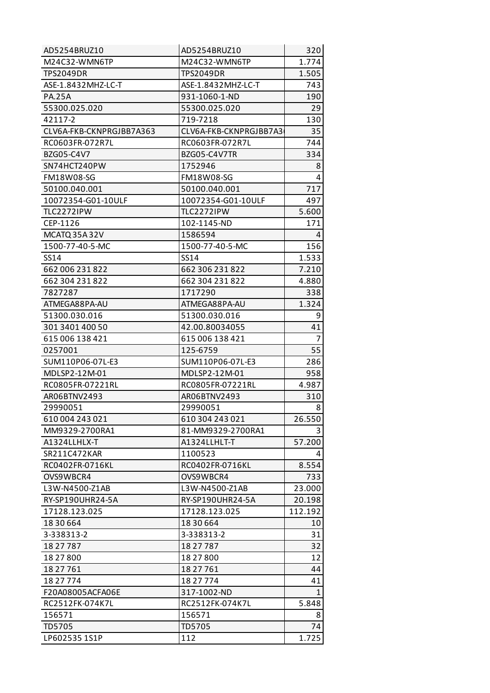| AD5254BRUZ10             | AD5254BRUZ10           | 320            |
|--------------------------|------------------------|----------------|
| M24C32-WMN6TP            | M24C32-WMN6TP          | 1.774          |
| <b>TPS2049DR</b>         | <b>TPS2049DR</b>       | 1.505          |
| ASE-1.8432MHZ-LC-T       | ASE-1.8432MHZ-LC-T     | 743            |
| <b>PA.25A</b>            | 931-1060-1-ND          | 190            |
| 55300.025.020            | 55300.025.020          | 29             |
| 42117-2                  | 719-7218               | 130            |
| CLV6A-FKB-CKNPRGJBB7A363 | CLV6A-FKB-CKNPRGJBB7A3 | 35             |
| RC0603FR-072R7L          | RC0603FR-072R7L        | 744            |
| BZG05-C4V7               | BZG05-C4V7TR           | 334            |
| SN74HCT240PW             | 1752946                | 8              |
| <b>FM18W08-SG</b>        | FM18W08-SG             | 4              |
| 50100.040.001            | 50100.040.001          | 717            |
| 10072354-G01-10ULF       | 10072354-G01-10ULF     | 497            |
| TLC2272IPW               | TLC2272IPW             | 5.600          |
| CEP-1126                 | 102-1145-ND            | 171            |
| MCATQ 35A 32V            | 1586594                | 4              |
| 1500-77-40-5-MC          | 1500-77-40-5-MC        | 156            |
| <b>SS14</b>              | SS14                   | 1.533          |
| 662 006 231 822          | 662 306 231 822        | 7.210          |
| 662 304 231 822          | 662 304 231 822        | 4.880          |
| 7827287                  | 1717290                | 338            |
| ATMEGA88PA-AU            | ATMEGA88PA-AU          | 1.324          |
| 51300.030.016            | 51300.030.016          | 9              |
| 301 3401 400 50          | 42.00.80034055         | 41             |
| 615 006 138 421          | 615 006 138 421        | $\overline{7}$ |
| 0257001                  | 125-6759               | 55             |
| SUM110P06-07L-E3         | SUM110P06-07L-E3       | 286            |
| MDLSP2-12M-01            | MDLSP2-12M-01          | 958            |
| RC0805FR-07221RL         | RC0805FR-07221RL       | 4.987          |
| AR06BTNV2493             | AR06BTNV2493           | 310            |
| 29990051                 | 29990051               | 8              |
| 610 004 243 021          | 610 304 243 021        | 26.550         |
| MM9329-2700RA1           | 81-MM9329-2700RA1      |                |
| A1324LLHLX-T             | A1324LLHLT-T           | 57.200         |
| SR211C472KAR             | 1100523                | 4              |
| RC0402FR-0716KL          | RC0402FR-0716KL        | 8.554          |
| OVS9WBCR4                | OVS9WBCR4              | 733            |
| L3W-N4500-Z1AB           | L3W-N4500-Z1AB         | 23.000         |
| RY-SP190UHR24-5A         | RY-SP190UHR24-5A       | 20.198         |
| 17128.123.025            | 17128.123.025          | 112.192        |
| 18 30 664                | 18 30 664              | 10             |
| 3-338313-2               | 3-338313-2             | 31             |
| 18 27 787                | 18 27 787              | 32             |
| 18 27 800                | 18 27 800              | 12             |
| 18 27 761                | 18 27 761              | 44             |
| 18 27 774                | 18 27 774              | 41             |
| F20A08005ACFA06E         | 317-1002-ND            | $\mathbf{1}$   |
| RC2512FK-074K7L          | RC2512FK-074K7L        | 5.848          |
| 156571                   | 156571                 | 8              |
| TD5705                   | <b>TD5705</b>          | 74             |
| LP602535 1S1P            | 112                    | 1.725          |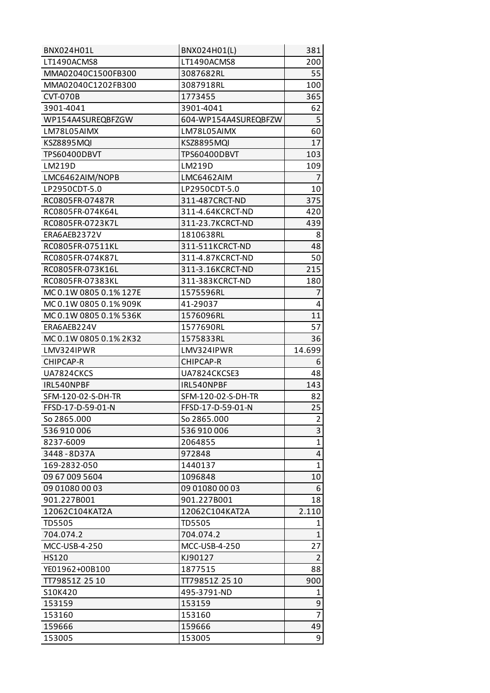| <b>BNX024H01L</b>      | BNX024H01(L)         | 381            |
|------------------------|----------------------|----------------|
| LT1490ACMS8            | LT1490ACMS8          | 200            |
| MMA02040C1500FB300     | 3087682RL            | 55             |
| MMA02040C1202FB300     | 3087918RL            | 100            |
| <b>CVT-070B</b>        | 1773455              | 365            |
| 3901-4041              | 3901-4041            | 62             |
| WP154A4SUREQBFZGW      | 604-WP154A4SUREQBFZW | 5              |
| LM78L05AIMX            | LM78L05AIMX          | 60             |
| <b>KSZ8895MQI</b>      | <b>KSZ8895MQI</b>    | 17             |
| TPS60400DBVT           | TPS60400DBVT         | 103            |
| LM219D                 | LM219D               | 109            |
| LMC6462AIM/NOPB        | LMC6462AIM           | $\overline{7}$ |
| LP2950CDT-5.0          | LP2950CDT-5.0        | 10             |
| RC0805FR-07487R        | 311-487CRCT-ND       | 375            |
| RC0805FR-074K64L       | 311-4.64KCRCT-ND     | 420            |
| RC0805FR-0723K7L       | 311-23.7KCRCT-ND     | 439            |
| ERA6AEB2372V           | 1810638RL            | 8              |
| RC0805FR-07511KL       | 311-511KCRCT-ND      | 48             |
| RC0805FR-074K87L       | 311-4.87KCRCT-ND     | 50             |
| RC0805FR-073K16L       | 311-3.16KCRCT-ND     | 215            |
| RC0805FR-07383KL       | 311-383KCRCT-ND      | 180            |
| MC 0.1W 0805 0.1% 127E | 1575596RL            | 7              |
| MC 0.1W 0805 0.1% 909K | 41-29037             | 4              |
| MC 0.1W 0805 0.1% 536K | 1576096RL            | 11             |
| ERA6AEB224V            | 1577690RL            | 57             |
| MC 0.1W 0805 0.1% 2K32 | 1575833RL            | 36             |
| LMV324IPWR             | LMV324IPWR           | 14.699         |
|                        |                      |                |
| CHIPCAP-R              | CHIPCAP-R            | 6              |
| UA7824CKCS             | UA7824CKCSE3         | 48             |
| IRL540NPBF             | IRL540NPBF           | 143            |
| SFM-120-02-S-DH-TR     | SFM-120-02-S-DH-TR   | 82             |
| FFSD-17-D-59-01-N      | FFSD-17-D-59-01-N    | 25             |
| So 2865.000            | So 2865.000          | 2              |
| 536910006              | 536910006            | 3              |
| 8237-6009              | 2064855              | $\mathbf{1}$   |
| 3448-8D37A             | 972848               | 4              |
| 169-2832-050           | 1440137              | 1              |
| 09 67 009 5604         | 1096848              | 10             |
| 09 01080 00 03         | 09 01080 00 03       | 6              |
| 901.227B001            | 901.227B001          | 18             |
| 12062C104KAT2A         | 12062C104KAT2A       | 2.110          |
| <b>TD5505</b>          | <b>TD5505</b>        | 1              |
| 704.074.2              | 704.074.2            | $\mathbf{1}$   |
| MCC-USB-4-250          | MCC-USB-4-250        | 27             |
| HS120                  | KJ90127              | $\overline{2}$ |
| YE01962+00B100         | 1877515              | 88             |
| TT79851Z 25 10         | TT79851Z 25 10       | 900            |
| S10K420                | 495-3791-ND          | 1              |
| 153159                 | 153159               | 9              |
| 153160                 | 153160               | $\overline{7}$ |
| 159666                 | 159666               | 49             |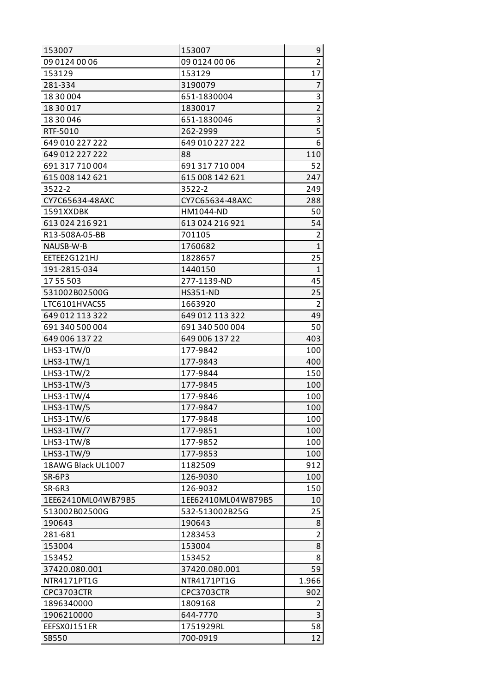| 153007             | 153007             | 9              |
|--------------------|--------------------|----------------|
| 09 0124 00 06      | 09 0124 00 06      | $\overline{2}$ |
| 153129             | 153129             | 17             |
| 281-334            | 3190079            | $\overline{7}$ |
| 18 30 004          | 651-1830004        | 3              |
| 18 30 017          | 1830017            | $\overline{2}$ |
| 18 30 046          | 651-1830046        | $\overline{3}$ |
| RTF-5010           | 262-2999           | $\overline{5}$ |
| 649 010 227 222    | 649 010 227 222    | 6              |
| 649 012 227 222    | 88                 | 110            |
| 691 317 710 004    | 691 317 710 004    | 52             |
| 615 008 142 621    | 615 008 142 621    | 247            |
| 3522-2             | 3522-2             | 249            |
| CY7C65634-48AXC    | CY7C65634-48AXC    | 288            |
| 1591XXDBK          | HM1044-ND          | 50             |
| 613 024 216 921    | 613 024 216 921    | 54             |
| R13-508A-05-BB     | 701105             | $\overline{2}$ |
| NAUSB-W-B          | 1760682            | $\mathbf{1}$   |
| EETEE2G121HJ       | 1828657            | 25             |
| 191-2815-034       | 1440150            | $\mathbf{1}$   |
| 17 55 503          | 277-1139-ND        | 45             |
| 531002B02500G      | <b>HS351-ND</b>    | 25             |
| LTC6101HVACS5      | 1663920            | $\overline{2}$ |
| 649 012 113 322    | 649 012 113 322    | 49             |
| 691 340 500 004    | 691 340 500 004    | 50             |
| 649 006 137 22     | 649 006 137 22     | 403            |
| $L$ HS3-1TW/0      | 177-9842           | 100            |
| $L$ HS3-1TW/1      | 177-9843           | 400            |
| LHS3-1TW/2         | 177-9844           | 150            |
| $LHS3-1TW/3$       | 177-9845           | 100            |
| $LHS3-1TW/4$       | 177-9846           | 100            |
| LHS3-1TW/5         | 177-9847           | 100            |
| $L$ HS3-1TW/6      | 177-9848           | 100            |
| LHS3-1TW/7         | 177-9851           | 100            |
| LHS3-1TW/8         | 177-9852           | 100            |
| LHS3-1TW/9         | 177-9853           | 100            |
| 18AWG Black UL1007 | 1182509            | 912            |
| <b>SR-6P3</b>      | 126-9030           | 100            |
| SR-6R3             | 126-9032           | 150            |
| 1EE62410ML04WB79B5 | 1EE62410ML04WB79B5 | 10             |
| 513002B02500G      | 532-513002B25G     | 25             |
| 190643             | 190643             | 8              |
| 281-681            | 1283453            | $\overline{2}$ |
| 153004             | 153004             | 8              |
| 153452             | 153452             | 8              |
| 37420.080.001      | 37420.080.001      | 59             |
| NTR4171PT1G        | NTR4171PT1G        | 1.966          |
| CPC3703CTR         | <b>CPC3703CTR</b>  | 902            |
| 1896340000         | 1809168            | $\overline{2}$ |
| 1906210000         | 644-7770           | 3              |
| EEFSX0J151ER       | 1751929RL          | 58             |
| SB550              | 700-0919           | 12             |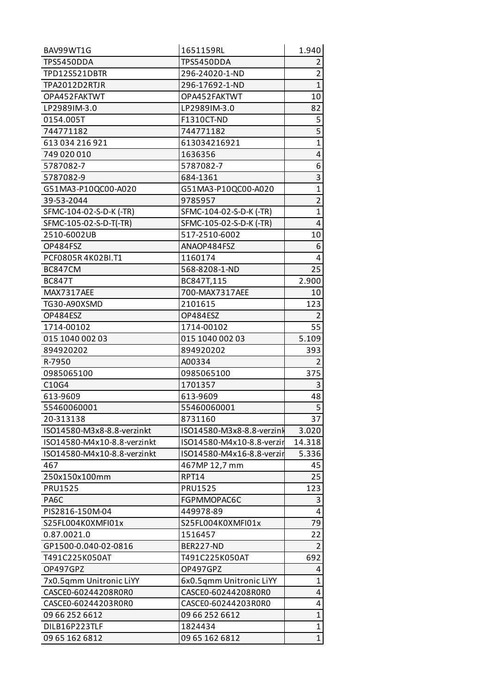| BAV99WT1G                             | 1651159RL                             | 1.940             |
|---------------------------------------|---------------------------------------|-------------------|
| <b>TPS5450DDA</b>                     | <b>TPS5450DDA</b>                     | $\overline{2}$    |
| <b>TPD12S521DBTR</b>                  | 296-24020-1-ND                        | $\overline{2}$    |
| TPA2012D2RTJR                         | 296-17692-1-ND                        | $\overline{1}$    |
| OPA452FAKTWT                          | OPA452FAKTWT                          | 10                |
| LP2989IM-3.0                          | LP2989IM-3.0                          | 82                |
| 0154.005T                             | F1310CT-ND                            | 5                 |
| 744771182                             | 744771182                             | $\overline{5}$    |
| 613 034 216 921                       | 613034216921                          | $\mathbf{1}$      |
| 749 020 010                           | 1636356                               | 4                 |
| 5787082-7                             | 5787082-7                             | 6                 |
| 5787082-9                             | 684-1361                              | 3                 |
| G51MA3-P10QC00-A020                   | G51MA3-P10QC00-A020                   | $\mathbf{1}$      |
| 39-53-2044                            | 9785957                               | $\overline{2}$    |
| SFMC-104-02-S-D-K (-TR)               | SFMC-104-02-S-D-K (-TR)               | $\mathbf 1$       |
| SFMC-105-02-S-D-T(-TR)                | SFMC-105-02-S-D-K (-TR)               | 4                 |
| 2510-6002UB                           | 517-2510-6002                         | 10                |
| OP484FSZ                              | ANAOP484FSZ                           | 6                 |
| PCF0805R4K02BI.T1                     | 1160174                               | 4                 |
| BC847CM                               | 568-8208-1-ND                         | 25                |
| <b>BC847T</b>                         | BC847T,115                            | 2.900             |
| MAX7317AEE                            | 700-MAX7317AEE                        | 10                |
| TG30-A90XSMD                          | 2101615                               | 123               |
| OP484ESZ                              | OP484ESZ                              | $\overline{2}$    |
| 1714-00102                            | 1714-00102                            | 55                |
| 015 1040 002 03                       | 015 1040 002 03                       | 5.109             |
| 894920202                             | 894920202                             | 393               |
| R-7950                                | A00334                                | $\overline{2}$    |
| 0985065100                            | 0985065100                            | 375               |
| C10G4                                 | 1701357                               | 3                 |
| 613-9609                              | 613-9609                              | 48                |
| 55460060001                           | 55460060001                           | $\overline{5}$    |
| 20-313138                             | 8731160                               | 37                |
| ISO14580-M3x8-8.8-verzinkt            | ISO14580-M3x8-8.8-verzink             | 3.020             |
| ISO14580-M4x10-8.8-verzinkt           | ISO14580-M4x10-8.8-verzir             | 14.318            |
| ISO14580-M4x10-8.8-verzinkt           | ISO14580-M4x16-8.8-verzir             | 5.336             |
| 467                                   | 467MP 12,7 mm                         | 45                |
| 250x150x100mm                         | <b>RPT14</b>                          | 25                |
| <b>PRU1525</b>                        | <b>PRU1525</b>                        | 123               |
| PA6C                                  | FGPMMOPAC6C                           | 3                 |
| PIS2816-150M-04                       | 449978-89                             | 4                 |
| S25FL004K0XMFI01x                     | S25FL004K0XMFI01x                     | 79                |
| 0.87.0021.0                           | 1516457                               | 22                |
| GP1500-0.040-02-0816                  | BER227-ND                             | $\overline{2}$    |
| T491C225K050AT                        | T491C225K050AT                        | 692               |
| OP497GPZ                              | OP497GPZ                              | 4<br>$\mathbf{1}$ |
| 7x0.5qmm Unitronic LiYY               | 6x0.5qmm Unitronic LiYY               |                   |
| CASCE0-60244208R0R0                   | CASCE0-60244208R0R0                   | 4<br>4            |
| CASCE0-60244203R0R0<br>09 66 252 6612 | CASCE0-60244203R0R0<br>09 66 252 6612 | $\mathbf{1}$      |
| DILB16P223TLF                         | 1824434                               | $\mathbf{1}$      |
| 09 65 162 6812                        | 09 65 162 6812                        | $\overline{1}$    |
|                                       |                                       |                   |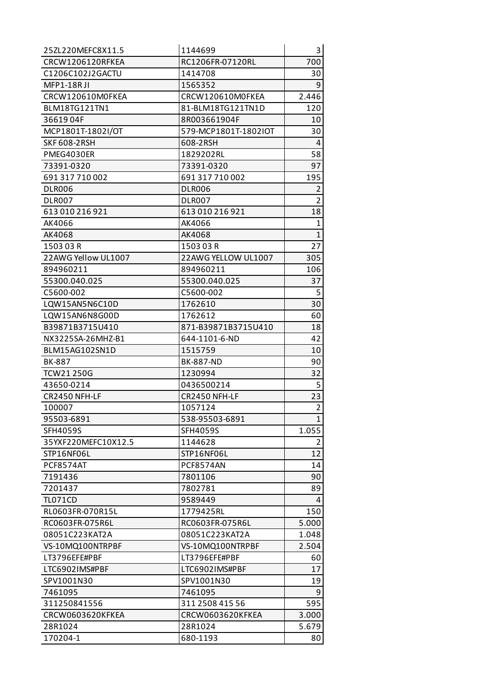| 25ZL220MEFC8X11.5   | 1144699              | 3              |
|---------------------|----------------------|----------------|
| CRCW1206120RFKEA    | RC1206FR-07120RL     | 700            |
| C1206C102J2GACTU    | 1414708              | 30             |
| <b>MFP1-18RJI</b>   | 1565352              | 9              |
| CRCW120610M0FKEA    | CRCW120610M0FKEA     | 2.446          |
| BLM18TG121TN1       | 81-BLM18TG121TN1D    | 120            |
| 3661904F            | 8R003661904F         | 10             |
| MCP1801T-1802I/OT   | 579-MCP1801T-1802IOT | 30             |
| <b>SKF 608-2RSH</b> | 608-2RSH             | 4              |
| PMEG4030ER          | 1829202RL            | 58             |
| 73391-0320          | 73391-0320           | 97             |
| 691 317 710 002     | 691 317 710 002      | 195            |
| <b>DLR006</b>       | DLR006               | $\overline{2}$ |
| <b>DLR007</b>       | DLR007               | $\overline{2}$ |
| 613 010 216 921     | 613 010 216 921      | 18             |
| AK4066              | AK4066               | 1              |
| AK4068              | AK4068               | $\mathbf{1}$   |
| 150303R             | 150303R              | 27             |
| 22AWG Yellow UL1007 | 22AWG YELLOW UL1007  | 305            |
| 894960211           | 894960211            | 106            |
| 55300.040.025       | 55300.040.025        | 37             |
| C5600-002           | C5600-002            | 5              |
| LQW15AN5N6C10D      | 1762610              | 30             |
| LQW15AN6N8G00D      | 1762612              | 60             |
| B39871B3715U410     | 871-B39871B3715U410  | 18             |
| NX3225SA-26MHZ-B1   | 644-1101-6-ND        | 42             |
| BLM15AG102SN1D      | 1515759              | 10             |
| <b>BK-887</b>       | <b>BK-887-ND</b>     | 90             |
| <b>TCW21250G</b>    | 1230994              | 32             |
| 43650-0214          | 0436500214           | 5              |
| CR2450 NFH-LF       | CR2450 NFH-LF        | 23             |
| 100007              | 1057124              | $\overline{2}$ |
| 95503-6891          | 538-95503-6891       | 1              |
| <b>SFH4059S</b>     | SFH4059S             | 1.055          |
| 35YXF220MEFC10X12.5 | 1144628              | 2              |
| STP16NF06L          | STP16NF06L           | 12             |
| <b>PCF8574AT</b>    | PCF8574AN            | 14             |
| 7191436             | 7801106              | 90             |
| 7201437             | 7802781              | 89             |
| <b>TL071CD</b>      | 9589449              | 4              |
| RL0603FR-070R15L    | 1779425RL            | 150            |
| RC0603FR-075R6L     | RC0603FR-075R6L      | 5.000          |
| 08051C223KAT2A      | 08051C223KAT2A       | 1.048          |
| VS-10MQ100NTRPBF    | VS-10MQ100NTRPBF     | 2.504          |
| LT3796EFE#PBF       | LT3796EFE#PBF        | 60             |
| LTC6902IMS#PBF      | LTC6902IMS#PBF       | 17             |
| SPV1001N30          | SPV1001N30           | 19             |
| 7461095             | 7461095              | 9              |
| 311250841556        | 311 2508 415 56      | 595            |
| CRCW0603620KFKEA    | CRCW0603620KFKEA     | 3.000          |
| 28R1024             | 28R1024              | 5.679          |
| 170204-1            | 680-1193             | 80             |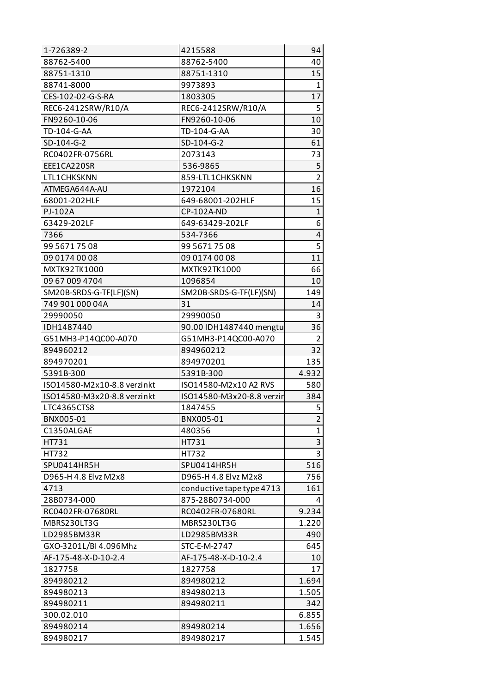| 1-726389-2                  | 4215588                   | 94             |
|-----------------------------|---------------------------|----------------|
| 88762-5400                  | 88762-5400                | 40             |
| 88751-1310                  | 88751-1310                | 15             |
| 88741-8000                  | 9973893                   | $\mathbf{1}$   |
| CES-102-02-G-S-RA           | 1803305                   | 17             |
| REC6-2412SRW/R10/A          | REC6-2412SRW/R10/A        | 5              |
| FN9260-10-06                | FN9260-10-06              | 10             |
| TD-104-G-AA                 | TD-104-G-AA               | 30             |
| SD-104-G-2                  | SD-104-G-2                | 61             |
| RC0402FR-0756RL             | 2073143                   | 73             |
| EEE1CA220SR                 | 536-9865                  | 5              |
| LTL1CHKSKNN                 | 859-LTL1CHKSKNN           | $\overline{2}$ |
| ATMEGA644A-AU               | 1972104                   | 16             |
| 68001-202HLF                | 649-68001-202HLF          | 15             |
| PJ-102A                     | CP-102A-ND                | $\mathbf{1}$   |
| 63429-202LF                 | 649-63429-202LF           | 6              |
| 7366                        | 534-7366                  | 4              |
| 99 5671 75 08               | 99 5671 75 08             | $\overline{5}$ |
| 09 0174 00 08               | 09 0174 00 08             | 11             |
| MXTK92TK1000                | MXTK92TK1000              | 66             |
| 09 67 009 4704              | 1096854                   | 10             |
| SM20B-SRDS-G-TF(LF)(SN)     | SM20B-SRDS-G-TF(LF)(SN)   | 149            |
| 749 901 000 04A             | 31                        | 14             |
| 29990050                    | 29990050                  | 3              |
| IDH1487440                  | 90.00 IDH1487440 mengtu   | 36             |
| G51MH3-P14QC00-A070         | G51MH3-P14QC00-A070       | $\overline{2}$ |
| 894960212                   | 894960212                 | 32             |
| 894970201                   | 894970201                 | 135            |
| 5391B-300                   | 5391B-300                 | 4.932          |
| ISO14580-M2x10-8.8 verzinkt | ISO14580-M2x10 A2 RVS     | 580            |
| ISO14580-M3x20-8.8 verzinkt | ISO14580-M3x20-8.8 verzin | 384            |
| LTC4365CTS8                 | 1847455                   | 5              |
| BNX005-01                   | BNX005-01                 | $\overline{2}$ |
| C1350ALGAE                  | 480356                    | $\mathbf 1$    |
| HT731                       | HT731                     | 3              |
| HT732                       | HT732                     | 3              |
| SPU0414HR5H                 | SPU0414HR5H               | 516            |
| D965-H 4.8 Elvz M2x8        | D965-H 4.8 Elvz M2x8      | 756            |
| 4713                        | conductive tape type 4713 | 161            |
| 28B0734-000                 | 875-28B0734-000           | 4              |
| RC0402FR-07680RL            | RC0402FR-07680RL          | 9.234          |
| MBRS230LT3G                 | MBRS230LT3G               | 1.220          |
| LD2985BM33R                 | LD2985BM33R               | 490            |
| GXO-3201L/BI 4.096Mhz       | STC-E-M-2747              | 645            |
| AF-175-48-X-D-10-2.4        | AF-175-48-X-D-10-2.4      | 10             |
| 1827758                     | 1827758                   | 17             |
| 894980212                   | 894980212                 | 1.694          |
| 894980213                   | 894980213                 | 1.505          |
| 894980211                   | 894980211                 | 342            |
| 300.02.010                  |                           | 6.855          |
| 894980214                   | 894980214                 | 1.656          |
| 894980217                   | 894980217                 | 1.545          |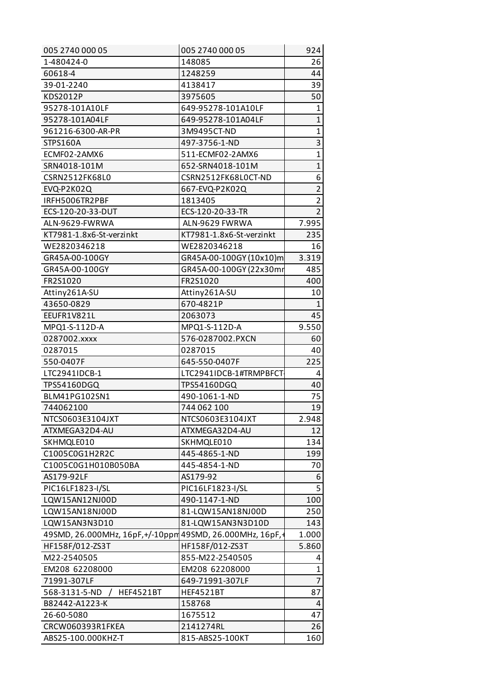| 005 2740 000 05                                          | 005 2740 000 05          | 924            |
|----------------------------------------------------------|--------------------------|----------------|
| 1-480424-0                                               | 148085                   | 26             |
| 60618-4                                                  | 1248259                  | 44             |
| 39-01-2240                                               | 4138417                  | 39             |
| KDS2012P                                                 | 3975605                  | 50             |
| 95278-101A10LF                                           | 649-95278-101A10LF       | 1              |
| 95278-101A04LF                                           | 649-95278-101A04LF       | $\mathbf{1}$   |
| 961216-6300-AR-PR                                        | 3M9495CT-ND              | $\mathbf{1}$   |
| <b>STPS160A</b>                                          | 497-3756-1-ND            | $\overline{3}$ |
| ECMF02-2AMX6                                             | 511-ECMF02-2AMX6         | $\overline{1}$ |
| SRN4018-101M                                             | 652-SRN4018-101M         | $\mathbf{1}$   |
| CSRN2512FK68L0                                           | CSRN2512FK68LOCT-ND      | 6              |
| EVQ-P2K02Q                                               | 667-EVQ-P2K02Q           | $\overline{2}$ |
| IRFH5006TR2PBF                                           | 1813405                  | $\overline{2}$ |
| ECS-120-20-33-DUT                                        | ECS-120-20-33-TR         | $\overline{2}$ |
| ALN-9629-FWRWA                                           | ALN-9629 FWRWA           | 7.995          |
| KT7981-1.8x6-St-verzinkt                                 | KT7981-1.8x6-St-verzinkt | 235            |
| WE2820346218                                             | WE2820346218             | 16             |
| GR45A-00-100GY                                           | GR45A-00-100GY (10x10)m  | 3.319          |
| GR45A-00-100GY                                           | GR45A-00-100GY (22x30mr  | 485            |
| FR2S1020                                                 | FR2S1020                 | 400            |
| Attiny261A-SU                                            | Attiny261A-SU            | 10             |
| 43650-0829                                               | 670-4821P                | $\mathbf{1}$   |
| EEUFR1V821L                                              | 2063073                  | 45             |
| MPQ1-S-112D-A                                            | MPQ1-S-112D-A            | 9.550          |
| 0287002.xxxx                                             | 576-0287002.PXCN         | 60             |
| 0287015                                                  | 0287015                  | 40             |
| 550-0407F                                                | 645-550-0407F            | 225            |
| LTC2941IDCB-1                                            | LTC2941IDCB-1#TRMPBFCT   | 4              |
| TPS54160DGQ                                              | TPS54160DGQ              | 40             |
| BLM41PG102SN1                                            | 490-1061-1-ND            | 75             |
| 744062100                                                | 744 062 100              | 19             |
| NTCS0603E3104JXT                                         | NTCS0603E3104JXT         | 2.948          |
| ATXMEGA32D4-AU                                           | ATXMEGA32D4-AU           | 12             |
| SKHMQLE010                                               | SKHMQLE010               | 134            |
| C1005C0G1H2R2C                                           | 445-4865-1-ND            | 199            |
| C1005C0G1H010B050BA                                      | 445-4854-1-ND            | 70             |
| AS179-92LF                                               | AS179-92                 | 6              |
| PIC16LF1823-I/SL                                         | PIC16LF1823-I/SL         | 5              |
| LQW15AN12NJ00D                                           | 490-1147-1-ND            | 100            |
| LQW15AN18NJ00D                                           | 81-LQW15AN18NJ00D        | 250            |
| LQW15AN3N3D10                                            | 81-LQW15AN3N3D10D        | 143            |
| 49SMD, 26.000MHz, 16pF, +/-10ppm 49SMD, 26.000MHz, 16pF, |                          | 1.000          |
| HF158F/012-ZS3T                                          | HF158F/012-ZS3T          | 5.860          |
| M22-2540505                                              | 855-M22-2540505          | 4              |
| EM208 62208000                                           | EM208 62208000           | $\mathbf{1}$   |
| 71991-307LF                                              | 649-71991-307LF          | $\overline{7}$ |
| 568-3131-5-ND<br><b>HEF4521BT</b>                        | <b>HEF4521BT</b>         | 87             |
| B82442-A1223-K                                           | 158768                   | 4              |
| 26-60-5080                                               | 1675512                  | 47             |
| CRCW060393R1FKEA                                         | 2141274RL                | 26             |
| ABS25-100.000KHZ-T                                       | 815-ABS25-100KT          | 160            |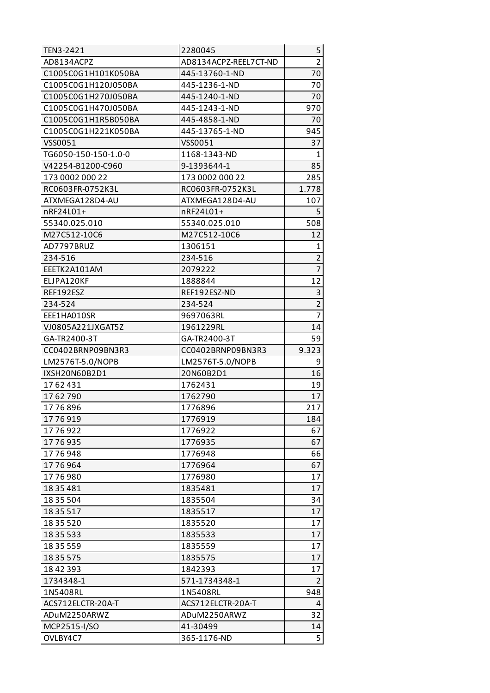| TEN3-2421                | 2280045                 | 5              |
|--------------------------|-------------------------|----------------|
| AD8134ACPZ               | AD8134ACPZ-REEL7CT-ND   | $\overline{2}$ |
| C1005C0G1H101K050BA      | 445-13760-1-ND          | 70             |
| C1005C0G1H120J050BA      | 445-1236-1-ND           | 70             |
| C1005C0G1H270J050BA      | 445-1240-1-ND           | 70             |
| C1005C0G1H470J050BA      | 445-1243-1-ND           | 970            |
| C1005C0G1H1R5B050BA      | 445-4858-1-ND           | 70             |
| C1005C0G1H221K050BA      | 445-13765-1-ND          | 945            |
| VSS0051                  | VSS0051                 | 37             |
| TG6050-150-150-1.0-0     | 1168-1343-ND            | 1              |
| V42254-B1200-C960        | 9-1393644-1             | 85             |
| 173 0002 000 22          | 173 0002 000 22         | 285            |
| RC0603FR-0752K3L         | RC0603FR-0752K3L        | 1.778          |
| ATXMEGA128D4-AU          | ATXMEGA128D4-AU         | 107            |
| nRF24L01+                | nRF24L01+               | 5              |
| 55340.025.010            | 55340.025.010           | 508            |
| M27C512-10C6             | M27C512-10C6            | 12             |
| AD7797BRUZ               | 1306151                 | 1              |
| 234-516                  | 234-516                 | $\overline{2}$ |
| EEETK2A101AM             | 2079222                 | $\overline{7}$ |
| ELJPA120KF               | 1888844                 | 12             |
| REF192ESZ                | REF192ESZ-ND            | 3              |
| 234-524                  | 234-524                 | $\overline{2}$ |
| EEE1HA010SR              | 9697063RL               | $\overline{7}$ |
| VJ0805A221JXGAT5Z        | 1961229RL               | 14             |
| GA-TR2400-3T             | GA-TR2400-3T            | 59             |
| CC0402BRNP09BN3R3        | CC0402BRNP09BN3R3       | 9.323          |
| LM2576T-5.0/NOPB         | LM2576T-5.0/NOPB        | 9              |
| IXSH20N60B2D1            | 20N60B2D1               | 16             |
| 1762431                  |                         |                |
|                          | 1762431                 | 19             |
| 1762790                  | 1762790                 | 17             |
| 1776896                  | 1776896                 | 217            |
| 1776919                  | 1776919                 | 184            |
| 1776922                  | 1776922                 | 67             |
| 1776935                  | 1776935                 | 67             |
| 1776948                  | 1776948                 | 66             |
| 1776964                  | 1776964                 | 67             |
| 1776980                  | 1776980                 | 17             |
| 18 35 481                | 1835481                 | 17             |
| 18 35 504                | 1835504                 | 34             |
| 18 35 517                | 1835517                 | 17             |
| 18 35 5 20               | 1835520                 | 17             |
| 18 35 533                | 1835533                 | 17             |
| 18 35 559                | 1835559                 | 17             |
| 18 35 575                | 1835575                 | 17             |
| 1842393                  | 1842393                 | 17             |
| 1734348-1                | 571-1734348-1           | $\overline{2}$ |
| 1N5408RL                 | 1N5408RL                | 948            |
| ACS712ELCTR-20A-T        | ACS712ELCTR-20A-T       | 4              |
| ADuM2250ARWZ             | ADuM2250ARWZ            | 32             |
| MCP2515-I/SO<br>OVLBY4C7 | 41-30499<br>365-1176-ND | 14<br>5        |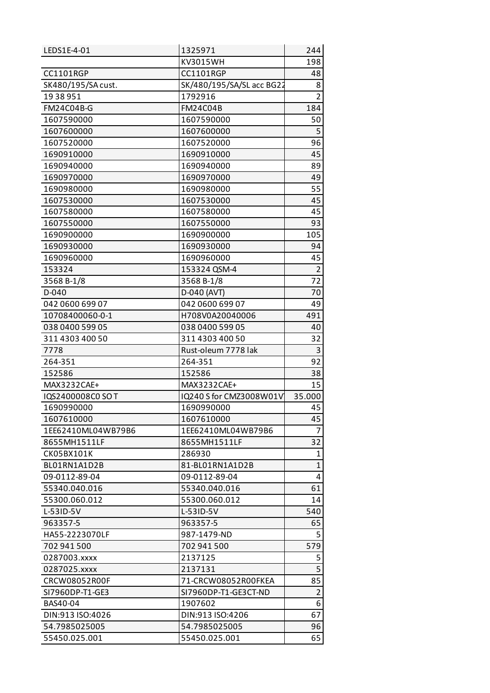| LEDS1E-4-01          | 1325971                   | 244            |
|----------------------|---------------------------|----------------|
|                      | KV3015WH                  | 198            |
| <b>CC1101RGP</b>     | <b>CC1101RGP</b>          | 48             |
| SK480/195/SA cust.   | SK/480/195/SA/SL acc BG22 | 8              |
| 1938951              | 1792916                   | $\overline{2}$ |
| <b>FM24C04B-G</b>    | <b>FM24C04B</b>           | 184            |
| 1607590000           | 1607590000                | 50             |
| 1607600000           | 1607600000                | 5              |
| 1607520000           | 1607520000                | 96             |
| 1690910000           | 1690910000                | 45             |
| 1690940000           | 1690940000                | 89             |
| 1690970000           | 1690970000                | 49             |
| 1690980000           | 1690980000                | 55             |
| 1607530000           | 1607530000                | 45             |
| 1607580000           | 1607580000                | 45             |
| 1607550000           | 1607550000                | 93             |
| 1690900000           | 1690900000                | 105            |
| 1690930000           | 1690930000                | 94             |
| 1690960000           | 1690960000                | 45             |
| 153324               | 153324 QSM-4              | $\overline{2}$ |
| 3568 B-1/8           | 3568 B-1/8                | 72             |
| D-040                | D-040 (AVT)               | 70             |
| 042 0600 699 07      | 042 0600 699 07           | 49             |
| 10708400060-0-1      | H708V0A20040006           | 491            |
| 038 0400 599 05      | 038 0400 599 05           | 40             |
| 311 4303 400 50      | 311 4303 400 50           | 32             |
| 7778                 | Rust-oleum 7778 lak       | 3              |
| 264-351              | 264-351                   | 92             |
| 152586               | 152586                    | 38             |
| MAX3232CAE+          | MAX3232CAE+               | 15             |
| IQS2400008C0 SO T    | IQ240 S for CMZ3008W01V   | 35.000         |
| 1690990000           | 1690990000                | 45             |
| 1607610000           | 1607610000                | 45             |
| 1EE62410ML04WB79B6   | 1EE62410ML04WB79B6        | 7              |
| 8655MH1511LF         | 8655MH1511LF              | 32             |
| CK05BX101K           | 286930                    | 1              |
| BL01RN1A1D2B         | 81-BL01RN1A1D2B           | $\mathbf{1}$   |
| 09-0112-89-04        | 09-0112-89-04             | 4              |
| 55340.040.016        | 55340.040.016             | 61             |
| 55300.060.012        | 55300.060.012             | 14             |
| L-53ID-5V            | L-53ID-5V                 | 540            |
| 963357-5             | 963357-5                  | 65             |
| HA55-2223070LF       | 987-1479-ND               | 5              |
| 702 941 500          | 702 941 500               | 579            |
| 0287003.xxxx         | 2137125                   | 5              |
| 0287025.xxxx         | 2137131                   | 5              |
| <b>CRCW08052R00F</b> | 71-CRCW08052R00FKEA       | 85             |
| SI7960DP-T1-GE3      | SI7960DP-T1-GE3CT-ND      | $\overline{2}$ |
| BAS40-04             | 1907602                   | 6              |
| DIN:913 ISO:4026     | DIN:913 ISO:4206          | 67             |
| 54.7985025005        | 54.7985025005             | 96             |
|                      |                           | 65             |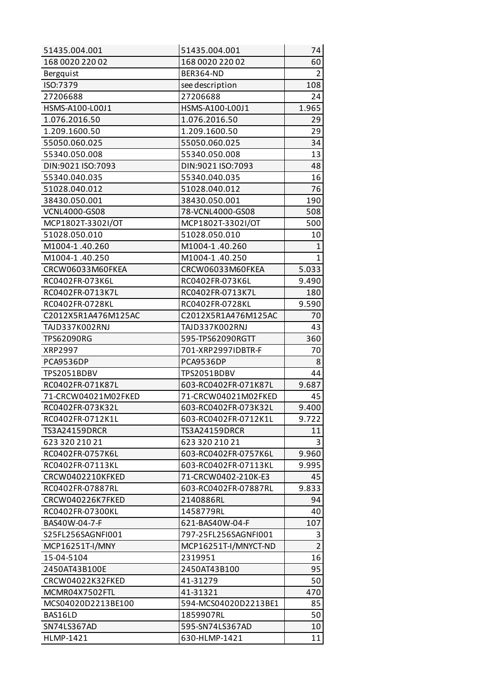| 51435.004.001        | 51435.004.001        | 74             |
|----------------------|----------------------|----------------|
| 168 0020 220 02      | 168 0020 220 02      | 60             |
| Bergquist            | <b>BER364-ND</b>     | $\overline{2}$ |
| ISO:7379             | see description      | 108            |
| 27206688             | 27206688             | 24             |
| HSMS-A100-L00J1      | HSMS-A100-L00J1      | 1.965          |
| 1.076.2016.50        | 1.076.2016.50        | 29             |
| 1.209.1600.50        | 1.209.1600.50        | 29             |
| 55050.060.025        | 55050.060.025        | 34             |
| 55340.050.008        | 55340.050.008        | 13             |
| DIN:9021 ISO:7093    | DIN:9021 ISO:7093    | 48             |
| 55340.040.035        | 55340.040.035        | 16             |
| 51028.040.012        | 51028.040.012        | 76             |
| 38430.050.001        | 38430.050.001        | 190            |
| <b>VCNL4000-GS08</b> | 78-VCNL4000-GS08     | 508            |
| MCP1802T-3302I/OT    | MCP1802T-3302I/OT    | 500            |
| 51028.050.010        | 51028.050.010        | 10             |
| M1004-1.40.260       | M1004-1.40.260       | $\mathbf{1}$   |
| M1004-1.40.250       | M1004-1.40.250       | $\mathbf{1}$   |
| CRCW06033M60FKEA     | CRCW06033M60FKEA     | 5.033          |
| RC0402FR-073K6L      | RC0402FR-073K6L      | 9.490          |
| RC0402FR-0713K7L     | RC0402FR-0713K7L     | 180            |
| RC0402FR-0728KL      | RC0402FR-0728KL      | 9.590          |
| C2012X5R1A476M125AC  | C2012X5R1A476M125AC  | 70             |
| TAJD337K002RNJ       | TAJD337K002RNJ       | 43             |
| <b>TPS62090RG</b>    | 595-TPS62090RGTT     | 360            |
| XRP2997              | 701-XRP2997IDBTR-F   | 70             |
| PCA9536DP            | PCA9536DP            | 8              |
| TPS2051BDBV          | TPS2051BDBV          | 44             |
| RC0402FR-071K87L     | 603-RC0402FR-071K87L | 9.687          |
| 71-CRCW04021M02FKED  | 71-CRCW04021M02FKED  | 45             |
| RC0402FR-073K32L     | 603-RC0402FR-073K32L | 9.400          |
| RC0402FR-0712K1L     | 603-RC0402FR-0712K1L | 9.722          |
| <b>TS3A24159DRCR</b> | TS3A24159DRCR        | 11             |
| 623 320 210 21       | 623 320 210 21       | 3              |
| RC0402FR-0757K6L     | 603-RC0402FR-0757K6L | 9.960          |
| RC0402FR-07113KL     | 603-RC0402FR-07113KL | 9.995          |
| CRCW0402210KFKED     | 71-CRCW0402-210K-E3  | 45             |
| RC0402FR-07887RL     | 603-RC0402FR-07887RL | 9.833          |
| CRCW040226K7FKED     | 2140886RL            | 94             |
| RC0402FR-07300KL     | 1458779RL            | 40             |
| BAS40W-04-7-F        | 621-BAS40W-04-F      | 107            |
| S25FL256SAGNFI001    | 797-25FL256SAGNFI001 | 3              |
| MCP16251T-I/MNY      | MCP16251T-I/MNYCT-ND | $\overline{2}$ |
| 15-04-5104           | 2319951              | 16             |
| 2450AT43B100E        | 2450AT43B100         | 95             |
| CRCW04022K32FKED     | 41-31279             | 50             |
| MCMR04X7502FTL       | 41-31321             | 470            |
| MCS04020D2213BE100   | 594-MCS04020D2213BE1 | 85             |
| BAS16LD              | 1859907RL            | 50             |
| SN74LS367AD          | 595-SN74LS367AD      | 10             |
| <b>HLMP-1421</b>     | 630-HLMP-1421        | 11             |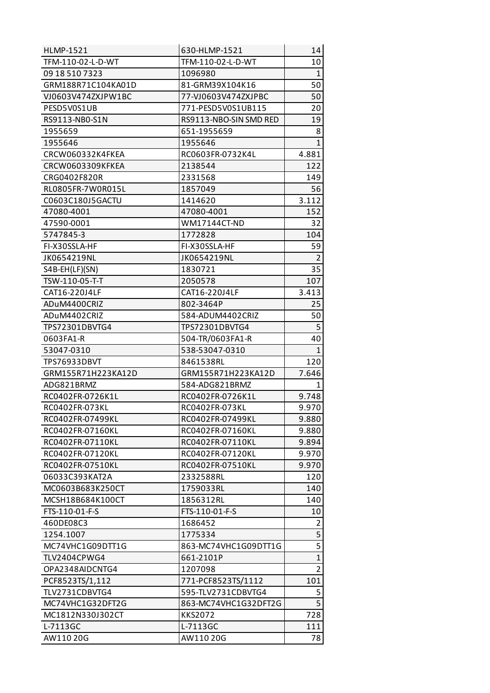| <b>HLMP-1521</b>    | 630-HLMP-1521          | 14             |
|---------------------|------------------------|----------------|
| TFM-110-02-L-D-WT   | TFM-110-02-L-D-WT      | 10             |
| 09 18 510 7323      | 1096980                | $\mathbf{1}$   |
| GRM188R71C104KA01D  | 81-GRM39X104K16        | 50             |
| VJ0603V474ZXJPW1BC  | 77-VJ0603V474ZXJPBC    | 50             |
| PESD5V0S1UB         | 771-PESD5V0S1UB115     | 20             |
| RS9113-NB0-S1N      | RS9113-NBO-SIN SMD RED | 19             |
| 1955659             | 651-1955659            | 8              |
| 1955646             | 1955646                | $\mathbf{1}$   |
| CRCW060332K4FKEA    | RC0603FR-0732K4L       | 4.881          |
| CRCW0603309KFKEA    | 2138544                | 122            |
| CRG0402F820R        | 2331568                | 149            |
| RL0805FR-7W0R015L   | 1857049                | 56             |
| C0603C180J5GACTU    | 1414620                | 3.112          |
| 47080-4001          | 47080-4001             | 152            |
| 47590-0001          | WM17144CT-ND           | 32             |
| 5747845-3           | 1772828                | 104            |
| FI-X30SSLA-HF       | FI-X30SSLA-HF          | 59             |
| JK0654219NL         | JK0654219NL            | 2              |
| S4B-EH(LF)(SN)      | 1830721                | 35             |
| TSW-110-05-T-T      | 2050578                | 107            |
| CAT16-220J4LF       | CAT16-220J4LF          | 3.413          |
| ADuM4400CRIZ        | 802-3464P              | 25             |
| ADuM4402CRIZ        | 584-ADUM4402CRIZ       | 50             |
| TPS72301DBVTG4      | TPS72301DBVTG4         | 5              |
| 0603FA1-R           | 504-TR/0603FA1-R       | 40             |
| 53047-0310          | 538-53047-0310         | $\mathbf{1}$   |
| <b>TPS76933DBVT</b> | 8461538RL              | 120            |
| GRM155R71H223KA12D  | GRM155R71H223KA12D     | 7.646          |
| ADG821BRMZ          | 584-ADG821BRMZ         | 1              |
| RC0402FR-0726K1L    | RC0402FR-0726K1L       | 9.748          |
| RC0402FR-073KL      | RC0402FR-073KL         | 9.970          |
| RC0402FR-07499KL    | RC0402FR-07499KL       | 9.880          |
| RC0402FR-07160KL    | RC0402FR-07160KL       | 9.880          |
| RC0402FR-07110KL    | RC0402FR-07110KL       | 9.894          |
| RC0402FR-07120KL    | RC0402FR-07120KL       | 9.970          |
| RC0402FR-07510KL    | RC0402FR-07510KL       | 9.970          |
| 06033C393KAT2A      | 2332588RL              | 120            |
| MC0603B683K250CT    | 1759033RL              | 140            |
| MCSH18B684K100CT    | 1856312RL              | 140            |
| FTS-110-01-F-S      | FTS-110-01-F-S         | 10             |
| 460DE08C3           | 1686452                | $\overline{2}$ |
| 1254.1007           | 1775334                | 5              |
| MC74VHC1G09DTT1G    | 863-MC74VHC1G09DTT1G   | $\overline{5}$ |
| <b>TLV2404CPWG4</b> | 661-2101P              | $\mathbf{1}$   |
| OPA2348AIDCNTG4     | 1207098                | $\overline{2}$ |
| PCF8523TS/1,112     | 771-PCF8523TS/1112     | 101            |
| TLV2731CDBVTG4      | 595-TLV2731CDBVTG4     | 5              |
| MC74VHC1G32DFT2G    | 863-MC74VHC1G32DFT2G   | $\overline{5}$ |
| MC1812N330J302CT    | <b>KKS2072</b>         | 728            |
| L-7113GC            | L-7113GC               | 111            |
| AW110 20G           | AW110 20G              | 78             |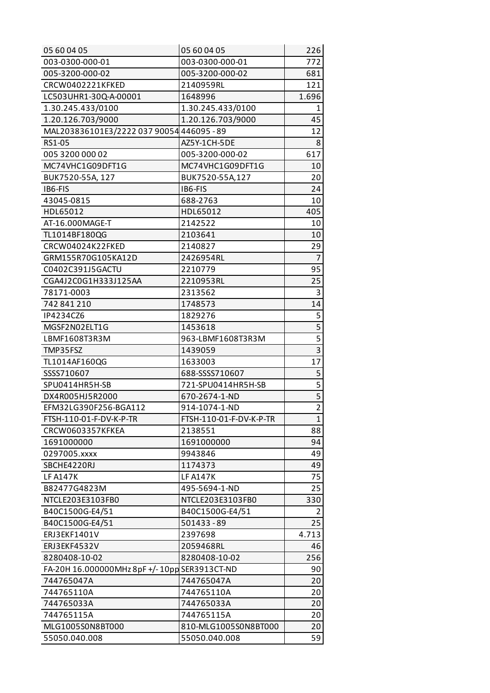| 05 60 04 05                                  | 05 60 04 05             | 226            |
|----------------------------------------------|-------------------------|----------------|
| 003-0300-000-01                              | 003-0300-000-01         | 772            |
| 005-3200-000-02                              | 005-3200-000-02         | 681            |
| CRCW0402221KFKED                             | 2140959RL               | 121            |
| LC503UHR1-30Q-A-00001                        | 1648996                 | 1.696          |
| 1.30.245.433/0100                            | 1.30.245.433/0100       | 1              |
| 1.20.126.703/9000                            | 1.20.126.703/9000       | 45             |
| MAL203836101E3/2222 037 90054 446095 - 89    |                         | 12             |
| RS1-05                                       | AZ5Y-1CH-5DE            | 8              |
| 005 3200 000 02                              | 005-3200-000-02         | 617            |
| MC74VHC1G09DFT1G                             | MC74VHC1G09DFT1G        | 10             |
| BUK7520-55A, 127                             | BUK7520-55A,127         | 20             |
| IB6-FIS                                      | IB6-FIS                 | 24             |
| 43045-0815                                   | 688-2763                | 10             |
| HDL65012                                     | HDL65012                | 405            |
| AT-16.000MAGE-T                              | 2142522                 | 10             |
| TL1014BF180QG                                | 2103641                 | 10             |
| CRCW04024K22FKED                             | 2140827                 | 29             |
| GRM155R70G105KA12D                           | 2426954RL               | 7              |
| C0402C391J5GACTU                             | 2210779                 | 95             |
| CGA4J2C0G1H333J125AA                         | 2210953RL               | 25             |
| 78171-0003                                   | 2313562                 | 3              |
| 742 841 210                                  | 1748573                 | 14             |
| IP4234CZ6                                    | 1829276                 | 5              |
| MGSF2N02ELT1G                                | 1453618                 |                |
| LBMF1608T3R3M                                | 963-LBMF1608T3R3M       | $\overline{5}$ |
| TMP35FSZ                                     | 1439059                 | $\overline{3}$ |
| TL1014AF160QG                                | 1633003                 | 17             |
| SSSS710607                                   | 688-SSSS710607          | 5              |
| SPU0414HR5H-SB                               | 721-SPU0414HR5H-SB      | $\overline{5}$ |
| DX4R005HJ5R2000                              | 670-2674-1-ND           | $\overline{5}$ |
| EFM32LG390F256-BGA112                        | 914-1074-1-ND           | $\overline{2}$ |
| FTSH-110-01-F-DV-K-P-TR                      | FTSH-110-01-F-DV-K-P-TR | 1              |
| CRCW0603357KFKEA                             | 2138551                 | 88             |
| 1691000000                                   | 1691000000              | 94             |
| 0297005.xxxx                                 | 9943846                 | 49             |
| SBCHE4220RJ                                  | 1174373                 | 49             |
| <b>LF A147K</b>                              | <b>LF A147K</b>         | 75             |
| B82477G4823M                                 | 495-5694-1-ND           | 25             |
| NTCLE203E3103FB0                             | NTCLE203E3103FB0        | 330            |
| B40C1500G-E4/51                              | B40C1500G-E4/51         | 2              |
| B40C1500G-E4/51                              | 501433-89               | 25             |
| ERJ3EKF1401V                                 | 2397698                 | 4.713          |
| ERJ3EKF4532V                                 | 2059468RL               | 46             |
| 8280408-10-02                                | 8280408-10-02           | 256            |
| FA-20H 16.000000MHz 8pF +/-10pp SER3913CT-ND |                         | 90             |
| 744765047A                                   | 744765047A              | 20             |
| 744765110A                                   | 744765110A              | 20             |
| 744765033A                                   | 744765033A              | 20             |
| 744765115A                                   | 744765115A              | 20             |
| MLG1005S0N8BT000                             | 810-MLG1005S0N8BT000    | 20             |
| 55050.040.008                                | 55050.040.008           | 59             |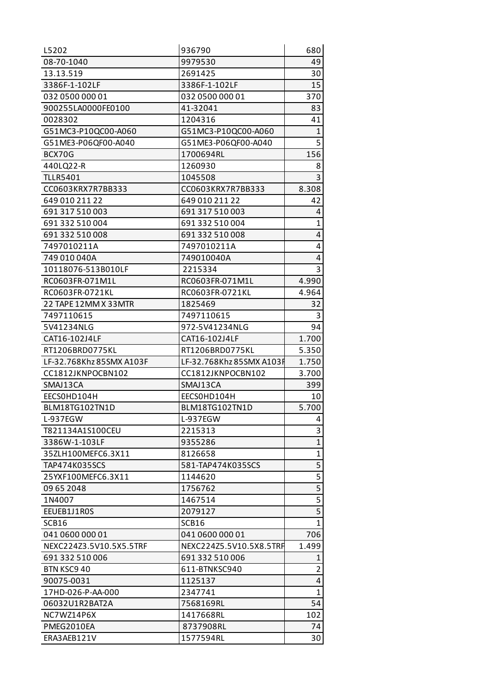| L5202                    | 936790                   | 680                     |
|--------------------------|--------------------------|-------------------------|
| 08-70-1040               | 9979530                  | 49                      |
| 13.13.519                | 2691425                  | 30                      |
| 3386F-1-102LF            | 3386F-1-102LF            | 15                      |
| 032 0500 000 01          | 032 0500 000 01          | 370                     |
| 900255LA0000FE0100       | 41-32041                 | 83                      |
| 0028302                  | 1204316                  | 41                      |
| G51MC3-P10QC00-A060      | G51MC3-P10QC00-A060      | $\mathbf{1}$            |
| G51ME3-P06QF00-A040      | G51ME3-P06QF00-A040      | 5                       |
| BCX70G                   | 1700694RL                | 156                     |
| 440LQ22-R                | 1260930                  | 8                       |
| <b>TLLR5401</b>          | 1045508                  | 3                       |
| CC0603KRX7R7BB333        | CC0603KRX7R7BB333        | 8.308                   |
| 649 010 211 22           | 649 010 211 22           | 42                      |
| 691 317 510 003          | 691 317 510 003          | 4                       |
| 691 332 510 004          | 691 332 510 004          | $\mathbf{1}$            |
| 691 332 510 008          | 691 332 510 008          | 4                       |
| 7497010211A              | 7497010211A              | 4                       |
| 749 010 040A             | 749010040A               | 4                       |
| 10118076-513B010LF       | 2215334                  | 3                       |
| RC0603FR-071M1L          | RC0603FR-071M1L          | 4.990                   |
| RC0603FR-0721KL          | RC0603FR-0721KL          | 4.964                   |
| 22 TAPE 12MM X 33MTR     | 1825469                  | 32                      |
| 7497110615               | 7497110615               | 3                       |
| 5V41234NLG               | 972-5V41234NLG           | 94                      |
| CAT16-102J4LF            | CAT16-102J4LF            | 1.700                   |
| RT1206BRD0775KL          | RT1206BRD0775KL          | 5.350                   |
| LF-32.768Khz 85SMX A103F | LF-32.768Khz 85SMX A103F | 1.750                   |
| CC1812JKNPOCBN102        | CC1812JKNPOCBN102        | 3.700                   |
| SMAJ13CA                 | SMAJ13CA                 | 399                     |
| EECSOHD104H              | EECSOHD104H              | 10                      |
| BLM18TG102TN1D           | BLM18TG102TN1D           | 5.700                   |
| L-937EGW                 | L-937EGW                 | 4                       |
| T821134A1S100CEU         | 2215313                  | 3                       |
| 3386W-1-103LF            | 9355286                  | $\mathbf{1}$            |
| 35ZLH100MEFC6.3X11       | 8126658                  | $\mathbf{1}$            |
| <b>TAP474K035SCS</b>     | 581-TAP474K035SCS        | 5                       |
| 25YXF100MEFC6.3X11       | 1144620                  | $\overline{\mathbf{5}}$ |
| 09 65 2048               | 1756762                  | $\overline{5}$          |
| 1N4007                   | 1467514                  | $\overline{5}$          |
| EEUEB1J1R0S              | 2079127                  | 5                       |
| SCB <sub>16</sub>        | SCB16                    | $\mathbf{1}$            |
| 041 0600 000 01          | 041 0600 000 01          | 706                     |
| NEXC224Z3.5V10.5X5.5TRF  | NEXC224Z5.5V10.5X8.5TRF  | 1.499                   |
| 691 332 510 006          | 691 332 510 006          | 1                       |
| BTN KSC9 40              | 611-BTNKSC940            | $\overline{2}$          |
| 90075-0031               | 1125137                  | 4                       |
| 17HD-026-P-AA-000        | 2347741                  | $\mathbf{1}$            |
| 06032U1R2BAT2A           | 7568169RL                | 54                      |
| NC7WZ14P6X               | 1417668RL                | 102                     |
| PMEG2010EA               | 8737908RL                | 74                      |
| ERA3AEB121V              | 1577594RL                | 30                      |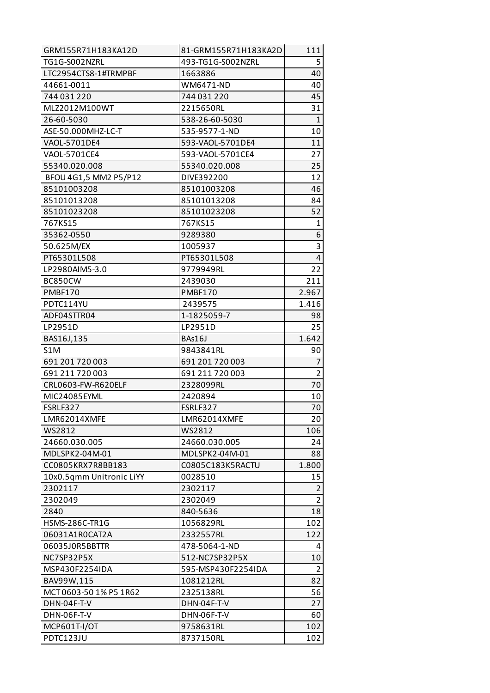| TG1G-S002NZRL<br>493-TG1G-S002NZRL<br>5<br>LTC2954CTS8-1#TRMPBF<br>40<br>1663886<br>WM6471-ND<br>40<br>44661-0011<br>744 031 220<br>744 031 220<br>45<br>2215650RL<br>31<br>MLZ2012M100WT<br>$\mathbf{1}$<br>26-60-5030<br>538-26-60-5030<br>ASE-50.000MHZ-LC-T<br>535-9577-1-ND<br>10<br>11<br>VAOL-5701DE4<br>593-VAOL-5701DE4<br>27<br>VAOL-5701CE4<br>593-VAOL-5701CE4<br>55340.020.008<br>25<br>55340.020.008<br>BFOU 4G1,5 MM2 P5/P12<br>DIVE392200<br>12<br>46<br>85101003208<br>85101003208<br>85101013208<br>85101013208<br>84<br>52<br>85101023208<br>85101023208<br>767KS15<br>$\mathbf{1}$<br>767KS15<br>6<br>35362-0550<br>9289380<br>3<br>50.625M/EX<br>1005937 |
|-------------------------------------------------------------------------------------------------------------------------------------------------------------------------------------------------------------------------------------------------------------------------------------------------------------------------------------------------------------------------------------------------------------------------------------------------------------------------------------------------------------------------------------------------------------------------------------------------------------------------------------------------------------------------------|
|                                                                                                                                                                                                                                                                                                                                                                                                                                                                                                                                                                                                                                                                               |
|                                                                                                                                                                                                                                                                                                                                                                                                                                                                                                                                                                                                                                                                               |
|                                                                                                                                                                                                                                                                                                                                                                                                                                                                                                                                                                                                                                                                               |
|                                                                                                                                                                                                                                                                                                                                                                                                                                                                                                                                                                                                                                                                               |
|                                                                                                                                                                                                                                                                                                                                                                                                                                                                                                                                                                                                                                                                               |
|                                                                                                                                                                                                                                                                                                                                                                                                                                                                                                                                                                                                                                                                               |
|                                                                                                                                                                                                                                                                                                                                                                                                                                                                                                                                                                                                                                                                               |
|                                                                                                                                                                                                                                                                                                                                                                                                                                                                                                                                                                                                                                                                               |
|                                                                                                                                                                                                                                                                                                                                                                                                                                                                                                                                                                                                                                                                               |
|                                                                                                                                                                                                                                                                                                                                                                                                                                                                                                                                                                                                                                                                               |
|                                                                                                                                                                                                                                                                                                                                                                                                                                                                                                                                                                                                                                                                               |
|                                                                                                                                                                                                                                                                                                                                                                                                                                                                                                                                                                                                                                                                               |
|                                                                                                                                                                                                                                                                                                                                                                                                                                                                                                                                                                                                                                                                               |
|                                                                                                                                                                                                                                                                                                                                                                                                                                                                                                                                                                                                                                                                               |
|                                                                                                                                                                                                                                                                                                                                                                                                                                                                                                                                                                                                                                                                               |
|                                                                                                                                                                                                                                                                                                                                                                                                                                                                                                                                                                                                                                                                               |
|                                                                                                                                                                                                                                                                                                                                                                                                                                                                                                                                                                                                                                                                               |
| $\overline{4}$<br>PT65301L508<br>PT65301L508                                                                                                                                                                                                                                                                                                                                                                                                                                                                                                                                                                                                                                  |
| 22<br>LP2980AIM5-3.0<br>9779949RL                                                                                                                                                                                                                                                                                                                                                                                                                                                                                                                                                                                                                                             |
| 211<br>BC850CW<br>2439030                                                                                                                                                                                                                                                                                                                                                                                                                                                                                                                                                                                                                                                     |
| <b>PMBF170</b><br><b>PMBF170</b><br>2.967                                                                                                                                                                                                                                                                                                                                                                                                                                                                                                                                                                                                                                     |
| PDTC114YU<br>2439575<br>1.416                                                                                                                                                                                                                                                                                                                                                                                                                                                                                                                                                                                                                                                 |
| ADF04STTR04<br>1-1825059-7<br>98                                                                                                                                                                                                                                                                                                                                                                                                                                                                                                                                                                                                                                              |
| LP2951D<br>25<br>LP2951D                                                                                                                                                                                                                                                                                                                                                                                                                                                                                                                                                                                                                                                      |
| BAS16J,135<br>BAs16J<br>1.642                                                                                                                                                                                                                                                                                                                                                                                                                                                                                                                                                                                                                                                 |
| S1M<br>9843841RL<br>90                                                                                                                                                                                                                                                                                                                                                                                                                                                                                                                                                                                                                                                        |
| 7<br>691 201 720 003<br>691 201 720 003                                                                                                                                                                                                                                                                                                                                                                                                                                                                                                                                                                                                                                       |
| $\overline{2}$<br>691 211 720 003<br>691 211 720 003                                                                                                                                                                                                                                                                                                                                                                                                                                                                                                                                                                                                                          |
| 70<br>CRL0603-FW-R620ELF<br>2328099RL                                                                                                                                                                                                                                                                                                                                                                                                                                                                                                                                                                                                                                         |
| 10<br>MIC24085EYML<br>2420894                                                                                                                                                                                                                                                                                                                                                                                                                                                                                                                                                                                                                                                 |
| FSRLF327<br>70<br>FSRLF327                                                                                                                                                                                                                                                                                                                                                                                                                                                                                                                                                                                                                                                    |
| LMR62014XMFE<br>LMR62014XMFE<br>20                                                                                                                                                                                                                                                                                                                                                                                                                                                                                                                                                                                                                                            |
| 106<br>WS2812<br>WS2812                                                                                                                                                                                                                                                                                                                                                                                                                                                                                                                                                                                                                                                       |
| 24660.030.005<br>24660.030.005<br>24                                                                                                                                                                                                                                                                                                                                                                                                                                                                                                                                                                                                                                          |
| MDLSPK2-04M-01<br>MDLSPK2-04M-01<br>88                                                                                                                                                                                                                                                                                                                                                                                                                                                                                                                                                                                                                                        |
| CC0805KRX7R8BB183<br>1.800<br>C0805C183K5RACTU                                                                                                                                                                                                                                                                                                                                                                                                                                                                                                                                                                                                                                |
| 10x0.5qmm Unitronic LiYY<br>15<br>0028510                                                                                                                                                                                                                                                                                                                                                                                                                                                                                                                                                                                                                                     |
| $\overline{2}$<br>2302117<br>2302117                                                                                                                                                                                                                                                                                                                                                                                                                                                                                                                                                                                                                                          |
| $\overline{2}$<br>2302049<br>2302049                                                                                                                                                                                                                                                                                                                                                                                                                                                                                                                                                                                                                                          |
| 18<br>2840<br>840-5636                                                                                                                                                                                                                                                                                                                                                                                                                                                                                                                                                                                                                                                        |
| <b>HSMS-286C-TR1G</b><br>102<br>1056829RL                                                                                                                                                                                                                                                                                                                                                                                                                                                                                                                                                                                                                                     |
| 2332557RL<br>122<br>06031A1R0CAT2A                                                                                                                                                                                                                                                                                                                                                                                                                                                                                                                                                                                                                                            |
| 06035J0R5BBTTR<br>478-5064-1-ND<br>4                                                                                                                                                                                                                                                                                                                                                                                                                                                                                                                                                                                                                                          |
| 512-NC7SP32P5X<br>10<br>NC7SP32P5X                                                                                                                                                                                                                                                                                                                                                                                                                                                                                                                                                                                                                                            |
| $\overline{2}$<br>595-MSP430F2254IDA<br>MSP430F2254IDA                                                                                                                                                                                                                                                                                                                                                                                                                                                                                                                                                                                                                        |
| 82<br>BAV99W,115<br>1081212RL                                                                                                                                                                                                                                                                                                                                                                                                                                                                                                                                                                                                                                                 |
| 56<br>MCT 0603-50 1% P5 1R62<br>2325138RL                                                                                                                                                                                                                                                                                                                                                                                                                                                                                                                                                                                                                                     |
| DHN-04F-T-V<br>DHN-04F-T-V<br>27                                                                                                                                                                                                                                                                                                                                                                                                                                                                                                                                                                                                                                              |
| DHN-06F-T-V<br>DHN-06F-T-V<br>60                                                                                                                                                                                                                                                                                                                                                                                                                                                                                                                                                                                                                                              |
| <b>MCP601T-I/OT</b><br>9758631RL<br>102                                                                                                                                                                                                                                                                                                                                                                                                                                                                                                                                                                                                                                       |
| <b>PDTC123JU</b><br>8737150RL<br>102                                                                                                                                                                                                                                                                                                                                                                                                                                                                                                                                                                                                                                          |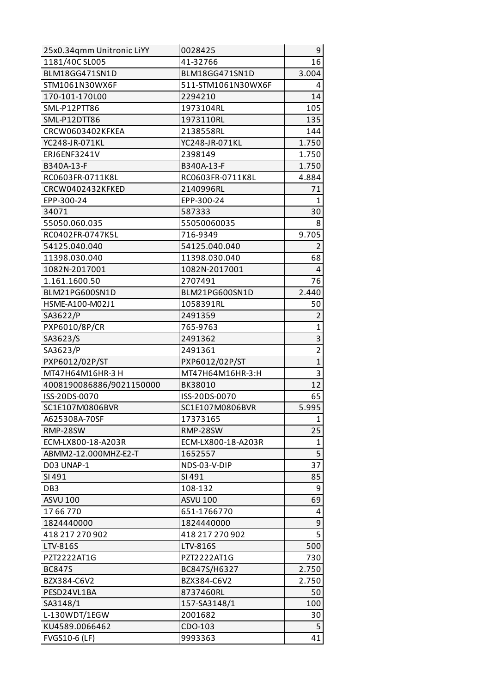| 25x0.34qmm Unitronic LiYY | 0028425            | 9              |
|---------------------------|--------------------|----------------|
| 1181/40C SL005            | 41-32766           | 16             |
| BLM18GG471SN1D            | BLM18GG471SN1D     | 3.004          |
| STM1061N30WX6F            | 511-STM1061N30WX6F | 4              |
| 170-101-170L00            | 2294210            | 14             |
| SML-P12PTT86              | 1973104RL          | 105            |
| SML-P12DTT86              | 1973110RL          | 135            |
| CRCW0603402KFKEA          | 2138558RL          | 144            |
| YC248-JR-071KL            | YC248-JR-071KL     | 1.750          |
| ERJ6ENF3241V              | 2398149            | 1.750          |
| B340A-13-F                | B340A-13-F         | 1.750          |
| RC0603FR-0711K8L          | RC0603FR-0711K8L   | 4.884          |
| CRCW0402432KFKED          | 2140996RL          | 71             |
| EPP-300-24                | EPP-300-24         | $\mathbf{1}$   |
| 34071                     | 587333             | 30             |
| 55050.060.035             | 55050060035        | 8              |
| RC0402FR-0747K5L          | 716-9349           | 9.705          |
| 54125.040.040             | 54125.040.040      | $\overline{2}$ |
| 11398.030.040             | 11398.030.040      | 68             |
| 1082N-2017001             | 1082N-2017001      | 4              |
| 1.161.1600.50             | 2707491            | 76             |
| BLM21PG600SN1D            | BLM21PG600SN1D     | 2.440          |
| HSME-A100-M02J1           | 1058391RL          | 50             |
| SA3622/P                  | 2491359            | $\overline{2}$ |
| PXP6010/8P/CR             | 765-9763           | $\mathbf{1}$   |
| SA3623/S                  | 2491362            | 3              |
| SA3623/P                  | 2491361            | $\overline{2}$ |
| PXP6012/02P/ST            | PXP6012/02P/ST     | $\mathbf{1}$   |
| MT47H64M16HR-3 H          | MT47H64M16HR-3:H   | 3              |
| 4008190086886/9021150000  | BK38010            | 12             |
| ISS-20DS-0070             | ISS-20DS-0070      | 65             |
| SC1E107M0806BVR           | SC1E107M0806BVR    | 5.995          |
| A625308A-70SF             | 17373165           | 1              |
| RMP-28SW                  | RMP-28SW           | 25             |
| ECM-LX800-18-A203R        | ECM-LX800-18-A203R | 1              |
| ABMM2-12.000MHZ-E2-T      | 1652557            | $\overline{5}$ |
| <b>D03 UNAP-1</b>         | NDS-03-V-DIP       | 37             |
| SI 491                    | SI 491             | 85             |
| DB <sub>3</sub>           | 108-132            | 9              |
| <b>ASVU 100</b>           | <b>ASVU 100</b>    | 69             |
| 17 66 770                 | 651-1766770        | 4              |
| 1824440000                | 1824440000         | 9              |
| 418 217 270 902           | 418 217 270 902    | 5              |
| LTV-816S                  | LTV-816S           | 500            |
| PZT2222AT1G               | PZT2222AT1G        | 730            |
| <b>BC847S</b>             | BC847S/H6327       | 2.750          |
| BZX384-C6V2               | BZX384-C6V2        | 2.750          |
| PESD24VL1BA               | 8737460RL          | 50             |
| SA3148/1                  | 157-SA3148/1       | 100            |
| L-130WDT/1EGW             | 2001682            | 30             |
| KU4589.0066462            | CDO-103            | 5              |
| <b>FVGS10-6 (LF)</b>      | 9993363            | 41             |